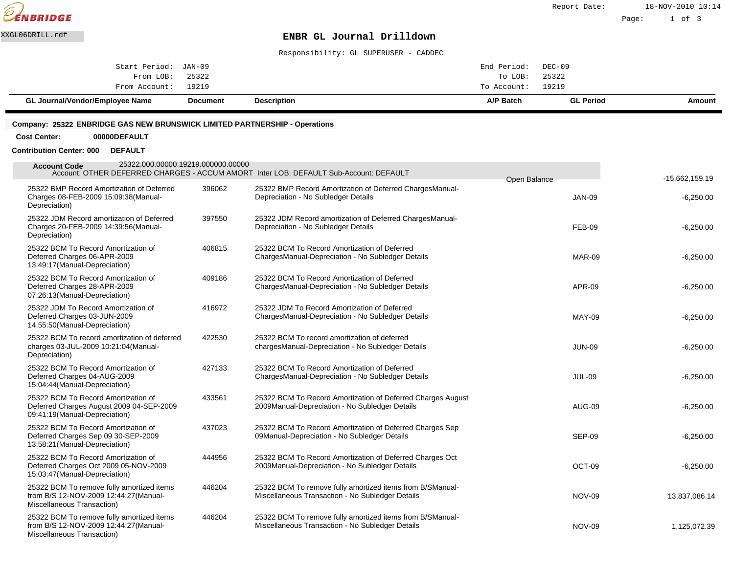

Page: 1 of 3

#### XXGL06DRILL.rdf **ENBR GL Journal Drilldown**

Responsibility: GL SUPERUSER - CADDEC

| GL Journal/Vendor/Employee Name | <b>Document</b> | <b>Description</b> | A/P Batch          | <b>GL Period</b> | Amount |
|---------------------------------|-----------------|--------------------|--------------------|------------------|--------|
| From Account: 19219             |                 |                    | To Account: 19219  |                  |        |
| From LOB: 25322                 |                 |                    | To LOB:            | 25322            |        |
| Start Period: JAN-09            |                 |                    | End Period: DEC-09 |                  |        |
|                                 |                 |                    |                    |                  |        |

#### **Company: 25322 ENBRIDGE GAS NEW BRUNSWICK LIMITED PARTNERSHIP - Operations**

**Cost Center: 00000DEFAULT**

#### **Contribution Center: 000 DEFAULT**

| $-15,662,159.19$ |                               | Account: OTHER DEFERRED CHARGES - ACCUM AMORT Inter LOB: DEFAULT Sub-Account: DEFAULT                          |        | 25322.000.00000.19219.000000.00000<br><b>Account Code</b>                                                        |
|------------------|-------------------------------|----------------------------------------------------------------------------------------------------------------|--------|------------------------------------------------------------------------------------------------------------------|
| $-6,250.00$      | Open Balance<br><b>JAN-09</b> | 25322 BMP Record Amortization of Deferred Charges Manual-<br>Depreciation - No Subledger Details               | 396062 | 25322 BMP Record Amortization of Deferred<br>Charges 08-FEB-2009 15:09:38 (Manual-<br>Depreciation)              |
| $-6,250.00$      | FEB-09                        | 25322 JDM Record amortization of Deferred Charges Manual-<br>Depreciation - No Subledger Details               | 397550 | 25322 JDM Record amortization of Deferred<br>Charges 20-FEB-2009 14:39:56(Manual-<br>Depreciation)               |
| $-6,250.00$      | <b>MAR-09</b>                 | 25322 BCM To Record Amortization of Deferred<br>Charges Manual-Depreciation - No Subledger Details             | 406815 | 25322 BCM To Record Amortization of<br>Deferred Charges 06-APR-2009<br>13:49:17(Manual-Depreciation)             |
| $-6,250.00$      | APR-09                        | 25322 BCM To Record Amortization of Deferred<br>Charges Manual-Depreciation - No Subledger Details             | 409186 | 25322 BCM To Record Amortization of<br>Deferred Charges 28-APR-2009<br>07:26:13(Manual-Depreciation)             |
| $-6,250.00$      | <b>MAY-09</b>                 | 25322 JDM To Record Amortization of Deferred<br>Charges Manual-Depreciation - No Subledger Details             | 416972 | 25322 JDM To Record Amortization of<br>Deferred Charges 03-JUN-2009<br>14:55:50(Manual-Depreciation)             |
| $-6,250.00$      | <b>JUN-09</b>                 | 25322 BCM To record amortization of deferred<br>charges Manual-Depreciation - No Subledger Details             | 422530 | 25322 BCM To record amortization of deferred<br>charges 03-JUL-2009 10:21:04(Manual-<br>Depreciation)            |
| $-6,250.00$      | <b>JUL-09</b>                 | 25322 BCM To Record Amortization of Deferred<br>Charges Manual-Depreciation - No Subledger Details             | 427133 | 25322 BCM To Record Amortization of<br>Deferred Charges 04-AUG-2009<br>15:04:44(Manual-Depreciation)             |
| $-6,250.00$      | AUG-09                        | 25322 BCM To Record Amortization of Deferred Charges August<br>2009 Manual-Depreciation - No Subledger Details | 433561 | 25322 BCM To Record Amortization of<br>Deferred Charges August 2009 04-SEP-2009<br>09:41:19(Manual-Depreciation) |
| $-6,250.00$      | SEP-09                        | 25322 BCM To Record Amortization of Deferred Charges Sep<br>09 Manual-Depreciation - No Subledger Details      | 437023 | 25322 BCM To Record Amortization of<br>Deferred Charges Sep 09 30-SEP-2009<br>13:58:21 (Manual-Depreciation)     |
| $-6,250.00$      | OCT-09                        | 25322 BCM To Record Amortization of Deferred Charges Oct<br>2009 Manual-Depreciation - No Subledger Details    | 444956 | 25322 BCM To Record Amortization of<br>Deferred Charges Oct 2009 05-NOV-2009<br>15:03:47(Manual-Depreciation)    |
| 13,837,086.14    | <b>NOV-09</b>                 | 25322 BCM To remove fully amortized items from B/S Manual-<br>Miscellaneous Transaction - No Subledger Details | 446204 | 25322 BCM To remove fully amortized items<br>from B/S 12-NOV-2009 12:44:27(Manual-<br>Miscellaneous Transaction) |
| 1,125,072.39     | <b>NOV-09</b>                 | 25322 BCM To remove fully amortized items from B/S Manual-<br>Miscellaneous Transaction - No Subledger Details | 446204 | 25322 BCM To remove fully amortized items<br>from B/S 12-NOV-2009 12:44:27(Manual-<br>Miscellaneous Transaction) |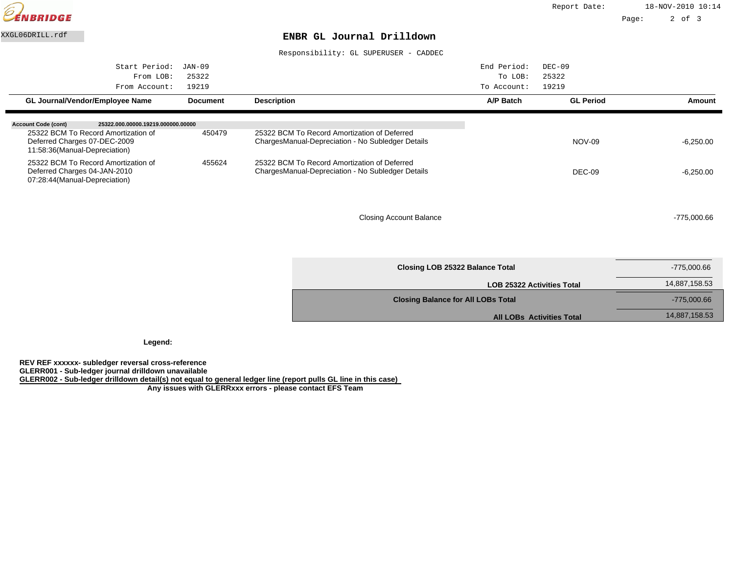

Responsibility: GL SUPERUSER - CADDEC

| Start Period:<br>From LOB:<br>From Account:                                                          | JAN-09<br>25322<br>19219 |                                                                                                    | End Period:<br>To LOB:<br>To Account: | $DEC-09$<br>25322<br>19219 |               |
|------------------------------------------------------------------------------------------------------|--------------------------|----------------------------------------------------------------------------------------------------|---------------------------------------|----------------------------|---------------|
| GL Journal/Vendor/Employee Name                                                                      | <b>Document</b>          | <b>Description</b>                                                                                 | A/P Batch                             | <b>GL Period</b>           | Amount        |
| <b>Account Code (cont)</b><br>25322.000.00000.19219.000000.00000                                     |                          |                                                                                                    |                                       |                            |               |
| 25322 BCM To Record Amortization of<br>Deferred Charges 07-DEC-2009<br>11:58:36(Manual-Depreciation) | 450479                   | 25322 BCM To Record Amortization of Deferred<br>Charges Manual-Depreciation - No Subledger Details |                                       | NOV-09                     | $-6,250.00$   |
| 25322 BCM To Record Amortization of<br>Deferred Charges 04-JAN-2010<br>07:28:44(Manual-Depreciation) | 455624                   | 25322 BCM To Record Amortization of Deferred<br>Charges Manual-Depreciation - No Subledger Details |                                       | DEC-09                     | $-6,250.00$   |
|                                                                                                      |                          | <b>Closing Account Balance</b>                                                                     |                                       |                            | $-775.000.66$ |

| -775.000.66 |
|-------------|
|-------------|

| Closing LOB 25322 Balance Total           | -775,000.66   |
|-------------------------------------------|---------------|
| <b>LOB 25322 Activities Total</b>         | 14,887,158.53 |
| <b>Closing Balance for All LOBs Total</b> | $-775,000.66$ |
| <b>All LOBs Activities Total</b>          | 14,887,158.53 |

**Legend:**

**REV REF xxxxxx- subledger reversal cross-reference**

**GLERR001 - Sub-ledger journal drilldown unavailable**

**GLERR002 - Sub-ledger drilldown detail(s) not equal to general ledger line (report pulls GL line in this case)**

 **Any issues with GLERRxxx errors - please contact EFS Team**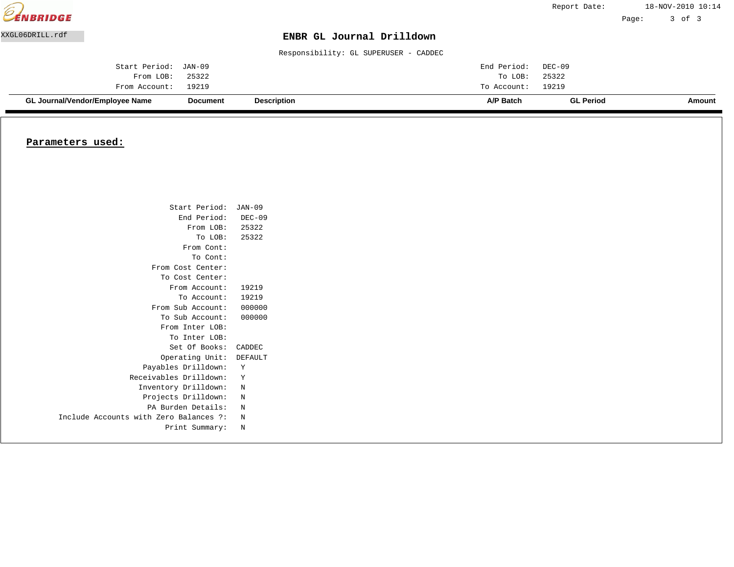|                 | GL Journal/Vendor/Employee Name | Document | <b>Description</b>                    | A/P Batch   | <b>GL Period</b> |       | Amount            |
|-----------------|---------------------------------|----------|---------------------------------------|-------------|------------------|-------|-------------------|
|                 | From Account:                   | 19219    |                                       | To Account: | 19219            |       |                   |
|                 | From LOB:                       | 25322    |                                       | To LOB:     | 25322            |       |                   |
|                 | Start Period:                   | JAN-09   |                                       | End Period: | DEC-09           |       |                   |
|                 |                                 |          | Responsibility: GL SUPERUSER - CADDEC |             |                  |       |                   |
| XXGL06DRILL.rdf |                                 |          | ENBR GL Journal Drilldown             |             |                  |       |                   |
|                 |                                 |          |                                       |             |                  | Page: | 3 of 3            |
| EENBRIDGE       |                                 |          |                                       |             | Report Date:     |       | 18-NOV-2010 10:14 |

# **Parameters used:**

| Start Period:                          | JAN-09   |
|----------------------------------------|----------|
| End Period:                            | $DEC-09$ |
| From LOB: 25322                        |          |
| To LOB:                                | 25322    |
| From Cont:                             |          |
| To Cont:                               |          |
| From Cost Center:                      |          |
| To Cost Center:                        |          |
| From Account:                          | 19219    |
| To Account:                            | 19219    |
| From Sub Account:                      | 000000   |
| To Sub Account:                        | 000000   |
| From Inter LOB:                        |          |
| To Inter LOB:                          |          |
| Set Of Books:                          | CADDEC   |
| Operating Unit:                        | DEFAULT  |
| Payables Drilldown:                    | Y        |
| Receivables Drilldown:                 | Y        |
| Inventory Drilldown:                   | N        |
| Projects Drilldown:                    | N        |
| PA Burden Details:                     | N        |
| Include Accounts with Zero Balances ?: | N        |
| Print Summary:                         | N        |
|                                        |          |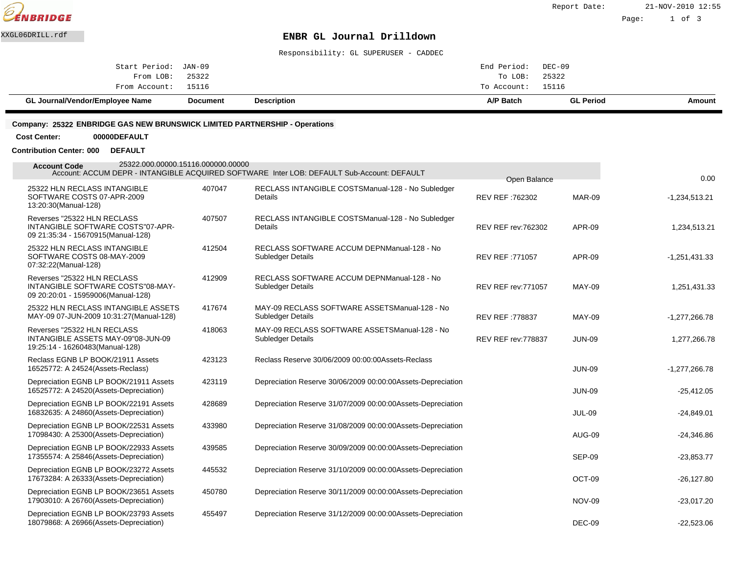

Page: 1 of 3

### XXGL06DRILL.rdf **ENBR GL Journal Drilldown**

Responsibility: GL SUPERUSER - CADDEC

| GL Journal/Vendor/Employee Name | <b>Document</b> | <b>Description</b> | A/P Batch          | <b>GL Period</b> | Amount |
|---------------------------------|-----------------|--------------------|--------------------|------------------|--------|
| From Account: 15116             |                 |                    | To Account: 15116  |                  |        |
| From LOB: 25322                 |                 |                    | To LOB: 25322      |                  |        |
| Start Period: JAN-09            |                 |                    | End Period: DEC-09 |                  |        |
|                                 |                 |                    |                    |                  |        |

#### **Company: 25322 ENBRIDGE GAS NEW BRUNSWICK LIMITED PARTNERSHIP - Operations**

#### **Cost Center: 00000DEFAULT**

#### **Contribution Center: 000 DEFAULT**

| 25322.000.00000.15116.000000.00000<br><b>Account Code</b>                                              |        | Account: ACCUM DEPR - INTANGIBLE ACQUIRED SOFTWARE Inter LOB: DEFAULT Sub-Account: DEFAULT | Open Balance               |               | 0.00            |
|--------------------------------------------------------------------------------------------------------|--------|--------------------------------------------------------------------------------------------|----------------------------|---------------|-----------------|
| 25322 HLN RECLASS INTANGIBLE<br>SOFTWARE COSTS 07-APR-2009<br>13:20:30(Manual-128)                     | 407047 | RECLASS INTANGIBLE COSTS Manual-128 - No Subledger<br>Details                              | REV REF: 762302            | <b>MAR-09</b> | $-1,234,513.21$ |
| Reverses "25322 HLN RECLASS<br>INTANGIBLE SOFTWARE COSTS"07-APR-<br>09 21:35:34 - 15670915(Manual-128) | 407507 | RECLASS INTANGIBLE COSTS Manual-128 - No Subledger<br>Details                              | <b>REV REF rev: 762302</b> | <b>APR-09</b> | 1,234,513.21    |
| 25322 HLN RECLASS INTANGIBLE<br>SOFTWARE COSTS 08-MAY-2009<br>07:32:22(Manual-128)                     | 412504 | RECLASS SOFTWARE ACCUM DEPN Manual-128 - No<br><b>Subledger Details</b>                    | REV REF: 771057            | <b>APR-09</b> | $-1,251,431.33$ |
| Reverses "25322 HLN RECLASS<br>INTANGIBLE SOFTWARE COSTS"08-MAY-<br>09 20:20:01 - 15959006(Manual-128) | 412909 | RECLASS SOFTWARE ACCUM DEPN Manual-128 - No<br><b>Subledger Details</b>                    | <b>REV REF rev: 771057</b> | <b>MAY-09</b> | 1,251,431.33    |
| 25322 HLN RECLASS INTANGIBLE ASSETS<br>MAY-09 07-JUN-2009 10:31:27 (Manual-128)                        | 417674 | MAY-09 RECLASS SOFTWARE ASSETS Manual-128 - No<br><b>Subledger Details</b>                 | <b>REV REF: 778837</b>     | <b>MAY-09</b> | $-1,277,266.78$ |
| Reverses "25322 HLN RECLASS<br>INTANGIBLE ASSETS MAY-09"08-JUN-09<br>19:25:14 - 16260483(Manual-128)   | 418063 | MAY-09 RECLASS SOFTWARE ASSETS Manual-128 - No<br>Subledger Details                        | REV REF rev: 778837        | <b>JUN-09</b> | 1,277,266.78    |
| Reclass EGNB LP BOOK/21911 Assets<br>16525772: A 24524(Assets-Reclass)                                 | 423123 | Reclass Reserve 30/06/2009 00:00:00 Assets-Reclass                                         |                            | <b>JUN-09</b> | $-1,277,266.78$ |
| Depreciation EGNB LP BOOK/21911 Assets<br>16525772: A 24520(Assets-Depreciation)                       | 423119 | Depreciation Reserve 30/06/2009 00:00:00 Assets-Depreciation                               |                            | <b>JUN-09</b> | $-25,412.05$    |
| Depreciation EGNB LP BOOK/22191 Assets<br>16832635: A 24860(Assets-Depreciation)                       | 428689 | Depreciation Reserve 31/07/2009 00:00:00 Assets-Depreciation                               |                            | <b>JUL-09</b> | $-24,849.01$    |
| Depreciation EGNB LP BOOK/22531 Assets<br>17098430: A 25300(Assets-Depreciation)                       | 433980 | Depreciation Reserve 31/08/2009 00:00:00 Assets-Depreciation                               |                            | AUG-09        | $-24,346.86$    |
| Depreciation EGNB LP BOOK/22933 Assets<br>17355574: A 25846(Assets-Depreciation)                       | 439585 | Depreciation Reserve 30/09/2009 00:00:00 Assets-Depreciation                               |                            | <b>SEP-09</b> | $-23,853.77$    |
| Depreciation EGNB LP BOOK/23272 Assets<br>17673284: A 26333(Assets-Depreciation)                       | 445532 | Depreciation Reserve 31/10/2009 00:00:00 Assets-Depreciation                               |                            | OCT-09        | $-26,127.80$    |
| Depreciation EGNB LP BOOK/23651 Assets<br>17903010: A 26760(Assets-Depreciation)                       | 450780 | Depreciation Reserve 30/11/2009 00:00:00 Assets-Depreciation                               |                            | <b>NOV-09</b> | $-23,017.20$    |
| Depreciation EGNB LP BOOK/23793 Assets<br>18079868: A 26966(Assets-Depreciation)                       | 455497 | Depreciation Reserve 31/12/2009 00:00:00 Assets-Depreciation                               |                            | DEC-09        | $-22,523.06$    |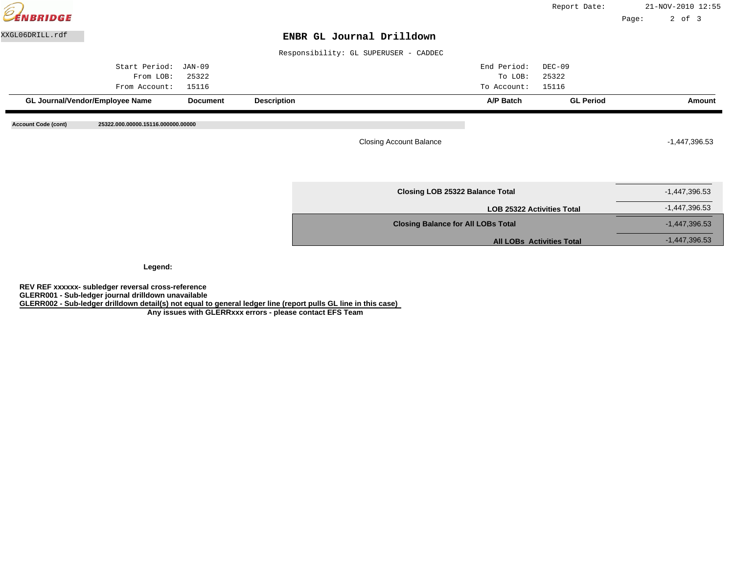| CENBRIDGE                  |                                    |                 |                    |                                           | Report Date:     |       | 21-NOV-2010 12:55 |
|----------------------------|------------------------------------|-----------------|--------------------|-------------------------------------------|------------------|-------|-------------------|
|                            |                                    |                 |                    |                                           |                  | Page: | $2$ of $3$        |
| XXGL06DRILL.rdf            |                                    |                 |                    | ENBR GL Journal Drilldown                 |                  |       |                   |
|                            |                                    |                 |                    | Responsibility: GL SUPERUSER - CADDEC     |                  |       |                   |
|                            | Start Period:                      | JAN-09          |                    | End Period:                               | $DEC-09$         |       |                   |
|                            | From LOB:                          | 25322           |                    | To LOB:                                   | 25322            |       |                   |
|                            | From Account:                      | 15116           |                    | To Account:                               | 15116            |       |                   |
|                            | GL Journal/Vendor/Employee Name    | <b>Document</b> | <b>Description</b> | A/P Batch                                 | <b>GL Period</b> |       | Amount            |
| <b>Account Code (cont)</b> | 25322.000.00000.15116.000000.00000 |                 |                    | <b>Closing Account Balance</b>            |                  |       | $-1,447,396.53$   |
|                            |                                    |                 |                    | Closing LOB 25322 Balance Total           |                  |       | $-1,447,396.53$   |
|                            |                                    |                 |                    | <b>LOB 25322 Activities Total</b>         |                  |       | $-1,447,396.53$   |
|                            |                                    |                 |                    |                                           |                  |       |                   |
|                            |                                    |                 |                    | <b>Closing Balance for All LOBs Total</b> |                  |       | $-1,447,396.53$   |

**Legend:**

**REV REF xxxxxx- subledger reversal cross-reference GLERR001 - Sub-ledger journal drilldown unavailable GLERR002 - Sub-ledger drilldown detail(s) not equal to general ledger line (report pulls GL line in this case)**

 **Any issues with GLERRxxx errors - please contact EFS Team**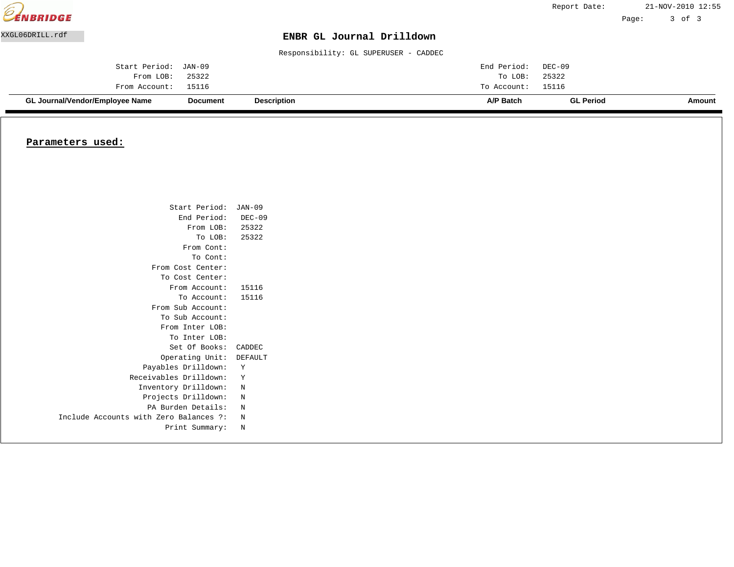|                  | <b>GL Journal/Vendor/Employee Name</b> | <b>Document</b> | <b>Description</b>                    | A/P Batch   | <b>GL Period</b> |       | Amount            |
|------------------|----------------------------------------|-----------------|---------------------------------------|-------------|------------------|-------|-------------------|
|                  | From Account:                          | 15116           |                                       | To Account: | 15116            |       |                   |
|                  | From LOB:                              | 25322           |                                       | To LOB:     | 25322            |       |                   |
|                  | Start Period:                          | JAN-09          |                                       | End Period: | DEC-09           |       |                   |
|                  |                                        |                 | Responsibility: GL SUPERUSER - CADDEC |             |                  |       |                   |
| XXGL06DRILL.rdf  |                                        |                 | ENBR GL Journal Drilldown             |             |                  |       |                   |
|                  |                                        |                 |                                       |             |                  | Page: | 3 of 3            |
| <b>EENBRIDGE</b> |                                        |                 |                                       |             | Report Date:     |       | 21-NOV-2010 12:55 |

#### **Parameters used:**

| Start Period: JAN-09                   |          |
|----------------------------------------|----------|
| End Period:                            | $DEC-09$ |
| From LOB: 25322                        |          |
| To LOB:                                | 25322    |
| From Cont:                             |          |
| To Cont:                               |          |
| From Cost Center:                      |          |
| To Cost Center:                        |          |
| From Account:                          | 15116    |
| To Account:                            | 15116    |
| From Sub Account:                      |          |
| To Sub Account:                        |          |
| From Inter LOB:                        |          |
| To Inter LOB:                          |          |
| Set Of Books:                          | CADDEC   |
| Operating Unit:                        | DEFAULT  |
| Payables Drilldown:                    | Υ        |
| Receivables Drilldown:                 | Y        |
| Inventory Drilldown:                   | N        |
| Projects Drilldown:                    | N        |
| PA Burden Details:                     | N        |
| Include Accounts with Zero Balances ?: | N        |
| Print Summary:                         | N        |
|                                        |          |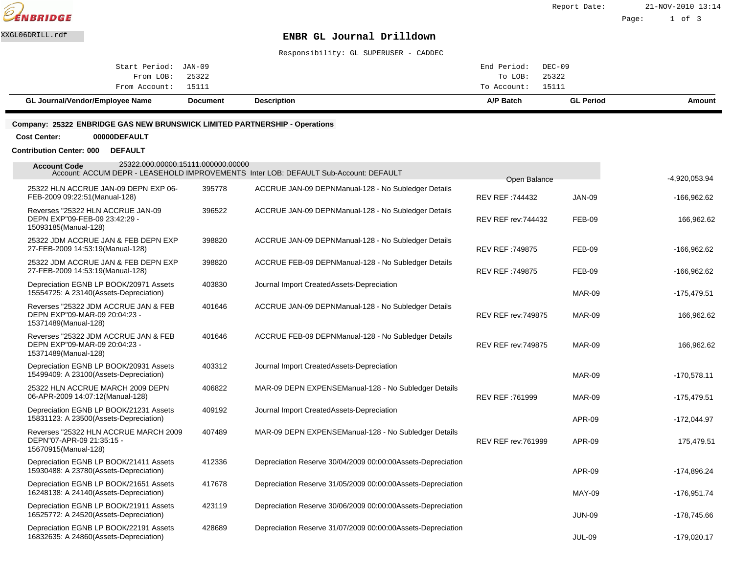

Responsibility: GL SUPERUSER - CADDEC

| Amount | <b>GL Period</b> | A/P Batch          | <b>Description</b> | <b>Document</b> | GL Journal/Vendor/Employee Name |
|--------|------------------|--------------------|--------------------|-----------------|---------------------------------|
|        |                  | To Account: 15111  |                    |                 | From Account: 15111             |
|        |                  | To LOB: 25322      |                    |                 | From LOB: 25322                 |
|        |                  | End Period: DEC-09 |                    |                 | Start Period: JAN-09            |
|        |                  |                    |                    |                 |                                 |

#### **Company: 25322 ENBRIDGE GAS NEW BRUNSWICK LIMITED PARTNERSHIP - Operations**

**Cost Center: 00000DEFAULT**

**Contribution Center: 000 DEFAULT**

| 25322.000.00000.15111.000000.00000<br><b>Account Code</b>                                     |        | Account: ACCUM DEPR - LEASEHOLD IMPROVEMENTS Inter LOB: DEFAULT Sub-Account: DEFAULT |                                 |               | -4,920,053.94 |
|-----------------------------------------------------------------------------------------------|--------|--------------------------------------------------------------------------------------|---------------------------------|---------------|---------------|
| 25322 HLN ACCRUE JAN-09 DEPN EXP 06-<br>FEB-2009 09:22:51 (Manual-128)                        | 395778 | ACCRUE JAN-09 DEPN Manual-128 - No Subledger Details                                 | Open Balance<br>REV REF: 744432 | <b>JAN-09</b> | $-166,962.62$ |
| Reverses "25322 HLN ACCRUE JAN-09<br>DEPN EXP"09-FEB-09 23:42:29 -<br>15093185(Manual-128)    | 396522 | ACCRUE JAN-09 DEPN Manual-128 - No Subledger Details                                 | <b>REV REF rev: 744432</b>      | <b>FEB-09</b> | 166,962.62    |
| 25322 JDM ACCRUE JAN & FEB DEPN EXP<br>27-FEB-2009 14:53:19(Manual-128)                       | 398820 | ACCRUE JAN-09 DEPN Manual-128 - No Subledger Details                                 | <b>REV REF: 749875</b>          | <b>FEB-09</b> | $-166,962.62$ |
| 25322 JDM ACCRUE JAN & FEB DEPN EXP<br>27-FEB-2009 14:53:19(Manual-128)                       | 398820 | ACCRUE FEB-09 DEPN Manual-128 - No Subledger Details                                 | <b>REV REF: 749875</b>          | <b>FEB-09</b> | $-166,962.62$ |
| Depreciation EGNB LP BOOK/20971 Assets<br>15554725: A 23140(Assets-Depreciation)              | 403830 | Journal Import Created Assets-Depreciation                                           |                                 | <b>MAR-09</b> | $-175,479.51$ |
| Reverses "25322 JDM ACCRUE JAN & FEB<br>DEPN EXP"09-MAR-09 20:04:23 -<br>15371489(Manual-128) | 401646 | ACCRUE JAN-09 DEPN Manual-128 - No Subledger Details                                 | <b>REV REF rev: 749875</b>      | <b>MAR-09</b> | 166,962.62    |
| Reverses "25322 JDM ACCRUE JAN & FEB<br>DEPN EXP"09-MAR-09 20:04:23 -<br>15371489(Manual-128) | 401646 | ACCRUE FEB-09 DEPN Manual-128 - No Subledger Details                                 | <b>REV REF rev: 749875</b>      | <b>MAR-09</b> | 166,962.62    |
| Depreciation EGNB LP BOOK/20931 Assets<br>15499409: A 23100(Assets-Depreciation)              | 403312 | Journal Import Created Assets-Depreciation                                           |                                 | <b>MAR-09</b> | $-170,578.11$ |
| 25322 HLN ACCRUE MARCH 2009 DEPN<br>06-APR-2009 14:07:12(Manual-128)                          | 406822 | MAR-09 DEPN EXPENSE Manual-128 - No Subledger Details                                | REV REF: 761999                 | <b>MAR-09</b> | $-175,479.51$ |
| Depreciation EGNB LP BOOK/21231 Assets<br>15831123: A 23500(Assets-Depreciation)              | 409192 | Journal Import Created Assets-Depreciation                                           |                                 | APR-09        | $-172,044.97$ |
| Reverses "25322 HLN ACCRUE MARCH 2009<br>DEPN"07-APR-09 21:35:15 -<br>15670915(Manual-128)    | 407489 | MAR-09 DEPN EXPENSE Manual-128 - No Subledger Details                                | <b>REV REF rev: 761999</b>      | <b>APR-09</b> | 175,479.51    |
| Depreciation EGNB LP BOOK/21411 Assets<br>15930488: A 23780(Assets-Depreciation)              | 412336 | Depreciation Reserve 30/04/2009 00:00:00 Assets-Depreciation                         |                                 | APR-09        | $-174,896.24$ |
| Depreciation EGNB LP BOOK/21651 Assets<br>16248138: A 24140(Assets-Depreciation)              | 417678 | Depreciation Reserve 31/05/2009 00:00:00 Assets-Depreciation                         |                                 | <b>MAY-09</b> | $-176,951.74$ |
| Depreciation EGNB LP BOOK/21911 Assets<br>16525772: A 24520(Assets-Depreciation)              | 423119 | Depreciation Reserve 30/06/2009 00:00:00 Assets-Depreciation                         |                                 | <b>JUN-09</b> | $-178,745.66$ |
| Depreciation EGNB LP BOOK/22191 Assets<br>16832635: A 24860(Assets-Depreciation)              | 428689 | Depreciation Reserve 31/07/2009 00:00:00 Assets-Depreciation                         |                                 | <b>JUL-09</b> | $-179,020.17$ |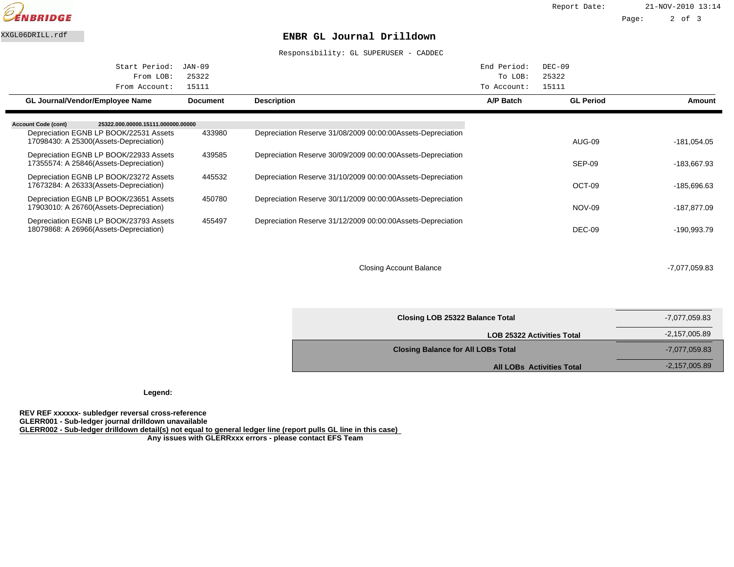

Report Date: 21-NOV-2010 13:14

Page: 2 of 3

#### XXGL06DRILL.rdf **ENBR GL Journal Drilldown**

Responsibility: GL SUPERUSER - CADDEC

| Start Period:<br>From LOB:<br>From Account:                                      | $JAN-09$<br>25322<br>15111 |                                                              | End Period:<br>To LOB:<br>To Account: | $DEC-09$<br>25322<br>15111 |             |
|----------------------------------------------------------------------------------|----------------------------|--------------------------------------------------------------|---------------------------------------|----------------------------|-------------|
| <b>GL Journal/Vendor/Employee Name</b>                                           | <b>Document</b>            | <b>Description</b>                                           | A/P Batch                             | <b>GL Period</b>           | Amount      |
| <b>Account Code (cont)</b><br>25322.000.00000.15111.000000.00000                 |                            |                                                              |                                       |                            |             |
| Depreciation EGNB LP BOOK/22531 Assets<br>17098430: A 25300(Assets-Depreciation) | 433980                     | Depreciation Reserve 31/08/2009 00:00:00 Assets-Depreciation |                                       | AUG-09                     | -181,054.05 |
| Depreciation EGNB LP BOOK/22933 Assets<br>17355574: A 25846(Assets-Depreciation) | 439585                     | Depreciation Reserve 30/09/2009 00:00:00 Assets-Depreciation |                                       | SEP-09                     | -183,667.93 |
| Depreciation EGNB LP BOOK/23272 Assets<br>17673284: A 26333(Assets-Depreciation) | 445532                     | Depreciation Reserve 31/10/2009 00:00:00 Assets-Depreciation |                                       | OCT-09                     | -185,696.63 |
| Depreciation EGNB LP BOOK/23651 Assets<br>17903010: A 26760(Assets-Depreciation) | 450780                     | Depreciation Reserve 30/11/2009 00:00:00 Assets-Depreciation |                                       | <b>NOV-09</b>              | -187,877.09 |
| Depreciation EGNB LP BOOK/23793 Assets<br>18079868: A 26966(Assets-Depreciation) | 455497                     | Depreciation Reserve 31/12/2009 00:00:00 Assets-Depreciation |                                       | DEC-09                     | -190.993.79 |

Closing Account Balance -7,077,059.83

| Closing LOB 25322 Balance Total           | -7,077,059.83   |
|-------------------------------------------|-----------------|
| <b>LOB 25322 Activities Total</b>         | $-2,157,005.89$ |
| <b>Closing Balance for All LOBs Total</b> | -7,077,059.83   |
| <b>All LOBs Activities Total</b>          | $-2,157,005.89$ |

**Legend:**

**REV REF xxxxxx- subledger reversal cross-reference GLERR001 - Sub-ledger journal drilldown unavailable GLERR002 - Sub-ledger drilldown detail(s) not equal to general ledger line (report pulls GL line in this case) Any issues with GLERRxxx errors - please contact EFS Team**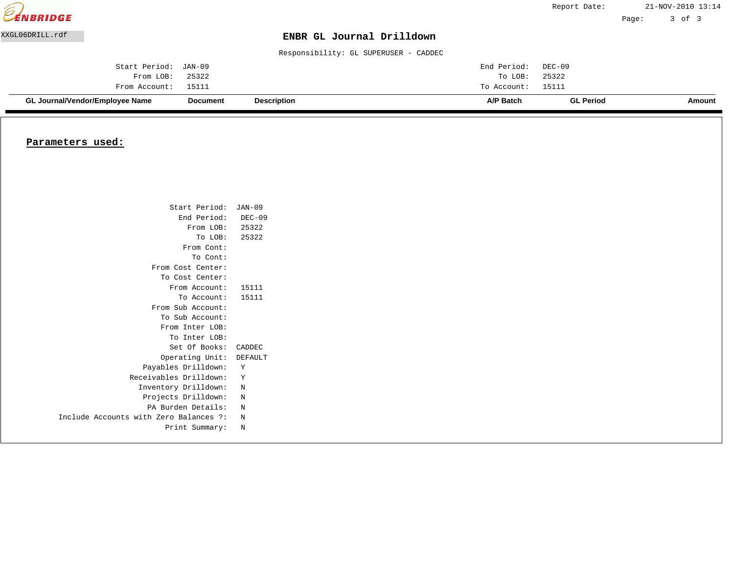| <b>EENBRIDGE</b> |                                        |                 |                                       |             | Report Date:     |       | 21-NOV-2010 13:14 |
|------------------|----------------------------------------|-----------------|---------------------------------------|-------------|------------------|-------|-------------------|
|                  |                                        |                 |                                       |             |                  | Page: | 3 of 3            |
| XXGL06DRILL.rdf  |                                        |                 | ENBR GL Journal Drilldown             |             |                  |       |                   |
|                  |                                        |                 | Responsibility: GL SUPERUSER - CADDEC |             |                  |       |                   |
|                  | Start Period:                          | JAN-09          |                                       | End Period: | DEC-09           |       |                   |
|                  | From LOB:                              | 25322           |                                       | To LOB:     | 25322            |       |                   |
|                  | From Account:                          | 15111           |                                       | To Account: | 15111            |       |                   |
|                  | <b>GL Journal/Vendor/Employee Name</b> | <b>Document</b> | <b>Description</b>                    | A/P Batch   | <b>GL Period</b> |       | Amount            |

#### **Parameters used:**

| Start Period: JAN-09                   |          |
|----------------------------------------|----------|
| End Period:                            | $DEC-09$ |
| From LOB: 25322                        |          |
| To LOB:                                | 25322    |
| From Cont:                             |          |
| To Cont:                               |          |
| From Cost Center:                      |          |
| To Cost Center:                        |          |
| From Account:                          | 15111    |
| To Account:                            | 15111    |
| From Sub Account:                      |          |
| To Sub Account:                        |          |
| From Inter LOB:                        |          |
| To Inter LOB:                          |          |
| Set Of Books:                          | CADDEC   |
| Operating Unit:                        | DEFAULT  |
| Payables Drilldown:                    | Υ        |
| Receivables Drilldown:                 | Y        |
| Inventory Drilldown:                   | N        |
| Projects Drilldown:                    | N        |
| PA Burden Details:                     | N        |
| Include Accounts with Zero Balances ?: | N        |
| Print Summary:                         | N        |
|                                        |          |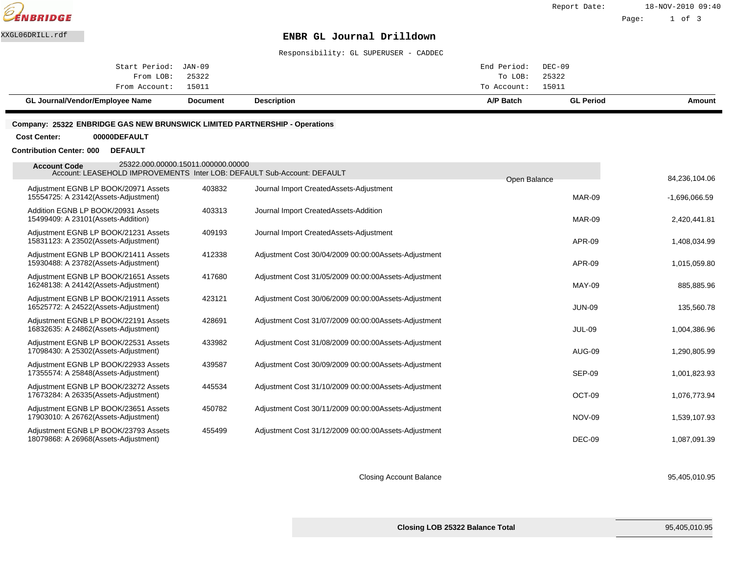

Page: 1 of 3

### XXGL06DRILL.rdf **ENBR GL Journal Drilldown**

Responsibility: GL SUPERUSER - CADDEC

| GL Journal/Vendor/Employee Name | Document | <b>Description</b> | A/P Batch   | <b>GL Period</b> | Amount |
|---------------------------------|----------|--------------------|-------------|------------------|--------|
| From Account: 15011             |          |                    | To Account: | 15011            |        |
| From LOB:                       | 25322    |                    | To LOB:     | 25322            |        |
| Start Period: JAN-09            |          |                    | End Period: | DEC-09           |        |
|                                 |          |                    |             |                  |        |

#### **Company: 25322 ENBRIDGE GAS NEW BRUNSWICK LIMITED PARTNERSHIP - Operations**

#### **Cost Center: 00000DEFAULT**

#### **Contribution Center: 000 DEFAULT**

| 25322.000.00000.15011.000000.00000<br><b>Account Code</b><br>Account: LEASEHOLD IMPROVEMENTS Inter LOB: DEFAULT Sub-Account: DEFAULT |        |                                                       |                               |                                  |
|--------------------------------------------------------------------------------------------------------------------------------------|--------|-------------------------------------------------------|-------------------------------|----------------------------------|
| Adjustment EGNB LP BOOK/20971 Assets<br>15554725: A 23142(Assets-Adjustment)                                                         | 403832 | Journal Import Created Assets-Adjustment              | Open Balance<br><b>MAR-09</b> | 84,236,104.06<br>$-1,696,066.59$ |
| Addition EGNB LP BOOK/20931 Assets<br>15499409: A 23101 (Assets-Addition)                                                            | 403313 | Journal Import Created Assets-Addition                | <b>MAR-09</b>                 | 2,420,441.81                     |
| Adjustment EGNB LP BOOK/21231 Assets<br>15831123: A 23502 (Assets-Adjustment)                                                        | 409193 | Journal Import Created Assets-Adjustment              | APR-09                        | 1,408,034.99                     |
| Adjustment EGNB LP BOOK/21411 Assets<br>15930488: A 23782(Assets-Adjustment)                                                         | 412338 | Adjustment Cost 30/04/2009 00:00:00 Assets-Adjustment | APR-09                        | 1,015,059.80                     |
| Adjustment EGNB LP BOOK/21651 Assets<br>16248138: A 24142(Assets-Adjustment)                                                         | 417680 | Adjustment Cost 31/05/2009 00:00:00 Assets-Adjustment | MAY-09                        | 885,885.96                       |
| Adjustment EGNB LP BOOK/21911 Assets<br>16525772: A 24522(Assets-Adjustment)                                                         | 423121 | Adjustment Cost 30/06/2009 00:00:00 Assets-Adjustment | <b>JUN-09</b>                 | 135,560.78                       |
| Adjustment EGNB LP BOOK/22191 Assets<br>16832635: A 24862(Assets-Adjustment)                                                         | 428691 | Adjustment Cost 31/07/2009 00:00:00 Assets-Adjustment | <b>JUL-09</b>                 | 1,004,386.96                     |
| Adjustment EGNB LP BOOK/22531 Assets<br>17098430: A 25302(Assets-Adjustment)                                                         | 433982 | Adjustment Cost 31/08/2009 00:00:00 Assets-Adjustment | AUG-09                        | 1,290,805.99                     |
| Adjustment EGNB LP BOOK/22933 Assets<br>17355574: A 25848 (Assets-Adjustment)                                                        | 439587 | Adjustment Cost 30/09/2009 00:00:00 Assets-Adjustment | <b>SEP-09</b>                 | 1,001,823.93                     |
| Adjustment EGNB LP BOOK/23272 Assets<br>17673284: A 26335(Assets-Adjustment)                                                         | 445534 | Adjustment Cost 31/10/2009 00:00:00 Assets-Adjustment | OCT-09                        | 1,076,773.94                     |
| Adjustment EGNB LP BOOK/23651 Assets<br>17903010: A 26762(Assets-Adjustment)                                                         | 450782 | Adjustment Cost 30/11/2009 00:00:00 Assets-Adjustment | <b>NOV-09</b>                 | 1,539,107.93                     |
| Adjustment EGNB LP BOOK/23793 Assets<br>18079868: A 26968(Assets-Adjustment)                                                         | 455499 | Adjustment Cost 31/12/2009 00:00:00 Assets-Adjustment | $DEC-09$                      | 1,087,091.39                     |

Closing Account Balance 95,405,010.95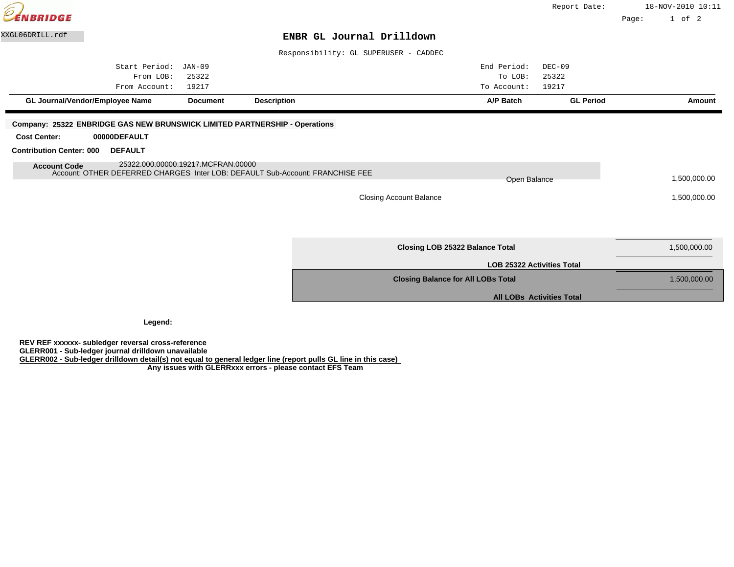| <b>ENBRIDGE</b>                                                                                                                                           |                                    |                    |                                           |                                   | Report Date:                     |       | 18-NOV-2010 10:11<br>$1$ of $2$ |
|-----------------------------------------------------------------------------------------------------------------------------------------------------------|------------------------------------|--------------------|-------------------------------------------|-----------------------------------|----------------------------------|-------|---------------------------------|
| XXGL06DRILL.rdf                                                                                                                                           |                                    |                    |                                           |                                   |                                  | Page: |                                 |
|                                                                                                                                                           |                                    |                    | ENBR GL Journal Drilldown                 |                                   |                                  |       |                                 |
|                                                                                                                                                           |                                    |                    | Responsibility: GL SUPERUSER - CADDEC     |                                   |                                  |       |                                 |
| Start Period:                                                                                                                                             | JAN-09                             |                    |                                           | End Period:                       | $DEC-09$                         |       |                                 |
| From LOB:                                                                                                                                                 | 25322                              |                    |                                           | To LOB:                           | 25322                            |       |                                 |
| From Account:                                                                                                                                             | 19217                              |                    |                                           | To Account:                       | 19217                            |       |                                 |
| GL Journal/Vendor/Employee Name                                                                                                                           | <b>Document</b>                    | <b>Description</b> |                                           | A/P Batch                         | <b>GL Period</b>                 |       | Amount                          |
| <b>Contribution Center: 000</b><br><b>DEFAULT</b><br><b>Account Code</b><br>Account: OTHER DEFERRED CHARGES Inter LOB: DEFAULT Sub-Account: FRANCHISE FEE | 25322.000.00000.19217.MCFRAN.00000 |                    | <b>Closing Account Balance</b>            | Open Balance                      |                                  |       | 1,500,000.00<br>1,500,000.00    |
|                                                                                                                                                           |                                    |                    | Closing LOB 25322 Balance Total           |                                   |                                  |       | 1,500,000.00                    |
|                                                                                                                                                           |                                    |                    |                                           | <b>LOB 25322 Activities Total</b> |                                  |       |                                 |
|                                                                                                                                                           |                                    |                    | <b>Closing Balance for All LOBs Total</b> |                                   |                                  |       | 1,500,000.00                    |
|                                                                                                                                                           |                                    |                    |                                           |                                   | <b>All LOBs Activities Total</b> |       |                                 |

**Legend:**

**REV REF xxxxxx- subledger reversal cross-reference GLERR001 - Sub-ledger journal drilldown unavailable GLERR002 - Sub-ledger drilldown detail(s) not equal to general ledger line (report pulls GL line in this case) Any issues with GLERRxxx errors - please contact EFS Team**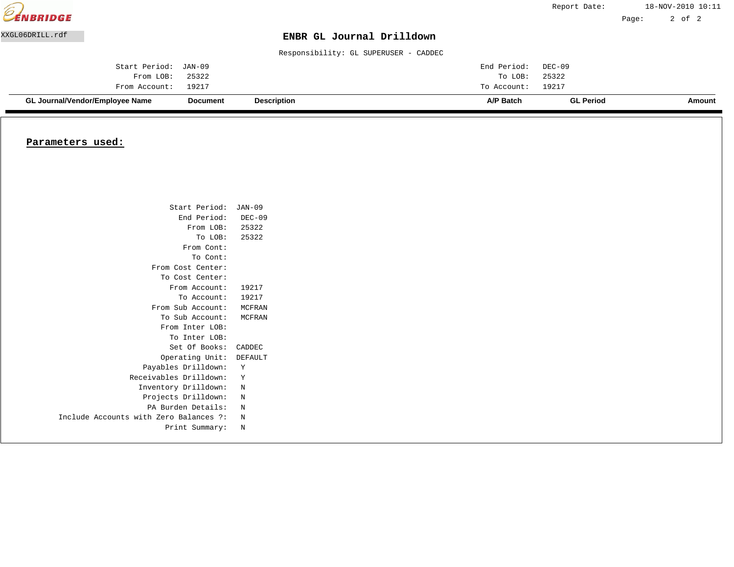|                 | GL Journal/Vendor/Employee Name | Document | <b>Description</b>                    | A/P Batch   | <b>GL Period</b> |       | Amount            |
|-----------------|---------------------------------|----------|---------------------------------------|-------------|------------------|-------|-------------------|
|                 | From Account:                   | 19217    |                                       | To Account: | 19217            |       |                   |
|                 | From LOB:                       | 25322    |                                       | To LOB:     | 25322            |       |                   |
|                 | Start Period:                   | JAN-09   |                                       | End Period: | DEC-09           |       |                   |
|                 |                                 |          | Responsibility: GL SUPERUSER - CADDEC |             |                  |       |                   |
| XXGL06DRILL.rdf |                                 |          | ENBR GL Journal Drilldown             |             |                  |       |                   |
|                 |                                 |          |                                       |             |                  | Page: | 2 of 2            |
| EENBRIDGE       |                                 |          |                                       |             | Report Date:     |       | 18-NOV-2010 10:11 |

#### **Parameters used:**

| Start Period:                          | JAN-09  |
|----------------------------------------|---------|
| End Period: DEC-09                     |         |
| From LOB: 25322                        |         |
| To LOB: 25322                          |         |
| From Cont:                             |         |
| To Cont:                               |         |
| From Cost Center:                      |         |
| To Cost Center:                        |         |
| From Account:                          | 19217   |
| To Account:                            | 19217   |
| From Sub Account: MCFRAN               |         |
| To Sub Account:                        | MCFRAN  |
| From Inter LOB:                        |         |
| To Inter LOB:                          |         |
| Set Of Books:                          | CADDEC  |
| Operating Unit:                        | DEFAULT |
| Payables Drilldown:                    | Y       |
| Receivables Drilldown:                 | Y       |
| Inventory Drilldown:                   | N       |
| Projects Drilldown:                    | N       |
| PA Burden Details:                     | N       |
| Include Accounts with Zero Balances ?: | N       |
| Print Summary:                         | N       |
|                                        |         |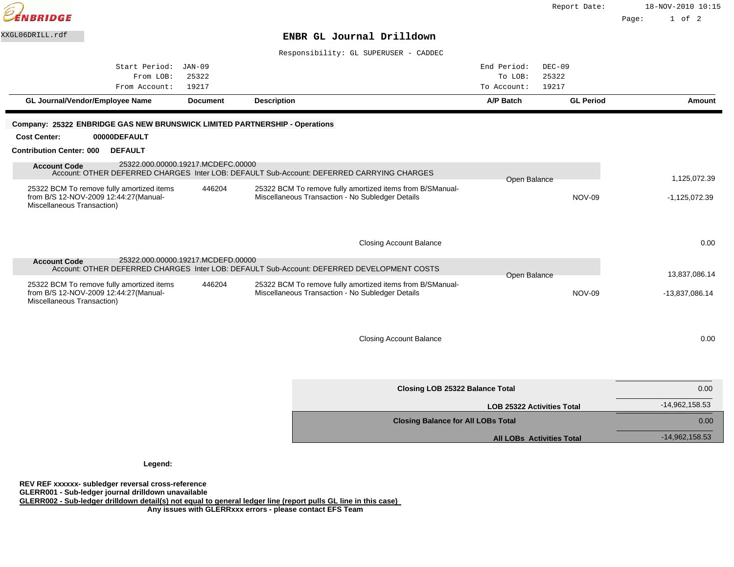|                                                                                                                   |                 |                    |                                                                                                                |                                   | Report Date:     |       | 18-NOV-2010 10:15 |
|-------------------------------------------------------------------------------------------------------------------|-----------------|--------------------|----------------------------------------------------------------------------------------------------------------|-----------------------------------|------------------|-------|-------------------|
| <b>BRIDGE</b>                                                                                                     |                 |                    |                                                                                                                |                                   |                  | Page: | $1$ of $2$        |
| XXGL06DRILL.rdf                                                                                                   |                 |                    | ENBR GL Journal Drilldown                                                                                      |                                   |                  |       |                   |
|                                                                                                                   |                 |                    | Responsibility: GL SUPERUSER - CADDEC                                                                          |                                   |                  |       |                   |
| Start Period: JAN-09                                                                                              |                 |                    |                                                                                                                | End Period:                       | $DEC-09$         |       |                   |
| From LOB:                                                                                                         | 25322           |                    |                                                                                                                | To LOB:                           | 25322            |       |                   |
| From Account:                                                                                                     | 19217           |                    |                                                                                                                | To Account:                       | 19217            |       |                   |
| GL Journal/Vendor/Employee Name                                                                                   | <b>Document</b> | <b>Description</b> |                                                                                                                | A/P Batch                         | <b>GL Period</b> |       | Amount            |
|                                                                                                                   |                 |                    |                                                                                                                |                                   |                  |       |                   |
| Company: 25322 ENBRIDGE GAS NEW BRUNSWICK LIMITED PARTNERSHIP - Operations<br><b>Cost Center:</b><br>00000DEFAULT |                 |                    |                                                                                                                |                                   |                  |       |                   |
| <b>Contribution Center: 000</b><br><b>DEFAULT</b>                                                                 |                 |                    |                                                                                                                |                                   |                  |       |                   |
|                                                                                                                   |                 |                    |                                                                                                                |                                   |                  |       |                   |
| 25322.000.00000.19217.MCDEFC.00000<br><b>Account Code</b>                                                         |                 |                    | Account: OTHER DEFERRED CHARGES Inter LOB: DEFAULT Sub-Account: DEFERRED CARRYING CHARGES                      |                                   |                  |       |                   |
|                                                                                                                   |                 |                    |                                                                                                                | Open Balance                      |                  |       | 1,125,072.39      |
| 25322 BCM To remove fully amortized items<br>from B/S 12-NOV-2009 12:44:27(Manual-                                | 446204          |                    | 25322 BCM To remove fully amortized items from B/S Manual-<br>Miscellaneous Transaction - No Subledger Details |                                   | <b>NOV-09</b>    |       | $-1,125,072.39$   |
| Miscellaneous Transaction)                                                                                        |                 |                    |                                                                                                                |                                   |                  |       |                   |
|                                                                                                                   |                 |                    |                                                                                                                |                                   |                  |       |                   |
|                                                                                                                   |                 |                    |                                                                                                                |                                   |                  |       |                   |
|                                                                                                                   |                 |                    | <b>Closing Account Balance</b>                                                                                 |                                   |                  |       | 0.00              |
| 25322.000.00000.19217.MCDEFD.00000<br><b>Account Code</b>                                                         |                 |                    |                                                                                                                |                                   |                  |       |                   |
|                                                                                                                   |                 |                    | Account: OTHER DEFERRED CHARGES Inter LOB: DEFAULT Sub-Account: DEFERRED DEVELOPMENT COSTS                     | Open Balance                      |                  |       | 13,837,086.14     |
| 25322 BCM To remove fully amortized items                                                                         | 446204          |                    | 25322 BCM To remove fully amortized items from B/S Manual-                                                     |                                   |                  |       |                   |
| from B/S 12-NOV-2009 12:44:27(Manual-                                                                             |                 |                    | Miscellaneous Transaction - No Subledger Details                                                               |                                   | <b>NOV-09</b>    |       | -13,837,086.14    |
| Miscellaneous Transaction)                                                                                        |                 |                    |                                                                                                                |                                   |                  |       |                   |
|                                                                                                                   |                 |                    |                                                                                                                |                                   |                  |       |                   |
|                                                                                                                   |                 |                    |                                                                                                                |                                   |                  |       |                   |
|                                                                                                                   |                 |                    | <b>Closing Account Balance</b>                                                                                 |                                   |                  |       | 0.00              |
|                                                                                                                   |                 |                    |                                                                                                                |                                   |                  |       |                   |
|                                                                                                                   |                 |                    |                                                                                                                |                                   |                  |       |                   |
|                                                                                                                   |                 |                    | <b>Closing LOB 25322 Balance Total</b>                                                                         |                                   |                  |       | 0.00              |
|                                                                                                                   |                 |                    |                                                                                                                |                                   |                  |       | -14,962,158.53    |
|                                                                                                                   |                 |                    |                                                                                                                | <b>LOB 25322 Activities Total</b> |                  |       |                   |

**Closing Balance for All LOBs Total** 0.00 **Closing Balance for All LOBs Total** 0.00

All LOBs Activities Total **All LOBs Activities Total** 

**Legend:**

 $\widehat{\mathcal{C}}$ 

**REV REF xxxxxx- subledger reversal cross-reference GLERR001 - Sub-ledger journal drilldown unavailable GLERR002 - Sub-ledger drilldown detail(s) not equal to general ledger line (report pulls GL line in this case) Any issues with GLERRxxx errors - please contact EFS Team**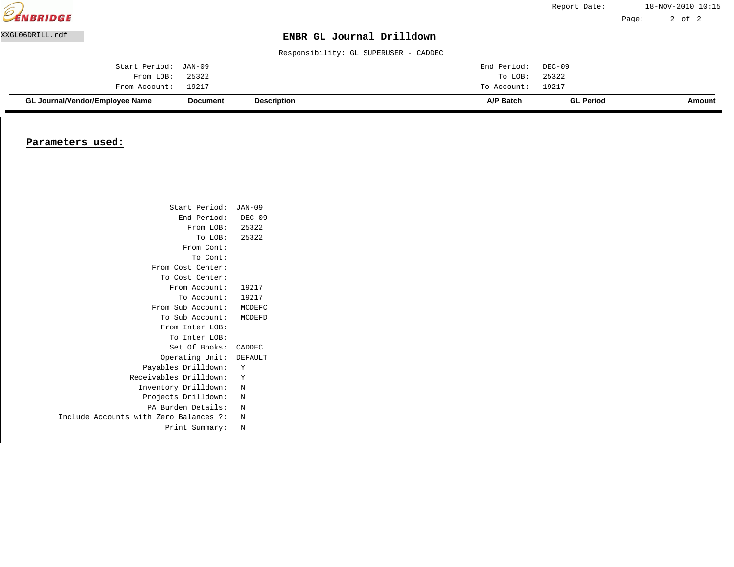|                 | GL Journal/Vendor/Employee Name | Document | <b>Description</b>                    | A/P Batch   | <b>GL Period</b> |       | Amount            |
|-----------------|---------------------------------|----------|---------------------------------------|-------------|------------------|-------|-------------------|
|                 | From Account:                   | 19217    |                                       | To Account: | 19217            |       |                   |
|                 | From LOB:                       | 25322    |                                       | To LOB:     | 25322            |       |                   |
|                 | Start Period:                   | JAN-09   |                                       | End Period: | DEC-09           |       |                   |
|                 |                                 |          | Responsibility: GL SUPERUSER - CADDEC |             |                  |       |                   |
| XXGL06DRILL.rdf |                                 |          | ENBR GL Journal Drilldown             |             |                  |       |                   |
|                 |                                 |          |                                       |             |                  | Page: | 2 of 2            |
| EENBRIDGE       |                                 |          |                                       |             | Report Date:     |       | 18-NOV-2010 10:15 |

#### **Parameters used:**

| Start Period:                          | JAN-09   |
|----------------------------------------|----------|
| End Period:                            | $DEC-09$ |
| From LOB: 25322                        |          |
| To LOB: 25322                          |          |
| From Cont:                             |          |
| To Cont:                               |          |
| From Cost Center:                      |          |
| To Cost Center:                        |          |
| From Account:                          | 19217    |
| To Account:                            | 19217    |
| From Sub Account: MCDEFC               |          |
| To Sub Account:                        | MCDEFD   |
| From Inter LOB:                        |          |
| To Inter LOB:                          |          |
| Set Of Books:                          | CADDEC   |
| Operating Unit:                        | DEFAULT  |
| Payables Drilldown:                    | Y        |
| Receivables Drilldown:                 | Y        |
| Inventory Drilldown:                   | N        |
| Projects Drilldown:                    | N        |
| PA Burden Details:                     | N        |
| Include Accounts with Zero Balances ?: | N        |
| Print Summary:                         | N        |
|                                        |          |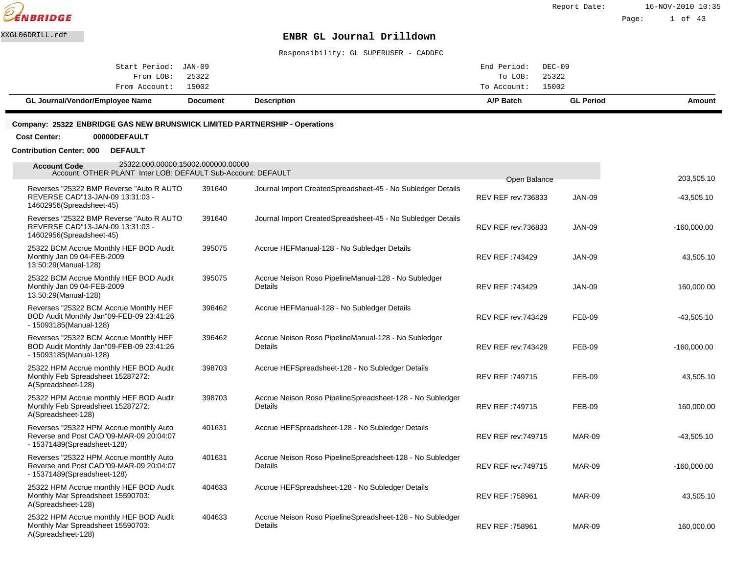

Page: 1 of 43

### XXGL06DRILL.rdf **ENBR GL Journal Drilldown**

Responsibility: GL SUPERUSER - CADDEC

| GL Journal/Vendor/Employee Name | Document | <b>Description</b> | A/P Batch          |               | <b>GL Period</b> | Amount |
|---------------------------------|----------|--------------------|--------------------|---------------|------------------|--------|
| From Account: 15002             |          |                    | To Account: 15002  |               |                  |        |
| From LOB: 25322                 |          |                    |                    | To LOB: 25322 |                  |        |
| Start Period: JAN-09            |          |                    | End Period: DEC-09 |               |                  |        |
|                                 |          |                    |                    |               |                  |        |

#### **Company: 25322 ENBRIDGE GAS NEW BRUNSWICK LIMITED PARTNERSHIP - Operations**

**Cost Center: 00000DEFAULT**

**Contribution Center: 000 DEFAULT**

| 25322.000.00000.15002.000000.00000<br><b>Account Code</b><br>Account: OTHER PLANT Inter LOB: DEFAULT Sub-Account: DEFAULT |        |                                                                              |                                     |               | 203,505.10    |
|---------------------------------------------------------------------------------------------------------------------------|--------|------------------------------------------------------------------------------|-------------------------------------|---------------|---------------|
| Reverses "25322 BMP Reverse "Auto R AUTO"<br>REVERSE CAD"13-JAN-09 13:31:03 -<br>14602956(Spreadsheet-45)                 | 391640 | Journal Import Created Spreadsheet-45 - No Subledger Details                 | Open Balance<br>REV REF rev: 736833 | <b>JAN-09</b> | $-43,505.10$  |
| Reverses "25322 BMP Reverse "Auto R AUTO"<br>REVERSE CAD"13-JAN-09 13:31:03 -<br>14602956(Spreadsheet-45)                 | 391640 | Journal Import Created Spreadsheet-45 - No Subledger Details                 | REV REF rev: 736833                 | <b>JAN-09</b> | $-160,000.00$ |
| 25322 BCM Accrue Monthly HEF BOD Audit<br>Monthly Jan 09 04-FEB-2009<br>13:50:29(Manual-128)                              | 395075 | Accrue HEF Manual-128 - No Subledger Details                                 | REV REF: 743429                     | <b>JAN-09</b> | 43,505.10     |
| 25322 BCM Accrue Monthly HEF BOD Audit<br>Monthly Jan 09 04-FEB-2009<br>13:50:29(Manual-128)                              | 395075 | Accrue Neison Roso Pipeline Manual-128 - No Subledger<br>Details             | REV REF: 743429                     | <b>JAN-09</b> | 160,000.00    |
| Reverses "25322 BCM Accrue Monthly HEF<br>BOD Audit Monthly Jan"09-FEB-09 23:41:26<br>- 15093185(Manual-128)              | 396462 | Accrue HEF Manual-128 - No Subledger Details                                 | <b>REV REF rev: 743429</b>          | <b>FEB-09</b> | $-43,505.10$  |
| Reverses "25322 BCM Accrue Monthly HEF<br>BOD Audit Monthly Jan"09-FEB-09 23:41:26<br>- 15093185(Manual-128)              | 396462 | Accrue Neison Roso Pipeline Manual-128 - No Subledger<br><b>Details</b>      | <b>REV REF rev: 743429</b>          | FEB-09        | $-160,000.00$ |
| 25322 HPM Accrue monthly HEF BOD Audit<br>Monthly Feb Spreadsheet 15287272:<br>A(Spreadsheet-128)                         | 398703 | Accrue HEF Spreadsheet-128 - No Subledger Details                            | REV REF: 749715                     | FEB-09        | 43,505.10     |
| 25322 HPM Accrue monthly HEF BOD Audit<br>Monthly Feb Spreadsheet 15287272:<br>A(Spreadsheet-128)                         | 398703 | Accrue Neison Roso Pipeline Spreadsheet-128 - No Subledger<br><b>Details</b> | REV REF: 749715                     | FEB-09        | 160,000.00    |
| Reverses "25322 HPM Accrue monthly Auto<br>Reverse and Post CAD"09-MAR-09 20:04:07<br>- 15371489(Spreadsheet-128)         | 401631 | Accrue HEF Spreadsheet-128 - No Subledger Details                            | <b>REV REF rev: 749715</b>          | <b>MAR-09</b> | $-43,505.10$  |
| Reverses "25322 HPM Accrue monthly Auto<br>Reverse and Post CAD"09-MAR-09 20:04:07<br>- 15371489(Spreadsheet-128)         | 401631 | Accrue Neison Roso Pipeline Spreadsheet-128 - No Subledger<br>Details        | <b>REV REF rev: 749715</b>          | MAR-09        | $-160,000.00$ |
| 25322 HPM Accrue monthly HEF BOD Audit<br>Monthly Mar Spreadsheet 15590703:<br>A(Spreadsheet-128)                         | 404633 | Accrue HEF Spreadsheet-128 - No Subledger Details                            | REV REF: 758961                     | MAR-09        | 43,505.10     |
| 25322 HPM Accrue monthly HEF BOD Audit<br>Monthly Mar Spreadsheet 15590703:<br>A(Spreadsheet-128)                         | 404633 | Accrue Neison Roso Pipeline Spreadsheet-128 - No Subledger<br><b>Details</b> | <b>REV REF: 758961</b>              | MAR-09        | 160,000.00    |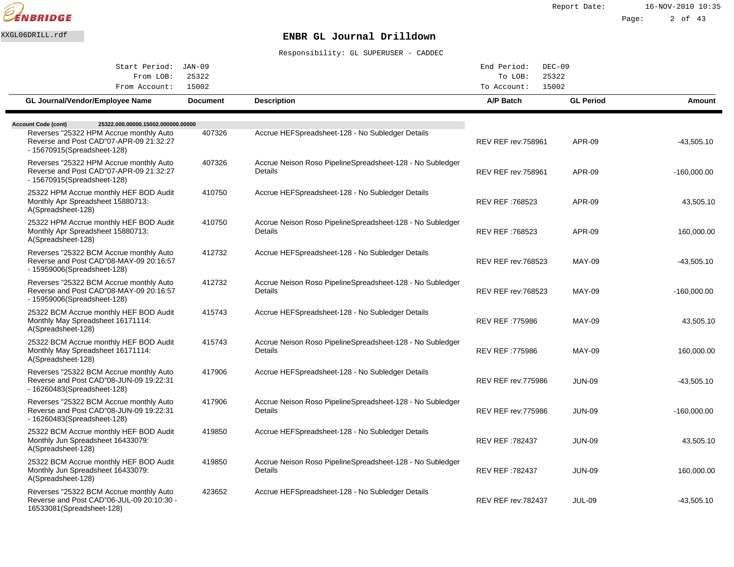

| Start Period: JAN-09                                                                                               |                 |                                                                       | End Period:<br>$DEC-09$    |                  |               |
|--------------------------------------------------------------------------------------------------------------------|-----------------|-----------------------------------------------------------------------|----------------------------|------------------|---------------|
| From LOB:                                                                                                          | 25322           |                                                                       | To LOB:                    | 25322            |               |
| From Account:                                                                                                      | 15002           |                                                                       | To Account:                | 15002            |               |
| GL Journal/Vendor/Employee Name                                                                                    | <b>Document</b> | <b>Description</b>                                                    | A/P Batch                  | <b>GL Period</b> | Amount        |
| <b>Account Code (cont)</b><br>25322.000.00000.15002.000000.00000                                                   |                 |                                                                       |                            |                  |               |
| Reverses "25322 HPM Accrue monthly Auto<br>Reverse and Post CAD"07-APR-09 21:32:27<br>- 15670915(Spreadsheet-128)  | 407326          | Accrue HEF Spreadsheet-128 - No Subledger Details                     | <b>REV REF rev: 758961</b> | <b>APR-09</b>    | $-43,505.10$  |
| Reverses "25322 HPM Accrue monthly Auto<br>Reverse and Post CAD"07-APR-09 21:32:27<br>- 15670915(Spreadsheet-128)  | 407326          | Accrue Neison Roso Pipeline Spreadsheet-128 - No Subledger<br>Details | <b>REV REF rev: 758961</b> | <b>APR-09</b>    | $-160,000.00$ |
| 25322 HPM Accrue monthly HEF BOD Audit<br>Monthly Apr Spreadsheet 15880713:<br>A(Spreadsheet-128)                  | 410750          | Accrue HEF Spreadsheet-128 - No Subledger Details                     | REV REF :768523            | APR-09           | 43,505.10     |
| 25322 HPM Accrue monthly HEF BOD Audit<br>Monthly Apr Spreadsheet 15880713:<br>A(Spreadsheet-128)                  | 410750          | Accrue Neison Roso Pipeline Spreadsheet-128 - No Subledger<br>Details | <b>REV REF: 768523</b>     | APR-09           | 160,000.00    |
| Reverses "25322 BCM Accrue monthly Auto<br>Reverse and Post CAD"08-MAY-09 20:16:57<br>- 15959006(Spreadsheet-128)  | 412732          | Accrue HEF Spreadsheet-128 - No Subledger Details                     | <b>REV REF rev: 768523</b> | <b>MAY-09</b>    | $-43,505.10$  |
| Reverses "25322 BCM Accrue monthly Auto<br>Reverse and Post CAD"08-MAY-09 20:16:57<br>- 15959006(Spreadsheet-128)  | 412732          | Accrue Neison Roso Pipeline Spreadsheet-128 - No Subledger<br>Details | <b>REV REF rev: 768523</b> | <b>MAY-09</b>    | $-160,000.00$ |
| 25322 BCM Accrue monthly HEF BOD Audit<br>Monthly May Spreadsheet 16171114:<br>A(Spreadsheet-128)                  | 415743          | Accrue HEF Spreadsheet-128 - No Subledger Details                     | REV REF :775986            | <b>MAY-09</b>    | 43,505.10     |
| 25322 BCM Accrue monthly HEF BOD Audit<br>Monthly May Spreadsheet 16171114:<br>A(Spreadsheet-128)                  | 415743          | Accrue Neison Roso Pipeline Spreadsheet-128 - No Subledger<br>Details | REV REF: 775986            | <b>MAY-09</b>    | 160,000.00    |
| Reverses "25322 BCM Accrue monthly Auto<br>Reverse and Post CAD"08-JUN-09 19:22:31<br>- 16260483(Spreadsheet-128)  | 417906          | Accrue HEF Spreadsheet-128 - No Subledger Details                     | <b>REV REF rev:775986</b>  | <b>JUN-09</b>    | $-43,505.10$  |
| Reverses "25322 BCM Accrue monthly Auto<br>Reverse and Post CAD"08-JUN-09 19:22:31<br>- 16260483(Spreadsheet-128)  | 417906          | Accrue Neison Roso Pipeline Spreadsheet-128 - No Subledger<br>Details | <b>REV REF rev: 775986</b> | <b>JUN-09</b>    | $-160,000.00$ |
| 25322 BCM Accrue monthly HEF BOD Audit<br>Monthly Jun Spreadsheet 16433079:<br>A(Spreadsheet-128)                  | 419850          | Accrue HEF Spreadsheet-128 - No Subledger Details                     | <b>REV REF: 782437</b>     | <b>JUN-09</b>    | 43,505.10     |
| 25322 BCM Accrue monthly HEF BOD Audit<br>Monthly Jun Spreadsheet 16433079:<br>A(Spreadsheet-128)                  | 419850          | Accrue Neison Roso Pipeline Spreadsheet-128 - No Subledger<br>Details | <b>REV REF: 782437</b>     | <b>JUN-09</b>    | 160,000.00    |
| Reverses "25322 BCM Accrue monthly Auto<br>Reverse and Post CAD"06-JUL-09 20:10:30 -<br>16533081 (Spreadsheet-128) | 423652          | Accrue HEF Spreadsheet-128 - No Subledger Details                     | <b>REV REF rev: 782437</b> | <b>JUL-09</b>    | $-43,505.10$  |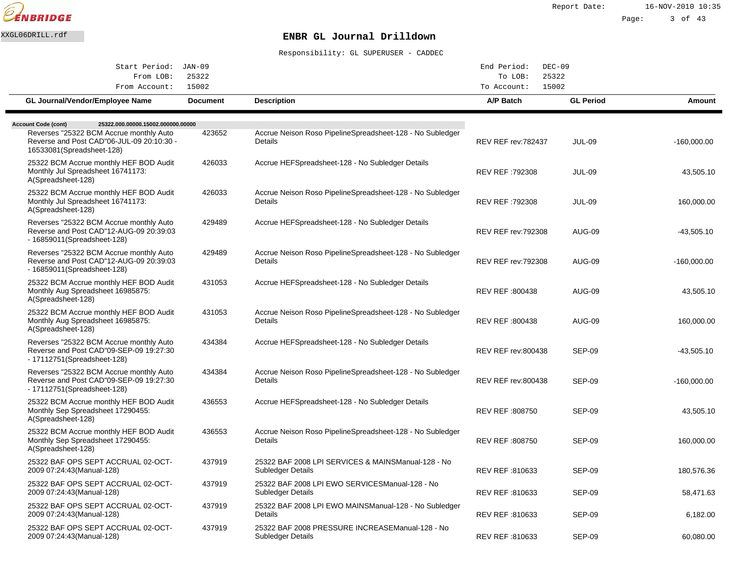

| Start Period: JAN-09                                                                                               |                 |                                                                          | End Period:<br>$DEC-09$    |                  |               |
|--------------------------------------------------------------------------------------------------------------------|-----------------|--------------------------------------------------------------------------|----------------------------|------------------|---------------|
| From LOB:                                                                                                          | 25322           |                                                                          | To LOB:                    | 25322            |               |
| From Account:                                                                                                      | 15002           |                                                                          | To Account:                | 15002            |               |
| GL Journal/Vendor/Employee Name                                                                                    | <b>Document</b> | <b>Description</b>                                                       | A/P Batch                  | <b>GL Period</b> | Amount        |
| <b>Account Code (cont)</b><br>25322.000.00000.15002.000000.00000                                                   |                 |                                                                          |                            |                  |               |
| Reverses "25322 BCM Accrue monthly Auto<br>Reverse and Post CAD"06-JUL-09 20:10:30 -<br>16533081 (Spreadsheet-128) | 423652          | Accrue Neison Roso Pipeline Spreadsheet-128 - No Subledger<br>Details    | <b>REV REF rev: 782437</b> | <b>JUL-09</b>    | $-160,000.00$ |
| 25322 BCM Accrue monthly HEF BOD Audit<br>Monthly Jul Spreadsheet 16741173:<br>A(Spreadsheet-128)                  | 426033          | Accrue HEF Spreadsheet-128 - No Subledger Details                        | REV REF: 792308            | <b>JUL-09</b>    | 43,505.10     |
| 25322 BCM Accrue monthly HEF BOD Audit<br>Monthly Jul Spreadsheet 16741173:<br>A(Spreadsheet-128)                  | 426033          | Accrue Neison Roso Pipeline Spreadsheet-128 - No Subledger<br>Details    | REV REF: 792308            | <b>JUL-09</b>    | 160,000.00    |
| Reverses "25322 BCM Accrue monthly Auto<br>Reverse and Post CAD"12-AUG-09 20:39:03<br>- 16859011(Spreadsheet-128)  | 429489          | Accrue HEF Spreadsheet-128 - No Subledger Details                        | <b>REV REF rev:792308</b>  | <b>AUG-09</b>    | -43,505.10    |
| Reverses "25322 BCM Accrue monthly Auto<br>Reverse and Post CAD"12-AUG-09 20:39:03<br>- 16859011(Spreadsheet-128)  | 429489          | Accrue Neison Roso Pipeline Spreadsheet-128 - No Subledger<br>Details    | <b>REV REF rev: 792308</b> | <b>AUG-09</b>    | $-160,000.00$ |
| 25322 BCM Accrue monthly HEF BOD Audit<br>Monthly Aug Spreadsheet 16985875:<br>A(Spreadsheet-128)                  | 431053          | Accrue HEF Spreadsheet-128 - No Subledger Details                        | REV REF: 800438            | <b>AUG-09</b>    | 43,505.10     |
| 25322 BCM Accrue monthly HEF BOD Audit<br>Monthly Aug Spreadsheet 16985875:<br>A(Spreadsheet-128)                  | 431053          | Accrue Neison Roso Pipeline Spreadsheet-128 - No Subledger<br>Details    | REV REF :800438            | <b>AUG-09</b>    | 160,000.00    |
| Reverses "25322 BCM Accrue monthly Auto<br>Reverse and Post CAD"09-SEP-09 19:27:30<br>- 17112751 (Spreadsheet-128) | 434384          | Accrue HEF Spreadsheet-128 - No Subledger Details                        | <b>REV REF rev:800438</b>  | <b>SEP-09</b>    | -43,505.10    |
| Reverses "25322 BCM Accrue monthly Auto<br>Reverse and Post CAD"09-SEP-09 19:27:30<br>- 17112751 (Spreadsheet-128) | 434384          | Accrue Neison Roso Pipeline Spreadsheet-128 - No Subledger<br>Details    | <b>REV REF rev:800438</b>  | <b>SEP-09</b>    | $-160,000.00$ |
| 25322 BCM Accrue monthly HEF BOD Audit<br>Monthly Sep Spreadsheet 17290455:<br>A(Spreadsheet-128)                  | 436553          | Accrue HEF Spreadsheet-128 - No Subledger Details                        | REV REF : 808750           | <b>SEP-09</b>    | 43,505.10     |
| 25322 BCM Accrue monthly HEF BOD Audit<br>Monthly Sep Spreadsheet 17290455:<br>A(Spreadsheet-128)                  | 436553          | Accrue Neison Roso Pipeline Spreadsheet-128 - No Subledger<br>Details    | REV REF: 808750            | <b>SEP-09</b>    | 160,000.00    |
| 25322 BAF OPS SEPT ACCRUAL 02-OCT-<br>2009 07:24:43 (Manual-128)                                                   | 437919          | 25322 BAF 2008 LPI SERVICES & MAINS Manual-128 - No<br>Subledger Details | REV REF :810633            | <b>SEP-09</b>    | 180,576.36    |
| 25322 BAF OPS SEPT ACCRUAL 02-OCT-<br>2009 07:24:43(Manual-128)                                                    | 437919          | 25322 BAF 2008 LPI EWO SERVICES Manual-128 - No<br>Subledger Details     | REV REF :810633            | <b>SEP-09</b>    | 58,471.63     |
| 25322 BAF OPS SEPT ACCRUAL 02-OCT-<br>2009 07:24:43 (Manual-128)                                                   | 437919          | 25322 BAF 2008 LPI EWO MAINS Manual-128 - No Subledger<br><b>Details</b> | REV REF :810633            | <b>SEP-09</b>    | 6,182.00      |
| 25322 BAF OPS SEPT ACCRUAL 02-OCT-<br>2009 07:24:43 (Manual-128)                                                   | 437919          | 25322 BAF 2008 PRESSURE INCREASE Manual-128 - No<br>Subledger Details    | REV REF :810633            | <b>SEP-09</b>    | 60.080.00     |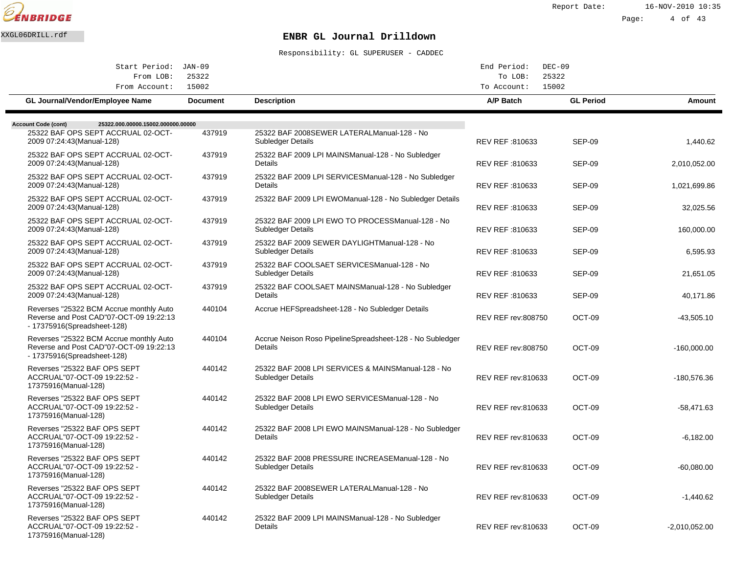

Report Date: 16-NOV-2010 10:35

#### Page: 4 of 43

# XXGL06DRILL.rdf **ENBR GL Journal Drilldown**

| Start Period: JAN-09                                                                                              |                 |                                                                                 | End Period:               | $DEC-09$         |                 |
|-------------------------------------------------------------------------------------------------------------------|-----------------|---------------------------------------------------------------------------------|---------------------------|------------------|-----------------|
| From LOB:<br>From Account:                                                                                        | 25322<br>15002  |                                                                                 | To LOB:<br>To Account:    | 25322<br>15002   |                 |
| GL Journal/Vendor/Employee Name                                                                                   | <b>Document</b> | <b>Description</b>                                                              | A/P Batch                 | <b>GL Period</b> | Amount          |
| <b>Account Code (cont)</b><br>25322.000.00000.15002.000000.00000                                                  |                 |                                                                                 |                           |                  |                 |
| 25322 BAF OPS SEPT ACCRUAL 02-OCT-<br>2009 07:24:43(Manual-128)                                                   | 437919          | 25322 BAF 2008SEWER LATERAL Manual-128 - No<br>Subledger Details                | REV REF: 810633           | <b>SEP-09</b>    | 1,440.62        |
| 25322 BAF OPS SEPT ACCRUAL 02-OCT-<br>2009 07:24:43(Manual-128)                                                   | 437919          | 25322 BAF 2009 LPI MAINS Manual-128 - No Subledger<br>Details                   | REV REF :810633           | <b>SEP-09</b>    | 2,010,052.00    |
| 25322 BAF OPS SEPT ACCRUAL 02-OCT-<br>2009 07:24:43 (Manual-128)                                                  | 437919          | 25322 BAF 2009 LPI SERVICES Manual-128 - No Subledger<br>Details                | REV REF :810633           | SEP-09           | 1,021,699.86    |
| 25322 BAF OPS SEPT ACCRUAL 02-OCT-<br>2009 07:24:43(Manual-128)                                                   | 437919          | 25322 BAF 2009 LPI EWO Manual-128 - No Subledger Details                        | REV REF :810633           | <b>SEP-09</b>    | 32,025.56       |
| 25322 BAF OPS SEPT ACCRUAL 02-OCT-<br>2009 07:24:43(Manual-128)                                                   | 437919          | 25322 BAF 2009 LPI EWO TO PROCESS Manual-128 - No<br>Subledger Details          | REV REF :810633           | <b>SEP-09</b>    | 160,000.00      |
| 25322 BAF OPS SEPT ACCRUAL 02-OCT-<br>2009 07:24:43 (Manual-128)                                                  | 437919          | 25322 BAF 2009 SEWER DAYLIGHT Manual-128 - No<br><b>Subledger Details</b>       | REV REF :810633           | SEP-09           | 6,595.93        |
| 25322 BAF OPS SEPT ACCRUAL 02-OCT-<br>2009 07:24:43 (Manual-128)                                                  | 437919          | 25322 BAF COOLSAET SERVICES Manual-128 - No<br>Subledger Details                | REV REF: 810633           | SEP-09           | 21,651.05       |
| 25322 BAF OPS SEPT ACCRUAL 02-OCT-<br>2009 07:24:43(Manual-128)                                                   | 437919          | 25322 BAF COOLSAET MAINS Manual-128 - No Subledger<br>Details                   | REV REF :810633           | <b>SEP-09</b>    | 40,171.86       |
| Reverses "25322 BCM Accrue monthly Auto<br>Reverse and Post CAD"07-OCT-09 19:22:13<br>- 17375916(Spreadsheet-128) | 440104          | Accrue HEF Spreadsheet-128 - No Subledger Details                               | <b>REV REF rev:808750</b> | OCT-09           | $-43,505.10$    |
| Reverses "25322 BCM Accrue monthly Auto<br>Reverse and Post CAD"07-OCT-09 19:22:13<br>- 17375916(Spreadsheet-128) | 440104          | Accrue Neison Roso Pipeline Spreadsheet-128 - No Subledger<br>Details           | <b>REV REF rev:808750</b> | OCT-09           | $-160,000.00$   |
| Reverses "25322 BAF OPS SEPT<br>ACCRUAL"07-OCT-09 19:22:52 -<br>17375916(Manual-128)                              | 440142          | 25322 BAF 2008 LPI SERVICES & MAINS Manual-128 - No<br><b>Subledger Details</b> | <b>REV REF rev:810633</b> | OCT-09           | -180,576.36     |
| Reverses "25322 BAF OPS SEPT<br>ACCRUAL"07-OCT-09 19:22:52 -<br>17375916(Manual-128)                              | 440142          | 25322 BAF 2008 LPI EWO SERVICES Manual-128 - No<br>Subledger Details            | <b>REV REF rev:810633</b> | OCT-09           | $-58,471.63$    |
| Reverses "25322 BAF OPS SEPT<br>ACCRUAL"07-OCT-09 19:22:52 -<br>17375916(Manual-128)                              | 440142          | 25322 BAF 2008 LPI EWO MAINS Manual-128 - No Subledger<br>Details               | <b>REV REF rev:810633</b> | OCT-09           | $-6,182.00$     |
| Reverses "25322 BAF OPS SEPT<br>ACCRUAL"07-OCT-09 19:22:52 -<br>17375916(Manual-128)                              | 440142          | 25322 BAF 2008 PRESSURE INCREASE Manual-128 - No<br>Subledger Details           | REV REF rev:810633        | OCT-09           | $-60,080.00$    |
| Reverses "25322 BAF OPS SEPT<br>ACCRUAL"07-OCT-09 19:22:52 -<br>17375916(Manual-128)                              | 440142          | 25322 BAF 2008SEWER LATERAL Manual-128 - No<br>Subledger Details                | <b>REV REF rev:810633</b> | OCT-09           | $-1.440.62$     |
| Reverses "25322 BAF OPS SEPT<br>ACCRUAL"07-OCT-09 19:22:52 -<br>17375916(Manual-128)                              | 440142          | 25322 BAF 2009 LPI MAINS Manual-128 - No Subledger<br>Details                   | <b>REV REF rev:810633</b> | OCT-09           | $-2,010,052.00$ |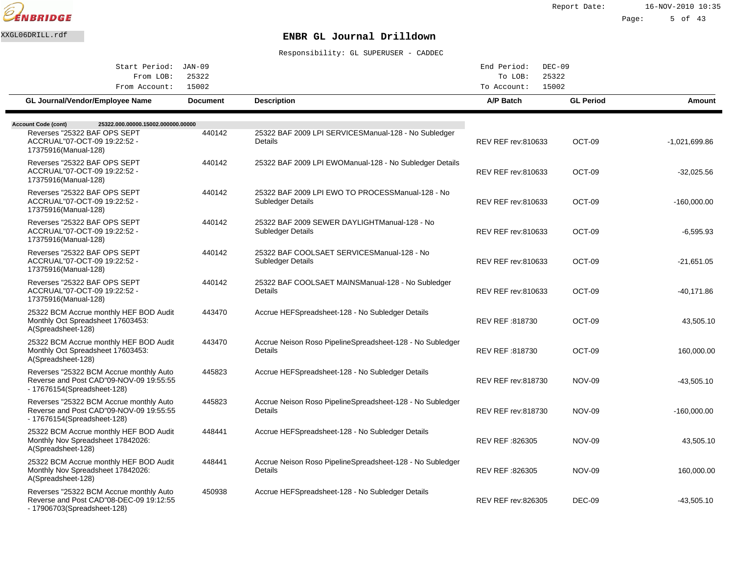

| Start Period: JAN-09                                                                                              |                 |                                                                        | End Period:<br>$DEC-09$   |                  |                 |
|-------------------------------------------------------------------------------------------------------------------|-----------------|------------------------------------------------------------------------|---------------------------|------------------|-----------------|
| From LOB:                                                                                                         | 25322           |                                                                        | To LOB:                   | 25322            |                 |
| From Account:                                                                                                     | 15002           |                                                                        | To Account:               | 15002            |                 |
| <b>GL Journal/Vendor/Employee Name</b>                                                                            | <b>Document</b> | <b>Description</b>                                                     | A/P Batch                 | <b>GL Period</b> | <b>Amount</b>   |
| 25322.000.00000.15002.000000.00000<br><b>Account Code (cont)</b>                                                  |                 |                                                                        |                           |                  |                 |
| Reverses "25322 BAF OPS SEPT<br>ACCRUAL"07-OCT-09 19:22:52 -<br>17375916(Manual-128)                              | 440142          | 25322 BAF 2009 LPI SERVICES Manual-128 - No Subledger<br>Details       | REV REF rev:810633        | OCT-09           | $-1,021,699.86$ |
| Reverses "25322 BAF OPS SEPT<br>ACCRUAL"07-OCT-09 19:22:52 -<br>17375916(Manual-128)                              | 440142          | 25322 BAF 2009 LPI EWO Manual-128 - No Subledger Details               | <b>REV REF rev:810633</b> | OCT-09           | $-32,025.56$    |
| Reverses "25322 BAF OPS SEPT<br>ACCRUAL"07-OCT-09 19:22:52 -<br>17375916(Manual-128)                              | 440142          | 25322 BAF 2009 LPI EWO TO PROCESS Manual-128 - No<br>Subledger Details | <b>REV REF rev:810633</b> | OCT-09           | $-160,000.00$   |
| Reverses "25322 BAF OPS SEPT<br>ACCRUAL"07-OCT-09 19:22:52 -<br>17375916(Manual-128)                              | 440142          | 25322 BAF 2009 SEWER DAYLIGHT Manual-128 - No<br>Subledger Details     | REV REF rev:810633        | OCT-09           | $-6,595.93$     |
| Reverses "25322 BAF OPS SEPT<br>ACCRUAL"07-OCT-09 19:22:52 -<br>17375916(Manual-128)                              | 440142          | 25322 BAF COOLSAET SERVICES Manual-128 - No<br>Subledger Details       | REV REF rev:810633        | OCT-09           | $-21,651.05$    |
| Reverses "25322 BAF OPS SEPT<br>ACCRUAL"07-OCT-09 19:22:52 -<br>17375916(Manual-128)                              | 440142          | 25322 BAF COOLSAET MAINS Manual-128 - No Subledger<br>Details          | REV REF rev:810633        | OCT-09           | $-40,171.86$    |
| 25322 BCM Accrue monthly HEF BOD Audit<br>Monthly Oct Spreadsheet 17603453:<br>A(Spreadsheet-128)                 | 443470          | Accrue HEF Spreadsheet-128 - No Subledger Details                      | REV REF: 818730           | OCT-09           | 43,505.10       |
| 25322 BCM Accrue monthly HEF BOD Audit<br>Monthly Oct Spreadsheet 17603453:<br>A(Spreadsheet-128)                 | 443470          | Accrue Neison Roso Pipeline Spreadsheet-128 - No Subledger<br>Details  | REV REF: 818730           | OCT-09           | 160,000.00      |
| Reverses "25322 BCM Accrue monthly Auto<br>Reverse and Post CAD"09-NOV-09 19:55:55<br>- 17676154(Spreadsheet-128) | 445823          | Accrue HEF Spreadsheet-128 - No Subledger Details                      | <b>REV REF rev:818730</b> | <b>NOV-09</b>    | $-43,505.10$    |
| Reverses "25322 BCM Accrue monthly Auto<br>Reverse and Post CAD"09-NOV-09 19:55:55<br>- 17676154(Spreadsheet-128) | 445823          | Accrue Neison Roso Pipeline Spreadsheet-128 - No Subledger<br>Details  | <b>REV REF rev:818730</b> | <b>NOV-09</b>    | $-160,000.00$   |
| 25322 BCM Accrue monthly HEF BOD Audit<br>Monthly Nov Spreadsheet 17842026:<br>A(Spreadsheet-128)                 | 448441          | Accrue HEF Spreadsheet-128 - No Subledger Details                      | REV REF: 826305           | <b>NOV-09</b>    | 43,505.10       |
| 25322 BCM Accrue monthly HEF BOD Audit<br>Monthly Nov Spreadsheet 17842026:<br>A(Spreadsheet-128)                 | 448441          | Accrue Neison Roso Pipeline Spreadsheet-128 - No Subledger<br>Details  | REV REF: 826305           | <b>NOV-09</b>    | 160,000.00      |
| Reverses "25322 BCM Accrue monthly Auto<br>Reverse and Post CAD"08-DEC-09 19:12:55<br>- 17906703(Spreadsheet-128) | 450938          | Accrue HEF Spreadsheet-128 - No Subledger Details                      | <b>REV REF rev:826305</b> | <b>DEC-09</b>    | $-43,505.10$    |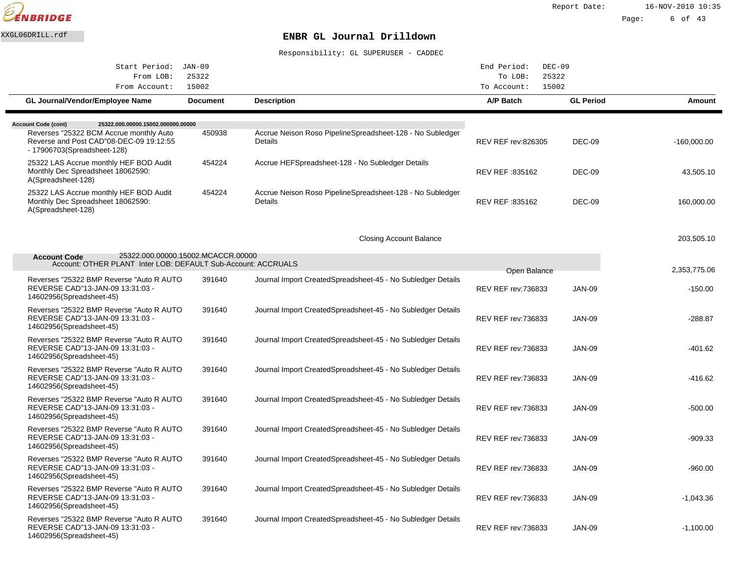

| Start Period:                                                                                                              | JAN-09          |                                                                       | End Period:<br>$DEC-09$                    |                  |               |
|----------------------------------------------------------------------------------------------------------------------------|-----------------|-----------------------------------------------------------------------|--------------------------------------------|------------------|---------------|
| From LOB:                                                                                                                  | 25322           |                                                                       | 25322<br>To LOB:                           |                  |               |
| From Account:                                                                                                              | 15002           |                                                                       | 15002<br>To Account:                       |                  |               |
| GL Journal/Vendor/Employee Name                                                                                            | <b>Document</b> | <b>Description</b>                                                    | A/P Batch                                  | <b>GL Period</b> | Amount        |
| <b>Account Code (cont)</b><br>25322.000.00000.15002.000000.00000                                                           |                 |                                                                       |                                            |                  |               |
| Reverses "25322 BCM Accrue monthly Auto<br>Reverse and Post CAD"08-DEC-09 19:12:55<br>- 17906703(Spreadsheet-128)          | 450938          | Accrue Neison Roso Pipeline Spreadsheet-128 - No Subledger<br>Details | REV REF rev:826305                         | <b>DEC-09</b>    | $-160,000.00$ |
| 25322 LAS Accrue monthly HEF BOD Audit<br>Monthly Dec Spreadsheet 18062590:<br>A(Spreadsheet-128)                          | 454224          | Accrue HEF Spreadsheet-128 - No Subledger Details                     | REV REF :835162                            | DEC-09           | 43,505.10     |
| 25322 LAS Accrue monthly HEF BOD Audit<br>Monthly Dec Spreadsheet 18062590:<br>A(Spreadsheet-128)                          | 454224          | Accrue Neison Roso Pipeline Spreadsheet-128 - No Subledger<br>Details | REV REF: 835162                            | <b>DEC-09</b>    | 160,000.00    |
|                                                                                                                            |                 | <b>Closing Account Balance</b>                                        |                                            |                  | 203.505.10    |
| 25322.000.00000.15002.MCACCR.00000<br><b>Account Code</b><br>Account: OTHER PLANT Inter LOB: DEFAULT Sub-Account: ACCRUALS |                 |                                                                       |                                            |                  | 2,353,775.06  |
| Reverses "25322 BMP Reverse "Auto R AUTO"<br>REVERSE CAD"13-JAN-09 13:31:03 -<br>14602956(Spreadsheet-45)                  | 391640          | Journal Import Created Spreadsheet-45 - No Subledger Details          | Open Balance<br><b>REV REF rev: 736833</b> | <b>JAN-09</b>    | $-150.00$     |
| Reverses "25322 BMP Reverse "Auto R AUTO<br>REVERSE CAD"13-JAN-09 13:31:03 -<br>14602956(Spreadsheet-45)                   | 391640          | Journal Import Created Spreadsheet-45 - No Subledger Details          | <b>REV REF rev: 736833</b>                 | <b>JAN-09</b>    | $-288.87$     |
| Reverses "25322 BMP Reverse "Auto R AUTO<br>REVERSE CAD"13-JAN-09 13:31:03 -<br>14602956(Spreadsheet-45)                   | 391640          | Journal Import Created Spreadsheet-45 - No Subledger Details          | <b>REV REF rev: 736833</b>                 | <b>JAN-09</b>    | $-401.62$     |
| Reverses "25322 BMP Reverse "Auto R AUTO"<br>REVERSE CAD"13-JAN-09 13:31:03 -<br>14602956(Spreadsheet-45)                  | 391640          | Journal Import Created Spreadsheet-45 - No Subledger Details          | REV REF rev: 736833                        | <b>JAN-09</b>    | $-416.62$     |
| Reverses "25322 BMP Reverse "Auto R AUTO<br>REVERSE CAD"13-JAN-09 13:31:03 -<br>14602956(Spreadsheet-45)                   | 391640          | Journal Import Created Spreadsheet-45 - No Subledger Details          | <b>REV REF rev: 736833</b>                 | <b>JAN-09</b>    | $-500.00$     |
| Reverses "25322 BMP Reverse "Auto R AUTO<br>REVERSE CAD"13-JAN-09 13:31:03 -<br>14602956(Spreadsheet-45)                   | 391640          | Journal Import Created Spreadsheet-45 - No Subledger Details          | <b>REV REF rev: 736833</b>                 | <b>JAN-09</b>    | $-909.33$     |
| Reverses "25322 BMP Reverse "Auto R AUTO"<br>REVERSE CAD"13-JAN-09 13:31:03 -<br>14602956(Spreadsheet-45)                  | 391640          | Journal Import Created Spreadsheet-45 - No Subledger Details          | <b>REV REF rev: 736833</b>                 | <b>JAN-09</b>    | $-960.00$     |
| Reverses "25322 BMP Reverse "Auto R AUTO<br>REVERSE CAD"13-JAN-09 13:31:03 -<br>14602956(Spreadsheet-45)                   | 391640          | Journal Import Created Spreadsheet-45 - No Subledger Details          | <b>REV REF rev:736833</b>                  | <b>JAN-09</b>    | $-1,043.36$   |
| Reverses "25322 BMP Reverse "Auto R AUTO<br>REVERSE CAD"13-JAN-09 13:31:03 -<br>14602956(Spreadsheet-45)                   | 391640          | Journal Import Created Spreadsheet-45 - No Subledger Details          | REV REF rev: 736833                        | <b>JAN-09</b>    | $-1,100.00$   |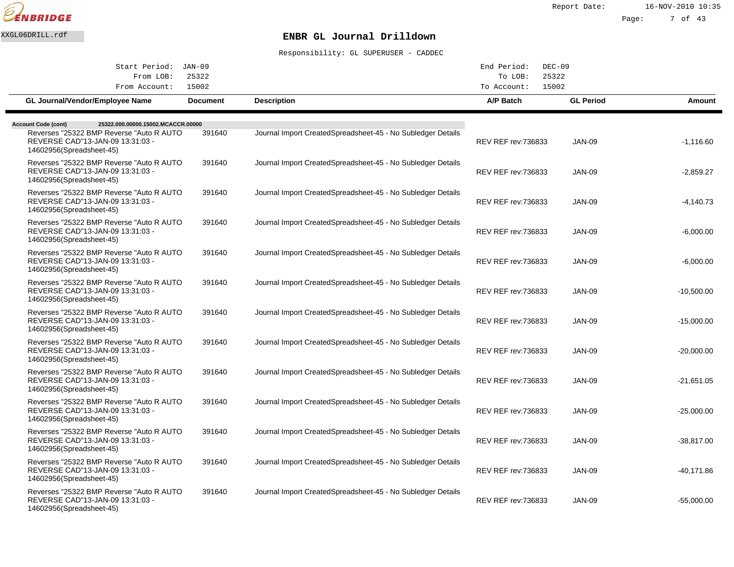

| Start Period: JAN-09                                                                                      |                 |                                                              | End Period:<br>$DEC-09$    |                  |              |
|-----------------------------------------------------------------------------------------------------------|-----------------|--------------------------------------------------------------|----------------------------|------------------|--------------|
| From LOB:                                                                                                 | 25322           |                                                              | To LOB:                    | 25322            |              |
| From Account:                                                                                             | 15002           |                                                              | To Account:                | 15002            |              |
| <b>GL Journal/Vendor/Employee Name</b>                                                                    | <b>Document</b> | <b>Description</b>                                           | A/P Batch                  | <b>GL Period</b> | Amount       |
| 25322.000.00000.15002.MCACCR.00000<br><b>Account Code (cont)</b>                                          |                 |                                                              |                            |                  |              |
| Reverses "25322 BMP Reverse "Auto R AUTO"<br>REVERSE CAD"13-JAN-09 13:31:03 -<br>14602956(Spreadsheet-45) | 391640          | Journal Import Created Spreadsheet-45 - No Subledger Details | <b>REV REF rev: 736833</b> | <b>JAN-09</b>    | $-1,116.60$  |
| Reverses "25322 BMP Reverse "Auto R AUTO"<br>REVERSE CAD"13-JAN-09 13:31:03 -<br>14602956(Spreadsheet-45) | 391640          | Journal Import Created Spreadsheet-45 - No Subledger Details | <b>REV REF rev: 736833</b> | <b>JAN-09</b>    | $-2,859.27$  |
| Reverses "25322 BMP Reverse "Auto R AUTO<br>REVERSE CAD"13-JAN-09 13:31:03 -<br>14602956(Spreadsheet-45)  | 391640          | Journal Import Created Spreadsheet-45 - No Subledger Details | <b>REV REF rev: 736833</b> | <b>JAN-09</b>    | $-4,140.73$  |
| Reverses "25322 BMP Reverse "Auto R AUTO<br>REVERSE CAD"13-JAN-09 13:31:03 -<br>14602956(Spreadsheet-45)  | 391640          | Journal Import Created Spreadsheet-45 - No Subledger Details | <b>REV REF rev: 736833</b> | <b>JAN-09</b>    | $-6,000.00$  |
| Reverses "25322 BMP Reverse "Auto R AUTO"<br>REVERSE CAD"13-JAN-09 13:31:03 -<br>14602956(Spreadsheet-45) | 391640          | Journal Import Created Spreadsheet-45 - No Subledger Details | <b>REV REF rev: 736833</b> | <b>JAN-09</b>    | $-6,000.00$  |
| Reverses "25322 BMP Reverse "Auto R AUTO<br>REVERSE CAD"13-JAN-09 13:31:03 -<br>14602956(Spreadsheet-45)  | 391640          | Journal Import Created Spreadsheet-45 - No Subledger Details | <b>REV REF rev: 736833</b> | <b>JAN-09</b>    | $-10,500.00$ |
| Reverses "25322 BMP Reverse "Auto R AUTO"<br>REVERSE CAD"13-JAN-09 13:31:03 -<br>14602956(Spreadsheet-45) | 391640          | Journal Import Created Spreadsheet-45 - No Subledger Details | <b>REV REF rev:736833</b>  | <b>JAN-09</b>    | $-15,000.00$ |
| Reverses "25322 BMP Reverse "Auto R AUTO<br>REVERSE CAD"13-JAN-09 13:31:03 -<br>14602956(Spreadsheet-45)  | 391640          | Journal Import Created Spreadsheet-45 - No Subledger Details | <b>REV REF rev: 736833</b> | <b>JAN-09</b>    | $-20,000.00$ |
| Reverses "25322 BMP Reverse "Auto R AUTO"<br>REVERSE CAD"13-JAN-09 13:31:03 -<br>14602956(Spreadsheet-45) | 391640          | Journal Import Created Spreadsheet-45 - No Subledger Details | <b>REV REF rev: 736833</b> | <b>JAN-09</b>    | $-21.651.05$ |
| Reverses "25322 BMP Reverse "Auto R AUTO<br>REVERSE CAD"13-JAN-09 13:31:03 -<br>14602956(Spreadsheet-45)  | 391640          | Journal Import Created Spreadsheet-45 - No Subledger Details | <b>REV REF rev: 736833</b> | <b>JAN-09</b>    | -25,000.00   |
| Reverses "25322 BMP Reverse "Auto R AUTO"<br>REVERSE CAD"13-JAN-09 13:31:03 -<br>14602956(Spreadsheet-45) | 391640          | Journal Import Created Spreadsheet-45 - No Subledger Details | <b>REV REF rev: 736833</b> | <b>JAN-09</b>    | -38,817.00   |
| Reverses "25322 BMP Reverse "Auto R AUTO<br>REVERSE CAD"13-JAN-09 13:31:03 -<br>14602956(Spreadsheet-45)  | 391640          | Journal Import Created Spreadsheet-45 - No Subledger Details | <b>REV REF rev: 736833</b> | <b>JAN-09</b>    | $-40,171.86$ |
| Reverses "25322 BMP Reverse "Auto R AUTO<br>REVERSE CAD"13-JAN-09 13:31:03 -<br>14602956(Spreadsheet-45)  | 391640          | Journal Import Created Spreadsheet-45 - No Subledger Details | <b>REV REF rev: 736833</b> | <b>JAN-09</b>    | $-55,000.00$ |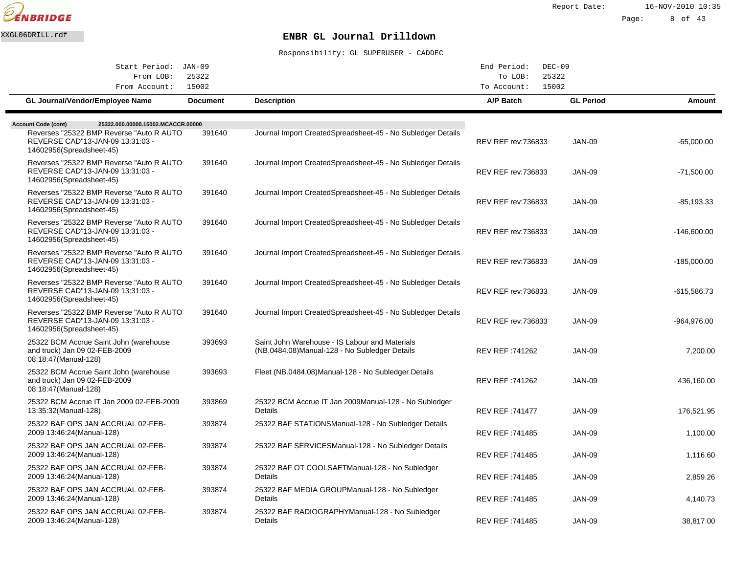

| Start Period: JAN-09                                                                                      |                 |                                                                                                  | End Period:<br>$DEC-09$    |                  |               |
|-----------------------------------------------------------------------------------------------------------|-----------------|--------------------------------------------------------------------------------------------------|----------------------------|------------------|---------------|
| From LOB:                                                                                                 | 25322           |                                                                                                  | To LOB:                    | 25322            |               |
| From Account:                                                                                             | 15002           |                                                                                                  | To Account:                | 15002            |               |
| GL Journal/Vendor/Employee Name                                                                           | <b>Document</b> | <b>Description</b>                                                                               | A/P Batch                  | <b>GL Period</b> | Amount        |
| 25322.000.00000.15002.MCACCR.00000<br><b>Account Code (cont)</b>                                          |                 |                                                                                                  |                            |                  |               |
| Reverses "25322 BMP Reverse "Auto R AUTO"<br>REVERSE CAD"13-JAN-09 13:31:03 -<br>14602956(Spreadsheet-45) | 391640          | Journal Import Created Spreadsheet-45 - No Subledger Details                                     | <b>REV REF rev:736833</b>  | <b>JAN-09</b>    | $-65,000.00$  |
| Reverses "25322 BMP Reverse "Auto R AUTO"<br>REVERSE CAD"13-JAN-09 13:31:03 -<br>14602956(Spreadsheet-45) | 391640          | Journal Import Created Spreadsheet-45 - No Subledger Details                                     | <b>REV REF rev: 736833</b> | <b>JAN-09</b>    | -71,500.00    |
| Reverses "25322 BMP Reverse "Auto R AUTO<br>REVERSE CAD"13-JAN-09 13:31:03 -<br>14602956(Spreadsheet-45)  | 391640          | Journal Import Created Spreadsheet-45 - No Subledger Details                                     | <b>REV REF rev: 736833</b> | <b>JAN-09</b>    | $-85, 193.33$ |
| Reverses "25322 BMP Reverse "Auto R AUTO"<br>REVERSE CAD"13-JAN-09 13:31:03 -<br>14602956(Spreadsheet-45) | 391640          | Journal Import Created Spreadsheet-45 - No Subledger Details                                     | <b>REV REF rev: 736833</b> | <b>JAN-09</b>    | $-146,600.00$ |
| Reverses "25322 BMP Reverse "Auto R AUTO<br>REVERSE CAD"13-JAN-09 13:31:03 -<br>14602956(Spreadsheet-45)  | 391640          | Journal Import Created Spreadsheet-45 - No Subledger Details                                     | <b>REV REF rev: 736833</b> | <b>JAN-09</b>    | $-185,000.00$ |
| Reverses "25322 BMP Reverse "Auto R AUTO<br>REVERSE CAD"13-JAN-09 13:31:03 -<br>14602956(Spreadsheet-45)  | 391640          | Journal Import Created Spreadsheet-45 - No Subledger Details                                     | <b>REV REF rev:736833</b>  | JAN-09           | -615,586.73   |
| Reverses "25322 BMP Reverse "Auto R AUTO<br>REVERSE CAD"13-JAN-09 13:31:03 -<br>14602956(Spreadsheet-45)  | 391640          | Journal Import Created Spreadsheet-45 - No Subledger Details                                     | <b>REV REF rev: 736833</b> | <b>JAN-09</b>    | -964,976.00   |
| 25322 BCM Accrue Saint John (warehouse<br>and truck) Jan 09 02-FEB-2009<br>08:18:47 (Manual-128)          | 393693          | Saint John Warehouse - IS Labour and Materials<br>(NB.0484.08) Manual-128 - No Subledger Details | REV REF: 741262            | <b>JAN-09</b>    | 7,200.00      |
| 25322 BCM Accrue Saint John (warehouse<br>and truck) Jan 09 02-FEB-2009<br>08:18:47(Manual-128)           | 393693          | Fleet (NB.0484.08) Manual-128 - No Subledger Details                                             | REV REF: 741262            | <b>JAN-09</b>    | 436,160.00    |
| 25322 BCM Accrue IT Jan 2009 02-FEB-2009<br>13:35:32 (Manual-128)                                         | 393869          | 25322 BCM Accrue IT Jan 2009 Manual-128 - No Subledger<br>Details                                | <b>REV REF: 741477</b>     | <b>JAN-09</b>    | 176,521.95    |
| 25322 BAF OPS JAN ACCRUAL 02-FEB-<br>2009 13:46:24 (Manual-128)                                           | 393874          | 25322 BAF STATIONS Manual-128 - No Subledger Details                                             | REV REF :741485            | <b>JAN-09</b>    | 1,100.00      |
| 25322 BAF OPS JAN ACCRUAL 02-FEB-<br>2009 13:46:24 (Manual-128)                                           | 393874          | 25322 BAF SERVICES Manual-128 - No Subledger Details                                             | REV REF :741485            | <b>JAN-09</b>    | 1,116.60      |
| 25322 BAF OPS JAN ACCRUAL 02-FEB-<br>2009 13:46:24 (Manual-128)                                           | 393874          | 25322 BAF OT COOLSAET Manual-128 - No Subledger<br>Details                                       | REV REF :741485            | <b>JAN-09</b>    | 2,859.26      |
| 25322 BAF OPS JAN ACCRUAL 02-FEB-<br>2009 13:46:24 (Manual-128)                                           | 393874          | 25322 BAF MEDIA GROUP Manual-128 - No Subledger<br>Details                                       | REV REF :741485            | <b>JAN-09</b>    | 4,140.73      |
| 25322 BAF OPS JAN ACCRUAL 02-FEB-<br>2009 13:46:24 (Manual-128)                                           | 393874          | 25322 BAF RADIOGRAPHY Manual-128 - No Subledger<br>Details                                       | REV REF: 741485            | <b>JAN-09</b>    | 38,817.00     |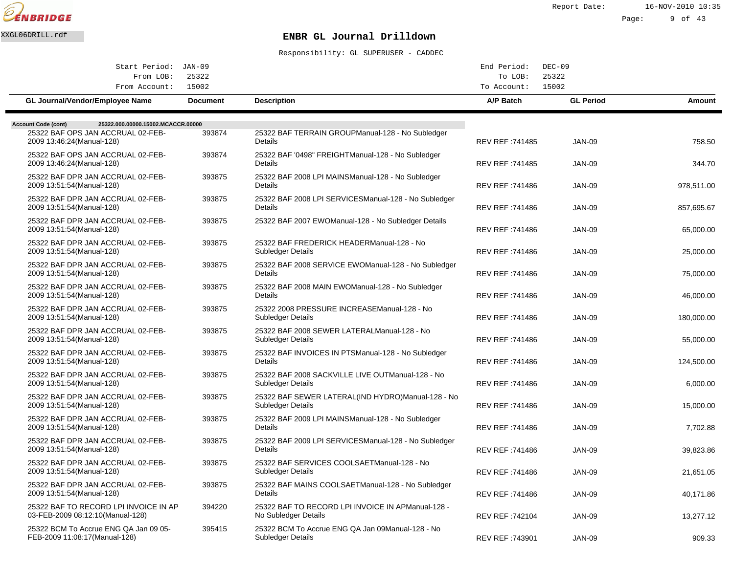

Report Date: 16-NOV-2010 10:35

#### Page: 9 of 43

# XXGL06DRILL.rdf **ENBR GL Journal Drilldown**

| Start Period: JAN-09                                                   |                 |                                                                                | End Period:            | $DEC-09$         |            |
|------------------------------------------------------------------------|-----------------|--------------------------------------------------------------------------------|------------------------|------------------|------------|
| From LOB:<br>From Account:                                             | 25322<br>15002  |                                                                                | To LOB:<br>To Account: | 25322<br>15002   |            |
| GL Journal/Vendor/Employee Name                                        | <b>Document</b> | <b>Description</b>                                                             | A/P Batch              | <b>GL Period</b> | Amount     |
| <b>Account Code (cont)</b><br>25322.000.00000.15002.MCACCR.00000       |                 |                                                                                |                        |                  |            |
| 25322 BAF OPS JAN ACCRUAL 02-FEB-<br>2009 13:46:24 (Manual-128)        | 393874          | 25322 BAF TERRAIN GROUP Manual-128 - No Subledger<br>Details                   | REV REF: 741485        | <b>JAN-09</b>    | 758.50     |
| 25322 BAF OPS JAN ACCRUAL 02-FEB-<br>2009 13:46:24 (Manual-128)        | 393874          | 25322 BAF '0498" FREIGHT Manual-128 - No Subledger<br>Details                  | REV REF: 741485        | <b>JAN-09</b>    | 344.70     |
| 25322 BAF DPR JAN ACCRUAL 02-FEB-<br>2009 13:51:54 (Manual-128)        | 393875          | 25322 BAF 2008 LPI MAINS Manual-128 - No Subledger<br>Details                  | REV REF: 741486        | <b>JAN-09</b>    | 978,511.00 |
| 25322 BAF DPR JAN ACCRUAL 02-FEB-<br>2009 13:51:54 (Manual-128)        | 393875          | 25322 BAF 2008 LPI SERVICES Manual-128 - No Subledger<br>Details               | REV REF: 741486        | <b>JAN-09</b>    | 857.695.67 |
| 25322 BAF DPR JAN ACCRUAL 02-FEB-<br>2009 13:51:54 (Manual-128)        | 393875          | 25322 BAF 2007 EWO Manual-128 - No Subledger Details                           | REV REF: 741486        | <b>JAN-09</b>    | 65,000.00  |
| 25322 BAF DPR JAN ACCRUAL 02-FEB-<br>2009 13:51:54 (Manual-128)        | 393875          | 25322 BAF FREDERICK HEADER Manual-128 - No<br>Subledger Details                | REV REF: 741486        | <b>JAN-09</b>    | 25,000.00  |
| 25322 BAF DPR JAN ACCRUAL 02-FEB-<br>2009 13:51:54 (Manual-128)        | 393875          | 25322 BAF 2008 SERVICE EWO Manual-128 - No Subledger<br>Details                | REV REF: 741486        | <b>JAN-09</b>    | 75,000.00  |
| 25322 BAF DPR JAN ACCRUAL 02-FEB-<br>2009 13:51:54 (Manual-128)        | 393875          | 25322 BAF 2008 MAIN EWO Manual-128 - No Subledger<br>Details                   | REV REF: 741486        | <b>JAN-09</b>    | 46,000.00  |
| 25322 BAF DPR JAN ACCRUAL 02-FEB-<br>2009 13:51:54 (Manual-128)        | 393875          | 25322 2008 PRESSURE INCREASE Manual-128 - No<br><b>Subledger Details</b>       | REV REF: 741486        | <b>JAN-09</b>    | 180,000.00 |
| 25322 BAF DPR JAN ACCRUAL 02-FEB-<br>2009 13:51:54 (Manual-128)        | 393875          | 25322 BAF 2008 SEWER LATERAL Manual-128 - No<br>Subledger Details              | REV REF: 741486        | <b>JAN-09</b>    | 55,000.00  |
| 25322 BAF DPR JAN ACCRUAL 02-FEB-<br>2009 13:51:54 (Manual-128)        | 393875          | 25322 BAF INVOICES IN PTS Manual-128 - No Subledger<br>Details                 | REV REF: 741486        | <b>JAN-09</b>    | 124,500.00 |
| 25322 BAF DPR JAN ACCRUAL 02-FEB-<br>2009 13:51:54 (Manual-128)        | 393875          | 25322 BAF 2008 SACKVILLE LIVE OUT Manual-128 - No<br><b>Subledger Details</b>  | REV REF: 741486        | <b>JAN-09</b>    | 6,000.00   |
| 25322 BAF DPR JAN ACCRUAL 02-FEB-<br>2009 13:51:54 (Manual-128)        | 393875          | 25322 BAF SEWER LATERAL(IND HYDRO) Manual-128 - No<br><b>Subledger Details</b> | REV REF: 741486        | <b>JAN-09</b>    | 15,000.00  |
| 25322 BAF DPR JAN ACCRUAL 02-FEB-<br>2009 13:51:54 (Manual-128)        | 393875          | 25322 BAF 2009 LPI MAINS Manual-128 - No Subledger<br>Details                  | REV REF: 741486        | <b>JAN-09</b>    | 7,702.88   |
| 25322 BAF DPR JAN ACCRUAL 02-FEB-<br>2009 13:51:54 (Manual-128)        | 393875          | 25322 BAF 2009 LPI SERVICES Manual-128 - No Subledger<br>Details               |                        | <b>JAN-09</b>    |            |
| 25322 BAF DPR JAN ACCRUAL 02-FEB-                                      | 393875          | 25322 BAF SERVICES COOLSAET Manual-128 - No                                    | REV REF: 741486        |                  | 39,823.86  |
| 2009 13:51:54 (Manual-128)<br>25322 BAF DPR JAN ACCRUAL 02-FEB-        | 393875          | <b>Subledger Details</b><br>25322 BAF MAINS COOLSAET Manual-128 - No Subledger | REV REF: 741486        | <b>JAN-09</b>    | 21,651.05  |
| 2009 13:51:54 (Manual-128)<br>25322 BAF TO RECORD LPI INVOICE IN AP    | 394220          | Details<br>25322 BAF TO RECORD LPI INVOICE IN AP Manual-128 -                  | REV REF: 741486        | <b>JAN-09</b>    | 40,171.86  |
| 03-FEB-2009 08:12:10(Manual-128)                                       |                 | No Subledger Details                                                           | REV REF: 742104        | <b>JAN-09</b>    | 13,277.12  |
| 25322 BCM To Accrue ENG QA Jan 09 05-<br>FEB-2009 11:08:17(Manual-128) | 395415          | 25322 BCM To Accrue ENG QA Jan 09 Manual-128 - No<br><b>Subledger Details</b>  | REV REF: 743901        | <b>JAN-09</b>    | 909.33     |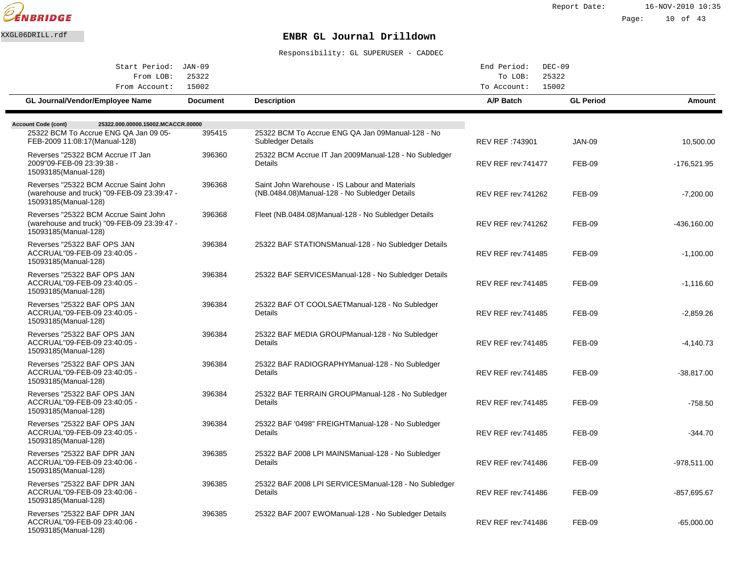

Report Date: 16-NOV-2010 10:35 Page: 10 of 43

# XXGL06DRILL.rdf **ENBR GL Journal Drilldown**

| Start Period: JAN-09                                                                                         |                 |                                                                                                  | End Period:<br>$DEC-09$    |                  |               |
|--------------------------------------------------------------------------------------------------------------|-----------------|--------------------------------------------------------------------------------------------------|----------------------------|------------------|---------------|
| From LOB:                                                                                                    | 25322           |                                                                                                  | To LOB:<br>25322           |                  |               |
| From Account:                                                                                                | 15002           |                                                                                                  | 15002<br>To Account:       |                  |               |
| GL Journal/Vendor/Employee Name                                                                              | <b>Document</b> | <b>Description</b>                                                                               | A/P Batch                  | <b>GL Period</b> | Amount        |
|                                                                                                              |                 |                                                                                                  |                            |                  |               |
| 25322.000.00000.15002.MCACCR.00000<br><b>Account Code (cont)</b><br>25322 BCM To Accrue ENG QA Jan 09 05-    | 395415          | 25322 BCM To Accrue ENG QA Jan 09 Manual-128 - No                                                |                            |                  |               |
| FEB-2009 11:08:17(Manual-128)                                                                                |                 | <b>Subledger Details</b>                                                                         | REV REF :743901            | <b>JAN-09</b>    | 10,500.00     |
| Reverses "25322 BCM Accrue IT Jan<br>2009"09-FEB-09 23:39:38 -<br>15093185(Manual-128)                       | 396360          | 25322 BCM Accrue IT Jan 2009 Manual-128 - No Subledger<br>Details                                | <b>REV REF rev: 741477</b> | <b>FEB-09</b>    | -176,521.95   |
| Reverses "25322 BCM Accrue Saint John<br>(warehouse and truck) "09-FEB-09 23:39:47 -<br>15093185(Manual-128) | 396368          | Saint John Warehouse - IS Labour and Materials<br>(NB.0484.08) Manual-128 - No Subledger Details | <b>REV REF rev:741262</b>  | FEB-09           | $-7,200.00$   |
| Reverses "25322 BCM Accrue Saint John<br>(warehouse and truck) "09-FEB-09 23:39:47 -<br>15093185(Manual-128) | 396368          | Fleet (NB.0484.08) Manual-128 - No Subledger Details                                             | <b>REV REF rev:741262</b>  | <b>FEB-09</b>    | -436,160.00   |
| Reverses "25322 BAF OPS JAN<br>ACCRUAL"09-FEB-09 23:40:05 -<br>15093185(Manual-128)                          | 396384          | 25322 BAF STATIONS Manual-128 - No Subledger Details                                             | <b>REV REF rev: 741485</b> | <b>FEB-09</b>    | $-1,100.00$   |
| Reverses "25322 BAF OPS JAN<br>ACCRUAL"09-FEB-09 23:40:05 -<br>15093185(Manual-128)                          | 396384          | 25322 BAF SERVICES Manual-128 - No Subledger Details                                             | <b>REV REF rev:741485</b>  | <b>FEB-09</b>    | $-1,116.60$   |
| Reverses "25322 BAF OPS JAN<br>ACCRUAL"09-FEB-09 23:40:05 -<br>15093185(Manual-128)                          | 396384          | 25322 BAF OT COOLSAET Manual-128 - No Subledger<br>Details                                       | <b>REV REF rev:741485</b>  | FEB-09           | $-2,859.26$   |
| Reverses "25322 BAF OPS JAN<br>ACCRUAL"09-FEB-09 23:40:05 -<br>15093185(Manual-128)                          | 396384          | 25322 BAF MEDIA GROUP Manual-128 - No Subledger<br>Details                                       | <b>REV REF rev: 741485</b> | <b>FEB-09</b>    | $-4,140.73$   |
| Reverses "25322 BAF OPS JAN<br>ACCRUAL"09-FEB-09 23:40:05 -<br>15093185(Manual-128)                          | 396384          | 25322 BAF RADIOGRAPHY Manual-128 - No Subledger<br>Details                                       | <b>REV REF rev: 741485</b> | <b>FEB-09</b>    | -38,817.00    |
| Reverses "25322 BAF OPS JAN<br>ACCRUAL"09-FEB-09 23:40:05 -<br>15093185(Manual-128)                          | 396384          | 25322 BAF TERRAIN GROUP Manual-128 - No Subledger<br>Details                                     | <b>REV REF rev: 741485</b> | <b>FEB-09</b>    | $-758.50$     |
| Reverses "25322 BAF OPS JAN<br>ACCRUAL"09-FEB-09 23:40:05 -<br>15093185(Manual-128)                          | 396384          | 25322 BAF '0498" FREIGHT Manual-128 - No Subledger<br>Details                                    | <b>REV REF rev: 741485</b> | <b>FEB-09</b>    | $-344.70$     |
| Reverses "25322 BAF DPR JAN<br>ACCRUAL"09-FEB-09 23:40:06 -<br>15093185(Manual-128)                          | 396385          | 25322 BAF 2008 LPI MAINS Manual-128 - No Subledger<br>Details                                    | REV REF rev:741486         | <b>FEB-09</b>    | $-978,511.00$ |
| Reverses "25322 BAF DPR JAN<br>ACCRUAL"09-FEB-09 23:40:06 -<br>15093185(Manual-128)                          | 396385          | 25322 BAF 2008 LPI SERVICES Manual-128 - No Subledger<br>Details                                 | <b>REV REF rev: 741486</b> | <b>FEB-09</b>    | $-857,695.67$ |
| Reverses "25322 BAF DPR JAN<br>ACCRUAL"09-FEB-09 23:40:06 -<br>15093185(Manual-128)                          | 396385          | 25322 BAF 2007 EWO Manual-128 - No Subledger Details                                             | <b>REV REF rev: 741486</b> | <b>FEB-09</b>    | $-65.000.00$  |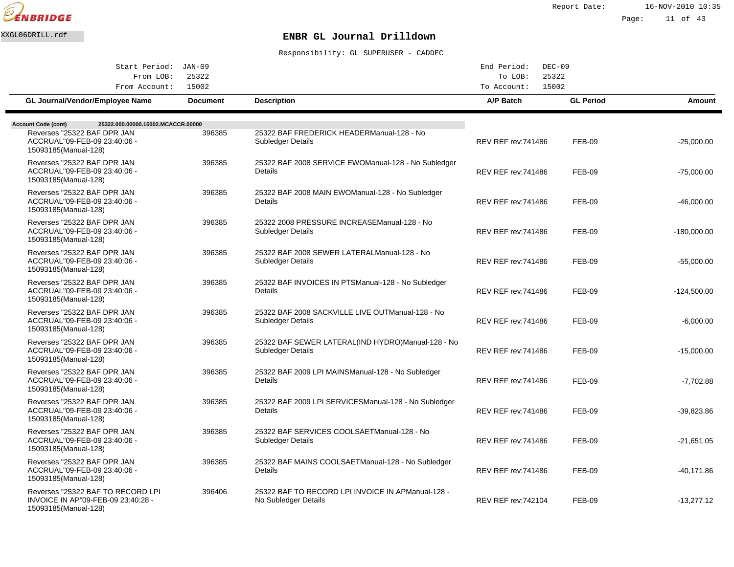

| Start Period: JAN-09<br>25322<br>From LOB:                                                      |                 |                                                                            | End Period:<br>$DEC-09$<br>To LOB:<br>25322 |                  |               |
|-------------------------------------------------------------------------------------------------|-----------------|----------------------------------------------------------------------------|---------------------------------------------|------------------|---------------|
| From Account:                                                                                   | 15002           |                                                                            | 15002<br>To Account:                        |                  |               |
| GL Journal/Vendor/Employee Name                                                                 | <b>Document</b> | <b>Description</b>                                                         | A/P Batch                                   | <b>GL Period</b> | Amount        |
| 25322.000.00000.15002.MCACCR.00000<br><b>Account Code (cont)</b>                                |                 |                                                                            |                                             |                  |               |
| Reverses "25322 BAF DPR JAN<br>ACCRUAL"09-FEB-09 23:40:06 -<br>15093185(Manual-128)             | 396385          | 25322 BAF FREDERICK HEADER Manual-128 - No<br>Subledger Details            | <b>REV REF rev: 741486</b>                  | FEB-09           | $-25.000.00$  |
| Reverses "25322 BAF DPR JAN<br>ACCRUAL"09-FEB-09 23:40:06 -<br>15093185(Manual-128)             | 396385          | 25322 BAF 2008 SERVICE EWO Manual-128 - No Subledger<br>Details            | <b>REV REF rev: 741486</b>                  | <b>FEB-09</b>    | $-75,000.00$  |
| Reverses "25322 BAF DPR JAN<br>ACCRUAL"09-FEB-09 23:40:06 -<br>15093185(Manual-128)             | 396385          | 25322 BAF 2008 MAIN EWO Manual-128 - No Subledger<br>Details               | <b>REV REF rev: 741486</b>                  | <b>FEB-09</b>    | $-46,000.00$  |
| Reverses "25322 BAF DPR JAN<br>ACCRUAL"09-FEB-09 23:40:06 -<br>15093185(Manual-128)             | 396385          | 25322 2008 PRESSURE INCREASE Manual-128 - No<br>Subledger Details          | <b>REV REF rev: 741486</b>                  | <b>FEB-09</b>    | $-180,000.00$ |
| Reverses "25322 BAF DPR JAN<br>ACCRUAL"09-FEB-09 23:40:06 -<br>15093185(Manual-128)             | 396385          | 25322 BAF 2008 SEWER LATERAL Manual-128 - No<br>Subledger Details          | <b>REV REF rev: 741486</b>                  | <b>FEB-09</b>    | $-55,000.00$  |
| Reverses "25322 BAF DPR JAN<br>ACCRUAL"09-FEB-09 23:40:06 -<br>15093185(Manual-128)             | 396385          | 25322 BAF INVOICES IN PTS Manual-128 - No Subledger<br>Details             | <b>REV REF rev: 741486</b>                  | <b>FEB-09</b>    | $-124,500.00$ |
| Reverses "25322 BAF DPR JAN<br>ACCRUAL"09-FEB-09 23:40:06 -<br>15093185(Manual-128)             | 396385          | 25322 BAF 2008 SACKVILLE LIVE OUT Manual-128 - No<br>Subledger Details     | <b>REV REF rev: 741486</b>                  | <b>FEB-09</b>    | $-6,000.00$   |
| Reverses "25322 BAF DPR JAN<br>ACCRUAL"09-FEB-09 23:40:06 -<br>15093185(Manual-128)             | 396385          | 25322 BAF SEWER LATERAL(IND HYDRO) Manual-128 - No<br>Subledger Details    | <b>REV REF rev: 741486</b>                  | <b>FEB-09</b>    | $-15,000.00$  |
| Reverses "25322 BAF DPR JAN<br>ACCRUAL"09-FEB-09 23:40:06 -<br>15093185(Manual-128)             | 396385          | 25322 BAF 2009 LPI MAINS Manual-128 - No Subledger<br>Details              | <b>REV REF rev: 741486</b>                  | <b>FEB-09</b>    | $-7,702.88$   |
| Reverses "25322 BAF DPR JAN<br>ACCRUAL"09-FEB-09 23:40:06 -<br>15093185(Manual-128)             | 396385          | 25322 BAF 2009 LPI SERVICES Manual-128 - No Subledger<br>Details           | <b>REV REF rev: 741486</b>                  | <b>FEB-09</b>    | $-39,823.86$  |
| Reverses "25322 BAF DPR JAN<br>ACCRUAL"09-FEB-09 23:40:06 -<br>15093185(Manual-128)             | 396385          | 25322 BAF SERVICES COOLSAET Manual-128 - No<br>Subledger Details           | <b>REV REF rev: 741486</b>                  | <b>FEB-09</b>    | $-21,651.05$  |
| Reverses "25322 BAF DPR JAN<br>ACCRUAL"09-FEB-09 23:40:06 -<br>15093185(Manual-128)             | 396385          | 25322 BAF MAINS COOLSAET Manual-128 - No Subledger<br><b>Details</b>       | <b>REV REF rev: 741486</b>                  | <b>FEB-09</b>    | $-40,171.86$  |
| Reverses "25322 BAF TO RECORD LPI<br>INVOICE IN AP"09-FEB-09 23:40:28 -<br>15093185(Manual-128) | 396406          | 25322 BAF TO RECORD LPI INVOICE IN AP Manual-128 -<br>No Subledger Details | <b>REV REF rev: 742104</b>                  | <b>FEB-09</b>    | $-13,277.12$  |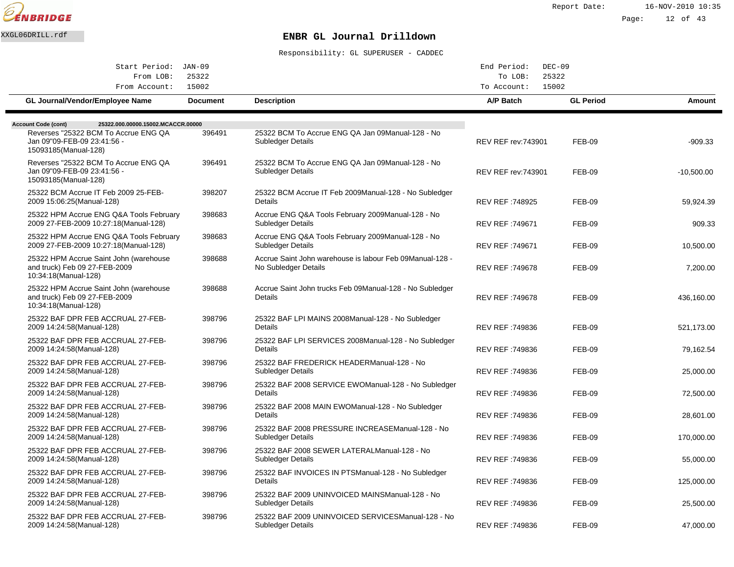

Report Date: 16-NOV-2010 10:35

Page: 12 of 43

## XXGL06DRILL.rdf **ENBR GL Journal Drilldown**

| Start Period: JAN-09                                                                            |                 |                                                                                   | End Period:<br>$DEC-09$    |                  |              |
|-------------------------------------------------------------------------------------------------|-----------------|-----------------------------------------------------------------------------------|----------------------------|------------------|--------------|
| From LOB:<br>25322                                                                              |                 | 25322<br>To LOB:                                                                  |                            |                  |              |
| From Account:                                                                                   | 15002           |                                                                                   | 15002<br>To Account:       |                  |              |
| <b>GL Journal/Vendor/Employee Name</b>                                                          | <b>Document</b> | <b>Description</b>                                                                | A/P Batch                  | <b>GL Period</b> | Amount       |
|                                                                                                 |                 |                                                                                   |                            |                  |              |
| 25322.000.00000.15002.MCACCR.00000<br><b>Account Code (cont)</b>                                |                 |                                                                                   |                            |                  |              |
| Reverses "25322 BCM To Accrue ENG QA<br>Jan 09"09-FEB-09 23:41:56 -<br>15093185(Manual-128)     | 396491          | 25322 BCM To Accrue ENG QA Jan 09 Manual-128 - No<br><b>Subledger Details</b>     | <b>REV REF rev: 743901</b> | <b>FEB-09</b>    | $-909.33$    |
| Reverses "25322 BCM To Accrue ENG QA<br>Jan 09"09-FEB-09 23:41:56 -<br>15093185(Manual-128)     | 396491          | 25322 BCM To Accrue ENG QA Jan 09 Manual-128 - No<br>Subledger Details            | <b>REV REF rev: 743901</b> | <b>FEB-09</b>    | $-10.500.00$ |
| 25322 BCM Accrue IT Feb 2009 25-FEB-<br>2009 15:06:25 (Manual-128)                              | 398207          | 25322 BCM Accrue IT Feb 2009 Manual-128 - No Subledger<br>Details                 | <b>REV REF: 748925</b>     | <b>FEB-09</b>    | 59,924.39    |
| 25322 HPM Accrue ENG Q&A Tools February<br>2009 27-FEB-2009 10:27:18(Manual-128)                | 398683          | Accrue ENG Q&A Tools February 2009 Manual-128 - No<br><b>Subledger Details</b>    | REV REF: 749671            | <b>FEB-09</b>    | 909.33       |
| 25322 HPM Accrue ENG Q&A Tools February<br>2009 27-FEB-2009 10:27:18(Manual-128)                | 398683          | Accrue ENG Q&A Tools February 2009 Manual-128 - No<br>Subledger Details           | REV REF :749671            | <b>FEB-09</b>    | 10,500.00    |
| 25322 HPM Accrue Saint John (warehouse<br>and truck) Feb 09 27-FEB-2009<br>10:34:18(Manual-128) | 398688          | Accrue Saint John warehouse is labour Feb 09 Manual-128 -<br>No Subledger Details | REV REF: 749678            | <b>FEB-09</b>    | 7,200.00     |
| 25322 HPM Accrue Saint John (warehouse<br>and truck) Feb 09 27-FEB-2009<br>10:34:18(Manual-128) | 398688          | Accrue Saint John trucks Feb 09 Manual-128 - No Subledger<br>Details              | <b>REV REF: 749678</b>     | <b>FEB-09</b>    | 436,160.00   |
| 25322 BAF DPR FEB ACCRUAL 27-FEB-<br>2009 14:24:58(Manual-128)                                  | 398796          | 25322 BAF LPI MAINS 2008 Manual-128 - No Subledger<br>Details                     | REV REF :749836            | <b>FEB-09</b>    | 521,173.00   |
| 25322 BAF DPR FEB ACCRUAL 27-FEB-<br>2009 14:24:58(Manual-128)                                  | 398796          | 25322 BAF LPI SERVICES 2008 Manual-128 - No Subledger<br>Details                  | REV REF: 749836            | <b>FEB-09</b>    | 79,162.54    |
| 25322 BAF DPR FEB ACCRUAL 27-FEB-<br>2009 14:24:58(Manual-128)                                  | 398796          | 25322 BAF FREDERICK HEADER Manual-128 - No<br>Subledger Details                   | REV REF: 749836            | <b>FEB-09</b>    | 25,000.00    |
| 25322 BAF DPR FEB ACCRUAL 27-FEB-<br>2009 14:24:58(Manual-128)                                  | 398796          | 25322 BAF 2008 SERVICE EWO Manual-128 - No Subledger<br>Details                   | REV REF: 749836            | <b>FEB-09</b>    | 72,500.00    |
| 25322 BAF DPR FEB ACCRUAL 27-FEB-<br>2009 14:24:58(Manual-128)                                  | 398796          | 25322 BAF 2008 MAIN EWO Manual-128 - No Subledger<br>Details                      | REV REF :749836            | <b>FEB-09</b>    | 28,601.00    |
| 25322 BAF DPR FEB ACCRUAL 27-FEB-<br>2009 14:24:58(Manual-128)                                  | 398796          | 25322 BAF 2008 PRESSURE INCREASE Manual-128 - No<br><b>Subledger Details</b>      | REV REF: 749836            | <b>FEB-09</b>    | 170,000.00   |
| 25322 BAF DPR FEB ACCRUAL 27-FEB-<br>2009 14:24:58(Manual-128)                                  | 398796          | 25322 BAF 2008 SEWER LATERAL Manual-128 - No<br>Subledger Details                 | REV REF: 749836            | <b>FEB-09</b>    | 55,000.00    |
| 25322 BAF DPR FEB ACCRUAL 27-FEB-<br>2009 14:24:58(Manual-128)                                  | 398796          | 25322 BAF INVOICES IN PTS Manual-128 - No Subledger<br>Details                    | REV REF :749836            | <b>FEB-09</b>    | 125,000.00   |
| 25322 BAF DPR FEB ACCRUAL 27-FEB-<br>2009 14:24:58(Manual-128)                                  | 398796          | 25322 BAF 2009 UNINVOICED MAINS Manual-128 - No<br>Subledger Details              | REV REF :749836            | <b>FEB-09</b>    | 25,500.00    |
| 25322 BAF DPR FEB ACCRUAL 27-FEB-<br>2009 14:24:58(Manual-128)                                  | 398796          | 25322 BAF 2009 UNINVOICED SERVICES Manual-128 - No<br>Subledger Details           | REV REF: 749836            | <b>FEB-09</b>    | 47.000.00    |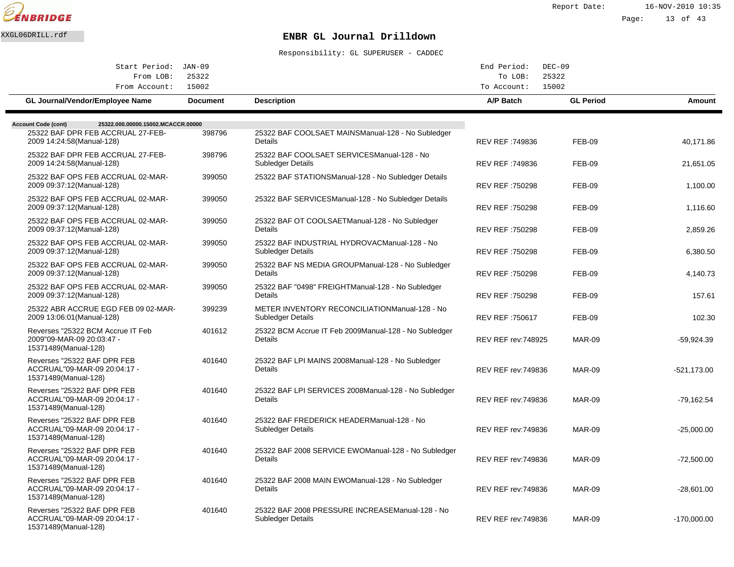

Report Date: 16-NOV-2010 10:35 Page: 13 of 43

# XXGL06DRILL.rdf **ENBR GL Journal Drilldown**

| Start Period: JAN-09                                                                   |                 |                                                                          | End Period:                | $DEC-09$         |               |
|----------------------------------------------------------------------------------------|-----------------|--------------------------------------------------------------------------|----------------------------|------------------|---------------|
| From LOB:<br>From Account:                                                             | 25322<br>15002  |                                                                          | To LOB:<br>To Account:     | 25322<br>15002   |               |
| <b>GL Journal/Vendor/Employee Name</b>                                                 | <b>Document</b> | <b>Description</b>                                                       | A/P Batch                  | <b>GL Period</b> | Amount        |
| <b>Account Code (cont)</b><br>25322.000.00000.15002.MCACCR.00000                       |                 |                                                                          |                            |                  |               |
| 25322 BAF DPR FEB ACCRUAL 27-FEB-<br>2009 14:24:58(Manual-128)                         | 398796          | 25322 BAF COOLSAET MAINS Manual-128 - No Subledger<br>Details            | REV REF: 749836            | <b>FEB-09</b>    | 40,171.86     |
| 25322 BAF DPR FEB ACCRUAL 27-FEB-<br>2009 14:24:58(Manual-128)                         | 398796          | 25322 BAF COOLSAET SERVICES Manual-128 - No<br><b>Subledger Details</b>  | REV REF: 749836            | <b>FEB-09</b>    | 21,651.05     |
| 25322 BAF OPS FEB ACCRUAL 02-MAR-<br>2009 09:37:12(Manual-128)                         | 399050          | 25322 BAF STATIONS Manual-128 - No Subledger Details                     | <b>REV REF: 750298</b>     | <b>FEB-09</b>    | 1,100.00      |
| 25322 BAF OPS FEB ACCRUAL 02-MAR-<br>2009 09:37:12(Manual-128)                         | 399050          | 25322 BAF SERVICES Manual-128 - No Subledger Details                     | <b>REV REF: 750298</b>     | <b>FEB-09</b>    | 1.116.60      |
| 25322 BAF OPS FEB ACCRUAL 02-MAR-<br>2009 09:37:12(Manual-128)                         | 399050          | 25322 BAF OT COOLSAET Manual-128 - No Subledger<br><b>Details</b>        | REV REF: 750298            | <b>FEB-09</b>    | 2,859.26      |
| 25322 BAF OPS FEB ACCRUAL 02-MAR-<br>2009 09:37:12(Manual-128)                         | 399050          | 25322 BAF INDUSTRIAL HYDROVAC Manual-128 - No<br>Subledger Details       | REV REF: 750298            | <b>FEB-09</b>    | 6,380.50      |
| 25322 BAF OPS FEB ACCRUAL 02-MAR-<br>2009 09:37:12 (Manual-128)                        | 399050          | 25322 BAF NS MEDIA GROUP Manual-128 - No Subledger<br>Details            | REV REF: 750298            | <b>FEB-09</b>    | 4,140.73      |
| 25322 BAF OPS FEB ACCRUAL 02-MAR-<br>2009 09:37:12 (Manual-128)                        | 399050          | 25322 BAF "0498" FREIGHT Manual-128 - No Subledger<br>Details            | REV REF: 750298            | <b>FEB-09</b>    | 157.61        |
| 25322 ABR ACCRUE EGD FEB 09 02-MAR-<br>2009 13:06:01 (Manual-128)                      | 399239          | METER INVENTORY RECONCILIATION Manual-128 - No<br>Subledger Details      | REV REF: 750617            | <b>FEB-09</b>    | 102.30        |
| Reverses "25322 BCM Accrue IT Feb<br>2009"09-MAR-09 20:03:47 -<br>15371489(Manual-128) | 401612          | 25322 BCM Accrue IT Feb 2009 Manual-128 - No Subledger<br><b>Details</b> | <b>REV REF rev: 748925</b> | MAR-09           | -59,924.39    |
| Reverses "25322 BAF DPR FEB<br>ACCRUAL"09-MAR-09 20:04:17 -<br>15371489(Manual-128)    | 401640          | 25322 BAF LPI MAINS 2008 Manual-128 - No Subledger<br>Details            | <b>REV REF rev: 749836</b> | <b>MAR-09</b>    | $-521.173.00$ |
| Reverses "25322 BAF DPR FEB<br>ACCRUAL"09-MAR-09 20:04:17 -<br>15371489(Manual-128)    | 401640          | 25322 BAF LPI SERVICES 2008 Manual-128 - No Subledger<br>Details         | <b>REV REF rev: 749836</b> | <b>MAR-09</b>    | -79,162.54    |
| Reverses "25322 BAF DPR FEB<br>ACCRUAL"09-MAR-09 20:04:17 -<br>15371489(Manual-128)    | 401640          | 25322 BAF FREDERICK HEADER Manual-128 - No<br>Subledger Details          | <b>REV REF rev: 749836</b> | <b>MAR-09</b>    | $-25,000.00$  |
| Reverses "25322 BAF DPR FEB<br>ACCRUAL"09-MAR-09 20:04:17 -<br>15371489(Manual-128)    | 401640          | 25322 BAF 2008 SERVICE EWO Manual-128 - No Subledger<br><b>Details</b>   | <b>REV REF rev: 749836</b> | <b>MAR-09</b>    | $-72,500.00$  |
| Reverses "25322 BAF DPR FEB<br>ACCRUAL"09-MAR-09 20:04:17 -<br>15371489(Manual-128)    | 401640          | 25322 BAF 2008 MAIN EWO Manual-128 - No Subledger<br><b>Details</b>      | <b>REV REF rev: 749836</b> | <b>MAR-09</b>    | -28,601.00    |
| Reverses "25322 BAF DPR FEB<br>ACCRUAL"09-MAR-09 20:04:17 -<br>15371489(Manual-128)    | 401640          | 25322 BAF 2008 PRESSURE INCREASE Manual-128 - No<br>Subledger Details    | <b>REV REF rev: 749836</b> | MAR-09           | $-170,000.00$ |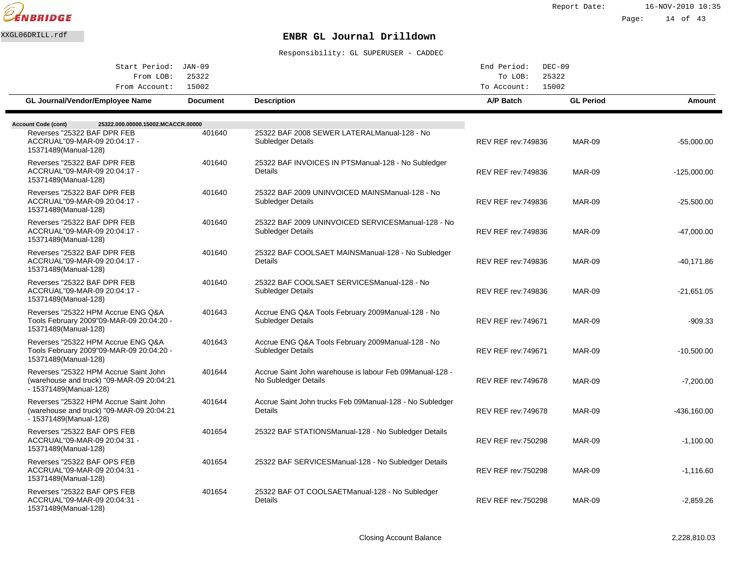

| Start Period: JAN-09                                                                                           |                 |                                                                                   | End Period:<br>$DEC-09$    |                  |               |
|----------------------------------------------------------------------------------------------------------------|-----------------|-----------------------------------------------------------------------------------|----------------------------|------------------|---------------|
| 25322<br>From LOB:<br>15002                                                                                    |                 |                                                                                   | To LOB:<br>To Account:     | 25322<br>15002   |               |
| From Account:<br>GL Journal/Vendor/Employee Name                                                               | <b>Document</b> | <b>Description</b>                                                                | A/P Batch                  | <b>GL Period</b> | Amount        |
|                                                                                                                |                 |                                                                                   |                            |                  |               |
| 25322.000.00000.15002.MCACCR.00000<br><b>Account Code (cont)</b>                                               |                 |                                                                                   |                            |                  |               |
| Reverses "25322 BAF DPR FEB<br>ACCRUAL"09-MAR-09 20:04:17 -<br>15371489(Manual-128)                            | 401640          | 25322 BAF 2008 SEWER LATERAL Manual-128 - No<br><b>Subledger Details</b>          | <b>REV REF rev:749836</b>  | <b>MAR-09</b>    | $-55,000.00$  |
| Reverses "25322 BAF DPR FEB<br>ACCRUAL"09-MAR-09 20:04:17 -<br>15371489(Manual-128)                            | 401640          | 25322 BAF INVOICES IN PTS Manual-128 - No Subledger<br>Details                    | <b>REV REF rev: 749836</b> | <b>MAR-09</b>    | $-125,000.00$ |
| Reverses "25322 BAF DPR FEB<br>ACCRUAL"09-MAR-09 20:04:17 -<br>15371489(Manual-128)                            | 401640          | 25322 BAF 2009 UNINVOICED MAINS Manual-128 - No<br><b>Subledger Details</b>       | <b>REV REF rev: 749836</b> | <b>MAR-09</b>    | $-25,500.00$  |
| Reverses "25322 BAF DPR FEB<br>ACCRUAL"09-MAR-09 20:04:17 -<br>15371489(Manual-128)                            | 401640          | 25322 BAF 2009 UNINVOICED SERVICES Manual-128 - No<br>Subledger Details           | <b>REV REF rev: 749836</b> | <b>MAR-09</b>    | $-47,000.00$  |
| Reverses "25322 BAF DPR FEB<br>ACCRUAL"09-MAR-09 20:04:17 -<br>15371489(Manual-128)                            | 401640          | 25322 BAF COOLSAET MAINS Manual-128 - No Subledger<br>Details                     | <b>REV REF rev: 749836</b> | <b>MAR-09</b>    | $-40,171.86$  |
| Reverses "25322 BAF DPR FEB<br>ACCRUAL"09-MAR-09 20:04:17 -<br>15371489(Manual-128)                            | 401640          | 25322 BAF COOLSAET SERVICES Manual-128 - No<br>Subledger Details                  | <b>REV REF rev:749836</b>  | <b>MAR-09</b>    | $-21,651.05$  |
| Reverses "25322 HPM Accrue ENG Q&A<br>Tools February 2009"09-MAR-09 20:04:20 -<br>15371489(Manual-128)         | 401643          | Accrue ENG Q&A Tools February 2009 Manual-128 - No<br>Subledger Details           | <b>REV REF rev: 749671</b> | <b>MAR-09</b>    | $-909.33$     |
| Reverses "25322 HPM Accrue ENG Q&A<br>Tools February 2009"09-MAR-09 20:04:20 -<br>15371489(Manual-128)         | 401643          | Accrue ENG Q&A Tools February 2009 Manual-128 - No<br><b>Subledger Details</b>    | <b>REV REF rev: 749671</b> | <b>MAR-09</b>    | $-10,500.00$  |
| Reverses "25322 HPM Accrue Saint John<br>(warehouse and truck) "09-MAR-09 20:04:21<br>- 15371489(Manual-128)   | 401644          | Accrue Saint John warehouse is labour Feb 09 Manual-128 -<br>No Subledger Details | <b>REV REF rev: 749678</b> | <b>MAR-09</b>    | $-7.200.00$   |
| Reverses "25322 HPM Accrue Saint John<br>(warehouse and truck) "09-MAR-09 20:04:21<br>$-15371489$ (Manual-128) | 401644          | Accrue Saint John trucks Feb 09 Manual-128 - No Subledger<br>Details              | <b>REV REF rev: 749678</b> | <b>MAR-09</b>    | $-436,160.00$ |
| Reverses "25322 BAF OPS FEB<br>ACCRUAL"09-MAR-09 20:04:31 -<br>15371489(Manual-128)                            | 401654          | 25322 BAF STATIONS Manual-128 - No Subledger Details                              | <b>REV REF rev: 750298</b> | <b>MAR-09</b>    | $-1,100.00$   |
| Reverses "25322 BAF OPS FEB<br>ACCRUAL"09-MAR-09 20:04:31 -<br>15371489(Manual-128)                            | 401654          | 25322 BAF SERVICES Manual-128 - No Subledger Details                              | <b>REV REF rev: 750298</b> | <b>MAR-09</b>    | $-1,116.60$   |
| Reverses "25322 BAF OPS FEB<br>ACCRUAL"09-MAR-09 20:04:31 -<br>15371489(Manual-128)                            | 401654          | 25322 BAF OT COOLSAET Manual-128 - No Subledger<br>Details                        | <b>REV REF rev: 750298</b> | <b>MAR-09</b>    | $-2,859.26$   |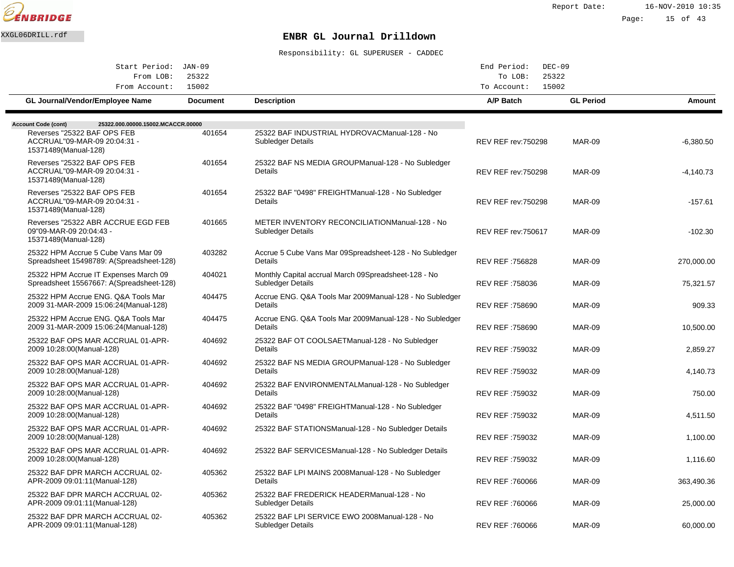

| Start Period: JAN-09                                                                  |                          |                                                                            | End Period:<br>$DEC-09$    |                  |             |
|---------------------------------------------------------------------------------------|--------------------------|----------------------------------------------------------------------------|----------------------------|------------------|-------------|
| From LOB:                                                                             | 25322                    |                                                                            | To LOB:                    | 25322<br>15002   |             |
| From Account:<br>GL Journal/Vendor/Employee Name                                      | 15002<br><b>Document</b> | <b>Description</b>                                                         | To Account:<br>A/P Batch   | <b>GL Period</b> | Amount      |
|                                                                                       |                          |                                                                            |                            |                  |             |
| 25322.000.00000.15002.MCACCR.00000<br><b>Account Code (cont)</b>                      |                          |                                                                            |                            |                  |             |
| Reverses "25322 BAF OPS FEB<br>ACCRUAL"09-MAR-09 20:04:31 -<br>15371489(Manual-128)   | 401654                   | 25322 BAF INDUSTRIAL HYDROVAC Manual-128 - No<br>Subledger Details         | <b>REV REF rev: 750298</b> | <b>MAR-09</b>    | $-6,380.50$ |
| Reverses "25322 BAF OPS FEB<br>ACCRUAL"09-MAR-09 20:04:31 -<br>15371489(Manual-128)   | 401654                   | 25322 BAF NS MEDIA GROUP Manual-128 - No Subledger<br>Details              | <b>REV REF rev: 750298</b> | <b>MAR-09</b>    | -4,140.73   |
| Reverses "25322 BAF OPS FEB<br>ACCRUAL"09-MAR-09 20:04:31 -<br>15371489(Manual-128)   | 401654                   | 25322 BAF "0498" FREIGHT Manual-128 - No Subledger<br>Details              | <b>REV REF rev: 750298</b> | <b>MAR-09</b>    | $-157.61$   |
| Reverses "25322 ABR ACCRUE EGD FEB<br>09"09-MAR-09 20:04:43 -<br>15371489(Manual-128) | 401665                   | METER INVENTORY RECONCILIATION Manual-128 - No<br>Subledger Details        | <b>REV REF rev: 750617</b> | <b>MAR-09</b>    | $-102.30$   |
| 25322 HPM Accrue 5 Cube Vans Mar 09<br>Spreadsheet 15498789: A(Spreadsheet-128)       | 403282                   | Accrue 5 Cube Vans Mar 09 Spreadsheet-128 - No Subledger<br>Details        | REV REF: 756828            | <b>MAR-09</b>    | 270,000.00  |
| 25322 HPM Accrue IT Expenses March 09<br>Spreadsheet 15567667: A(Spreadsheet-128)     | 404021                   | Monthly Capital accrual March 09 Spreadsheet-128 - No<br>Subledger Details | REV REF: 758036            | <b>MAR-09</b>    | 75,321.57   |
| 25322 HPM Accrue ENG. Q&A Tools Mar<br>2009 31-MAR-2009 15:06:24(Manual-128)          | 404475                   | Accrue ENG. Q&A Tools Mar 2009 Manual-128 - No Subledger<br>Details        | REV REF: 758690            | <b>MAR-09</b>    | 909.33      |
| 25322 HPM Accrue ENG. Q&A Tools Mar<br>2009 31-MAR-2009 15:06:24 (Manual-128)         | 404475                   | Accrue ENG. Q&A Tools Mar 2009 Manual-128 - No Subledger<br>Details        | REV REF: 758690            | <b>MAR-09</b>    | 10,500.00   |
| 25322 BAF OPS MAR ACCRUAL 01-APR-<br>2009 10:28:00 (Manual-128)                       | 404692                   | 25322 BAF OT COOLSAET Manual-128 - No Subledger<br>Details                 | REV REF: 759032            | <b>MAR-09</b>    | 2,859.27    |
| 25322 BAF OPS MAR ACCRUAL 01-APR-<br>2009 10:28:00(Manual-128)                        | 404692                   | 25322 BAF NS MEDIA GROUP Manual-128 - No Subledger<br>Details              | REV REF: 759032            | <b>MAR-09</b>    | 4,140.73    |
| 25322 BAF OPS MAR ACCRUAL 01-APR-<br>2009 10:28:00 (Manual-128)                       | 404692                   | 25322 BAF ENVIRONMENTAL Manual-128 - No Subledger<br>Details               | REV REF: 759032            | <b>MAR-09</b>    | 750.00      |
| 25322 BAF OPS MAR ACCRUAL 01-APR-<br>2009 10:28:00(Manual-128)                        | 404692                   | 25322 BAF "0498" FREIGHT Manual-128 - No Subledger<br>Details              | REV REF: 759032            | <b>MAR-09</b>    | 4,511.50    |
| 25322 BAF OPS MAR ACCRUAL 01-APR-<br>2009 10:28:00(Manual-128)                        | 404692                   | 25322 BAF STATIONS Manual-128 - No Subledger Details                       | REV REF: 759032            | <b>MAR-09</b>    | 1,100.00    |
| 25322 BAF OPS MAR ACCRUAL 01-APR-<br>2009 10:28:00(Manual-128)                        | 404692                   | 25322 BAF SERVICES Manual-128 - No Subledger Details                       | REV REF: 759032            | <b>MAR-09</b>    | 1,116.60    |
| 25322 BAF DPR MARCH ACCRUAL 02-<br>APR-2009 09:01:11 (Manual-128)                     | 405362                   | 25322 BAF LPI MAINS 2008 Manual-128 - No Subledger<br>Details              | REV REF: 760066            | <b>MAR-09</b>    | 363,490.36  |
| 25322 BAF DPR MARCH ACCRUAL 02-<br>APR-2009 09:01:11 (Manual-128)                     | 405362                   | 25322 BAF FREDERICK HEADER Manual-128 - No<br>Subledger Details            | REV REF: 760066            | <b>MAR-09</b>    | 25,000.00   |
| 25322 BAF DPR MARCH ACCRUAL 02-<br>APR-2009 09:01:11 (Manual-128)                     | 405362                   | 25322 BAF LPI SERVICE EWO 2008 Manual-128 - No<br>Subledger Details        | REV REF: 760066            | <b>MAR-09</b>    | 60,000.00   |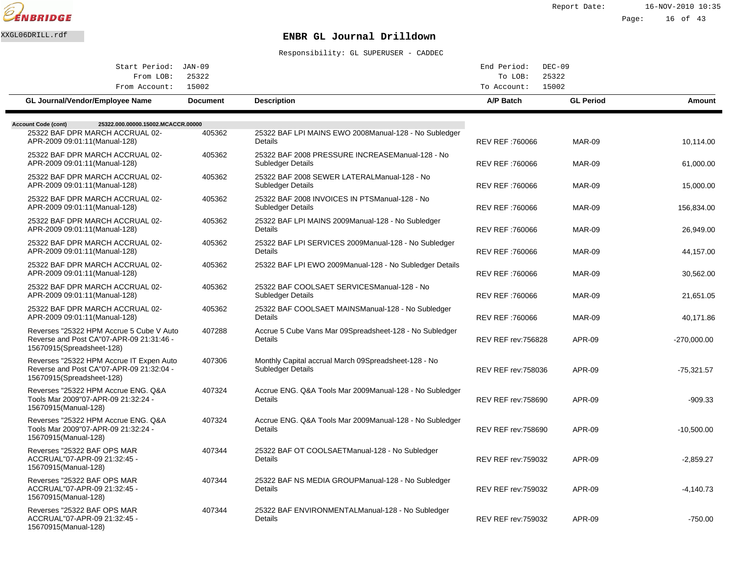

Report Date: 16-NOV-2010 10:35

# Page: 16 of 43

# XXGL06DRILL.rdf **ENBR GL Journal Drilldown**

| Start Period: JAN-09                                                                                              |                 |                                                                              | End Period:                | $DEC-09$         |               |
|-------------------------------------------------------------------------------------------------------------------|-----------------|------------------------------------------------------------------------------|----------------------------|------------------|---------------|
| From LOB:<br>From Account:                                                                                        | 25322<br>15002  |                                                                              | To LOB:<br>To Account:     | 25322<br>15002   |               |
| GL Journal/Vendor/Employee Name                                                                                   | <b>Document</b> | <b>Description</b>                                                           | A/P Batch                  | <b>GL Period</b> | Amount        |
| 25322.000.00000.15002.MCACCR.00000<br><b>Account Code (cont)</b>                                                  |                 |                                                                              |                            |                  |               |
| 25322 BAF DPR MARCH ACCRUAL 02-<br>APR-2009 09:01:11 (Manual-128)                                                 | 405362          | 25322 BAF LPI MAINS EWO 2008 Manual-128 - No Subledger<br>Details            | REV REF: 760066            | <b>MAR-09</b>    | 10,114.00     |
| 25322 BAF DPR MARCH ACCRUAL 02-<br>APR-2009 09:01:11 (Manual-128)                                                 | 405362          | 25322 BAF 2008 PRESSURE INCREASE Manual-128 - No<br><b>Subledger Details</b> | REV REF : 760066           | <b>MAR-09</b>    | 61,000.00     |
| 25322 BAF DPR MARCH ACCRUAL 02-<br>APR-2009 09:01:11 (Manual-128)                                                 | 405362          | 25322 BAF 2008 SEWER LATERAL Manual-128 - No<br>Subledger Details            | REV REF: 760066            | <b>MAR-09</b>    | 15,000.00     |
| 25322 BAF DPR MARCH ACCRUAL 02-<br>APR-2009 09:01:11 (Manual-128)                                                 | 405362          | 25322 BAF 2008 INVOICES IN PTS Manual-128 - No<br>Subledger Details          | REV REF: 760066            | <b>MAR-09</b>    | 156,834.00    |
| 25322 BAF DPR MARCH ACCRUAL 02-<br>APR-2009 09:01:11 (Manual-128)                                                 | 405362          | 25322 BAF LPI MAINS 2009 Manual-128 - No Subledger<br>Details                | REV REF: 760066            | <b>MAR-09</b>    | 26,949.00     |
| 25322 BAF DPR MARCH ACCRUAL 02-<br>APR-2009 09:01:11 (Manual-128)                                                 | 405362          | 25322 BAF LPI SERVICES 2009 Manual-128 - No Subledger<br><b>Details</b>      | REV REF: 760066            | <b>MAR-09</b>    | 44,157.00     |
| 25322 BAF DPR MARCH ACCRUAL 02-<br>APR-2009 09:01:11 (Manual-128)                                                 | 405362          | 25322 BAF LPI EWO 2009 Manual-128 - No Subledger Details                     | REV REF: 760066            | <b>MAR-09</b>    | 30,562.00     |
| 25322 BAF DPR MARCH ACCRUAL 02-<br>APR-2009 09:01:11 (Manual-128)                                                 | 405362          | 25322 BAF COOLSAET SERVICES Manual-128 - No<br>Subledger Details             | REV REF: 760066            | <b>MAR-09</b>    | 21,651.05     |
| 25322 BAF DPR MARCH ACCRUAL 02-<br>APR-2009 09:01:11 (Manual-128)                                                 | 405362          | 25322 BAF COOLSAET MAINS Manual-128 - No Subledger<br>Details                | REV REF: 760066            | <b>MAR-09</b>    | 40,171.86     |
| Reverses "25322 HPM Accrue 5 Cube V Auto<br>Reverse and Post CA"07-APR-09 21:31:46 -<br>15670915(Spreadsheet-128) | 407288          | Accrue 5 Cube Vans Mar 09 Spreadsheet-128 - No Subledger<br><b>Details</b>   | <b>REV REF rev: 756828</b> | <b>APR-09</b>    | $-270,000.00$ |
| Reverses "25322 HPM Accrue IT Expen Auto<br>Reverse and Post CA"07-APR-09 21:32:04 -<br>15670915(Spreadsheet-128) | 407306          | Monthly Capital accrual March 09 Spreadsheet-128 - No<br>Subledger Details   | <b>REV REF rev: 758036</b> | <b>APR-09</b>    | $-75,321.57$  |
| Reverses "25322 HPM Accrue ENG. Q&A<br>Tools Mar 2009"07-APR-09 21:32:24 -<br>15670915(Manual-128)                | 407324          | Accrue ENG. Q&A Tools Mar 2009 Manual-128 - No Subledger<br>Details          | <b>REV REF rev: 758690</b> | APR-09           | $-909.33$     |
| Reverses "25322 HPM Accrue ENG, Q&A<br>Tools Mar 2009"07-APR-09 21:32:24<br>15670915(Manual-128)                  | 407324          | Accrue ENG. Q&A Tools Mar 2009 Manual-128 - No Subledger<br><b>Details</b>   | <b>REV REF rev: 758690</b> | <b>APR-09</b>    | $-10,500.00$  |
| Reverses "25322 BAF OPS MAR<br>ACCRUAL"07-APR-09 21:32:45 -<br>15670915(Manual-128)                               | 407344          | 25322 BAF OT COOLSAET Manual-128 - No Subledger<br>Details                   | <b>REV REF rev: 759032</b> | <b>APR-09</b>    | $-2,859.27$   |
| Reverses "25322 BAF OPS MAR<br>ACCRUAL"07-APR-09 21:32:45 -<br>15670915(Manual-128)                               | 407344          | 25322 BAF NS MEDIA GROUP Manual-128 - No Subledger<br>Details                | <b>REV REF rev: 759032</b> | APR-09           | $-4,140.73$   |
| Reverses "25322 BAF OPS MAR<br>ACCRUAL"07-APR-09 21:32:45 -<br>15670915(Manual-128)                               | 407344          | 25322 BAF ENVIRONMENTAL Manual-128 - No Subledger<br>Details                 | <b>REV REF rev: 759032</b> | <b>APR-09</b>    | $-750.00$     |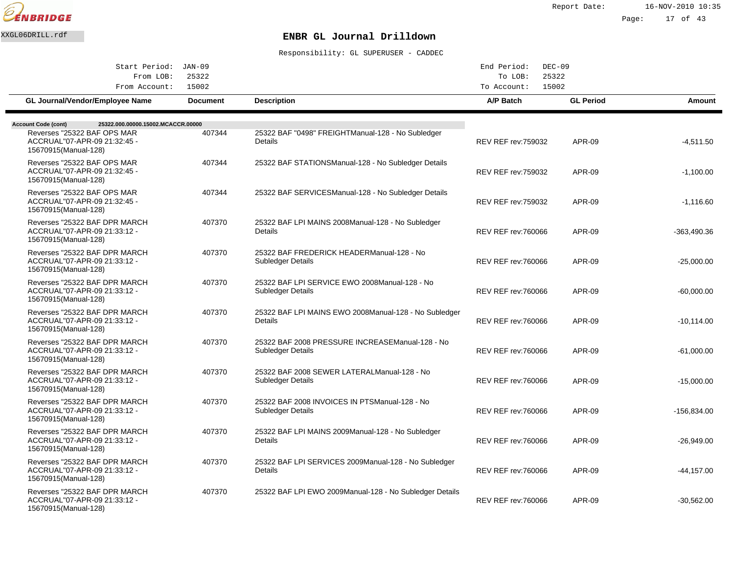

| Start Period: JAN-09                                                                  |                 |                                                                              | End Period:<br>$DEC-09$                  |                  |               |
|---------------------------------------------------------------------------------------|-----------------|------------------------------------------------------------------------------|------------------------------------------|------------------|---------------|
| From LOB:<br>From Account:                                                            | 25322<br>15002  |                                                                              | To LOB:<br>25322<br>To Account:<br>15002 |                  |               |
| <b>GL Journal/Vendor/Employee Name</b>                                                | <b>Document</b> | <b>Description</b>                                                           | A/P Batch                                | <b>GL Period</b> | Amount        |
| <b>Account Code (cont)</b><br>25322.000.00000.15002.MCACCR.00000                      |                 |                                                                              |                                          |                  |               |
| Reverses "25322 BAF OPS MAR<br>ACCRUAL"07-APR-09 21:32:45 -<br>15670915(Manual-128)   | 407344          | 25322 BAF "0498" FREIGHT Manual-128 - No Subledger<br>Details                | <b>REV REF rev: 759032</b>               | <b>APR-09</b>    | $-4.511.50$   |
| Reverses "25322 BAF OPS MAR<br>ACCRUAL"07-APR-09 21:32:45 -<br>15670915(Manual-128)   | 407344          | 25322 BAF STATIONS Manual-128 - No Subledger Details                         | <b>REV REF rev: 759032</b>               | <b>APR-09</b>    | $-1,100.00$   |
| Reverses "25322 BAF OPS MAR<br>ACCRUAL"07-APR-09 21:32:45 -<br>15670915(Manual-128)   | 407344          | 25322 BAF SERVICES Manual-128 - No Subledger Details                         | <b>REV REF rev: 759032</b>               | <b>APR-09</b>    | $-1,116.60$   |
| Reverses "25322 BAF DPR MARCH<br>ACCRUAL"07-APR-09 21:33:12 -<br>15670915(Manual-128) | 407370          | 25322 BAF LPI MAINS 2008 Manual-128 - No Subledger<br>Details                | <b>REV REF rev: 760066</b>               | <b>APR-09</b>    | -363,490.36   |
| Reverses "25322 BAF DPR MARCH<br>ACCRUAL"07-APR-09 21:33:12 -<br>15670915(Manual-128) | 407370          | 25322 BAF FREDERICK HEADER Manual-128 - No<br>Subledger Details              | <b>REV REF rev:760066</b>                | APR-09           | $-25,000.00$  |
| Reverses "25322 BAF DPR MARCH<br>ACCRUAL"07-APR-09 21:33:12 -<br>15670915(Manual-128) | 407370          | 25322 BAF LPI SERVICE EWO 2008 Manual-128 - No<br>Subledger Details          | <b>REV REF rev: 760066</b>               | APR-09           | $-60,000.00$  |
| Reverses "25322 BAF DPR MARCH<br>ACCRUAL"07-APR-09 21:33:12 -<br>15670915(Manual-128) | 407370          | 25322 BAF LPI MAINS EWO 2008 Manual-128 - No Subledger<br>Details            | <b>REV REF rev: 760066</b>               | <b>APR-09</b>    | $-10,114.00$  |
| Reverses "25322 BAF DPR MARCH<br>ACCRUAL"07-APR-09 21:33:12 -<br>15670915(Manual-128) | 407370          | 25322 BAF 2008 PRESSURE INCREASE Manual-128 - No<br><b>Subledger Details</b> | <b>REV REF rev: 760066</b>               | <b>APR-09</b>    | $-61,000.00$  |
| Reverses "25322 BAF DPR MARCH<br>ACCRUAL"07-APR-09 21:33:12 -<br>15670915(Manual-128) | 407370          | 25322 BAF 2008 SEWER LATERAL Manual-128 - No<br>Subledger Details            | <b>REV REF rev: 760066</b>               | <b>APR-09</b>    | $-15,000.00$  |
| Reverses "25322 BAF DPR MARCH<br>ACCRUAL"07-APR-09 21:33:12 -<br>15670915(Manual-128) | 407370          | 25322 BAF 2008 INVOICES IN PTS Manual-128 - No<br>Subledger Details          | <b>REV REF rev: 760066</b>               | <b>APR-09</b>    | $-156.834.00$ |
| Reverses "25322 BAF DPR MARCH<br>ACCRUAL"07-APR-09 21:33:12 -<br>15670915(Manual-128) | 407370          | 25322 BAF LPI MAINS 2009 Manual-128 - No Subledger<br>Details                | <b>REV REF rev:760066</b>                | APR-09           | $-26,949.00$  |
| Reverses "25322 BAF DPR MARCH<br>ACCRUAL"07-APR-09 21:33:12 -<br>15670915(Manual-128) | 407370          | 25322 BAF LPI SERVICES 2009 Manual-128 - No Subledger<br>Details             | <b>REV REF rev: 760066</b>               | APR-09           | $-44, 157.00$ |
| Reverses "25322 BAF DPR MARCH<br>ACCRUAL"07-APR-09 21:33:12 -<br>15670915(Manual-128) | 407370          | 25322 BAF LPI EWO 2009 Manual-128 - No Subledger Details                     | <b>REV REF rev: 760066</b>               | APR-09           | $-30,562.00$  |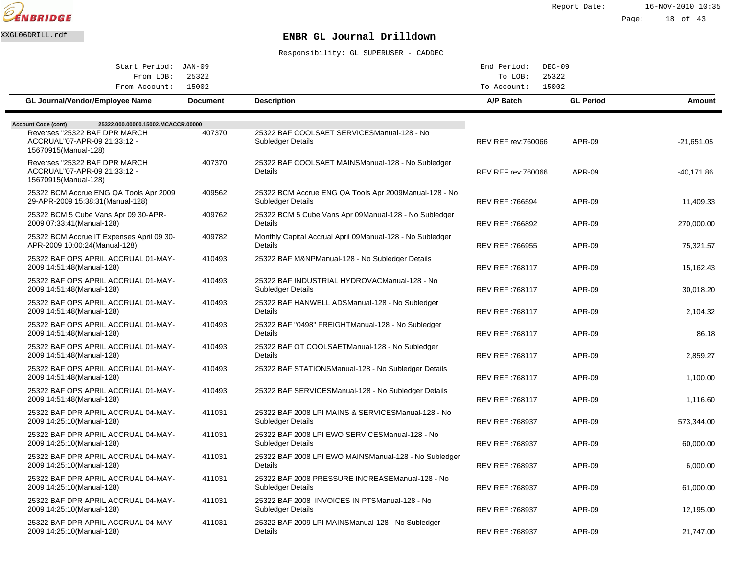

Report Date: 16-NOV-2010 10:35

Page: 18 of 43

## XXGL06DRILL.rdf **ENBR GL Journal Drilldown**

| Start Period: JAN-09                                                                  |                 |                                                                                    | $DEC-09$<br>End Period:    |                  |              |
|---------------------------------------------------------------------------------------|-----------------|------------------------------------------------------------------------------------|----------------------------|------------------|--------------|
| From LOB:                                                                             | 25322           |                                                                                    | To LOB:                    | 25322            |              |
| From Account:                                                                         | 15002           |                                                                                    | 15002<br>To Account:       |                  |              |
| GL Journal/Vendor/Employee Name                                                       | <b>Document</b> | <b>Description</b>                                                                 | A/P Batch                  | <b>GL Period</b> | Amount       |
| <b>Account Code (cont)</b><br>25322.000.00000.15002.MCACCR.00000                      |                 |                                                                                    |                            |                  |              |
| Reverses "25322 BAF DPR MARCH<br>ACCRUAL"07-APR-09 21:33:12 -<br>15670915(Manual-128) | 407370          | 25322 BAF COOLSAET SERVICES Manual-128 - No<br>Subledger Details                   | <b>REV REF rev: 760066</b> | <b>APR-09</b>    | $-21,651.05$ |
| Reverses "25322 BAF DPR MARCH<br>ACCRUAL"07-APR-09 21:33:12 -<br>15670915(Manual-128) | 407370          | 25322 BAF COOLSAET MAINS Manual-128 - No Subledger<br>Details                      | <b>REV REF rev: 760066</b> | APR-09           | $-40,171.86$ |
| 25322 BCM Accrue ENG QA Tools Apr 2009<br>29-APR-2009 15:38:31 (Manual-128)           | 409562          | 25322 BCM Accrue ENG QA Tools Apr 2009 Manual-128 - No<br><b>Subledger Details</b> | REV REF: 766594            | APR-09           | 11,409.33    |
| 25322 BCM 5 Cube Vans Apr 09 30-APR-<br>2009 07:33:41 (Manual-128)                    | 409762          | 25322 BCM 5 Cube Vans Apr 09 Manual-128 - No Subledger<br>Details                  | REV REF: 766892            | APR-09           | 270,000.00   |
| 25322 BCM Accrue IT Expenses April 09 30-<br>APR-2009 10:00:24(Manual-128)            | 409782          | Monthly Capital Accrual April 09 Manual-128 - No Subledger<br>Details              | REV REF: 766955            | <b>APR-09</b>    | 75,321.57    |
| 25322 BAF OPS APRIL ACCRUAL 01-MAY-<br>2009 14:51:48(Manual-128)                      | 410493          | 25322 BAF M&NP Manual-128 - No Subledger Details                                   | REV REF: 768117            | APR-09           | 15,162.43    |
| 25322 BAF OPS APRIL ACCRUAL 01-MAY-<br>2009 14:51:48(Manual-128)                      | 410493          | 25322 BAF INDUSTRIAL HYDROVAC Manual-128 - No<br>Subledger Details                 | REV REF: 768117            | <b>APR-09</b>    | 30,018.20    |
| 25322 BAF OPS APRIL ACCRUAL 01-MAY-<br>2009 14:51:48 (Manual-128)                     | 410493          | 25322 BAF HANWELL ADS Manual-128 - No Subledger<br>Details                         | REV REF: 768117            | APR-09           | 2,104.32     |
| 25322 BAF OPS APRIL ACCRUAL 01-MAY-<br>2009 14:51:48(Manual-128)                      | 410493          | 25322 BAF "0498" FREIGHT Manual-128 - No Subledger<br>Details                      | REV REF: 768117            | APR-09           | 86.18        |
| 25322 BAF OPS APRIL ACCRUAL 01-MAY-<br>2009 14:51:48(Manual-128)                      | 410493          | 25322 BAF OT COOLSAET Manual-128 - No Subledger<br>Details                         | REV REF: 768117            | APR-09           | 2,859.27     |
| 25322 BAF OPS APRIL ACCRUAL 01-MAY-<br>2009 14:51:48(Manual-128)                      | 410493          | 25322 BAF STATIONS Manual-128 - No Subledger Details                               | REV REF: 768117            | APR-09           | 1,100.00     |
| 25322 BAF OPS APRIL ACCRUAL 01-MAY-<br>2009 14:51:48(Manual-128)                      | 410493          | 25322 BAF SERVICES Manual-128 - No Subledger Details                               | REV REF: 768117            | APR-09           | 1.116.60     |
| 25322 BAF DPR APRIL ACCRUAL 04-MAY-<br>2009 14:25:10(Manual-128)                      | 411031          | 25322 BAF 2008 LPI MAINS & SERVICES Manual-128 - No<br><b>Subledger Details</b>    | <b>REV REF: 768937</b>     | APR-09           | 573,344.00   |
| 25322 BAF DPR APRIL ACCRUAL 04-MAY-<br>2009 14:25:10 (Manual-128)                     | 411031          | 25322 BAF 2008 LPI EWO SERVICES Manual-128 - No<br><b>Subledger Details</b>        | <b>REV REF: 768937</b>     | APR-09           | 60,000.00    |
| 25322 BAF DPR APRIL ACCRUAL 04-MAY-<br>2009 14:25:10(Manual-128)                      | 411031          | 25322 BAF 2008 LPI EWO MAINS Manual-128 - No Subledger<br>Details                  | <b>REV REF: 768937</b>     | APR-09           | 6,000.00     |
| 25322 BAF DPR APRIL ACCRUAL 04-MAY-<br>2009 14:25:10(Manual-128)                      | 411031          | 25322 BAF 2008 PRESSURE INCREASE Manual-128 - No<br><b>Subledger Details</b>       | <b>REV REF: 768937</b>     | APR-09           | 61,000.00    |
| 25322 BAF DPR APRIL ACCRUAL 04-MAY-<br>2009 14:25:10(Manual-128)                      | 411031          | 25322 BAF 2008 INVOICES IN PTS Manual-128 - No<br><b>Subledger Details</b>         | <b>REV REF: 768937</b>     | APR-09           | 12,195.00    |
| 25322 BAF DPR APRIL ACCRUAL 04-MAY-<br>2009 14:25:10(Manual-128)                      | 411031          | 25322 BAF 2009 LPI MAINS Manual-128 - No Subledger<br><b>Details</b>               | <b>REV REF: 768937</b>     | APR-09           | 21.747.00    |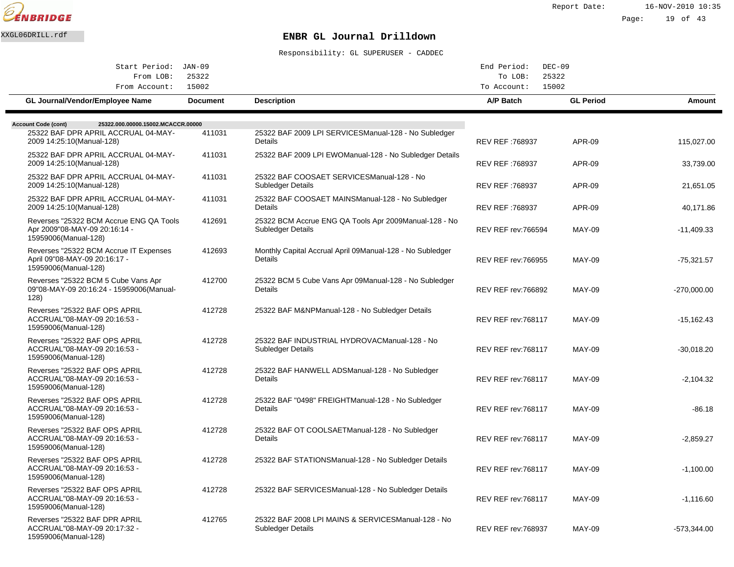

Report Date: 16-NOV-2010 10:35 Page: 19 of 43

## XXGL06DRILL.rdf **ENBR GL Journal Drilldown**

| Start Period: JAN-09<br>From LOB:<br>From Account:                                                                                   | 25322<br>15002  |                                                                              | End Period:<br>To LOB:<br>To Account: | $DEC-09$<br>25322<br>15002 |               |
|--------------------------------------------------------------------------------------------------------------------------------------|-----------------|------------------------------------------------------------------------------|---------------------------------------|----------------------------|---------------|
| GL Journal/Vendor/Employee Name                                                                                                      | <b>Document</b> | <b>Description</b>                                                           | A/P Batch                             | <b>GL Period</b>           | <b>Amount</b> |
| <b>Account Code (cont)</b><br>25322.000.00000.15002.MCACCR.00000<br>25322 BAF DPR APRIL ACCRUAL 04-MAY-<br>2009 14:25:10(Manual-128) | 411031          | 25322 BAF 2009 LPI SERVICES Manual-128 - No Subledger<br>Details             | <b>REV REF: 768937</b>                | APR-09                     | 115,027.00    |
| 25322 BAF DPR APRIL ACCRUAL 04-MAY-<br>2009 14:25:10(Manual-128)                                                                     | 411031          | 25322 BAF 2009 LPI EWO Manual-128 - No Subledger Details                     | <b>REV REF: 768937</b>                | <b>APR-09</b>              | 33,739.00     |
| 25322 BAF DPR APRIL ACCRUAL 04-MAY-<br>2009 14:25:10 (Manual-128)                                                                    | 411031          | 25322 BAF COOSAET SERVICES Manual-128 - No<br>Subledger Details              | <b>REV REF: 768937</b>                | APR-09                     | 21,651.05     |
| 25322 BAF DPR APRIL ACCRUAL 04-MAY-<br>2009 14:25:10(Manual-128)                                                                     | 411031          | 25322 BAF COOSAET MAINS Manual-128 - No Subledger<br>Details                 | <b>REV REF: 768937</b>                | <b>APR-09</b>              | 40,171.86     |
| Reverses "25322 BCM Accrue ENG QA Tools<br>Apr 2009"08-MAY-09 20:16:14 -<br>15959006(Manual-128)                                     | 412691          | 25322 BCM Accrue ENG QA Tools Apr 2009 Manual-128 - No<br>Subledger Details  | <b>REV REF rev: 766594</b>            | <b>MAY-09</b>              | $-11,409.33$  |
| Reverses "25322 BCM Accrue IT Expenses<br>April 09"08-MAY-09 20:16:17 -<br>15959006(Manual-128)                                      | 412693          | Monthly Capital Accrual April 09 Manual-128 - No Subledger<br><b>Details</b> | <b>REV REF rev: 766955</b>            | <b>MAY-09</b>              | $-75,321.57$  |
| Reverses "25322 BCM 5 Cube Vans Apr<br>09"08-MAY-09 20:16:24 - 15959006(Manual-<br>128)                                              | 412700          | 25322 BCM 5 Cube Vans Apr 09 Manual-128 - No Subledger<br>Details            | <b>REV REF rev: 766892</b>            | <b>MAY-09</b>              | $-270,000.00$ |
| Reverses "25322 BAF OPS APRIL<br>ACCRUAL"08-MAY-09 20:16:53 -<br>15959006(Manual-128)                                                | 412728          | 25322 BAF M&NP Manual-128 - No Subledger Details                             | <b>REV REF rev: 768117</b>            | <b>MAY-09</b>              | $-15,162.43$  |
| Reverses "25322 BAF OPS APRIL<br>ACCRUAL"08-MAY-09 20:16:53 -<br>15959006(Manual-128)                                                | 412728          | 25322 BAF INDUSTRIAL HYDROVAC Manual-128 - No<br>Subledger Details           | <b>REV REF rev: 768117</b>            | <b>MAY-09</b>              | $-30,018.20$  |
| Reverses "25322 BAF OPS APRIL<br>ACCRUAL"08-MAY-09 20:16:53 -<br>15959006(Manual-128)                                                | 412728          | 25322 BAF HANWELL ADS Manual-128 - No Subledger<br>Details                   | <b>REV REF rev: 768117</b>            | <b>MAY-09</b>              | $-2.104.32$   |
| Reverses "25322 BAF OPS APRIL<br>ACCRUAL"08-MAY-09 20:16:53 -<br>15959006(Manual-128)                                                | 412728          | 25322 BAF "0498" FREIGHT Manual-128 - No Subledger<br><b>Details</b>         | REV REF rev: 768117                   | <b>MAY-09</b>              | $-86.18$      |
| Reverses "25322 BAF OPS APRIL<br>ACCRUAL"08-MAY-09 20:16:53 -<br>15959006(Manual-128)                                                | 412728          | 25322 BAF OT COOLSAET Manual-128 - No Subledger<br>Details                   | REV REF rev: 768117                   | <b>MAY-09</b>              | $-2,859.27$   |
| Reverses "25322 BAF OPS APRIL<br>ACCRUAL"08-MAY-09 20:16:53 -<br>15959006(Manual-128)                                                | 412728          | 25322 BAF STATIONS Manual-128 - No Subledger Details                         | <b>REV REF rev: 768117</b>            | <b>MAY-09</b>              | $-1,100.00$   |
| Reverses "25322 BAF OPS APRIL<br>ACCRUAL"08-MAY-09 20:16:53 -<br>15959006(Manual-128)                                                | 412728          | 25322 BAF SERVICES Manual-128 - No Subledger Details                         | <b>REV REF rev: 768117</b>            | <b>MAY-09</b>              | $-1,116.60$   |
| Reverses "25322 BAF DPR APRIL<br>ACCRUAL"08-MAY-09 20:17:32 -<br>15959006(Manual-128)                                                | 412765          | 25322 BAF 2008 LPI MAINS & SERVICES Manual-128 - No<br>Subledger Details     | REV REF rev: 768937                   | <b>MAY-09</b>              | $-573,344.00$ |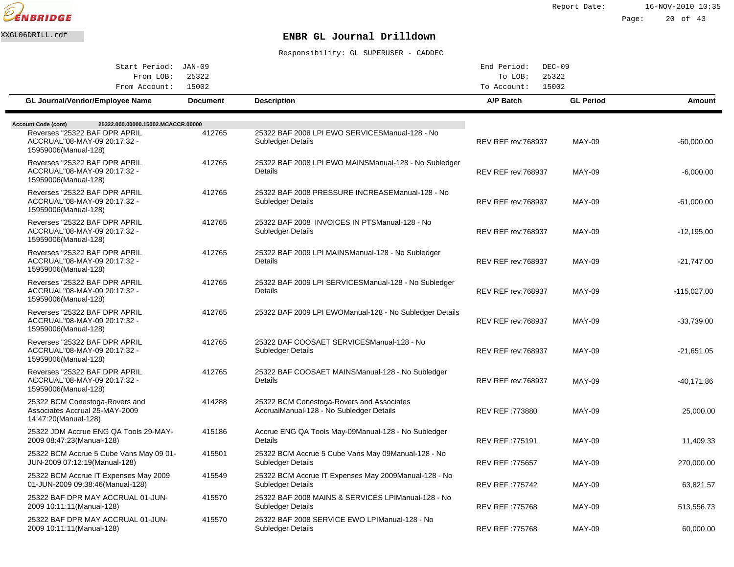

Report Date: 16-NOV-2010 10:35

Page: 20 of 43

## XXGL06DRILL.rdf **ENBR GL Journal Drilldown**

| Start Period: JAN-09                                                                     |                 |                                                                                        | End Period:<br>$DEC-09$<br>25322<br>To LOB: |                  |               |
|------------------------------------------------------------------------------------------|-----------------|----------------------------------------------------------------------------------------|---------------------------------------------|------------------|---------------|
| 25322<br>From LOB:                                                                       |                 |                                                                                        |                                             |                  |               |
| From Account:                                                                            | 15002           |                                                                                        | 15002<br>To Account:                        |                  |               |
| GL Journal/Vendor/Employee Name                                                          | <b>Document</b> | <b>Description</b>                                                                     | A/P Batch                                   | <b>GL Period</b> | Amount        |
|                                                                                          |                 |                                                                                        |                                             |                  |               |
| 25322.000.00000.15002.MCACCR.00000<br><b>Account Code (cont)</b>                         |                 |                                                                                        |                                             |                  |               |
| Reverses "25322 BAF DPR APRIL<br>ACCRUAL"08-MAY-09 20:17:32 -<br>15959006(Manual-128)    | 412765          | 25322 BAF 2008 LPI EWO SERVICES Manual-128 - No<br><b>Subledger Details</b>            | <b>REV REF rev: 768937</b>                  | <b>MAY-09</b>    | $-60,000.00$  |
| Reverses "25322 BAF DPR APRIL<br>ACCRUAL"08-MAY-09 20:17:32 -<br>15959006(Manual-128)    | 412765          | 25322 BAF 2008 LPI EWO MAINS Manual-128 - No Subledger<br>Details                      | <b>REV REF rev: 768937</b>                  | <b>MAY-09</b>    | $-6,000.00$   |
| Reverses "25322 BAF DPR APRIL<br>ACCRUAL"08-MAY-09 20:17:32 -<br>15959006(Manual-128)    | 412765          | 25322 BAF 2008 PRESSURE INCREASE Manual-128 - No<br>Subledger Details                  | <b>REV REF rev: 768937</b>                  | <b>MAY-09</b>    | $-61,000.00$  |
| Reverses "25322 BAF DPR APRIL<br>ACCRUAL"08-MAY-09 20:17:32 -<br>15959006(Manual-128)    | 412765          | 25322 BAF 2008 INVOICES IN PTS Manual-128 - No<br>Subledger Details                    | <b>REV REF rev: 768937</b>                  | <b>MAY-09</b>    | $-12,195.00$  |
| Reverses "25322 BAF DPR APRIL<br>ACCRUAL"08-MAY-09 20:17:32 -<br>15959006(Manual-128)    | 412765          | 25322 BAF 2009 LPI MAINS Manual-128 - No Subledger<br>Details                          | <b>REV REF rev: 768937</b>                  | <b>MAY-09</b>    | $-21,747.00$  |
| Reverses "25322 BAF DPR APRIL<br>ACCRUAL"08-MAY-09 20:17:32 -<br>15959006(Manual-128)    | 412765          | 25322 BAF 2009 LPI SERVICES Manual-128 - No Subledger<br>Details                       | <b>REV REF rev: 768937</b>                  | <b>MAY-09</b>    | $-115,027.00$ |
| Reverses "25322 BAF DPR APRIL<br>ACCRUAL"08-MAY-09 20:17:32 -<br>15959006(Manual-128)    | 412765          | 25322 BAF 2009 LPI EWO Manual-128 - No Subledger Details                               | <b>REV REF rev: 768937</b>                  | <b>MAY-09</b>    | -33,739.00    |
| Reverses "25322 BAF DPR APRIL<br>ACCRUAL"08-MAY-09 20:17:32 -<br>15959006(Manual-128)    | 412765          | 25322 BAF COOSAET SERVICES Manual-128 - No<br><b>Subledger Details</b>                 | <b>REV REF rev: 768937</b>                  | <b>MAY-09</b>    | $-21,651.05$  |
| Reverses "25322 BAF DPR APRIL<br>ACCRUAL"08-MAY-09 20:17:32 -<br>15959006(Manual-128)    | 412765          | 25322 BAF COOSAET MAINS Manual-128 - No Subledger<br>Details                           | <b>REV REF rev: 768937</b>                  | <b>MAY-09</b>    | $-40,171.86$  |
| 25322 BCM Conestoga-Rovers and<br>Associates Accrual 25-MAY-2009<br>14:47:20(Manual-128) | 414288          | 25322 BCM Conestoga-Rovers and Associates<br>Accrual Manual-128 - No Subledger Details | REV REF :773880                             | <b>MAY-09</b>    | 25,000.00     |
| 25322 JDM Accrue ENG QA Tools 29-MAY-<br>2009 08:47:23(Manual-128)                       | 415186          | Accrue ENG QA Tools May-09 Manual-128 - No Subledger<br>Details                        | REV REF: 775191                             | <b>MAY-09</b>    | 11,409.33     |
| 25322 BCM Accrue 5 Cube Vans May 09 01-<br>JUN-2009 07:12:19(Manual-128)                 | 415501          | 25322 BCM Accrue 5 Cube Vans May 09 Manual-128 - No<br><b>Subledger Details</b>        | REV REF: 775657                             | <b>MAY-09</b>    | 270,000.00    |
| 25322 BCM Accrue IT Expenses May 2009<br>01-JUN-2009 09:38:46(Manual-128)                | 415549          | 25322 BCM Accrue IT Expenses May 2009 Manual-128 - No<br>Subledger Details             | <b>REV REF: 775742</b>                      | <b>MAY-09</b>    | 63,821.57     |
| 25322 BAF DPR MAY ACCRUAL 01-JUN-<br>2009 10:11:11 (Manual-128)                          | 415570          | 25322 BAF 2008 MAINS & SERVICES LPI Manual-128 - No<br>Subledger Details               | REV REF: 775768                             | <b>MAY-09</b>    | 513,556.73    |
| 25322 BAF DPR MAY ACCRUAL 01-JUN-<br>2009 10:11:11 (Manual-128)                          | 415570          | 25322 BAF 2008 SERVICE EWO LPI Manual-128 - No<br><b>Subledger Details</b>             | <b>REV REF: 775768</b>                      | <b>MAY-09</b>    | 60,000.00     |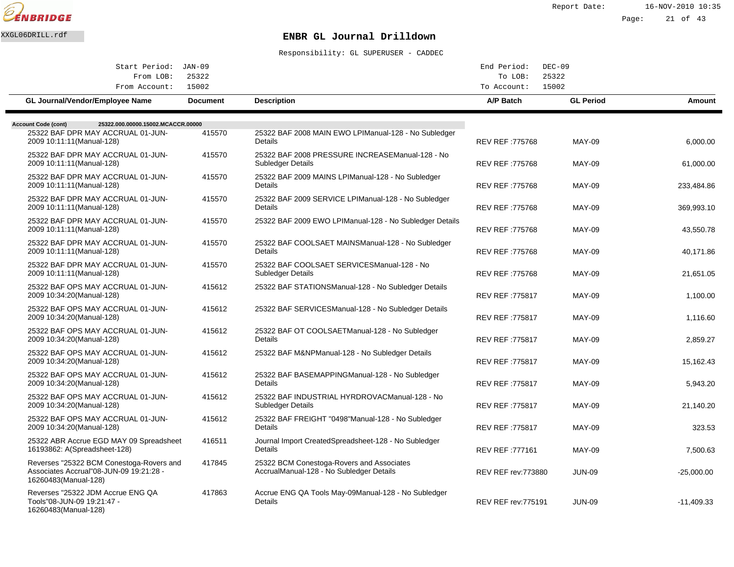

Report Date: 16-NOV-2010 10:35

# Page: 21 of 43

# XXGL06DRILL.rdf **ENBR GL Journal Drilldown**

| Start Period: JAN-09                                                                                        |                 |                                                                                        | End Period:                | $DEC-09$         |              |
|-------------------------------------------------------------------------------------------------------------|-----------------|----------------------------------------------------------------------------------------|----------------------------|------------------|--------------|
| From LOB:<br>From Account:                                                                                  | 25322<br>15002  |                                                                                        | To LOB:<br>To Account:     | 25322<br>15002   |              |
| <b>GL Journal/Vendor/Employee Name</b>                                                                      | <b>Document</b> | <b>Description</b>                                                                     | A/P Batch                  | <b>GL Period</b> | Amount       |
| <b>Account Code (cont)</b><br>25322.000.00000.15002.MCACCR.00000                                            |                 |                                                                                        |                            |                  |              |
| 25322 BAF DPR MAY ACCRUAL 01-JUN-<br>2009 10:11:11 (Manual-128)                                             | 415570          | 25322 BAF 2008 MAIN EWO LPI Manual-128 - No Subledger<br>Details                       | REV REF: 775768            | <b>MAY-09</b>    | 6,000.00     |
| 25322 BAF DPR MAY ACCRUAL 01-JUN-<br>2009 10:11:11 (Manual-128)                                             | 415570          | 25322 BAF 2008 PRESSURE INCREASE Manual-128 - No<br>Subledger Details                  | <b>REV REF: 775768</b>     | <b>MAY-09</b>    | 61,000.00    |
| 25322 BAF DPR MAY ACCRUAL 01-JUN-<br>2009 10:11:11 (Manual-128)                                             | 415570          | 25322 BAF 2009 MAINS LPI Manual-128 - No Subledger<br>Details                          | <b>REV REF: 775768</b>     | <b>MAY-09</b>    | 233,484.86   |
| 25322 BAF DPR MAY ACCRUAL 01-JUN-<br>2009 10:11:11 (Manual-128)                                             | 415570          | 25322 BAF 2009 SERVICE LPI Manual-128 - No Subledger<br><b>Details</b>                 | REV REF: 775768            | <b>MAY-09</b>    | 369,993.10   |
| 25322 BAF DPR MAY ACCRUAL 01-JUN-<br>2009 10:11:11 (Manual-128)                                             | 415570          | 25322 BAF 2009 EWO LPI Manual-128 - No Subledger Details                               | REV REF: 775768            | <b>MAY-09</b>    | 43,550.78    |
| 25322 BAF DPR MAY ACCRUAL 01-JUN-<br>2009 10:11:11 (Manual-128)                                             | 415570          | 25322 BAF COOLSAET MAINS Manual-128 - No Subledger<br>Details                          | REV REF: 775768            | <b>MAY-09</b>    | 40,171.86    |
| 25322 BAF DPR MAY ACCRUAL 01-JUN-<br>2009 10:11:11 (Manual-128)                                             | 415570          | 25322 BAF COOLSAET SERVICES Manual-128 - No<br>Subledger Details                       | <b>REV REF: 775768</b>     | <b>MAY-09</b>    | 21.651.05    |
| 25322 BAF OPS MAY ACCRUAL 01-JUN-<br>2009 10:34:20(Manual-128)                                              | 415612          | 25322 BAF STATIONS Manual-128 - No Subledger Details                                   | <b>REV REF: 775817</b>     | <b>MAY-09</b>    | 1,100.00     |
| 25322 BAF OPS MAY ACCRUAL 01-JUN-<br>2009 10:34:20(Manual-128)                                              | 415612          | 25322 BAF SERVICES Manual-128 - No Subledger Details                                   | REV REF: 775817            | <b>MAY-09</b>    | 1,116.60     |
| 25322 BAF OPS MAY ACCRUAL 01-JUN-<br>2009 10:34:20(Manual-128)                                              | 415612          | 25322 BAF OT COOLSAET Manual-128 - No Subledger<br>Details                             | REV REF: 775817            | <b>MAY-09</b>    | 2,859.27     |
| 25322 BAF OPS MAY ACCRUAL 01-JUN-<br>2009 10:34:20(Manual-128)                                              | 415612          | 25322 BAF M&NP Manual-128 - No Subledger Details                                       | REV REF: 775817            | <b>MAY-09</b>    | 15,162.43    |
| 25322 BAF OPS MAY ACCRUAL 01-JUN-<br>2009 10:34:20(Manual-128)                                              | 415612          | 25322 BAF BASEMAPPING Manual-128 - No Subledger<br>Details                             | REV REF: 775817            | <b>MAY-09</b>    | 5,943.20     |
| 25322 BAF OPS MAY ACCRUAL 01-JUN-<br>2009 10:34:20(Manual-128)                                              | 415612          | 25322 BAF INDUSTRIAL HYRDROVAC Manual-128 - No<br>Subledger Details                    | <b>REV REF: 775817</b>     | <b>MAY-09</b>    | 21,140.20    |
| 25322 BAF OPS MAY ACCRUAL 01-JUN-<br>2009 10:34:20(Manual-128)                                              | 415612          | 25322 BAF FREIGHT "0498" Manual-128 - No Subledger<br><b>Details</b>                   | REV REF: 775817            | <b>MAY-09</b>    | 323.53       |
| 25322 ABR Accrue EGD MAY 09 Spreadsheet<br>16193862: A(Spreadsheet-128)                                     | 416511          | Journal Import Created Spreadsheet-128 - No Subledger<br>Details                       | REV REF: 777161            | <b>MAY-09</b>    | 7,500.63     |
| Reverses "25322 BCM Conestoga-Rovers and<br>Associates Accrual"08-JUN-09 19:21:28 -<br>16260483(Manual-128) | 417845          | 25322 BCM Conestoga-Rovers and Associates<br>Accrual Manual-128 - No Subledger Details | <b>REV REF rev: 773880</b> | <b>JUN-09</b>    | $-25,000.00$ |
| Reverses "25322 JDM Accrue ENG QA<br>Tools"08-JUN-09 19:21:47 -<br>16260483(Manual-128)                     | 417863          | Accrue ENG QA Tools May-09 Manual-128 - No Subledger<br>Details                        | <b>REV REF rev: 775191</b> | <b>JUN-09</b>    | $-11,409.33$ |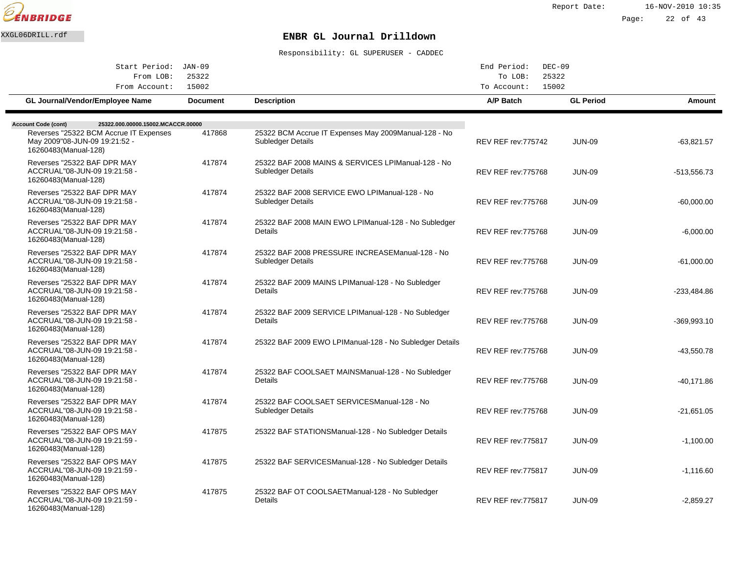

| Start Period: JAN-09                                                                                                          |                 |                                                                            | End Period:<br>$DEC-09$                  |                  |               |
|-------------------------------------------------------------------------------------------------------------------------------|-----------------|----------------------------------------------------------------------------|------------------------------------------|------------------|---------------|
| From LOB:<br>From Account:                                                                                                    | 25322<br>15002  |                                                                            | 25322<br>To LOB:<br>15002<br>To Account: |                  |               |
| GL Journal/Vendor/Employee Name                                                                                               | <b>Document</b> | <b>Description</b>                                                         | A/P Batch                                | <b>GL Period</b> | Amount        |
| 25322.000.00000.15002.MCACCR.00000                                                                                            |                 |                                                                            |                                          |                  |               |
| <b>Account Code (cont)</b><br>Reverses "25322 BCM Accrue IT Expenses<br>May 2009"08-JUN-09 19:21:52 -<br>16260483(Manual-128) | 417868          | 25322 BCM Accrue IT Expenses May 2009 Manual-128 - No<br>Subledger Details | <b>REV REF rev: 775742</b>               | <b>JUN-09</b>    | $-63,821.57$  |
| Reverses "25322 BAF DPR MAY<br>ACCRUAL"08-JUN-09 19:21:58 -<br>16260483(Manual-128)                                           | 417874          | 25322 BAF 2008 MAINS & SERVICES LPI Manual-128 - No<br>Subledger Details   | <b>REV REF rev: 775768</b>               | <b>JUN-09</b>    | $-513,556.73$ |
| Reverses "25322 BAF DPR MAY<br>ACCRUAL"08-JUN-09 19:21:58 -<br>16260483(Manual-128)                                           | 417874          | 25322 BAF 2008 SERVICE EWO LPI Manual-128 - No<br>Subledger Details        | <b>REV REF rev: 775768</b>               | <b>JUN-09</b>    | $-60,000.00$  |
| Reverses "25322 BAF DPR MAY<br>ACCRUAL"08-JUN-09 19:21:58 -<br>16260483(Manual-128)                                           | 417874          | 25322 BAF 2008 MAIN EWO LPI Manual-128 - No Subledger<br>Details           | <b>REV REF rev: 775768</b>               | <b>JUN-09</b>    | $-6,000.00$   |
| Reverses "25322 BAF DPR MAY<br>ACCRUAL"08-JUN-09 19:21:58 -<br>16260483(Manual-128)                                           | 417874          | 25322 BAF 2008 PRESSURE INCREASE Manual-128 - No<br>Subledger Details      | <b>REV REF rev: 775768</b>               | <b>JUN-09</b>    | $-61,000.00$  |
| Reverses "25322 BAF DPR MAY<br>ACCRUAL"08-JUN-09 19:21:58 -<br>16260483(Manual-128)                                           | 417874          | 25322 BAF 2009 MAINS LPI Manual-128 - No Subledger<br>Details              | <b>REV REF rev: 775768</b>               | <b>JUN-09</b>    | $-233,484.86$ |
| Reverses "25322 BAF DPR MAY<br>ACCRUAL"08-JUN-09 19:21:58 -<br>16260483(Manual-128)                                           | 417874          | 25322 BAF 2009 SERVICE LPI Manual-128 - No Subledger<br>Details            | <b>REV REF rev: 775768</b>               | <b>JUN-09</b>    | $-369,993.10$ |
| Reverses "25322 BAF DPR MAY<br>ACCRUAL"08-JUN-09 19:21:58 -<br>16260483(Manual-128)                                           | 417874          | 25322 BAF 2009 EWO LPI Manual-128 - No Subledger Details                   | <b>REV REF rev: 775768</b>               | <b>JUN-09</b>    | $-43,550.78$  |
| Reverses "25322 BAF DPR MAY<br>ACCRUAL"08-JUN-09 19:21:58 -<br>16260483(Manual-128)                                           | 417874          | 25322 BAF COOLSAET MAINS Manual-128 - No Subledger<br>Details              | <b>REV REF rev: 775768</b>               | <b>JUN-09</b>    | $-40,171.86$  |
| Reverses "25322 BAF DPR MAY<br>ACCRUAL"08-JUN-09 19:21:58 -<br>16260483(Manual-128)                                           | 417874          | 25322 BAF COOLSAET SERVICES Manual-128 - No<br><b>Subledger Details</b>    | <b>REV REF rev: 775768</b>               | <b>JUN-09</b>    | $-21,651.05$  |
| Reverses "25322 BAF OPS MAY<br>ACCRUAL"08-JUN-09 19:21:59 -<br>16260483(Manual-128)                                           | 417875          | 25322 BAF STATIONS Manual-128 - No Subledger Details                       | <b>REV REF rev: 775817</b>               | <b>JUN-09</b>    | $-1,100.00$   |
| Reverses "25322 BAF OPS MAY<br>ACCRUAL"08-JUN-09 19:21:59 -<br>16260483(Manual-128)                                           | 417875          | 25322 BAF SERVICES Manual-128 - No Subledger Details                       | <b>REV REF rev: 775817</b>               | <b>JUN-09</b>    | $-1,116.60$   |
| Reverses "25322 BAF OPS MAY<br>ACCRUAL"08-JUN-09 19:21:59 -<br>16260483(Manual-128)                                           | 417875          | 25322 BAF OT COOLSAET Manual-128 - No Subledger<br>Details                 | <b>REV REF rev: 775817</b>               | <b>JUN-09</b>    | $-2,859.27$   |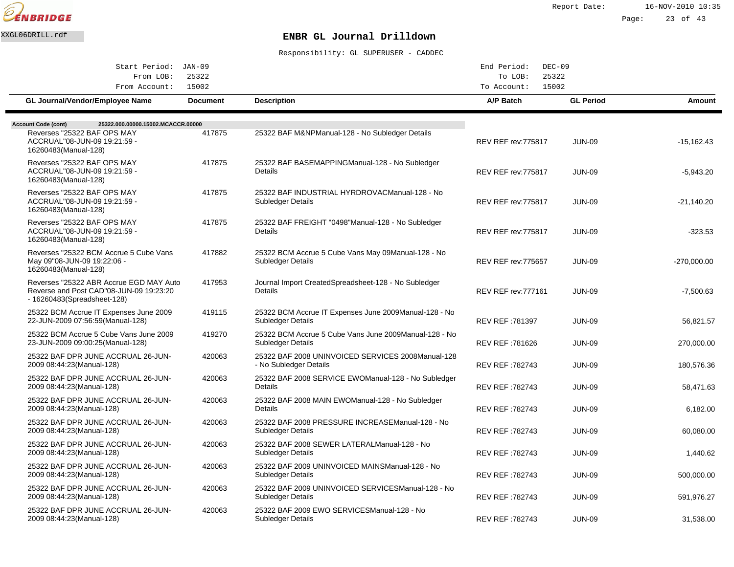

Page: 23 of 43

# XXGL06DRILL.rdf **ENBR GL Journal Drilldown**

| Start Period: JAN-09                                                                                              |                 |                                                                                    | End Period:<br>$DEC-09$    |                  |               |  |
|-------------------------------------------------------------------------------------------------------------------|-----------------|------------------------------------------------------------------------------------|----------------------------|------------------|---------------|--|
| From LOB:                                                                                                         | 25322           |                                                                                    | To LOB:                    | 25322            |               |  |
| From Account:                                                                                                     | 15002           |                                                                                    | To Account:<br>15002       |                  |               |  |
| GL Journal/Vendor/Employee Name                                                                                   | <b>Document</b> | <b>Description</b>                                                                 | A/P Batch                  | <b>GL Period</b> | <b>Amount</b> |  |
| 25322.000.00000.15002.MCACCR.00000<br><b>Account Code (cont)</b>                                                  |                 |                                                                                    |                            |                  |               |  |
| Reverses "25322 BAF OPS MAY<br>ACCRUAL"08-JUN-09 19:21:59 -<br>16260483(Manual-128)                               | 417875          | 25322 BAF M&NP Manual-128 - No Subledger Details                                   | <b>REV REF rev: 775817</b> | <b>JUN-09</b>    | $-15,162.43$  |  |
| Reverses "25322 BAF OPS MAY<br>ACCRUAL"08-JUN-09 19:21:59 -<br>16260483(Manual-128)                               | 417875          | 25322 BAF BASEMAPPING Manual-128 - No Subledger<br>Details                         | <b>REV REF rev: 775817</b> | <b>JUN-09</b>    | $-5,943.20$   |  |
| Reverses "25322 BAF OPS MAY<br>ACCRUAL"08-JUN-09 19:21:59 -<br>16260483(Manual-128)                               | 417875          | 25322 BAF INDUSTRIAL HYRDROVAC Manual-128 - No<br>Subledger Details                | <b>REV REF rev: 775817</b> | <b>JUN-09</b>    | -21,140.20    |  |
| Reverses "25322 BAF OPS MAY<br>ACCRUAL"08-JUN-09 19:21:59 -<br>16260483(Manual-128)                               | 417875          | 25322 BAF FREIGHT "0498" Manual-128 - No Subledger<br>Details                      | <b>REV REF rev: 775817</b> | <b>JUN-09</b>    | -323.53       |  |
| Reverses "25322 BCM Accrue 5 Cube Vans<br>May 09"08-JUN-09 19:22:06 -<br>16260483(Manual-128)                     | 417882          | 25322 BCM Accrue 5 Cube Vans May 09 Manual-128 - No<br><b>Subledger Details</b>    | <b>REV REF rev: 775657</b> | <b>JUN-09</b>    | $-270,000.00$ |  |
| Reverses "25322 ABR Accrue EGD MAY Auto<br>Reverse and Post CAD"08-JUN-09 19:23:20<br>- 16260483(Spreadsheet-128) | 417953          | Journal Import Created Spreadsheet-128 - No Subledger<br>Details                   | <b>REV REF rev: 777161</b> | <b>JUN-09</b>    | $-7,500.63$   |  |
| 25322 BCM Accrue IT Expenses June 2009<br>22-JUN-2009 07:56:59(Manual-128)                                        | 419115          | 25322 BCM Accrue IT Expenses June 2009 Manual-128 - No<br><b>Subledger Details</b> | REV REF: 781397            | <b>JUN-09</b>    | 56,821.57     |  |
| 25322 BCM Accrue 5 Cube Vans June 2009<br>23-JUN-2009 09:00:25(Manual-128)                                        | 419270          | 25322 BCM Accrue 5 Cube Vans June 2009 Manual-128 - No<br><b>Subledger Details</b> | REV REF: 781626            | <b>JUN-09</b>    | 270,000.00    |  |
| 25322 BAF DPR JUNE ACCRUAL 26-JUN-<br>2009 08:44:23(Manual-128)                                                   | 420063          | 25322 BAF 2008 UNINVOICED SERVICES 2008 Manual-128<br>- No Subledger Details       | REV REF: 782743            | <b>JUN-09</b>    | 180,576.36    |  |
| 25322 BAF DPR JUNE ACCRUAL 26-JUN-<br>2009 08:44:23(Manual-128)                                                   | 420063          | 25322 BAF 2008 SERVICE EWO Manual-128 - No Subledger<br>Details                    | REV REF: 782743            | <b>JUN-09</b>    | 58,471.63     |  |
| 25322 BAF DPR JUNE ACCRUAL 26-JUN-<br>2009 08:44:23 (Manual-128)                                                  | 420063          | 25322 BAF 2008 MAIN EWO Manual-128 - No Subledger<br>Details                       | REV REF: 782743            | <b>JUN-09</b>    | 6,182.00      |  |
| 25322 BAF DPR JUNE ACCRUAL 26-JUN-<br>2009 08:44:23(Manual-128)                                                   | 420063          | 25322 BAF 2008 PRESSURE INCREASE Manual-128 - No<br>Subledger Details              | REV REF: 782743            | <b>JUN-09</b>    | 60,080.00     |  |
| 25322 BAF DPR JUNE ACCRUAL 26-JUN-<br>2009 08:44:23 (Manual-128)                                                  | 420063          | 25322 BAF 2008 SEWER LATERAL Manual-128 - No<br><b>Subledger Details</b>           | REV REF: 782743            | <b>JUN-09</b>    | 1,440.62      |  |
| 25322 BAF DPR JUNE ACCRUAL 26-JUN-<br>2009 08:44:23(Manual-128)                                                   | 420063          | 25322 BAF 2009 UNINVOICED MAINS Manual-128 - No<br><b>Subledger Details</b>        | REV REF: 782743            | <b>JUN-09</b>    | 500,000.00    |  |
| 25322 BAF DPR JUNE ACCRUAL 26-JUN-<br>2009 08:44:23(Manual-128)                                                   | 420063          | 25322 BAF 2009 UNINVOICED SERVICES Manual-128 - No<br>Subledger Details            | <b>REV REF: 782743</b>     | <b>JUN-09</b>    | 591,976.27    |  |
| 25322 BAF DPR JUNE ACCRUAL 26-JUN-<br>2009 08:44:23(Manual-128)                                                   | 420063          | 25322 BAF 2009 EWO SERVICES Manual-128 - No<br>Subledger Details                   | <b>REV REF: 782743</b>     | <b>JUN-09</b>    | 31,538.00     |  |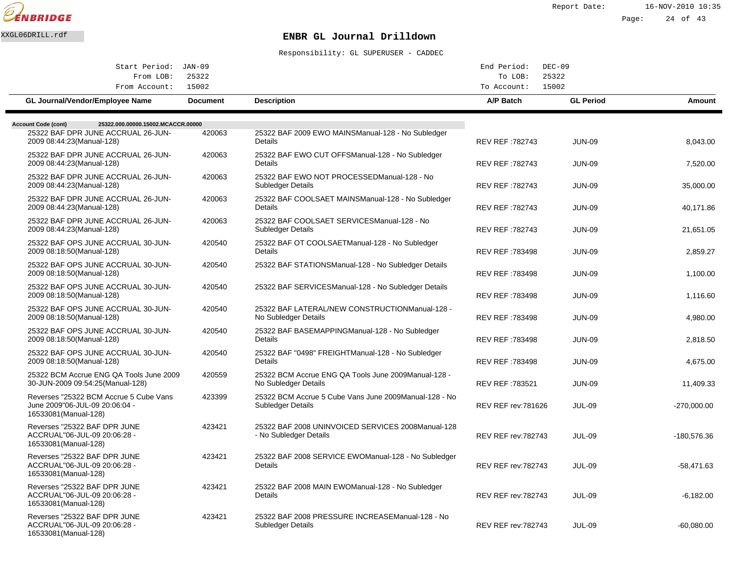

Report Date: 16-NOV-2010 10:35 Page: 24 of 43

## XXGL06DRILL.rdf **ENBR GL Journal Drilldown**

| Start Period: JAN-09                                                                                                                 |                 |                                                                              | End Period:                | $DEC-09$         |               |
|--------------------------------------------------------------------------------------------------------------------------------------|-----------------|------------------------------------------------------------------------------|----------------------------|------------------|---------------|
| From LOB:<br>From Account:                                                                                                           | 25322<br>15002  |                                                                              | To LOB:<br>To Account:     | 25322<br>15002   |               |
| <b>GL Journal/Vendor/Employee Name</b>                                                                                               | <b>Document</b> | <b>Description</b>                                                           | A/P Batch                  | <b>GL Period</b> | Amount        |
|                                                                                                                                      |                 |                                                                              |                            |                  |               |
| 25322.000.00000.15002.MCACCR.00000<br><b>Account Code (cont)</b><br>25322 BAF DPR JUNE ACCRUAL 26-JUN-<br>2009 08:44:23 (Manual-128) | 420063          | 25322 BAF 2009 EWO MAINS Manual-128 - No Subledger<br>Details                | REV REF: 782743            | <b>JUN-09</b>    | 8,043.00      |
| 25322 BAF DPR JUNE ACCRUAL 26-JUN-<br>2009 08:44:23 (Manual-128)                                                                     | 420063          | 25322 BAF EWO CUT OFFS Manual-128 - No Subledger<br><b>Details</b>           | <b>REV REF: 782743</b>     | <b>JUN-09</b>    | 7.520.00      |
| 25322 BAF DPR JUNE ACCRUAL 26-JUN-<br>2009 08:44:23 (Manual-128)                                                                     | 420063          | 25322 BAF EWO NOT PROCESSED Manual-128 - No<br>Subledger Details             | REV REF: 782743            | <b>JUN-09</b>    | 35,000.00     |
| 25322 BAF DPR JUNE ACCRUAL 26-JUN-<br>2009 08:44:23(Manual-128)                                                                      | 420063          | 25322 BAF COOLSAET MAINS Manual-128 - No Subledger<br>Details                | REV REF: 782743            | <b>JUN-09</b>    | 40,171.86     |
| 25322 BAF DPR JUNE ACCRUAL 26-JUN-<br>2009 08:44:23 (Manual-128)                                                                     | 420063          | 25322 BAF COOLSAET SERVICES Manual-128 - No<br>Subledger Details             | <b>REV REF: 782743</b>     | <b>JUN-09</b>    | 21.651.05     |
| 25322 BAF OPS JUNE ACCRUAL 30-JUN-<br>2009 08:18:50 (Manual-128)                                                                     | 420540          | 25322 BAF OT COOLSAET Manual-128 - No Subledger<br><b>Details</b>            | <b>REV REF: 783498</b>     | <b>JUN-09</b>    | 2,859.27      |
| 25322 BAF OPS JUNE ACCRUAL 30-JUN-<br>2009 08:18:50 (Manual-128)                                                                     | 420540          | 25322 BAF STATIONS Manual-128 - No Subledger Details                         | REV REF: 783498            | <b>JUN-09</b>    | 1,100.00      |
| 25322 BAF OPS JUNE ACCRUAL 30-JUN-<br>2009 08:18:50 (Manual-128)                                                                     | 420540          | 25322 BAF SERVICES Manual-128 - No Subledger Details                         | <b>REV REF: 783498</b>     | <b>JUN-09</b>    | 1.116.60      |
| 25322 BAF OPS JUNE ACCRUAL 30-JUN-<br>2009 08:18:50 (Manual-128)                                                                     | 420540          | 25322 BAF LATERAL/NEW CONSTRUCTION Manual-128 -<br>No Subledger Details      | REV REF: 783498            | <b>JUN-09</b>    | 4,980.00      |
| 25322 BAF OPS JUNE ACCRUAL 30-JUN-<br>2009 08:18:50 (Manual-128)                                                                     | 420540          | 25322 BAF BASEMAPPING Manual-128 - No Subledger<br>Details                   | REV REF: 783498            | <b>JUN-09</b>    | 2,818.50      |
| 25322 BAF OPS JUNE ACCRUAL 30-JUN-<br>2009 08:18:50(Manual-128)                                                                      | 420540          | 25322 BAF "0498" FREIGHT Manual-128 - No Subledger<br>Details                | <b>REV REF: 783498</b>     | <b>JUN-09</b>    | 4,675.00      |
| 25322 BCM Accrue ENG QA Tools June 2009<br>30-JUN-2009 09:54:25(Manual-128)                                                          | 420559          | 25322 BCM Accrue ENG QA Tools June 2009 Manual-128 -<br>No Subledger Details | <b>REV REF: 783521</b>     | <b>JUN-09</b>    | 11,409.33     |
| Reverses "25322 BCM Accrue 5 Cube Vans<br>June 2009"06-JUL-09 20:06:04 -<br>16533081(Manual-128)                                     | 423399          | 25322 BCM Accrue 5 Cube Vans June 2009 Manual-128 - No<br>Subledger Details  | <b>REV REF rev: 781626</b> | <b>JUL-09</b>    | $-270,000.00$ |
| Reverses "25322 BAF DPR JUNE<br>ACCRUAL"06-JUL-09 20:06:28 -<br>16533081 (Manual-128)                                                | 423421          | 25322 BAF 2008 UNINVOICED SERVICES 2008 Manual-128<br>- No Subledger Details | <b>REV REF rev: 782743</b> | <b>JUL-09</b>    | -180,576.36   |
| Reverses "25322 BAF DPR JUNE<br>ACCRUAL"06-JUL-09 20:06:28 -<br>16533081 (Manual-128)                                                | 423421          | 25322 BAF 2008 SERVICE EWO Manual-128 - No Subledger<br><b>Details</b>       | <b>REV REF rev: 782743</b> | <b>JUL-09</b>    | -58,471.63    |
| Reverses "25322 BAF DPR JUNE<br>ACCRUAL"06-JUL-09 20:06:28 -<br>16533081 (Manual-128)                                                | 423421          | 25322 BAF 2008 MAIN EWO Manual-128 - No Subledger<br>Details                 | <b>REV REF rev: 782743</b> | <b>JUL-09</b>    | $-6,182.00$   |
| Reverses "25322 BAF DPR JUNE<br>ACCRUAL"06-JUL-09 20:06:28 -<br>16533081 (Manual-128)                                                | 423421          | 25322 BAF 2008 PRESSURE INCREASE Manual-128 - No<br>Subledger Details        | <b>REV REF rev: 782743</b> | <b>JUL-09</b>    | $-60,080.00$  |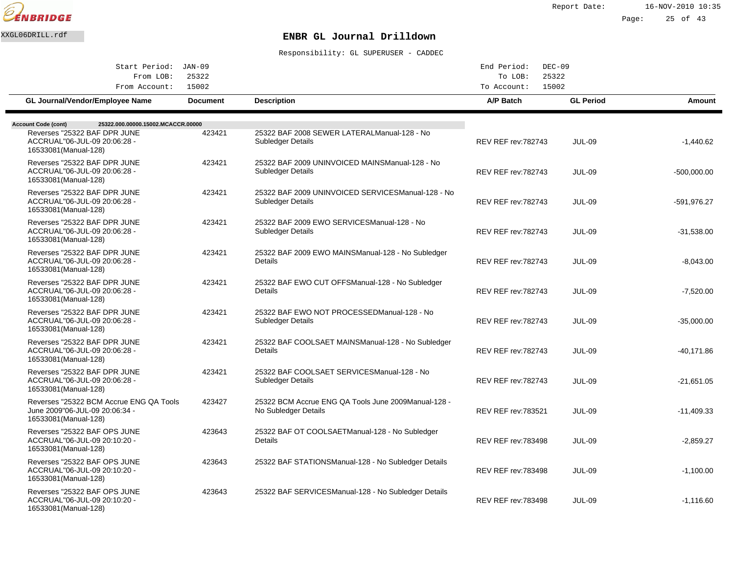

Page: 25 of 43

## XXGL06DRILL.rdf **ENBR GL Journal Drilldown**

| Start Period: JAN-09                                                                               |                 |                                                                              | End Period:<br>$DEC-09$    |                  |               |  |
|----------------------------------------------------------------------------------------------------|-----------------|------------------------------------------------------------------------------|----------------------------|------------------|---------------|--|
| From LOB:<br>25322                                                                                 |                 |                                                                              | To LOB:<br>25322           |                  |               |  |
| From Account:                                                                                      | 15002           |                                                                              | 15002<br>To Account:       |                  |               |  |
| GL Journal/Vendor/Employee Name                                                                    | <b>Document</b> | <b>Description</b>                                                           | A/P Batch                  | <b>GL Period</b> | <b>Amount</b> |  |
| 25322.000.00000.15002.MCACCR.00000                                                                 |                 |                                                                              |                            |                  |               |  |
| <b>Account Code (cont)</b><br>Reverses "25322 BAF DPR JUNE                                         | 423421          | 25322 BAF 2008 SEWER LATERAL Manual-128 - No                                 |                            |                  |               |  |
| ACCRUAL"06-JUL-09 20:06:28 -<br>16533081(Manual-128)                                               |                 | Subledger Details                                                            | <b>REV REF rev: 782743</b> | <b>JUL-09</b>    | $-1,440.62$   |  |
| Reverses "25322 BAF DPR JUNE<br>ACCRUAL"06-JUL-09 20:06:28 -<br>16533081 (Manual-128)              | 423421          | 25322 BAF 2009 UNINVOICED MAINS Manual-128 - No<br>Subledger Details         | <b>REV REF rev: 782743</b> | <b>JUL-09</b>    | $-500,000.00$ |  |
| Reverses "25322 BAF DPR JUNE<br>ACCRUAL"06-JUL-09 20:06:28 -<br>16533081 (Manual-128)              | 423421          | 25322 BAF 2009 UNINVOICED SERVICES Manual-128 - No<br>Subledger Details      | <b>REV REF rev: 782743</b> | <b>JUL-09</b>    | -591,976.27   |  |
| Reverses "25322 BAF DPR JUNE<br>ACCRUAL"06-JUL-09 20:06:28 -<br>16533081 (Manual-128)              | 423421          | 25322 BAF 2009 EWO SERVICES Manual-128 - No<br>Subledger Details             | <b>REV REF rev: 782743</b> | <b>JUL-09</b>    | $-31,538.00$  |  |
| Reverses "25322 BAF DPR JUNE<br>ACCRUAL"06-JUL-09 20:06:28 -<br>16533081 (Manual-128)              | 423421          | 25322 BAF 2009 EWO MAINS Manual-128 - No Subledger<br>Details                | <b>REV REF rev: 782743</b> | <b>JUL-09</b>    | $-8,043.00$   |  |
| Reverses "25322 BAF DPR JUNE<br>ACCRUAL"06-JUL-09 20:06:28 -<br>16533081(Manual-128)               | 423421          | 25322 BAF EWO CUT OFFS Manual-128 - No Subledger<br>Details                  | <b>REV REF rev: 782743</b> | <b>JUL-09</b>    | $-7,520.00$   |  |
| Reverses "25322 BAF DPR JUNE<br>ACCRUAL"06-JUL-09 20:06:28 -<br>16533081(Manual-128)               | 423421          | 25322 BAF EWO NOT PROCESSED Manual-128 - No<br>Subledger Details             | <b>REV REF rev: 782743</b> | <b>JUL-09</b>    | $-35,000.00$  |  |
| Reverses "25322 BAF DPR JUNE<br>ACCRUAL"06-JUL-09 20:06:28 -<br>16533081 (Manual-128)              | 423421          | 25322 BAF COOLSAET MAINS Manual-128 - No Subledger<br>Details                | REV REF rev: 782743        | <b>JUL-09</b>    | -40.171.86    |  |
| Reverses "25322 BAF DPR JUNE<br>ACCRUAL"06-JUL-09 20:06:28 -<br>16533081(Manual-128)               | 423421          | 25322 BAF COOLSAET SERVICES Manual-128 - No<br>Subledger Details             | <b>REV REF rev: 782743</b> | <b>JUL-09</b>    | $-21,651.05$  |  |
| Reverses "25322 BCM Accrue ENG QA Tools<br>June 2009"06-JUL-09 20:06:34 -<br>16533081 (Manual-128) | 423427          | 25322 BCM Accrue ENG QA Tools June 2009 Manual-128 -<br>No Subledger Details | <b>REV REF rev: 783521</b> | <b>JUL-09</b>    | -11,409.33    |  |
| Reverses "25322 BAF OPS JUNE<br>ACCRUAL"06-JUL-09 20:10:20 -<br>16533081(Manual-128)               | 423643          | 25322 BAF OT COOLSAET Manual-128 - No Subledger<br>Details                   | <b>REV REF rev: 783498</b> | <b>JUL-09</b>    | $-2,859.27$   |  |
| Reverses "25322 BAF OPS JUNE<br>ACCRUAL"06-JUL-09 20:10:20 -<br>16533081 (Manual-128)              | 423643          | 25322 BAF STATIONS Manual-128 - No Subledger Details                         | <b>REV REF rev: 783498</b> | <b>JUL-09</b>    | $-1,100.00$   |  |
| Reverses "25322 BAF OPS JUNE<br>ACCRUAL"06-JUL-09 20:10:20 -<br>16533081(Manual-128)               | 423643          | 25322 BAF SERVICES Manual-128 - No Subledger Details                         | <b>REV REF rev: 783498</b> | <b>JUL-09</b>    | $-1,116.60$   |  |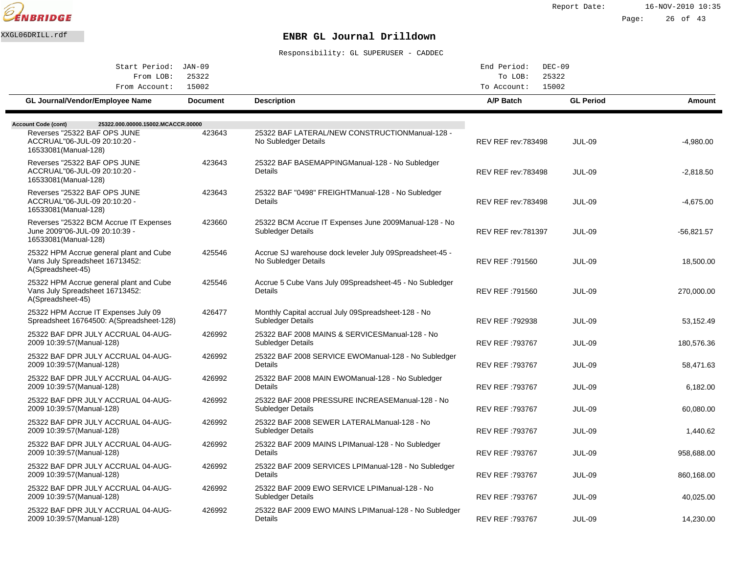

| Start Period: JAN-09                                                                                                                                      |                 |                                                                                   | End Period:<br>$DEC-09$<br>25322 |                  |               |  |
|-----------------------------------------------------------------------------------------------------------------------------------------------------------|-----------------|-----------------------------------------------------------------------------------|----------------------------------|------------------|---------------|--|
| From LOB:<br>From Account:                                                                                                                                | 25322<br>15002  |                                                                                   | To LOB:<br>15002<br>To Account:  |                  |               |  |
| <b>GL Journal/Vendor/Employee Name</b>                                                                                                                    | <b>Document</b> | <b>Description</b>                                                                | A/P Batch                        | <b>GL Period</b> | <b>Amount</b> |  |
|                                                                                                                                                           |                 |                                                                                   |                                  |                  |               |  |
| 25322.000.00000.15002.MCACCR.00000<br><b>Account Code (cont)</b><br>Reverses "25322 BAF OPS JUNE<br>ACCRUAL"06-JUL-09 20:10:20 -<br>16533081 (Manual-128) | 423643          | 25322 BAF LATERAL/NEW CONSTRUCTION Manual-128 -<br>No Subledger Details           | <b>REV REF rev:783498</b>        | <b>JUL-09</b>    | $-4,980.00$   |  |
| Reverses "25322 BAF OPS JUNE<br>ACCRUAL"06-JUL-09 20:10:20 -<br>16533081(Manual-128)                                                                      | 423643          | 25322 BAF BASEMAPPING Manual-128 - No Subledger<br>Details                        | <b>REV REF rev:783498</b>        | <b>JUL-09</b>    | $-2,818.50$   |  |
| Reverses "25322 BAF OPS JUNE<br>ACCRUAL"06-JUL-09 20:10:20 -<br>16533081 (Manual-128)                                                                     | 423643          | 25322 BAF "0498" FREIGHT Manual-128 - No Subledger<br>Details                     | <b>REV REF rev: 783498</b>       | <b>JUL-09</b>    | $-4,675.00$   |  |
| Reverses "25322 BCM Accrue IT Expenses<br>June 2009"06-JUL-09 20:10:39 -<br>16533081(Manual-128)                                                          | 423660          | 25322 BCM Accrue IT Expenses June 2009 Manual-128 - No<br>Subledger Details       | <b>REV REF rev: 781397</b>       | <b>JUL-09</b>    | $-56,821.57$  |  |
| 25322 HPM Accrue general plant and Cube<br>Vans July Spreadsheet 16713452:<br>A(Spreadsheet-45)                                                           | 425546          | Accrue SJ warehouse dock leveler July 09 Spreadsheet-45 -<br>No Subledger Details | REV REF: 791560                  | JUL-09           | 18,500.00     |  |
| 25322 HPM Accrue general plant and Cube<br>Vans July Spreadsheet 16713452:<br>A(Spreadsheet-45)                                                           | 425546          | Accrue 5 Cube Vans July 09 Spreadsheet-45 - No Subledger<br>Details               | REV REF: 791560                  | <b>JUL-09</b>    | 270,000.00    |  |
| 25322 HPM Accrue IT Expenses July 09<br>Spreadsheet 16764500: A(Spreadsheet-128)                                                                          | 426477          | Monthly Capital accrual July 09 Spreadsheet-128 - No<br>Subledger Details         | REV REF :792938                  | <b>JUL-09</b>    | 53,152.49     |  |
| 25322 BAF DPR JULY ACCRUAL 04-AUG-<br>2009 10:39:57 (Manual-128)                                                                                          | 426992          | 25322 BAF 2008 MAINS & SERVICES Manual-128 - No<br>Subledger Details              | REV REF :793767                  | <b>JUL-09</b>    | 180,576.36    |  |
| 25322 BAF DPR JULY ACCRUAL 04-AUG-<br>2009 10:39:57 (Manual-128)                                                                                          | 426992          | 25322 BAF 2008 SERVICE EWO Manual-128 - No Subledger<br>Details                   | REV REF :793767                  | <b>JUL-09</b>    | 58,471.63     |  |
| 25322 BAF DPR JULY ACCRUAL 04-AUG-<br>2009 10:39:57 (Manual-128)                                                                                          | 426992          | 25322 BAF 2008 MAIN EWO Manual-128 - No Subledger<br>Details                      | REV REF :793767                  | <b>JUL-09</b>    | 6,182.00      |  |
| 25322 BAF DPR JULY ACCRUAL 04-AUG-<br>2009 10:39:57 (Manual-128)                                                                                          | 426992          | 25322 BAF 2008 PRESSURE INCREASE Manual-128 - No<br>Subledger Details             | REV REF: 793767                  | <b>JUL-09</b>    | 60,080.00     |  |
| 25322 BAF DPR JULY ACCRUAL 04-AUG-<br>2009 10:39:57 (Manual-128)                                                                                          | 426992          | 25322 BAF 2008 SEWER LATERAL Manual-128 - No<br>Subledger Details                 | REV REF :793767                  | <b>JUL-09</b>    | 1,440.62      |  |
| 25322 BAF DPR JULY ACCRUAL 04-AUG-<br>2009 10:39:57 (Manual-128)                                                                                          | 426992          | 25322 BAF 2009 MAINS LPI Manual-128 - No Subledger<br>Details                     | REV REF :793767                  | <b>JUL-09</b>    | 958,688.00    |  |
| 25322 BAF DPR JULY ACCRUAL 04-AUG-<br>2009 10:39:57 (Manual-128)                                                                                          | 426992          | 25322 BAF 2009 SERVICES LPI Manual-128 - No Subledger<br>Details                  | REV REF: 793767                  | <b>JUL-09</b>    | 860,168.00    |  |
| 25322 BAF DPR JULY ACCRUAL 04-AUG-<br>2009 10:39:57 (Manual-128)                                                                                          | 426992          | 25322 BAF 2009 EWO SERVICE LPI Manual-128 - No<br>Subledger Details               | REV REF: 793767                  | <b>JUL-09</b>    | 40,025.00     |  |
| 25322 BAF DPR JULY ACCRUAL 04-AUG-<br>2009 10:39:57 (Manual-128)                                                                                          | 426992          | 25322 BAF 2009 EWO MAINS LPI Manual-128 - No Subledger<br>Details                 | <b>REV REF: 793767</b>           | <b>JUL-09</b>    | 14,230.00     |  |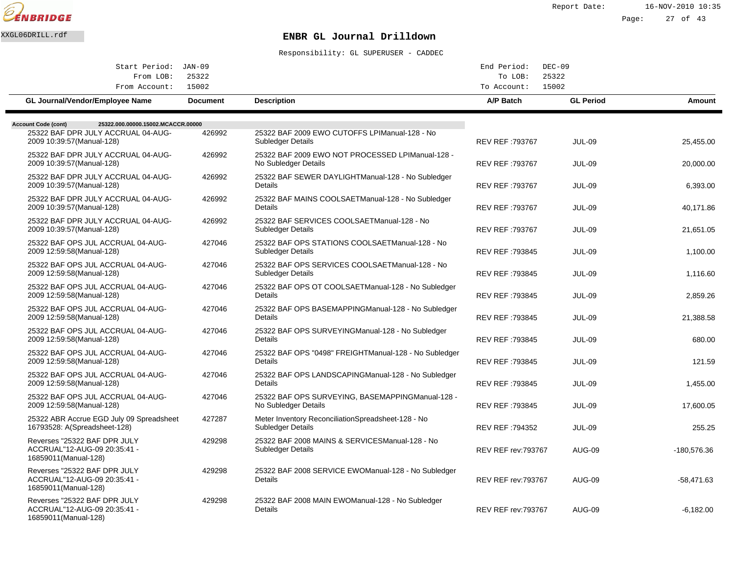

Report Date: 16-NOV-2010 10:35 Page: 27 of 43

#### XXGL06DRILL.rdf **ENBR GL Journal Drilldown**

| Start Period: JAN-09                                                                 |                 |                                                                           | End Period:                | $DEC-09$         |             |
|--------------------------------------------------------------------------------------|-----------------|---------------------------------------------------------------------------|----------------------------|------------------|-------------|
| From LOB:<br>From Account:                                                           | 25322<br>15002  |                                                                           | To LOB:<br>To Account:     | 25322<br>15002   |             |
| GL Journal/Vendor/Employee Name                                                      | <b>Document</b> | <b>Description</b>                                                        | A/P Batch                  | <b>GL Period</b> | Amount      |
| <b>Account Code (cont)</b><br>25322.000.00000.15002.MCACCR.00000                     |                 |                                                                           |                            |                  |             |
| 25322 BAF DPR JULY ACCRUAL 04-AUG-<br>2009 10:39:57 (Manual-128)                     | 426992          | 25322 BAF 2009 EWO CUTOFFS LPI Manual-128 - No<br>Subledger Details       | <b>REV REF: 793767</b>     | <b>JUL-09</b>    | 25,455.00   |
| 25322 BAF DPR JULY ACCRUAL 04-AUG-<br>2009 10:39:57 (Manual-128)                     | 426992          | 25322 BAF 2009 EWO NOT PROCESSED LPI Manual-128 -<br>No Subledger Details | REV REF: 793767            | <b>JUL-09</b>    | 20,000.00   |
| 25322 BAF DPR JULY ACCRUAL 04-AUG-<br>2009 10:39:57 (Manual-128)                     | 426992          | 25322 BAF SEWER DAYLIGHT Manual-128 - No Subledger<br>Details             | REV REF: 793767            | <b>JUL-09</b>    | 6,393.00    |
| 25322 BAF DPR JULY ACCRUAL 04-AUG-<br>2009 10:39:57 (Manual-128)                     | 426992          | 25322 BAF MAINS COOLSAET Manual-128 - No Subledger<br>Details             | <b>REV REF: 793767</b>     | <b>JUL-09</b>    | 40,171.86   |
| 25322 BAF DPR JULY ACCRUAL 04-AUG-<br>2009 10:39:57 (Manual-128)                     | 426992          | 25322 BAF SERVICES COOLSAET Manual-128 - No<br>Subledger Details          | REV REF: 793767            | <b>JUL-09</b>    | 21,651.05   |
| 25322 BAF OPS JUL ACCRUAL 04-AUG-<br>2009 12:59:58 (Manual-128)                      | 427046          | 25322 BAF OPS STATIONS COOLSAET Manual-128 - No<br>Subledger Details      | REV REF: 793845            | <b>JUL-09</b>    | 1,100.00    |
| 25322 BAF OPS JUL ACCRUAL 04-AUG-<br>2009 12:59:58 (Manual-128)                      | 427046          | 25322 BAF OPS SERVICES COOLSAET Manual-128 - No<br>Subledger Details      | <b>REV REF: 793845</b>     | <b>JUL-09</b>    | 1,116.60    |
| 25322 BAF OPS JUL ACCRUAL 04-AUG-<br>2009 12:59:58 (Manual-128)                      | 427046          | 25322 BAF OPS OT COOLSAET Manual-128 - No Subledger<br>Details            | <b>REV REF: 793845</b>     | <b>JUL-09</b>    | 2,859.26    |
| 25322 BAF OPS JUL ACCRUAL 04-AUG-<br>2009 12:59:58 (Manual-128)                      | 427046          | 25322 BAF OPS BASEMAPPING Manual-128 - No Subledger<br>Details            | REV REF: 793845            | <b>JUL-09</b>    | 21,388.58   |
| 25322 BAF OPS JUL ACCRUAL 04-AUG-<br>2009 12:59:58 (Manual-128)                      | 427046          | 25322 BAF OPS SURVEYING Manual-128 - No Subledger<br>Details              | REV REF: 793845            | <b>JUL-09</b>    | 680.00      |
| 25322 BAF OPS JUL ACCRUAL 04-AUG-<br>2009 12:59:58 (Manual-128)                      | 427046          | 25322 BAF OPS "0498" FREIGHT Manual-128 - No Subledger<br>Details         | REV REF: 793845            | <b>JUL-09</b>    | 121.59      |
| 25322 BAF OPS JUL ACCRUAL 04-AUG-<br>2009 12:59:58 (Manual-128)                      | 427046          | 25322 BAF OPS LANDSCAPING Manual-128 - No Subledger<br><b>Details</b>     | REV REF: 793845            | <b>JUL-09</b>    | 1.455.00    |
| 25322 BAF OPS JUL ACCRUAL 04-AUG-<br>2009 12:59:58 (Manual-128)                      | 427046          | 25322 BAF OPS SURVEYING, BASEMAPPING Manual-128 -<br>No Subledger Details | <b>REV REF: 793845</b>     | <b>JUL-09</b>    | 17,600.05   |
| 25322 ABR Accrue EGD July 09 Spreadsheet<br>16793528: A(Spreadsheet-128)             | 427287          | Meter Inventory Reconciliation Spreadsheet-128 - No<br>Subledger Details  | REV REF: 794352            | <b>JUL-09</b>    | 255.25      |
| Reverses "25322 BAF DPR JULY<br>ACCRUAL"12-AUG-09 20:35:41 -<br>16859011(Manual-128) | 429298          | 25322 BAF 2008 MAINS & SERVICES Manual-128 - No<br>Subledger Details      | <b>REV REF rev: 793767</b> | <b>AUG-09</b>    | -180,576.36 |
| Reverses "25322 BAF DPR JULY<br>ACCRUAL"12-AUG-09 20:35:41 -<br>16859011(Manual-128) | 429298          | 25322 BAF 2008 SERVICE EWO Manual-128 - No Subledger<br><b>Details</b>    | <b>REV REF rev: 793767</b> | <b>AUG-09</b>    | -58,471.63  |
| Reverses "25322 BAF DPR JULY<br>ACCRUAL"12-AUG-09 20:35:41 -<br>16859011(Manual-128) | 429298          | 25322 BAF 2008 MAIN EWO Manual-128 - No Subledger<br>Details              | <b>REV REF rev: 793767</b> | <b>AUG-09</b>    | $-6,182.00$ |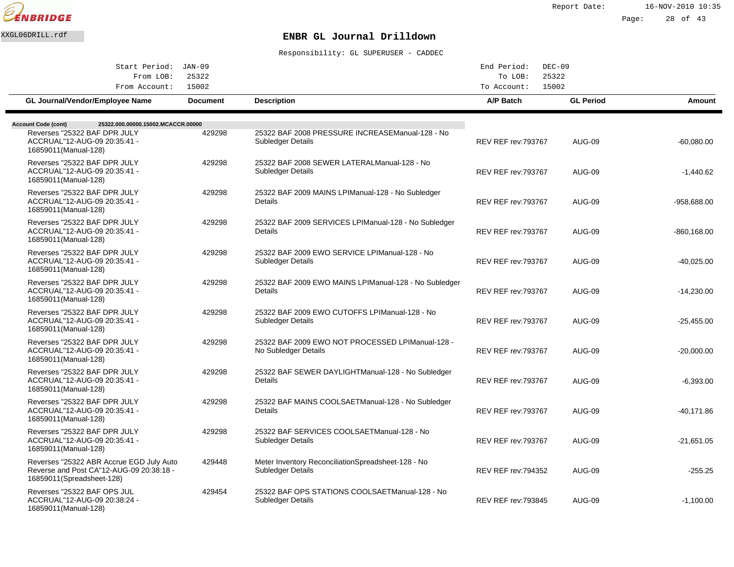

Report Date: 16-NOV-2010 10:35

Page: 28 of 43

## XXGL06DRILL.rdf **ENBR GL Journal Drilldown**

| Start Period: JAN-09                                                                                              |                          |                                                                           | End Period:<br>$DEC-09$    |                           |                |
|-------------------------------------------------------------------------------------------------------------------|--------------------------|---------------------------------------------------------------------------|----------------------------|---------------------------|----------------|
| 25322<br>From LOB:                                                                                                |                          |                                                                           | To LOB:                    | 25322                     |                |
| From Account:<br>GL Journal/Vendor/Employee Name                                                                  | 15002<br><b>Document</b> | <b>Description</b>                                                        | To Account:<br>A/P Batch   | 15002<br><b>GL Period</b> | Amount         |
|                                                                                                                   |                          |                                                                           |                            |                           |                |
| <b>Account Code (cont)</b><br>25322.000.00000.15002.MCACCR.00000<br>Reverses "25322 BAF DPR JULY                  | 429298                   | 25322 BAF 2008 PRESSURE INCREASE Manual-128 - No                          |                            |                           |                |
| ACCRUAL"12-AUG-09 20:35:41 -<br>16859011(Manual-128)                                                              |                          | Subledger Details                                                         | <b>REV REF rev: 793767</b> | <b>AUG-09</b>             | $-60,080.00$   |
| Reverses "25322 BAF DPR JULY<br>ACCRUAL"12-AUG-09 20:35:41 -<br>16859011(Manual-128)                              | 429298                   | 25322 BAF 2008 SEWER LATERAL Manual-128 - No<br>Subledger Details         | <b>REV REF rev: 793767</b> | <b>AUG-09</b>             | $-1,440.62$    |
| Reverses "25322 BAF DPR JULY<br>ACCRUAL"12-AUG-09 20:35:41 -<br>16859011(Manual-128)                              | 429298                   | 25322 BAF 2009 MAINS LPI Manual-128 - No Subledger<br>Details             | <b>REV REF rev: 793767</b> | AUG-09                    | $-958.688.00$  |
| Reverses "25322 BAF DPR JULY<br>ACCRUAL"12-AUG-09 20:35:41 -<br>16859011(Manual-128)                              | 429298                   | 25322 BAF 2009 SERVICES LPI Manual-128 - No Subledger<br>Details          | <b>REV REF rev: 793767</b> | <b>AUG-09</b>             | $-860, 168.00$ |
| Reverses "25322 BAF DPR JULY<br>ACCRUAL"12-AUG-09 20:35:41 -<br>16859011(Manual-128)                              | 429298                   | 25322 BAF 2009 EWO SERVICE LPI Manual-128 - No<br>Subledger Details       | <b>REV REF rev: 793767</b> | <b>AUG-09</b>             | $-40,025.00$   |
| Reverses "25322 BAF DPR JULY<br>ACCRUAL"12-AUG-09 20:35:41 -<br>16859011(Manual-128)                              | 429298                   | 25322 BAF 2009 EWO MAINS LPI Manual-128 - No Subledger<br>Details         | <b>REV REF rev: 793767</b> | <b>AUG-09</b>             | $-14,230.00$   |
| Reverses "25322 BAF DPR JULY<br>ACCRUAL"12-AUG-09 20:35:41 -<br>16859011(Manual-128)                              | 429298                   | 25322 BAF 2009 EWO CUTOFFS LPI Manual-128 - No<br>Subledger Details       | <b>REV REF rev: 793767</b> | <b>AUG-09</b>             | -25,455.00     |
| Reverses "25322 BAF DPR JULY<br>ACCRUAL"12-AUG-09 20:35:41 -<br>16859011(Manual-128)                              | 429298                   | 25322 BAF 2009 EWO NOT PROCESSED LPI Manual-128 -<br>No Subledger Details | <b>REV REF rev: 793767</b> | AUG-09                    | $-20,000.00$   |
| Reverses "25322 BAF DPR JULY<br>ACCRUAL"12-AUG-09 20:35:41 -<br>16859011 (Manual-128)                             | 429298                   | 25322 BAF SEWER DAYLIGHT Manual-128 - No Subledger<br>Details             | <b>REV REF rev: 793767</b> | <b>AUG-09</b>             | $-6,393.00$    |
| Reverses "25322 BAF DPR JULY<br>ACCRUAL"12-AUG-09 20:35:41 -<br>16859011(Manual-128)                              | 429298                   | 25322 BAF MAINS COOLSAET Manual-128 - No Subledger<br>Details             | <b>REV REF rev: 793767</b> | <b>AUG-09</b>             | -40.171.86     |
| Reverses "25322 BAF DPR JULY<br>ACCRUAL"12-AUG-09 20:35:41 -<br>16859011(Manual-128)                              | 429298                   | 25322 BAF SERVICES COOLSAET Manual-128 - No<br>Subledger Details          | <b>REV REF rev: 793767</b> | <b>AUG-09</b>             | $-21,651.05$   |
| Reverses "25322 ABR Accrue EGD July Auto<br>Reverse and Post CA"12-AUG-09 20:38:18 -<br>16859011(Spreadsheet-128) | 429448                   | Meter Inventory Reconciliation Spreadsheet-128 - No<br>Subledger Details  | <b>REV REF rev: 794352</b> | <b>AUG-09</b>             | $-255.25$      |
| Reverses "25322 BAF OPS JUL<br>ACCRUAL"12-AUG-09 20:38:24 -<br>16859011(Manual-128)                               | 429454                   | 25322 BAF OPS STATIONS COOLSAET Manual-128 - No<br>Subledger Details      | <b>REV REF rev: 793845</b> | AUG-09                    | $-1,100.00$    |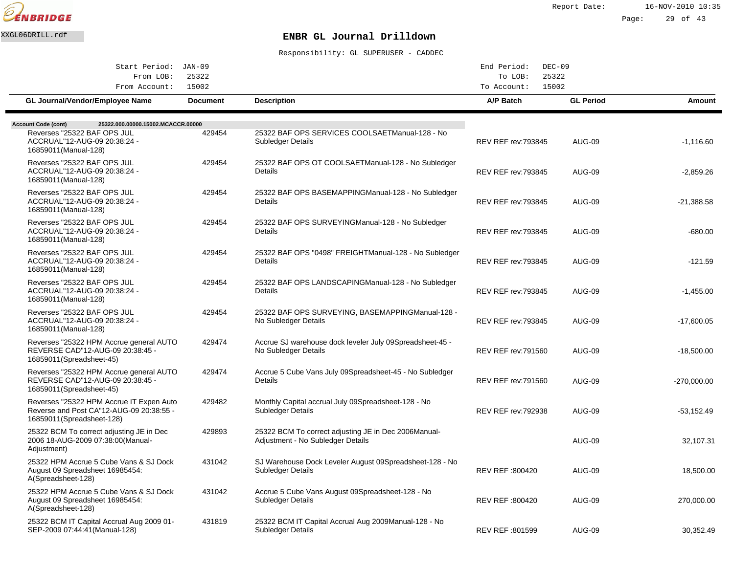

| Start Period: JAN-09<br>25322                                                                                     |                 |                                                                                            | End Period:<br>$DEC-09$    |                  |               |  |
|-------------------------------------------------------------------------------------------------------------------|-----------------|--------------------------------------------------------------------------------------------|----------------------------|------------------|---------------|--|
| From LOB:                                                                                                         |                 | 25322<br>To LOB:<br>15002                                                                  |                            |                  |               |  |
| From Account:                                                                                                     | 15002           |                                                                                            | To Account:                |                  |               |  |
| <b>GL Journal/Vendor/Employee Name</b>                                                                            | <b>Document</b> | <b>Description</b>                                                                         | A/P Batch                  | <b>GL Period</b> | Amount        |  |
|                                                                                                                   |                 |                                                                                            |                            |                  |               |  |
| 25322.000.00000.15002.MCACCR.00000<br><b>Account Code (cont)</b><br>Reverses "25322 BAF OPS JUL                   | 429454          | 25322 BAF OPS SERVICES COOLSAET Manual-128 - No                                            |                            |                  |               |  |
| ACCRUAL"12-AUG-09 20:38:24 -<br>16859011(Manual-128)                                                              |                 | <b>Subledger Details</b>                                                                   | <b>REV REF rev:793845</b>  | <b>AUG-09</b>    | $-1,116.60$   |  |
| Reverses "25322 BAF OPS JUL<br>ACCRUAL"12-AUG-09 20:38:24 -<br>16859011(Manual-128)                               | 429454          | 25322 BAF OPS OT COOLSAET Manual-128 - No Subledger<br>Details                             | <b>REV REF rev: 793845</b> | <b>AUG-09</b>    | $-2,859.26$   |  |
| Reverses "25322 BAF OPS JUL<br>ACCRUAL"12-AUG-09 20:38:24 -<br>16859011(Manual-128)                               | 429454          | 25322 BAF OPS BASEMAPPING Manual-128 - No Subledger<br>Details                             | <b>REV REF rev: 793845</b> | <b>AUG-09</b>    | $-21.388.58$  |  |
| Reverses "25322 BAF OPS JUL<br>ACCRUAL"12-AUG-09 20:38:24 -<br>16859011(Manual-128)                               | 429454          | 25322 BAF OPS SURVEYING Manual-128 - No Subledger<br>Details                               | <b>REV REF rev: 793845</b> | <b>AUG-09</b>    | $-680.00$     |  |
| Reverses "25322 BAF OPS JUL<br>ACCRUAL"12-AUG-09 20:38:24 -<br>16859011(Manual-128)                               | 429454          | 25322 BAF OPS "0498" FREIGHT Manual-128 - No Subledger<br>Details                          | <b>REV REF rev: 793845</b> | <b>AUG-09</b>    | $-121.59$     |  |
| Reverses "25322 BAF OPS JUL<br>ACCRUAL"12-AUG-09 20:38:24 -<br>16859011(Manual-128)                               | 429454          | 25322 BAF OPS LANDSCAPING Manual-128 - No Subledger<br>Details                             | <b>REV REF rev: 793845</b> | <b>AUG-09</b>    | $-1,455.00$   |  |
| Reverses "25322 BAF OPS JUL<br>ACCRUAL"12-AUG-09 20:38:24 -<br>16859011(Manual-128)                               | 429454          | 25322 BAF OPS SURVEYING, BASEMAPPING Manual-128 -<br>No Subledger Details                  | <b>REV REF rev: 793845</b> | <b>AUG-09</b>    | $-17,600.05$  |  |
| Reverses "25322 HPM Accrue general AUTO<br>REVERSE CAD"12-AUG-09 20:38:45 -<br>16859011(Spreadsheet-45)           | 429474          | Accrue SJ warehouse dock leveler July 09 Spreadsheet-45 -<br>No Subledger Details          | <b>REV REF rev: 791560</b> | <b>AUG-09</b>    | $-18.500.00$  |  |
| Reverses "25322 HPM Accrue general AUTO<br>REVERSE CAD"12-AUG-09 20:38:45 -<br>16859011(Spreadsheet-45)           | 429474          | Accrue 5 Cube Vans July 09 Spreadsheet-45 - No Subledger<br>Details                        | <b>REV REF rev: 791560</b> | <b>AUG-09</b>    | $-270,000.00$ |  |
| Reverses "25322 HPM Accrue IT Expen Auto<br>Reverse and Post CA"12-AUG-09 20:38:55 -<br>16859011(Spreadsheet-128) | 429482          | Monthly Capital accrual July 09 Spreadsheet-128 - No<br>Subledger Details                  | <b>REV REF rev:792938</b>  | <b>AUG-09</b>    | $-53,152.49$  |  |
| 25322 BCM To correct adjusting JE in Dec<br>2006 18-AUG-2009 07:38:00(Manual-<br>Adjustment)                      | 429893          | 25322 BCM To correct adjusting JE in Dec 2006 Manual-<br>Adjustment - No Subledger Details |                            | <b>AUG-09</b>    | 32,107.31     |  |
| 25322 HPM Accrue 5 Cube Vans & SJ Dock<br>August 09 Spreadsheet 16985454:<br>A(Spreadsheet-128)                   | 431042          | SJ Warehouse Dock Leveler August 09 Spreadsheet-128 - No<br><b>Subledger Details</b>       | REV REF: 800420            | <b>AUG-09</b>    | 18,500.00     |  |
| 25322 HPM Accrue 5 Cube Vans & SJ Dock<br>August 09 Spreadsheet 16985454:<br>A(Spreadsheet-128)                   | 431042          | Accrue 5 Cube Vans August 09 Spreadsheet-128 - No<br>Subledger Details                     | REV REF :800420            | AUG-09           | 270,000.00    |  |
| 25322 BCM IT Capital Accrual Aug 2009 01-<br>SEP-2009 07:44:41 (Manual-128)                                       | 431819          | 25322 BCM IT Capital Accrual Aug 2009 Manual-128 - No<br><b>Subledger Details</b>          | REV REF: 801599            | <b>AUG-09</b>    | 30,352.49     |  |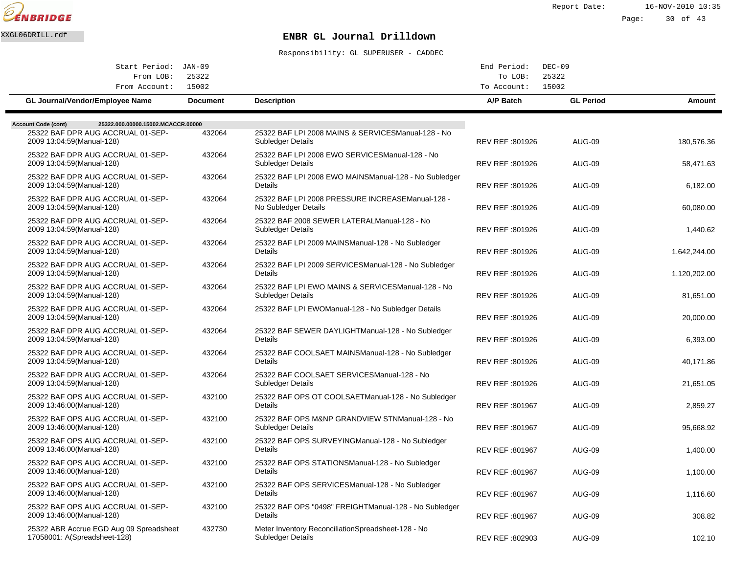

Report Date: 16-NOV-2010 10:35

Page: 30 of 43

# XXGL06DRILL.rdf **ENBR GL Journal Drilldown**

| Start Period: JAN-09                                                                                  |                 |                                                                                | End Period:      | $DEC-09$         |              |
|-------------------------------------------------------------------------------------------------------|-----------------|--------------------------------------------------------------------------------|------------------|------------------|--------------|
| From LOB:                                                                                             | 25322           |                                                                                | To LOB:          | 25322            |              |
| From Account:                                                                                         | 15002           |                                                                                | To Account:      | 15002            |              |
| GL Journal/Vendor/Employee Name                                                                       | <b>Document</b> | <b>Description</b>                                                             | A/P Batch        | <b>GL Period</b> | Amount       |
|                                                                                                       |                 |                                                                                |                  |                  |              |
| 25322.000.00000.15002.MCACCR.00000<br><b>Account Code (cont)</b><br>25322 BAF DPR AUG ACCRUAL 01-SEP- | 432064          | 25322 BAF LPI 2008 MAINS & SERVICES Manual-128 - No                            |                  |                  |              |
| 2009 13:04:59(Manual-128)                                                                             |                 | <b>Subledger Details</b>                                                       | REV REF : 801926 | <b>AUG-09</b>    | 180,576.36   |
| 25322 BAF DPR AUG ACCRUAL 01-SEP-                                                                     | 432064          | 25322 BAF LPI 2008 EWO SERVICES Manual-128 - No                                |                  |                  |              |
| 2009 13:04:59(Manual-128)                                                                             |                 | Subledger Details                                                              | REV REF: 801926  | <b>AUG-09</b>    | 58,471.63    |
| 25322 BAF DPR AUG ACCRUAL 01-SEP-<br>2009 13:04:59(Manual-128)                                        | 432064          | 25322 BAF LPI 2008 EWO MAINS Manual-128 - No Subledger<br>Details              | REV REF: 801926  | <b>AUG-09</b>    | 6,182.00     |
| 25322 BAF DPR AUG ACCRUAL 01-SEP-<br>2009 13:04:59(Manual-128)                                        | 432064          | 25322 BAF LPI 2008 PRESSURE INCREASE Manual-128 -<br>No Subledger Details      | REV REF :801926  | <b>AUG-09</b>    | 60,080.00    |
| 25322 BAF DPR AUG ACCRUAL 01-SEP-                                                                     | 432064          | 25322 BAF 2008 SEWER LATERAL Manual-128 - No                                   |                  |                  |              |
| 2009 13:04:59(Manual-128)                                                                             |                 | <b>Subledger Details</b>                                                       | REV REF : 801926 | <b>AUG-09</b>    | 1,440.62     |
| 25322 BAF DPR AUG ACCRUAL 01-SEP-                                                                     | 432064          | 25322 BAF LPI 2009 MAINS Manual-128 - No Subledger                             |                  |                  |              |
| 2009 13:04:59 (Manual-128)                                                                            |                 | Details                                                                        | REV REF: 801926  | <b>AUG-09</b>    | 1,642,244.00 |
| 25322 BAF DPR AUG ACCRUAL 01-SEP-<br>2009 13:04:59(Manual-128)                                        | 432064          | 25322 BAF LPI 2009 SERVICES Manual-128 - No Subledger<br>Details               | REV REF: 801926  | <b>AUG-09</b>    | 1,120,202.00 |
| 25322 BAF DPR AUG ACCRUAL 01-SEP-<br>2009 13:04:59 (Manual-128)                                       | 432064          | 25322 BAF LPI EWO MAINS & SERVICES Manual-128 - No<br><b>Subledger Details</b> | REV REF :801926  | <b>AUG-09</b>    | 81,651.00    |
| 25322 BAF DPR AUG ACCRUAL 01-SEP-                                                                     | 432064          | 25322 BAF LPI EWO Manual-128 - No Subledger Details                            |                  |                  |              |
| 2009 13:04:59 (Manual-128)                                                                            |                 |                                                                                | REV REF: 801926  | <b>AUG-09</b>    | 20,000.00    |
| 25322 BAF DPR AUG ACCRUAL 01-SEP-<br>2009 13:04:59 (Manual-128)                                       | 432064          | 25322 BAF SEWER DAYLIGHT Manual-128 - No Subledger<br>Details                  | REV REF :801926  | <b>AUG-09</b>    | 6,393.00     |
| 25322 BAF DPR AUG ACCRUAL 01-SEP-                                                                     | 432064          | 25322 BAF COOLSAET MAINS Manual-128 - No Subledger                             |                  |                  |              |
| 2009 13:04:59 (Manual-128)                                                                            |                 | Details                                                                        | REV REF: 801926  | <b>AUG-09</b>    | 40.171.86    |
| 25322 BAF DPR AUG ACCRUAL 01-SEP-                                                                     | 432064          | 25322 BAF COOLSAET SERVICES Manual-128 - No                                    |                  |                  |              |
| 2009 13:04:59 (Manual-128)                                                                            |                 | Subledger Details                                                              | REV REF: 801926  | <b>AUG-09</b>    | 21,651.05    |
| 25322 BAF OPS AUG ACCRUAL 01-SEP-<br>2009 13:46:00(Manual-128)                                        | 432100          | 25322 BAF OPS OT COOLSAET Manual-128 - No Subledger<br>Details                 | REV REF: 801967  | <b>AUG-09</b>    | 2,859.27     |
| 25322 BAF OPS AUG ACCRUAL 01-SEP-                                                                     | 432100          | 25322 BAF OPS M&NP GRANDVIEW STN Manual-128 - No                               |                  |                  |              |
| 2009 13:46:00(Manual-128)                                                                             |                 | <b>Subledger Details</b>                                                       | REV REF :801967  | <b>AUG-09</b>    | 95,668.92    |
| 25322 BAF OPS AUG ACCRUAL 01-SEP-                                                                     | 432100          | 25322 BAF OPS SURVEYING Manual-128 - No Subledger                              |                  |                  |              |
| 2009 13:46:00(Manual-128)                                                                             |                 | Details                                                                        | REV REF :801967  | <b>AUG-09</b>    | 1,400.00     |
| 25322 BAF OPS AUG ACCRUAL 01-SEP-<br>2009 13:46:00(Manual-128)                                        | 432100          | 25322 BAF OPS STATIONS Manual-128 - No Subledger<br>Details                    | REV REF: 801967  | <b>AUG-09</b>    | 1,100.00     |
| 25322 BAF OPS AUG ACCRUAL 01-SEP-<br>2009 13:46:00(Manual-128)                                        | 432100          | 25322 BAF OPS SERVICES Manual-128 - No Subledger<br>Details                    | REV REF: 801967  | <b>AUG-09</b>    | 1,116.60     |
| 25322 BAF OPS AUG ACCRUAL 01-SEP-<br>2009 13:46:00(Manual-128)                                        | 432100          | 25322 BAF OPS "0498" FREIGHT Manual-128 - No Subledger<br>Details              | REV REF :801967  | <b>AUG-09</b>    | 308.82       |
| 25322 ABR Accrue EGD Aug 09 Spreadsheet                                                               | 432730          | Meter Inventory Reconciliation Spreadsheet-128 - No                            |                  |                  |              |
| 17058001: A(Spreadsheet-128)                                                                          |                 | Subledger Details                                                              | REV REF: 802903  | <b>AUG-09</b>    | 102.10       |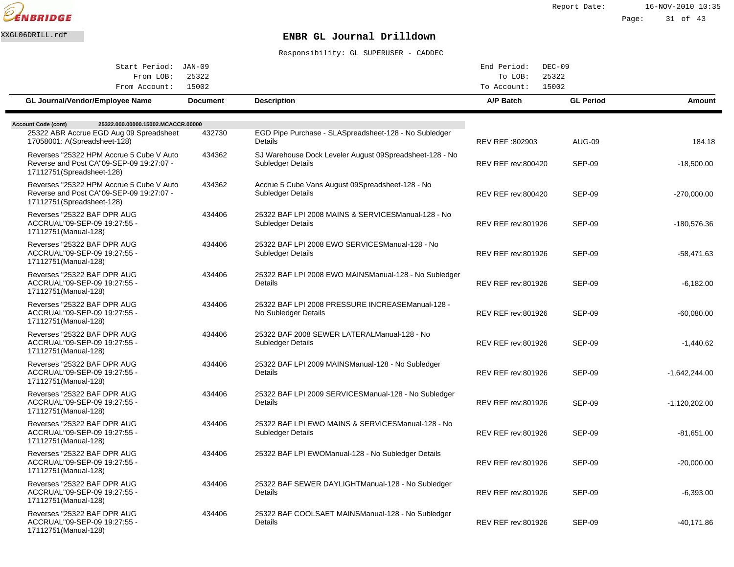

| Start Period: JAN-09                                                                                               |                 |                                                                                      | End Period:<br>$DEC-09$   |                  |                 |
|--------------------------------------------------------------------------------------------------------------------|-----------------|--------------------------------------------------------------------------------------|---------------------------|------------------|-----------------|
| From LOB:                                                                                                          | 25322           |                                                                                      | 25322<br>To LOB:          |                  |                 |
| From Account:                                                                                                      | 15002           |                                                                                      | 15002<br>To Account:      |                  |                 |
| GL Journal/Vendor/Employee Name                                                                                    | <b>Document</b> | <b>Description</b>                                                                   | A/P Batch                 | <b>GL Period</b> | Amount          |
| 25322.000.00000.15002.MCACCR.00000<br><b>Account Code (cont)</b>                                                   |                 |                                                                                      |                           |                  |                 |
| 25322 ABR Accrue EGD Aug 09 Spreadsheet                                                                            | 432730          | EGD Pipe Purchase - SLA Spreadsheet-128 - No Subledger                               |                           |                  |                 |
| 17058001: A(Spreadsheet-128)                                                                                       |                 | Details                                                                              | REV REF :802903           | <b>AUG-09</b>    | 184.18          |
| Reverses "25322 HPM Accrue 5 Cube V Auto<br>Reverse and Post CA"09-SEP-09 19:27:07 -<br>17112751(Spreadsheet-128)  | 434362          | SJ Warehouse Dock Leveler August 09 Spreadsheet-128 - No<br><b>Subledger Details</b> | <b>REV REF rev:800420</b> | <b>SEP-09</b>    | $-18.500.00$    |
| Reverses "25322 HPM Accrue 5 Cube V Auto<br>Reverse and Post CA"09-SEP-09 19:27:07 -<br>17112751 (Spreadsheet-128) | 434362          | Accrue 5 Cube Vans August 09 Spreadsheet-128 - No<br><b>Subledger Details</b>        | <b>REV REF rev:800420</b> | <b>SEP-09</b>    | $-270,000.00$   |
| Reverses "25322 BAF DPR AUG<br>ACCRUAL"09-SEP-09 19:27:55 -<br>17112751(Manual-128)                                | 434406          | 25322 BAF LPI 2008 MAINS & SERVICES Manual-128 - No<br><b>Subledger Details</b>      | <b>REV REF rev:801926</b> | <b>SEP-09</b>    | -180,576.36     |
| Reverses "25322 BAF DPR AUG<br>ACCRUAL"09-SEP-09 19:27:55 -<br>17112751(Manual-128)                                | 434406          | 25322 BAF LPI 2008 EWO SERVICES Manual-128 - No<br>Subledger Details                 | <b>REV REF rev:801926</b> | <b>SEP-09</b>    | $-58,471.63$    |
| Reverses "25322 BAF DPR AUG<br>ACCRUAL"09-SEP-09 19:27:55 -<br>17112751 (Manual-128)                               | 434406          | 25322 BAF LPI 2008 EWO MAINS Manual-128 - No Subledger<br>Details                    | <b>REV REF rev:801926</b> | <b>SEP-09</b>    | $-6,182.00$     |
| Reverses "25322 BAF DPR AUG<br>ACCRUAL"09-SEP-09 19:27:55 -<br>17112751 (Manual-128)                               | 434406          | 25322 BAF LPI 2008 PRESSURE INCREASE Manual-128 -<br>No Subledger Details            | REV REF rev:801926        | <b>SEP-09</b>    | $-60,080.00$    |
| Reverses "25322 BAF DPR AUG<br>ACCRUAL"09-SEP-09 19:27:55 -<br>17112751 (Manual-128)                               | 434406          | 25322 BAF 2008 SEWER LATERAL Manual-128 - No<br><b>Subledger Details</b>             | <b>REV REF rev:801926</b> | <b>SEP-09</b>    | $-1,440.62$     |
| Reverses "25322 BAF DPR AUG<br>ACCRUAL"09-SEP-09 19:27:55 -<br>17112751(Manual-128)                                | 434406          | 25322 BAF LPI 2009 MAINS Manual-128 - No Subledger<br>Details                        | <b>REV REF rev:801926</b> | <b>SEP-09</b>    | $-1,642,244.00$ |
| Reverses "25322 BAF DPR AUG<br>ACCRUAL"09-SEP-09 19:27:55 -<br>17112751(Manual-128)                                | 434406          | 25322 BAF LPI 2009 SERVICES Manual-128 - No Subledger<br>Details                     | <b>REV REF rev:801926</b> | <b>SEP-09</b>    | $-1,120,202.00$ |
| Reverses "25322 BAF DPR AUG<br>ACCRUAL"09-SEP-09 19:27:55 -<br>17112751(Manual-128)                                | 434406          | 25322 BAF LPI EWO MAINS & SERVICES Manual-128 - No<br>Subledger Details              | REV REF rev:801926        | <b>SEP-09</b>    | $-81,651.00$    |
| Reverses "25322 BAF DPR AUG<br>ACCRUAL"09-SEP-09 19:27:55 -<br>17112751(Manual-128)                                | 434406          | 25322 BAF LPI EWO Manual-128 - No Subledger Details                                  | <b>REV REF rev:801926</b> | <b>SEP-09</b>    | $-20,000.00$    |
| Reverses "25322 BAF DPR AUG<br>ACCRUAL"09-SEP-09 19:27:55 -<br>17112751 (Manual-128)                               | 434406          | 25322 BAF SEWER DAYLIGHT Manual-128 - No Subledger<br>Details                        | <b>REV REF rev:801926</b> | <b>SEP-09</b>    | $-6,393.00$     |
| Reverses "25322 BAF DPR AUG<br>ACCRUAL"09-SEP-09 19:27:55 -<br>17112751 (Manual-128)                               | 434406          | 25322 BAF COOLSAET MAINS Manual-128 - No Subledger<br>Details                        | <b>REV REF rev:801926</b> | SEP-09           | -40,171.86      |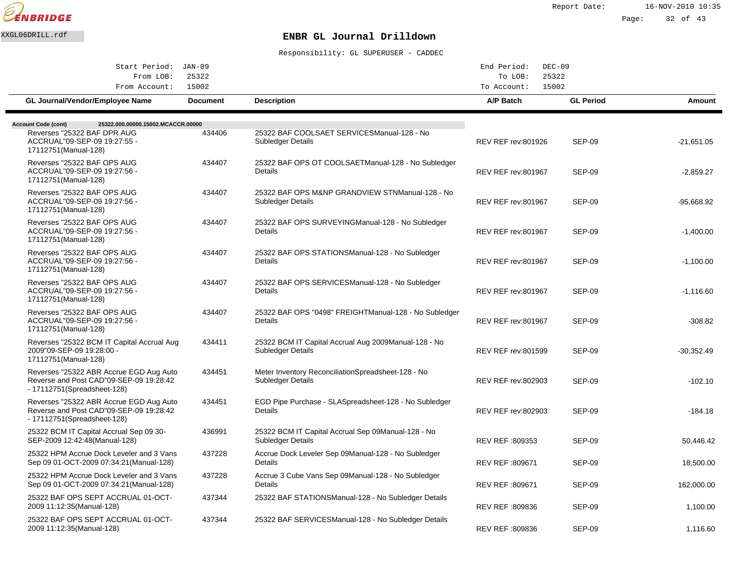

Page: 32 of 43

## XXGL06DRILL.rdf **ENBR GL Journal Drilldown**

| Start Period: JAN-09                                                                                               |                 |                                                                            | End Period:<br>$DEC-09$   |                  |              |
|--------------------------------------------------------------------------------------------------------------------|-----------------|----------------------------------------------------------------------------|---------------------------|------------------|--------------|
| From LOB:<br>25322                                                                                                 |                 |                                                                            | 25322<br>To LOB:          |                  |              |
| From Account:                                                                                                      | 15002           |                                                                            | 15002<br>To Account:      |                  |              |
| GL Journal/Vendor/Employee Name                                                                                    | <b>Document</b> | <b>Description</b>                                                         | A/P Batch                 | <b>GL Period</b> | Amount       |
|                                                                                                                    |                 |                                                                            |                           |                  |              |
| 25322.000.00000.15002.MCACCR.00000<br><b>Account Code (cont)</b>                                                   |                 |                                                                            |                           |                  |              |
| Reverses "25322 BAF DPR AUG<br>ACCRUAL"09-SEP-09 19:27:55 -<br>17112751 (Manual-128)                               | 434406          | 25322 BAF COOLSAET SERVICES Manual-128 - No<br>Subledger Details           | <b>REV REF rev:801926</b> | <b>SEP-09</b>    | $-21,651.05$ |
| Reverses "25322 BAF OPS AUG<br>ACCRUAL"09-SEP-09 19:27:56 -<br>17112751 (Manual-128)                               | 434407          | 25322 BAF OPS OT COOLSAET Manual-128 - No Subledger<br>Details             | <b>REV REF rev:801967</b> | <b>SEP-09</b>    | $-2,859.27$  |
| Reverses "25322 BAF OPS AUG<br>ACCRUAL"09-SEP-09 19:27:56 -<br>17112751(Manual-128)                                | 434407          | 25322 BAF OPS M&NP GRANDVIEW STN Manual-128 - No<br>Subledger Details      | <b>REV REF rev:801967</b> | <b>SEP-09</b>    | -95,668.92   |
| Reverses "25322 BAF OPS AUG<br>ACCRUAL"09-SEP-09 19:27:56 -<br>17112751 (Manual-128)                               | 434407          | 25322 BAF OPS SURVEYING Manual-128 - No Subledger<br>Details               | <b>REV REF rev:801967</b> | SEP-09           | $-1,400.00$  |
| Reverses "25322 BAF OPS AUG<br>ACCRUAL"09-SEP-09 19:27:56 -<br>17112751 (Manual-128)                               | 434407          | 25322 BAF OPS STATIONS Manual-128 - No Subledger<br>Details                | <b>REV REF rev:801967</b> | <b>SEP-09</b>    | $-1,100.00$  |
| Reverses "25322 BAF OPS AUG<br>ACCRUAL"09-SEP-09 19:27:56 -<br>17112751 (Manual-128)                               | 434407          | 25322 BAF OPS SERVICES Manual-128 - No Subledger<br><b>Details</b>         | <b>REV REF rev:801967</b> | <b>SEP-09</b>    | $-1,116.60$  |
| Reverses "25322 BAF OPS AUG<br>ACCRUAL"09-SEP-09 19:27:56 -<br>17112751 (Manual-128)                               | 434407          | 25322 BAF OPS "0498" FREIGHT Manual-128 - No Subledger<br>Details          | <b>REV REF rev:801967</b> | <b>SEP-09</b>    | $-308.82$    |
| Reverses "25322 BCM IT Capital Accrual Aug<br>2009"09-SEP-09 19:28:00 -<br>17112751 (Manual-128)                   | 434411          | 25322 BCM IT Capital Accrual Aug 2009 Manual-128 - No<br>Subledger Details | <b>REV REF rev:801599</b> | <b>SEP-09</b>    | -30,352.49   |
| Reverses "25322 ABR Accrue EGD Aug Auto<br>Reverse and Post CAD"09-SEP-09 19:28:42<br>- 17112751 (Spreadsheet-128) | 434451          | Meter Inventory Reconciliation Spreadsheet-128 - No<br>Subledger Details   | <b>REV REF rev:802903</b> | <b>SEP-09</b>    | $-102.10$    |
| Reverses "25322 ABR Accrue EGD Aug Auto<br>Reverse and Post CAD"09-SEP-09 19:28:42<br>- 17112751 (Spreadsheet-128) | 434451          | EGD Pipe Purchase - SLA Spreadsheet-128 - No Subledger<br>Details          | <b>REV REF rev:802903</b> | <b>SEP-09</b>    | $-184.18$    |
| 25322 BCM IT Capital Accrual Sep 09 30-<br>SEP-2009 12:42:48(Manual-128)                                           | 436991          | 25322 BCM IT Capital Accrual Sep 09 Manual-128 - No<br>Subledger Details   | REV REF: 809353           | <b>SEP-09</b>    | 50,446.42    |
| 25322 HPM Accrue Dock Leveler and 3 Vans<br>Sep 09 01-OCT-2009 07:34:21 (Manual-128)                               | 437228          | Accrue Dock Leveler Sep 09 Manual-128 - No Subledger<br>Details            | REV REF: 809671           | <b>SEP-09</b>    | 18,500.00    |
| 25322 HPM Accrue Dock Leveler and 3 Vans<br>Sep 09 01-OCT-2009 07:34:21 (Manual-128)                               | 437228          | Accrue 3 Cube Vans Sep 09 Manual-128 - No Subledger<br>Details             | REV REF: 809671           | <b>SEP-09</b>    | 162,000.00   |
| 25322 BAF OPS SEPT ACCRUAL 01-OCT-<br>2009 11:12:35 (Manual-128)                                                   | 437344          | 25322 BAF STATIONS Manual-128 - No Subledger Details                       | REV REF :809836           | <b>SEP-09</b>    | 1,100.00     |
| 25322 BAF OPS SEPT ACCRUAL 01-OCT-<br>2009 11:12:35 (Manual-128)                                                   | 437344          | 25322 BAF SERVICES Manual-128 - No Subledger Details                       | REV REF :809836           | <b>SEP-09</b>    | 1.116.60     |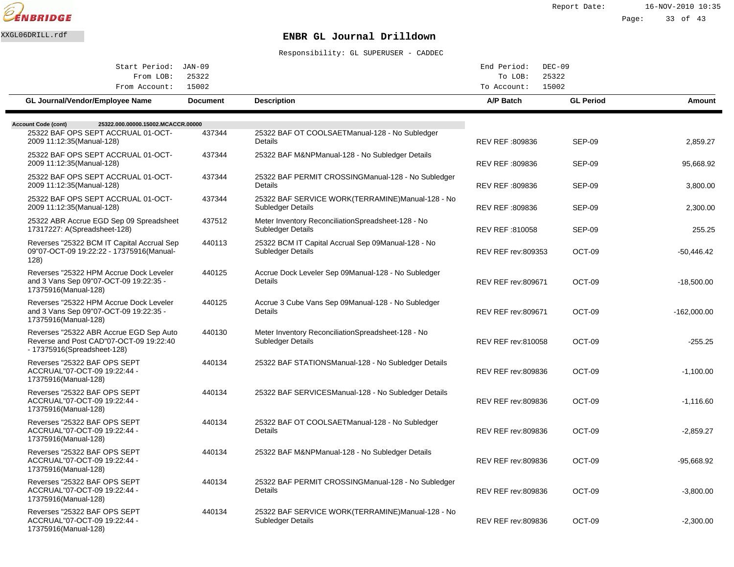

| Start Period: JAN-09<br>25322<br>From LOB:                                                                        |                 |                                                                                 | End Period:<br>$DEC-09$<br>25322<br>To LOB: |                  |               |
|-------------------------------------------------------------------------------------------------------------------|-----------------|---------------------------------------------------------------------------------|---------------------------------------------|------------------|---------------|
| From Account:                                                                                                     | 15002           |                                                                                 | To Account:                                 | 15002            |               |
| <b>GL Journal/Vendor/Employee Name</b>                                                                            | <b>Document</b> | <b>Description</b>                                                              | A/P Batch                                   | <b>GL Period</b> | Amount        |
| <b>Account Code (cont)</b><br>25322.000.00000.15002.MCACCR.00000                                                  |                 |                                                                                 |                                             |                  |               |
| 25322 BAF OPS SEPT ACCRUAL 01-OCT-<br>2009 11:12:35 (Manual-128)                                                  | 437344          | 25322 BAF OT COOLSAET Manual-128 - No Subledger<br>Details                      | REV REF: 809836                             | <b>SEP-09</b>    | 2,859.27      |
| 25322 BAF OPS SEPT ACCRUAL 01-OCT-<br>2009 11:12:35 (Manual-128)                                                  | 437344          | 25322 BAF M&NP Manual-128 - No Subledger Details                                | REV REF :809836                             | <b>SEP-09</b>    | 95,668.92     |
| 25322 BAF OPS SEPT ACCRUAL 01-OCT-<br>2009 11:12:35 (Manual-128)                                                  | 437344          | 25322 BAF PERMIT CROSSING Manual-128 - No Subledger<br>Details                  | REV REF: 809836                             | <b>SEP-09</b>    | 3,800.00      |
| 25322 BAF OPS SEPT ACCRUAL 01-OCT-<br>2009 11:12:35 (Manual-128)                                                  | 437344          | 25322 BAF SERVICE WORK(TERRAMINE) Manual-128 - No<br>Subledger Details          | REV REF :809836                             | <b>SEP-09</b>    | 2,300.00      |
| 25322 ABR Accrue EGD Sep 09 Spreadsheet<br>17317227: A(Spreadsheet-128)                                           | 437512          | Meter Inventory Reconciliation Spreadsheet-128 - No<br><b>Subledger Details</b> | REV REF: 810058                             | <b>SEP-09</b>    | 255.25        |
| Reverses "25322 BCM IT Capital Accrual Sep<br>09"07-OCT-09 19:22:22 - 17375916(Manual-<br>128)                    | 440113          | 25322 BCM IT Capital Accrual Sep 09 Manual-128 - No<br>Subledger Details        | REV REF rev:809353                          | OCT-09           | $-50,446.42$  |
| Reverses "25322 HPM Accrue Dock Leveler<br>and 3 Vans Sep 09"07-OCT-09 19:22:35 -<br>17375916(Manual-128)         | 440125          | Accrue Dock Leveler Sep 09 Manual-128 - No Subledger<br>Details                 | REV REF rev:809671                          | OCT-09           | $-18,500.00$  |
| Reverses "25322 HPM Accrue Dock Leveler<br>and 3 Vans Sep 09"07-OCT-09 19:22:35 -<br>17375916(Manual-128)         | 440125          | Accrue 3 Cube Vans Sep 09 Manual-128 - No Subledger<br>Details                  | <b>REV REF rev:809671</b>                   | OCT-09           | $-162.000.00$ |
| Reverses "25322 ABR Accrue EGD Sep Auto<br>Reverse and Post CAD"07-OCT-09 19:22:40<br>- 17375916(Spreadsheet-128) | 440130          | Meter Inventory Reconciliation Spreadsheet-128 - No<br>Subledger Details        | <b>REV REF rev:810058</b>                   | OCT-09           | $-255.25$     |
| Reverses "25322 BAF OPS SEPT<br>ACCRUAL"07-OCT-09 19:22:44 -<br>17375916(Manual-128)                              | 440134          | 25322 BAF STATIONS Manual-128 - No Subledger Details                            | <b>REV REF rev:809836</b>                   | OCT-09           | $-1,100.00$   |
| Reverses "25322 BAF OPS SEPT<br>ACCRUAL"07-OCT-09 19:22:44 -<br>17375916(Manual-128)                              | 440134          | 25322 BAF SERVICES Manual-128 - No Subledger Details                            | <b>REV REF rev:809836</b>                   | OCT-09           | $-1.116.60$   |
| Reverses "25322 BAF OPS SEPT<br>ACCRUAL"07-OCT-09 19:22:44 -<br>17375916(Manual-128)                              | 440134          | 25322 BAF OT COOLSAET Manual-128 - No Subledger<br>Details                      | <b>REV REF rev:809836</b>                   | OCT-09           | $-2,859.27$   |
| Reverses "25322 BAF OPS SEPT<br>ACCRUAL"07-OCT-09 19:22:44 -<br>17375916(Manual-128)                              | 440134          | 25322 BAF M&NP Manual-128 - No Subledger Details                                | <b>REV REF rev:809836</b>                   | OCT-09           | -95,668.92    |
| Reverses "25322 BAF OPS SEPT<br>ACCRUAL"07-OCT-09 19:22:44 -<br>17375916(Manual-128)                              | 440134          | 25322 BAF PERMIT CROSSING Manual-128 - No Subledger<br>Details                  | <b>REV REF rev:809836</b>                   | OCT-09           | $-3,800.00$   |
| Reverses "25322 BAF OPS SEPT<br>ACCRUAL"07-OCT-09 19:22:44 -<br>17375916(Manual-128)                              | 440134          | 25322 BAF SERVICE WORK(TERRAMINE) Manual-128 - No<br>Subledger Details          | REV REF rev:809836                          | OCT-09           | $-2,300.00$   |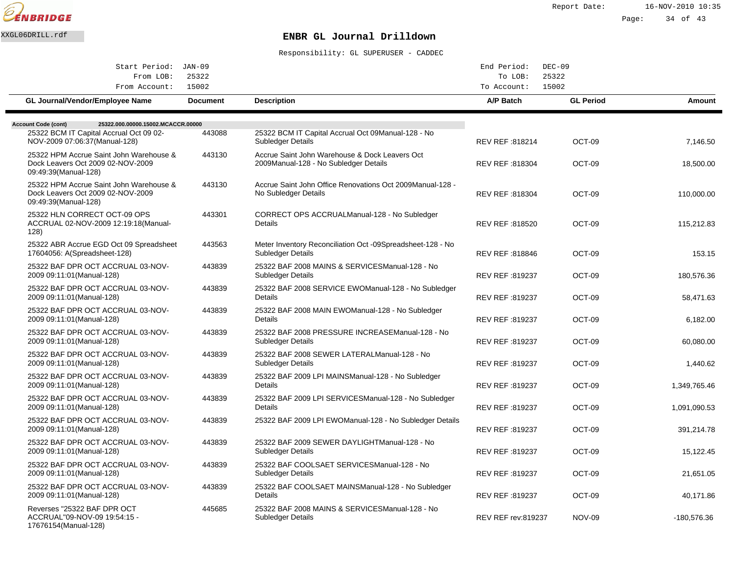

Page: 34 of 43

# XXGL06DRILL.rdf **ENBR GL Journal Drilldown**

| Start Period: JAN-09                                                                                 |                 |                                                                                          | End Period:            | $DEC-09$         |              |
|------------------------------------------------------------------------------------------------------|-----------------|------------------------------------------------------------------------------------------|------------------------|------------------|--------------|
| From LOB:<br>From Account:                                                                           | 25322<br>15002  |                                                                                          | To LOB:<br>To Account: | 25322<br>15002   |              |
| <b>GL Journal/Vendor/Employee Name</b>                                                               | <b>Document</b> | <b>Description</b>                                                                       | A/P Batch              | <b>GL Period</b> | Amount       |
| 25322.000.00000.15002.MCACCR.00000<br><b>Account Code (cont)</b>                                     |                 |                                                                                          |                        |                  |              |
| 25322 BCM IT Capital Accrual Oct 09 02-<br>NOV-2009 07:06:37(Manual-128)                             | 443088          | 25322 BCM IT Capital Accrual Oct 09 Manual-128 - No<br>Subledger Details                 | REV REF: 818214        | OCT-09           | 7,146.50     |
| 25322 HPM Accrue Saint John Warehouse &<br>Dock Leavers Oct 2009 02-NOV-2009<br>09:49:39(Manual-128) | 443130          | Accrue Saint John Warehouse & Dock Leavers Oct<br>2009 Manual-128 - No Subledger Details | REV REF: 818304        | OCT-09           | 18,500.00    |
| 25322 HPM Accrue Saint John Warehouse &<br>Dock Leavers Oct 2009 02-NOV-2009<br>09:49:39(Manual-128) | 443130          | Accrue Saint John Office Renovations Oct 2009 Manual-128 -<br>No Subledger Details       | REV REF : 818304       | OCT-09           | 110,000.00   |
| 25322 HLN CORRECT OCT-09 OPS<br>ACCRUAL 02-NOV-2009 12:19:18(Manual-<br>128)                         | 443301          | CORRECT OPS ACCRUAL Manual-128 - No Subledger<br><b>Details</b>                          | REV REF: 818520        | OCT-09           | 115,212.83   |
| 25322 ABR Accrue EGD Oct 09 Spreadsheet<br>17604056: A(Spreadsheet-128)                              | 443563          | Meter Inventory Reconciliation Oct -09 Spreadsheet-128 - No<br>Subledger Details         | REV REF : 818846       | OCT-09           | 153.15       |
| 25322 BAF DPR OCT ACCRUAL 03-NOV-<br>2009 09:11:01 (Manual-128)                                      | 443839          | 25322 BAF 2008 MAINS & SERVICES Manual-128 - No<br>Subledger Details                     | REV REF: 819237        | OCT-09           | 180,576.36   |
| 25322 BAF DPR OCT ACCRUAL 03-NOV-<br>2009 09:11:01 (Manual-128)                                      | 443839          | 25322 BAF 2008 SERVICE EWO Manual-128 - No Subledger<br><b>Details</b>                   | REV REF: 819237        | OCT-09           | 58,471.63    |
| 25322 BAF DPR OCT ACCRUAL 03-NOV-<br>2009 09:11:01 (Manual-128)                                      | 443839          | 25322 BAF 2008 MAIN EWO Manual-128 - No Subledger<br>Details                             | REV REF: 819237        | OCT-09           | 6,182.00     |
| 25322 BAF DPR OCT ACCRUAL 03-NOV-<br>2009 09:11:01 (Manual-128)                                      | 443839          | 25322 BAF 2008 PRESSURE INCREASE Manual-128 - No<br><b>Subledger Details</b>             | REV REF : 819237       | OCT-09           | 60,080.00    |
| 25322 BAF DPR OCT ACCRUAL 03-NOV-<br>2009 09:11:01 (Manual-128)                                      | 443839          | 25322 BAF 2008 SEWER LATERAL Manual-128 - No<br><b>Subledger Details</b>                 | REV REF: 819237        | OCT-09           | 1,440.62     |
| 25322 BAF DPR OCT ACCRUAL 03-NOV-<br>2009 09:11:01 (Manual-128)                                      | 443839          | 25322 BAF 2009 LPI MAINS Manual-128 - No Subledger<br><b>Details</b>                     | REV REF: 819237        | OCT-09           | 1,349,765.46 |
| 25322 BAF DPR OCT ACCRUAL 03-NOV-<br>2009 09:11:01 (Manual-128)                                      | 443839          | 25322 BAF 2009 LPI SERVICES Manual-128 - No Subledger<br>Details                         | REV REF : 819237       | OCT-09           | 1,091,090.53 |
| 25322 BAF DPR OCT ACCRUAL 03-NOV-<br>2009 09:11:01 (Manual-128)                                      | 443839          | 25322 BAF 2009 LPI EWO Manual-128 - No Subledger Details                                 | REV REF: 819237        | OCT-09           | 391,214.78   |
| 25322 BAF DPR OCT ACCRUAL 03-NOV-<br>2009 09:11:01 (Manual-128)                                      | 443839          | 25322 BAF 2009 SEWER DAYLIGHT Manual-128 - No<br>Subledger Details                       | REV REF: 819237        | OCT-09           | 15,122.45    |
| 25322 BAF DPR OCT ACCRUAL 03-NOV-<br>2009 09:11:01 (Manual-128)                                      | 443839          | 25322 BAF COOLSAET SERVICES Manual-128 - No<br>Subledger Details                         | REV REF: 819237        | OCT-09           | 21.651.05    |
| 25322 BAF DPR OCT ACCRUAL 03-NOV-<br>2009 09:11:01 (Manual-128)                                      | 443839          | 25322 BAF COOLSAET MAINS Manual-128 - No Subledger<br>Details                            | REV REF: 819237        | OCT-09           | 40,171.86    |
| Reverses "25322 BAF DPR OCT<br>ACCRUAL"09-NOV-09 19:54:15 -<br>17676154(Manual-128)                  | 445685          | 25322 BAF 2008 MAINS & SERVICES Manual-128 - No<br>Subledger Details                     | REV REF rev:819237     | <b>NOV-09</b>    | -180,576.36  |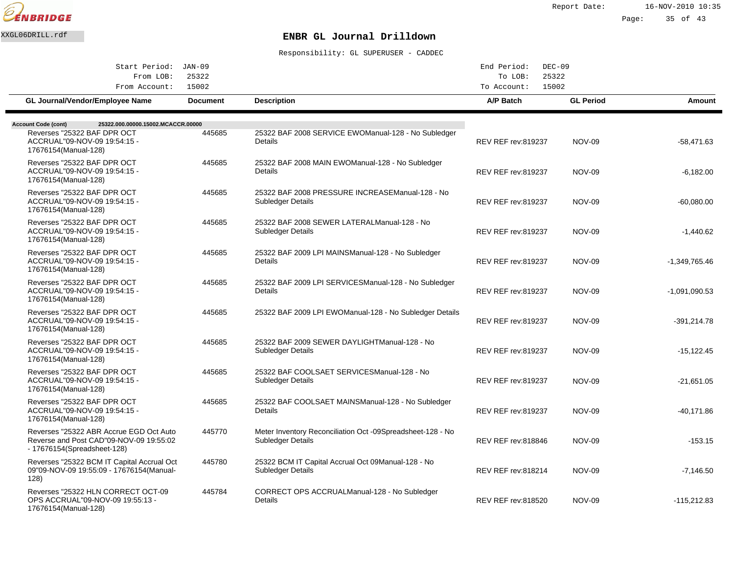

Page: 35 of 43

# XXGL06DRILL.rdf **ENBR GL Journal Drilldown**

| Start Period: JAN-09<br>25322<br>From LOB:                                                                         |                 |                                                                                  | End Period:<br>$DEC-09$<br>25322<br>To LOB: |                  |                 |
|--------------------------------------------------------------------------------------------------------------------|-----------------|----------------------------------------------------------------------------------|---------------------------------------------|------------------|-----------------|
| From Account:                                                                                                      | 15002           |                                                                                  | To Account:                                 | 15002            |                 |
| <b>GL Journal/Vendor/Employee Name</b>                                                                             | <b>Document</b> | <b>Description</b>                                                               | A/P Batch                                   | <b>GL Period</b> | Amount          |
| <b>Account Code (cont)</b><br>25322.000.00000.15002.MCACCR.00000                                                   |                 |                                                                                  |                                             |                  |                 |
| Reverses "25322 BAF DPR OCT<br>ACCRUAL"09-NOV-09 19:54:15 -<br>17676154(Manual-128)                                | 445685          | 25322 BAF 2008 SERVICE EWO Manual-128 - No Subledger<br>Details                  | <b>REV REF rev:819237</b>                   | <b>NOV-09</b>    | $-58,471.63$    |
| Reverses "25322 BAF DPR OCT<br>ACCRUAL"09-NOV-09 19:54:15 -<br>17676154(Manual-128)                                | 445685          | 25322 BAF 2008 MAIN EWO Manual-128 - No Subledger<br>Details                     | <b>REV REF rev:819237</b>                   | <b>NOV-09</b>    | $-6,182.00$     |
| Reverses "25322 BAF DPR OCT<br>ACCRUAL"09-NOV-09 19:54:15 -<br>17676154(Manual-128)                                | 445685          | 25322 BAF 2008 PRESSURE INCREASE Manual-128 - No<br><b>Subledger Details</b>     | <b>REV REF rev:819237</b>                   | <b>NOV-09</b>    | $-60,080.00$    |
| Reverses "25322 BAF DPR OCT<br>ACCRUAL"09-NOV-09 19:54:15 -<br>17676154(Manual-128)                                | 445685          | 25322 BAF 2008 SEWER LATERAL Manual-128 - No<br>Subledger Details                | <b>REV REF rev:819237</b>                   | <b>NOV-09</b>    | $-1,440.62$     |
| Reverses "25322 BAF DPR OCT<br>ACCRUAL"09-NOV-09 19:54:15 -<br>17676154(Manual-128)                                | 445685          | 25322 BAF 2009 LPI MAINS Manual-128 - No Subledger<br>Details                    | <b>REV REF rev:819237</b>                   | <b>NOV-09</b>    | $-1,349,765.46$ |
| Reverses "25322 BAF DPR OCT<br>ACCRUAL"09-NOV-09 19:54:15 -<br>17676154(Manual-128)                                | 445685          | 25322 BAF 2009 LPI SERVICES Manual-128 - No Subledger<br>Details                 | <b>REV REF rev:819237</b>                   | <b>NOV-09</b>    | $-1,091,090.53$ |
| Reverses "25322 BAF DPR OCT<br>ACCRUAL"09-NOV-09 19:54:15 -<br>17676154(Manual-128)                                | 445685          | 25322 BAF 2009 LPI EWO Manual-128 - No Subledger Details                         | <b>REV REF rev:819237</b>                   | <b>NOV-09</b>    | -391,214.78     |
| Reverses "25322 BAF DPR OCT<br>ACCRUAL"09-NOV-09 19:54:15 -<br>17676154(Manual-128)                                | 445685          | 25322 BAF 2009 SEWER DAYLIGHT Manual-128 - No<br><b>Subledger Details</b>        | REV REF rev:819237                          | <b>NOV-09</b>    | -15,122.45      |
| Reverses "25322 BAF DPR OCT<br>ACCRUAL"09-NOV-09 19:54:15 -<br>17676154(Manual-128)                                | 445685          | 25322 BAF COOLSAET SERVICES Manual-128 - No<br>Subledger Details                 | <b>REV REF rev:819237</b>                   | <b>NOV-09</b>    | $-21.651.05$    |
| Reverses "25322 BAF DPR OCT<br>ACCRUAL"09-NOV-09 19:54:15 -<br>17676154(Manual-128)                                | 445685          | 25322 BAF COOLSAET MAINS Manual-128 - No Subledger<br>Details                    | <b>REV REF rev:819237</b>                   | <b>NOV-09</b>    | $-40,171.86$    |
| Reverses "25322 ABR Accrue EGD Oct Auto<br>Reverse and Post CAD"09-NOV-09 19:55:02<br>- 17676154 (Spreadsheet-128) | 445770          | Meter Inventory Reconciliation Oct -09 Spreadsheet-128 - No<br>Subledger Details | <b>REV REF rev:818846</b>                   | <b>NOV-09</b>    | $-153.15$       |
| Reverses "25322 BCM IT Capital Accrual Oct<br>09"09-NOV-09 19:55:09 - 17676154(Manual-<br>128)                     | 445780          | 25322 BCM IT Capital Accrual Oct 09 Manual-128 - No<br><b>Subledger Details</b>  | <b>REV REF rev:818214</b>                   | <b>NOV-09</b>    | $-7,146.50$     |
| Reverses "25322 HLN CORRECT OCT-09<br>OPS ACCRUAL"09-NOV-09 19:55:13 -<br>17676154(Manual-128)                     | 445784          | CORRECT OPS ACCRUAL Manual-128 - No Subledger<br>Details                         | <b>REV REF rev:818520</b>                   | <b>NOV-09</b>    | $-115,212.83$   |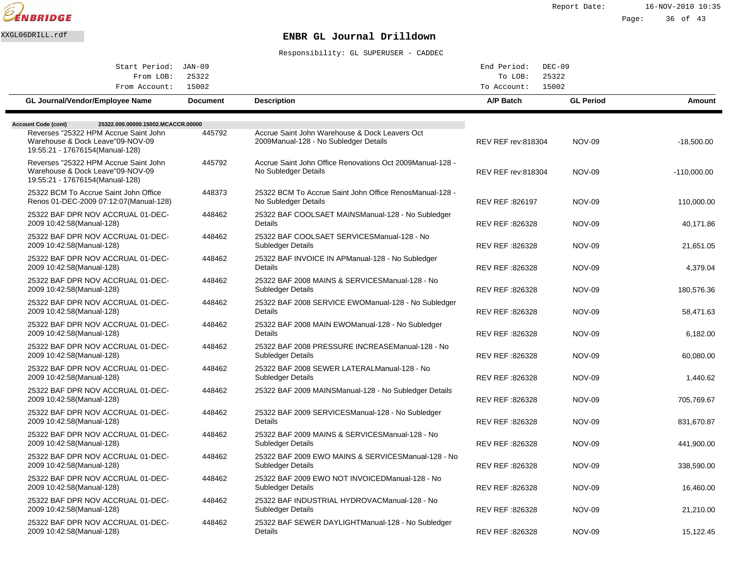

| Start Period: JAN-09                                                                                                                                                             |                 |                                                                                          | End Period:<br>$DEC-09$   |                  |               |
|----------------------------------------------------------------------------------------------------------------------------------------------------------------------------------|-----------------|------------------------------------------------------------------------------------------|---------------------------|------------------|---------------|
| From LOB:                                                                                                                                                                        | 25322           |                                                                                          | To LOB:<br>25322          |                  |               |
| From Account:                                                                                                                                                                    | 15002           |                                                                                          | 15002<br>To Account:      |                  |               |
| <b>GL Journal/Vendor/Employee Name</b>                                                                                                                                           | <b>Document</b> | <b>Description</b>                                                                       | A/P Batch                 | <b>GL Period</b> | Amount        |
|                                                                                                                                                                                  |                 |                                                                                          |                           |                  |               |
| 25322.000.00000.15002.MCACCR.00000<br><b>Account Code (cont)</b><br>Reverses "25322 HPM Accrue Saint John<br>Warehouse & Dock Leave"09-NOV-09<br>19:55:21 - 17676154(Manual-128) | 445792          | Accrue Saint John Warehouse & Dock Leavers Oct<br>2009 Manual-128 - No Subledger Details | <b>REV REF rev:818304</b> | <b>NOV-09</b>    | $-18,500.00$  |
| Reverses "25322 HPM Accrue Saint John<br>Warehouse & Dock Leave"09-NOV-09<br>19:55:21 - 17676154(Manual-128)                                                                     | 445792          | Accrue Saint John Office Renovations Oct 2009 Manual-128 -<br>No Subledger Details       | <b>REV REF rev:818304</b> | <b>NOV-09</b>    | $-110,000.00$ |
| 25322 BCM To Accrue Saint John Office<br>Renos 01-DEC-2009 07:12:07 (Manual-128)                                                                                                 | 448373          | 25322 BCM To Accrue Saint John Office Renos Manual-128 -<br>No Subledger Details         | REV REF: 826197           | <b>NOV-09</b>    | 110,000.00    |
| 25322 BAF DPR NOV ACCRUAL 01-DEC-<br>2009 10:42:58(Manual-128)                                                                                                                   | 448462          | 25322 BAF COOLSAET MAINS Manual-128 - No Subledger<br>Details                            | REV REF :826328           | <b>NOV-09</b>    | 40,171.86     |
| 25322 BAF DPR NOV ACCRUAL 01-DEC-<br>2009 10:42:58(Manual-128)                                                                                                                   | 448462          | 25322 BAF COOLSAET SERVICES Manual-128 - No<br>Subledger Details                         | REV REF :826328           | <b>NOV-09</b>    | 21,651.05     |
| 25322 BAF DPR NOV ACCRUAL 01-DEC-<br>2009 10:42:58(Manual-128)                                                                                                                   | 448462          | 25322 BAF INVOICE IN AP Manual-128 - No Subledger<br>Details                             | REV REF : 826328          | <b>NOV-09</b>    | 4,379.04      |
| 25322 BAF DPR NOV ACCRUAL 01-DEC-<br>2009 10:42:58 (Manual-128)                                                                                                                  | 448462          | 25322 BAF 2008 MAINS & SERVICES Manual-128 - No<br>Subledger Details                     | REV REF: 826328           | <b>NOV-09</b>    | 180,576.36    |
| 25322 BAF DPR NOV ACCRUAL 01-DEC-<br>2009 10:42:58(Manual-128)                                                                                                                   | 448462          | 25322 BAF 2008 SERVICE EWO Manual-128 - No Subledger<br>Details                          | REV REF :826328           | <b>NOV-09</b>    | 58,471.63     |
| 25322 BAF DPR NOV ACCRUAL 01-DEC-<br>2009 10:42:58(Manual-128)                                                                                                                   | 448462          | 25322 BAF 2008 MAIN EWO Manual-128 - No Subledger<br>Details                             | REV REF :826328           | <b>NOV-09</b>    | 6,182.00      |
| 25322 BAF DPR NOV ACCRUAL 01-DEC-<br>2009 10:42:58(Manual-128)                                                                                                                   | 448462          | 25322 BAF 2008 PRESSURE INCREASE Manual-128 - No<br>Subledger Details                    | REV REF: 826328           | <b>NOV-09</b>    | 60,080.00     |
| 25322 BAF DPR NOV ACCRUAL 01-DEC-<br>2009 10:42:58 (Manual-128)                                                                                                                  | 448462          | 25322 BAF 2008 SEWER LATERAL Manual-128 - No<br>Subledger Details                        | REV REF: 826328           | <b>NOV-09</b>    | 1,440.62      |
| 25322 BAF DPR NOV ACCRUAL 01-DEC-<br>2009 10:42:58(Manual-128)                                                                                                                   | 448462          | 25322 BAF 2009 MAINS Manual-128 - No Subledger Details                                   | REV REF :826328           | <b>NOV-09</b>    | 705,769.67    |
| 25322 BAF DPR NOV ACCRUAL 01-DEC-<br>2009 10:42:58(Manual-128)                                                                                                                   | 448462          | 25322 BAF 2009 SERVICES Manual-128 - No Subledger<br>Details                             | REV REF : 826328          | <b>NOV-09</b>    | 831,670.87    |
| 25322 BAF DPR NOV ACCRUAL 01-DEC-<br>2009 10:42:58(Manual-128)                                                                                                                   | 448462          | 25322 BAF 2009 MAINS & SERVICES Manual-128 - No<br>Subledger Details                     | REV REF: 826328           | <b>NOV-09</b>    | 441,900.00    |
| 25322 BAF DPR NOV ACCRUAL 01-DEC-<br>2009 10:42:58(Manual-128)                                                                                                                   | 448462          | 25322 BAF 2009 EWO MAINS & SERVICES Manual-128 - No<br>Subledger Details                 | REV REF :826328           | <b>NOV-09</b>    | 338,590.00    |
| 25322 BAF DPR NOV ACCRUAL 01-DEC-<br>2009 10:42:58(Manual-128)                                                                                                                   | 448462          | 25322 BAF 2009 EWO NOT INVOICED Manual-128 - No<br><b>Subledger Details</b>              | REV REF :826328           | <b>NOV-09</b>    | 16,460.00     |
| 25322 BAF DPR NOV ACCRUAL 01-DEC-<br>2009 10:42:58 (Manual-128)                                                                                                                  | 448462          | 25322 BAF INDUSTRIAL HYDROVAC Manual-128 - No<br><b>Subledger Details</b>                | REV REF : 826328          | <b>NOV-09</b>    | 21,210.00     |
| 25322 BAF DPR NOV ACCRUAL 01-DEC-<br>2009 10:42:58(Manual-128)                                                                                                                   | 448462          | 25322 BAF SEWER DAYLIGHT Manual-128 - No Subledger<br>Details                            | REV REF: 826328           | <b>NOV-09</b>    | 15,122.45     |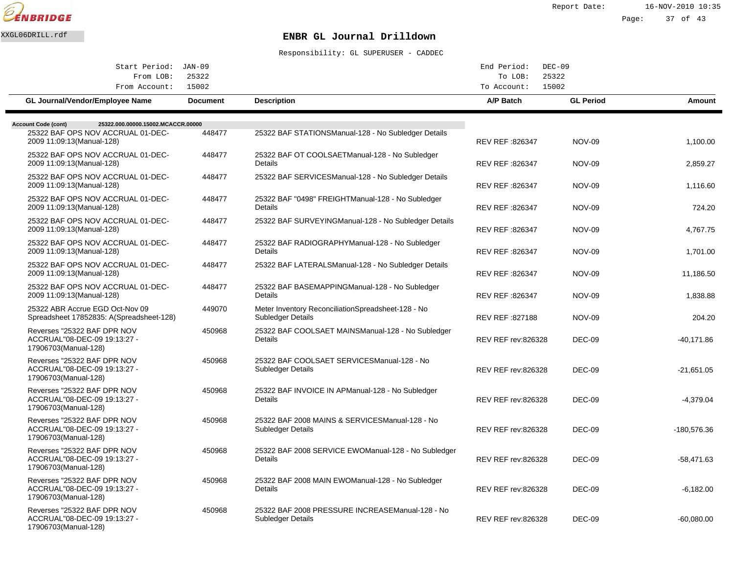

Report Date: 16-NOV-2010 10:35 Page: 37 of 43

# XXGL06DRILL.rdf **ENBR GL Journal Drilldown**

| Start Period: JAN-09<br>From LOB:                                                   | 25322           |                                                                             | End Period:<br>$DEC-09$<br>To LOB: | 25322            |              |
|-------------------------------------------------------------------------------------|-----------------|-----------------------------------------------------------------------------|------------------------------------|------------------|--------------|
| From Account:                                                                       | 15002           |                                                                             | To Account:                        | 15002            |              |
| <b>GL Journal/Vendor/Employee Name</b>                                              | <b>Document</b> | <b>Description</b>                                                          | A/P Batch                          | <b>GL Period</b> | Amount       |
| <b>Account Code (cont)</b><br>25322.000.00000.15002.MCACCR.00000                    |                 |                                                                             |                                    |                  |              |
| 25322 BAF OPS NOV ACCRUAL 01-DEC-<br>2009 11:09:13(Manual-128)                      | 448477          | 25322 BAF STATIONS Manual-128 - No Subledger Details                        | REV REF :826347                    | <b>NOV-09</b>    | 1,100.00     |
| 25322 BAF OPS NOV ACCRUAL 01-DEC-<br>2009 11:09:13 (Manual-128)                     | 448477          | 25322 BAF OT COOLSAET Manual-128 - No Subledger<br>Details                  | REV REF : 826347                   | <b>NOV-09</b>    | 2.859.27     |
| 25322 BAF OPS NOV ACCRUAL 01-DEC-<br>2009 11:09:13 (Manual-128)                     | 448477          | 25322 BAF SERVICES Manual-128 - No Subledger Details                        | REV REF : 826347                   | <b>NOV-09</b>    | 1,116.60     |
| 25322 BAF OPS NOV ACCRUAL 01-DEC-<br>2009 11:09:13 (Manual-128)                     | 448477          | 25322 BAF "0498" FREIGHT Manual-128 - No Subledger<br>Details               | REV REF :826347                    | <b>NOV-09</b>    | 724.20       |
| 25322 BAF OPS NOV ACCRUAL 01-DEC-<br>2009 11:09:13 (Manual-128)                     | 448477          | 25322 BAF SURVEYING Manual-128 - No Subledger Details                       | REV REF :826347                    | <b>NOV-09</b>    | 4,767.75     |
| 25322 BAF OPS NOV ACCRUAL 01-DEC-<br>2009 11:09:13(Manual-128)                      | 448477          | 25322 BAF RADIOGRAPHY Manual-128 - No Subledger<br>Details                  | REV REF : 826347                   | <b>NOV-09</b>    | 1,701.00     |
| 25322 BAF OPS NOV ACCRUAL 01-DEC-<br>2009 11:09:13 (Manual-128)                     | 448477          | 25322 BAF LATERALS Manual-128 - No Subledger Details                        | REV REF : 826347                   | <b>NOV-09</b>    | 11,186.50    |
| 25322 BAF OPS NOV ACCRUAL 01-DEC-<br>2009 11:09:13 (Manual-128)                     | 448477          | 25322 BAF BASEMAPPING Manual-128 - No Subledger<br>Details                  | REV REF : 826347                   | <b>NOV-09</b>    | 1,838.88     |
| 25322 ABR Accrue EGD Oct-Nov 09<br>Spreadsheet 17852835: A(Spreadsheet-128)         | 449070          | Meter Inventory Reconciliation Spreadsheet-128 - No<br>Subledger Details    | REV REF : 827188                   | <b>NOV-09</b>    | 204.20       |
| Reverses "25322 BAF DPR NOV<br>ACCRUAL"08-DEC-09 19:13:27 -<br>17906703(Manual-128) | 450968          | 25322 BAF COOLSAET MAINS Manual-128 - No Subledger<br><b>Details</b>        | <b>REV REF rev:826328</b>          | <b>DEC-09</b>    | $-40,171.86$ |
| Reverses "25322 BAF DPR NOV<br>ACCRUAL"08-DEC-09 19:13:27 -<br>17906703(Manual-128) | 450968          | 25322 BAF COOLSAET SERVICES Manual-128 - No<br><b>Subledger Details</b>     | <b>REV REF rev:826328</b>          | <b>DEC-09</b>    | $-21,651.05$ |
| Reverses "25322 BAF DPR NOV<br>ACCRUAL"08-DEC-09 19:13:27 -<br>17906703(Manual-128) | 450968          | 25322 BAF INVOICE IN AP Manual-128 - No Subledger<br>Details                | <b>REV REF rev:826328</b>          | DEC-09           | $-4,379.04$  |
| Reverses "25322 BAF DPR NOV<br>ACCRUAL"08-DEC-09 19:13:27 -<br>17906703(Manual-128) | 450968          | 25322 BAF 2008 MAINS & SERVICES Manual-128 - No<br><b>Subledger Details</b> | <b>REV REF rev:826328</b>          | DEC-09           | -180,576.36  |
| Reverses "25322 BAF DPR NOV<br>ACCRUAL"08-DEC-09 19:13:27 -<br>17906703(Manual-128) | 450968          | 25322 BAF 2008 SERVICE EWO Manual-128 - No Subledger<br>Details             | <b>REV REF rev:826328</b>          | <b>DEC-09</b>    | $-58,471.63$ |
| Reverses "25322 BAF DPR NOV<br>ACCRUAL"08-DEC-09 19:13:27 -<br>17906703(Manual-128) | 450968          | 25322 BAF 2008 MAIN EWO Manual-128 - No Subledger<br>Details                | <b>REV REF rev:826328</b>          | <b>DEC-09</b>    | $-6,182.00$  |
| Reverses "25322 BAF DPR NOV<br>ACCRUAL"08-DEC-09 19:13:27 -<br>17906703(Manual-128) | 450968          | 25322 BAF 2008 PRESSURE INCREASE Manual-128 - No<br>Subledger Details       | <b>REV REF rev:826328</b>          | <b>DEC-09</b>    | $-60,080.00$ |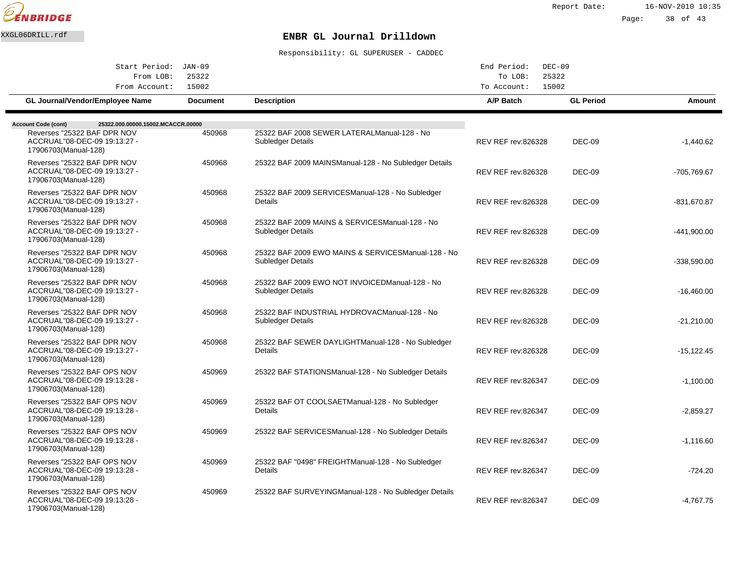

Page: 38 of 43

# XXGL06DRILL.rdf **ENBR GL Journal Drilldown**

| Start Period: JAN-09                                                                                                                                    |                 |                                                                          | End Period:<br>$DEC-09$   |                  |               |
|---------------------------------------------------------------------------------------------------------------------------------------------------------|-----------------|--------------------------------------------------------------------------|---------------------------|------------------|---------------|
| From LOB:<br>From Account:                                                                                                                              | 25322<br>15002  |                                                                          | To LOB:<br>To Account:    | 25322<br>15002   |               |
| GL Journal/Vendor/Employee Name                                                                                                                         | <b>Document</b> | <b>Description</b>                                                       | A/P Batch                 | <b>GL Period</b> | <b>Amount</b> |
|                                                                                                                                                         |                 |                                                                          |                           |                  |               |
| 25322.000.00000.15002.MCACCR.00000<br><b>Account Code (cont)</b><br>Reverses "25322 BAF DPR NOV<br>ACCRUAL"08-DEC-09 19:13:27 -<br>17906703(Manual-128) | 450968          | 25322 BAF 2008 SEWER LATERAL Manual-128 - No<br>Subledger Details        | <b>REV REF rev:826328</b> | <b>DEC-09</b>    | $-1,440.62$   |
| Reverses "25322 BAF DPR NOV<br>ACCRUAL"08-DEC-09 19:13:27 -<br>17906703(Manual-128)                                                                     | 450968          | 25322 BAF 2009 MAINS Manual-128 - No Subledger Details                   | <b>REV REF rev:826328</b> | <b>DEC-09</b>    | -705,769.67   |
| Reverses "25322 BAF DPR NOV<br>ACCRUAL"08-DEC-09 19:13:27 -<br>17906703(Manual-128)                                                                     | 450968          | 25322 BAF 2009 SERVICES Manual-128 - No Subledger<br>Details             | REV REF rev:826328        | <b>DEC-09</b>    | -831,670.87   |
| Reverses "25322 BAF DPR NOV<br>ACCRUAL"08-DEC-09 19:13:27 -<br>17906703(Manual-128)                                                                     | 450968          | 25322 BAF 2009 MAINS & SERVICES Manual-128 - No<br>Subledger Details     | <b>REV REF rev:826328</b> | <b>DEC-09</b>    | -441,900.00   |
| Reverses "25322 BAF DPR NOV<br>ACCRUAL"08-DEC-09 19:13:27 -<br>17906703(Manual-128)                                                                     | 450968          | 25322 BAF 2009 EWO MAINS & SERVICES Manual-128 - No<br>Subledger Details | <b>REV REF rev:826328</b> | <b>DEC-09</b>    | $-338,590.00$ |
| Reverses "25322 BAF DPR NOV<br>ACCRUAL"08-DEC-09 19:13:27 -<br>17906703(Manual-128)                                                                     | 450968          | 25322 BAF 2009 EWO NOT INVOICED Manual-128 - No<br>Subledger Details     | <b>REV REF rev:826328</b> | <b>DEC-09</b>    | $-16,460.00$  |
| Reverses "25322 BAF DPR NOV<br>ACCRUAL"08-DEC-09 19:13:27 -<br>17906703(Manual-128)                                                                     | 450968          | 25322 BAF INDUSTRIAL HYDROVAC Manual-128 - No<br>Subledger Details       | <b>REV REF rev:826328</b> | <b>DEC-09</b>    | $-21,210.00$  |
| Reverses "25322 BAF DPR NOV<br>ACCRUAL"08-DEC-09 19:13:27 -<br>17906703(Manual-128)                                                                     | 450968          | 25322 BAF SEWER DAYLIGHT Manual-128 - No Subledger<br>Details            | <b>REV REF rev:826328</b> | <b>DEC-09</b>    | $-15, 122.45$ |
| Reverses "25322 BAF OPS NOV<br>ACCRUAL"08-DEC-09 19:13:28 -<br>17906703(Manual-128)                                                                     | 450969          | 25322 BAF STATIONS Manual-128 - No Subledger Details                     | <b>REV REF rev:826347</b> | <b>DEC-09</b>    | $-1.100.00$   |
| Reverses "25322 BAF OPS NOV<br>ACCRUAL"08-DEC-09 19:13:28 -<br>17906703(Manual-128)                                                                     | 450969          | 25322 BAF OT COOLSAET Manual-128 - No Subledger<br><b>Details</b>        | REV REF rev:826347        | <b>DEC-09</b>    | $-2,859.27$   |
| Reverses "25322 BAF OPS NOV<br>ACCRUAL"08-DEC-09 19:13:28 -<br>17906703(Manual-128)                                                                     | 450969          | 25322 BAF SERVICES Manual-128 - No Subledger Details                     | REV REF rev:826347        | <b>DEC-09</b>    | $-1,116.60$   |
| Reverses "25322 BAF OPS NOV<br>ACCRUAL"08-DEC-09 19:13:28 -<br>17906703(Manual-128)                                                                     | 450969          | 25322 BAF "0498" FREIGHT Manual-128 - No Subledger<br>Details            | REV REF rev:826347        | <b>DEC-09</b>    | $-724.20$     |
| Reverses "25322 BAF OPS NOV<br>ACCRUAL"08-DEC-09 19:13:28 -<br>17906703(Manual-128)                                                                     | 450969          | 25322 BAF SURVEYING Manual-128 - No Subledger Details                    | <b>REV REF rev:826347</b> | <b>DEC-09</b>    | $-4,767.75$   |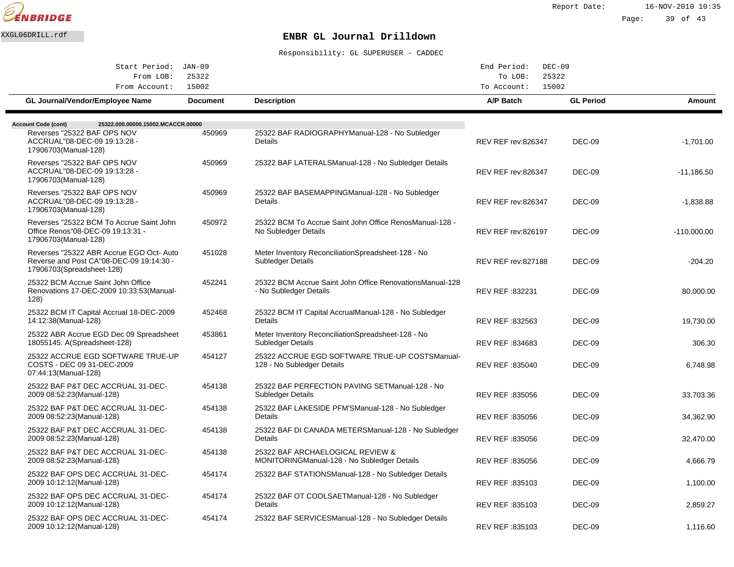

2009 10:12:12(Manual-128)

2009 10:12:12(Manual-128)

2009 10:12:12(Manual-128)

25322 BAF OPS DEC ACCRUAL 31-DEC-

25322 BAF OPS DEC ACCRUAL 31-DEC-

Page: 39 of 43

1,100.00

DEC-09

REV REF :835103

REV REF :835103

REV REF :835103

DEC-09

DEC-09

2,859.27

1,116.60

## XXGL06DRILL.rdf **ENBR GL Journal Drilldown**

Responsibility: GL SUPERUSER - CADDEC

|                                                                                                                  |                 | Responsibility: GL SUPERUSER - CADDEC                                               |                           |                  |               |
|------------------------------------------------------------------------------------------------------------------|-----------------|-------------------------------------------------------------------------------------|---------------------------|------------------|---------------|
| Start Period: JAN-09                                                                                             |                 |                                                                                     | End Period:<br>$DEC-09$   |                  |               |
| From LOB:                                                                                                        | 25322           |                                                                                     | To LOB:                   | 25322            |               |
| From Account:                                                                                                    | 15002           |                                                                                     | 15002<br>To Account:      |                  |               |
| GL Journal/Vendor/Employee Name                                                                                  | <b>Document</b> | <b>Description</b>                                                                  | <b>A/P Batch</b>          | <b>GL Period</b> | Amount        |
|                                                                                                                  |                 |                                                                                     |                           |                  |               |
| <b>Account Code (cont)</b><br>25322.000.00000.15002.MCACCR.00000                                                 |                 |                                                                                     |                           |                  |               |
| Reverses "25322 BAF OPS NOV<br>ACCRUAL"08-DEC-09 19:13:28 -<br>17906703(Manual-128)                              | 450969          | 25322 BAF RADIOGRAPHY Manual-128 - No Subledger<br>Details                          | <b>REV REF rev:826347</b> | DEC-09           | $-1,701.00$   |
| Reverses "25322 BAF OPS NOV<br>ACCRUAL"08-DEC-09 19:13:28 -<br>17906703(Manual-128)                              | 450969          | 25322 BAF LATERALS Manual-128 - No Subledger Details                                | REV REF rev:826347        | DEC-09           | $-11,186.50$  |
| Reverses "25322 BAF OPS NOV<br>ACCRUAL"08-DEC-09 19:13:28 -<br>17906703(Manual-128)                              | 450969          | 25322 BAF BASEMAPPING Manual-128 - No Subledger<br>Details                          | <b>REV REF rev:826347</b> | <b>DEC-09</b>    | $-1,838.88$   |
| Reverses "25322 BCM To Accrue Saint John<br>Office Renos"08-DEC-09 19:13:31 -<br>17906703(Manual-128)            | 450972          | 25322 BCM To Accrue Saint John Office Renos Manual-128 -<br>No Subledger Details    | <b>REV REF rev:826197</b> | DEC-09           | $-110,000.00$ |
| Reverses "25322 ABR Accrue EGD Oct-Auto<br>Reverse and Post CA"08-DEC-09 19:14:30 -<br>17906703(Spreadsheet-128) | 451028          | Meter Inventory Reconciliation Spreadsheet-128 - No<br>Subledger Details            | <b>REV REF rev:827188</b> | <b>DEC-09</b>    | $-204.20$     |
| 25322 BCM Accrue Saint John Office<br>Renovations 17-DEC-2009 10:33:53(Manual-<br>128)                           | 452241          | 25322 BCM Accrue Saint John Office Renovations Manual-128<br>- No Subledger Details | <b>REV REF:832231</b>     | <b>DEC-09</b>    | 80,000.00     |
| 25322 BCM IT Capital Accrual 18-DEC-2009<br>14:12:38(Manual-128)                                                 | 452468          | 25322 BCM IT Capital Accrual Manual-128 - No Subledger<br>Details                   | REV REF: 832563           | <b>DEC-09</b>    | 19,730.00     |
| 25322 ABR Accrue EGD Dec 09 Spreadsheet<br>18055145: A(Spreadsheet-128)                                          | 453861          | Meter Inventory Reconciliation Spreadsheet-128 - No<br>Subledger Details            | REV REF: 834683           | <b>DEC-09</b>    | 306.30        |
| 25322 ACCRUE EGD SOFTWARE TRUE-UP<br>COSTS - DEC 09 31-DEC-2009<br>07:44:13(Manual-128)                          | 454127          | 25322 ACCRUE EGD SOFTWARE TRUE-UP COSTS Manual-<br>128 - No Subledger Details       | REV REF: 835040           | <b>DEC-09</b>    | 6,748.98      |
| 25322 BAF P&T DEC ACCRUAL 31-DEC-<br>2009 08:52:23 (Manual-128)                                                  | 454138          | 25322 BAF PERFECTION PAVING SET Manual-128 - No<br>Subledger Details                | REV REF: 835056           | DEC-09           | 33,703.36     |
| 25322 BAF P&T DEC ACCRUAL 31-DEC-<br>2009 08:52:23(Manual-128)                                                   | 454138          | 25322 BAF LAKESIDE PFM'S Manual-128 - No Subledger<br>Details                       | REV REF : 835056          | DEC-09           | 34,362.90     |
| 25322 BAF P&T DEC ACCRUAL 31-DEC-<br>2009 08:52:23 (Manual-128)                                                  | 454138          | 25322 BAF DI CANADA METERS Manual-128 - No Subledger<br>Details                     | REV REF: 835056           | <b>DEC-09</b>    | 32,470.00     |
| 25322 BAF P&T DEC ACCRUAL 31-DEC-<br>2009 08:52:23(Manual-128)                                                   | 454138          | 25322 BAF ARCHAELOGICAL REVIEW &<br>MONITORING Manual-128 - No Subledger Details    | REV REF : 835056          | <b>DEC-09</b>    | 4,666.79      |
| 25322 BAF OPS DEC ACCRUAL 31-DEC-                                                                                | 454174          | 25322 BAF STATIONS Manual-128 - No Subledger Details                                |                           |                  |               |

25322 BAF OT COOLSAET Manual-128 - No Subledger

25322 BAF SERVICES Manual-128 - No Subledger Details

Details

454174

454174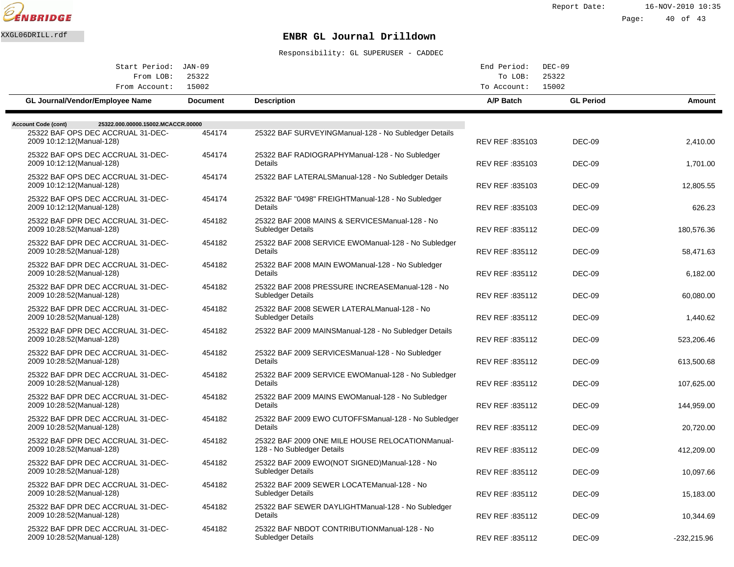

Report Date: 16-NOV-2010 10:35

Page: 40 of 43

# XXGL06DRILL.rdf **ENBR GL Journal Drilldown**

| Start Period: JAN-09<br>From LOB:                                | 25322           |                                                                                | End Period:<br>To LOB: | $DEC-09$<br>25322 |               |
|------------------------------------------------------------------|-----------------|--------------------------------------------------------------------------------|------------------------|-------------------|---------------|
| From Account:                                                    | 15002           |                                                                                | To Account:            | 15002             |               |
| GL Journal/Vendor/Employee Name                                  | <b>Document</b> | <b>Description</b>                                                             | A/P Batch              | <b>GL Period</b>  | Amount        |
| <b>Account Code (cont)</b><br>25322.000.00000.15002.MCACCR.00000 |                 |                                                                                |                        |                   |               |
| 25322 BAF OPS DEC ACCRUAL 31-DEC-<br>2009 10:12:12 (Manual-128)  | 454174          | 25322 BAF SURVEYING Manual-128 - No Subledger Details                          | REV REF : 835103       | DEC-09            | 2,410.00      |
| 25322 BAF OPS DEC ACCRUAL 31-DEC-<br>2009 10:12:12(Manual-128)   | 454174          | 25322 BAF RADIOGRAPHY Manual-128 - No Subledger<br>Details                     | REV REF: 835103        | DEC-09            | 1,701.00      |
| 25322 BAF OPS DEC ACCRUAL 31-DEC-<br>2009 10:12:12 (Manual-128)  | 454174          | 25322 BAF LATERALS Manual-128 - No Subledger Details                           | REV REF: 835103        | DEC-09            | 12,805.55     |
| 25322 BAF OPS DEC ACCRUAL 31-DEC-<br>2009 10:12:12(Manual-128)   | 454174          | 25322 BAF "0498" FREIGHT Manual-128 - No Subledger<br>Details                  | REV REF : 835103       | DEC-09            | 626.23        |
| 25322 BAF DPR DEC ACCRUAL 31-DEC-<br>2009 10:28:52(Manual-128)   | 454182          | 25322 BAF 2008 MAINS & SERVICES Manual-128 - No<br>Subledger Details           | REV REF: 835112        | DEC-09            | 180,576.36    |
| 25322 BAF DPR DEC ACCRUAL 31-DEC-<br>2009 10:28:52(Manual-128)   | 454182          | 25322 BAF 2008 SERVICE EWO Manual-128 - No Subledger<br>Details                | REV REF : 835112       | DEC-09            | 58,471.63     |
| 25322 BAF DPR DEC ACCRUAL 31-DEC-<br>2009 10:28:52 (Manual-128)  | 454182          | 25322 BAF 2008 MAIN EWO Manual-128 - No Subledger<br>Details                   | REV REF : 835112       | DEC-09            | 6,182.00      |
| 25322 BAF DPR DEC ACCRUAL 31-DEC-<br>2009 10:28:52 (Manual-128)  | 454182          | 25322 BAF 2008 PRESSURE INCREASE Manual-128 - No<br>Subledger Details          | REV REF: 835112        | DEC-09            | 60,080.00     |
| 25322 BAF DPR DEC ACCRUAL 31-DEC-<br>2009 10:28:52 (Manual-128)  | 454182          | 25322 BAF 2008 SEWER LATERAL Manual-128 - No<br><b>Subledger Details</b>       | REV REF: 835112        | DEC-09            | 1,440.62      |
| 25322 BAF DPR DEC ACCRUAL 31-DEC-<br>2009 10:28:52(Manual-128)   | 454182          | 25322 BAF 2009 MAINS Manual-128 - No Subledger Details                         | REV REF: 835112        | DEC-09            | 523,206.46    |
| 25322 BAF DPR DEC ACCRUAL 31-DEC-<br>2009 10:28:52(Manual-128)   | 454182          | 25322 BAF 2009 SERVICES Manual-128 - No Subledger<br>Details                   | REV REF: 835112        | DEC-09            | 613,500.68    |
| 25322 BAF DPR DEC ACCRUAL 31-DEC-<br>2009 10:28:52(Manual-128)   | 454182          | 25322 BAF 2009 SERVICE EWO Manual-128 - No Subledger<br>Details                | REV REF: 835112        | DEC-09            | 107,625.00    |
| 25322 BAF DPR DEC ACCRUAL 31-DEC-<br>2009 10:28:52(Manual-128)   | 454182          | 25322 BAF 2009 MAINS EWO Manual-128 - No Subledger<br>Details                  | REV REF : 835112       | DEC-09            | 144,959.00    |
| 25322 BAF DPR DEC ACCRUAL 31-DEC-<br>2009 10:28:52(Manual-128)   | 454182          | 25322 BAF 2009 EWO CUTOFFS Manual-128 - No Subledger<br>Details                | REV REF: 835112        | DEC-09            | 20,720.00     |
| 25322 BAF DPR DEC ACCRUAL 31-DEC-<br>2009 10:28:52(Manual-128)   | 454182          | 25322 BAF 2009 ONE MILE HOUSE RELOCATION Manual-<br>128 - No Subledger Details | REV REF: 835112        | DEC-09            | 412,209.00    |
| 25322 BAF DPR DEC ACCRUAL 31-DEC-<br>2009 10:28:52(Manual-128)   | 454182          | 25322 BAF 2009 EWO(NOT SIGNED) Manual-128 - No<br>Subledger Details            | REV REF : 835112       | <b>DEC-09</b>     | 10,097.66     |
| 25322 BAF DPR DEC ACCRUAL 31-DEC-<br>2009 10:28:52(Manual-128)   | 454182          | 25322 BAF 2009 SEWER LOCATE Manual-128 - No<br>Subledger Details               | REV REF: 835112        | DEC-09            | 15,183.00     |
| 25322 BAF DPR DEC ACCRUAL 31-DEC-<br>2009 10:28:52 (Manual-128)  | 454182          | 25322 BAF SEWER DAYLIGHT Manual-128 - No Subledger<br>Details                  | REV REF : 835112       | <b>DEC-09</b>     | 10,344.69     |
| 25322 BAF DPR DEC ACCRUAL 31-DEC-<br>2009 10:28:52 (Manual-128)  | 454182          | 25322 BAF NBDOT CONTRIBUTION Manual-128 - No<br>Subledger Details              | REV REF : 835112       | <b>DEC-09</b>     | $-232,215.96$ |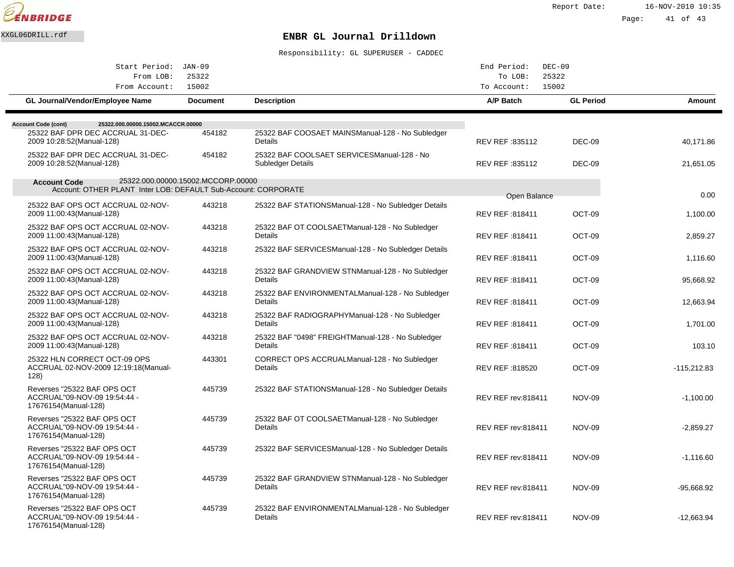

Report Date: 16-NOV-2010 10:35

Page: 41 of 43

## XXGL06DRILL.rdf **ENBR GL Journal Drilldown**

| Start Period:                                                                         | JAN-09                             |                                                                         | End Period:               | $DEC-09$         |               |
|---------------------------------------------------------------------------------------|------------------------------------|-------------------------------------------------------------------------|---------------------------|------------------|---------------|
| From LOB:                                                                             | 25322                              |                                                                         | To LOB:                   | 25322            |               |
| From Account:                                                                         | 15002                              |                                                                         | To Account:               | 15002            |               |
| GL Journal/Vendor/Employee Name                                                       | <b>Document</b>                    | <b>Description</b>                                                      | A/P Batch                 | <b>GL Period</b> | Amount        |
| 25322.000.00000.15002.MCACCR.00000<br><b>Account Code (cont)</b>                      |                                    |                                                                         |                           |                  |               |
| 25322 BAF DPR DEC ACCRUAL 31-DEC-<br>2009 10:28:52(Manual-128)                        | 454182                             | 25322 BAF COOSAET MAINS Manual-128 - No Subledger<br>Details            | REV REF: 835112           | DEC-09           | 40,171.86     |
| 25322 BAF DPR DEC ACCRUAL 31-DEC-<br>2009 10:28:52 (Manual-128)                       | 454182                             | 25322 BAF COOLSAET SERVICES Manual-128 - No<br><b>Subledger Details</b> | REV REF: 835112           | DEC-09           | 21,651.05     |
| <b>Account Code</b><br>Account: OTHER PLANT Inter LOB: DEFAULT Sub-Account: CORPORATE | 25322.000.00000.15002.MCCORP.00000 |                                                                         |                           |                  |               |
| 25322 BAF OPS OCT ACCRUAL 02-NOV-                                                     | 443218                             |                                                                         | Open Balance              |                  | 0.00          |
| 2009 11:00:43(Manual-128)                                                             |                                    | 25322 BAF STATIONS Manual-128 - No Subledger Details                    | REV REF: 818411           | OCT-09           | 1,100.00      |
| 25322 BAF OPS OCT ACCRUAL 02-NOV-<br>2009 11:00:43(Manual-128)                        | 443218                             | 25322 BAF OT COOLSAET Manual-128 - No Subledger<br>Details              | REV REF: 818411           | OCT-09           | 2,859.27      |
| 25322 BAF OPS OCT ACCRUAL 02-NOV-<br>2009 11:00:43(Manual-128)                        | 443218                             | 25322 BAF SERVICES Manual-128 - No Subledger Details                    | REV REF : 818411          | OCT-09           | 1.116.60      |
| 25322 BAF OPS OCT ACCRUAL 02-NOV-<br>2009 11:00:43(Manual-128)                        | 443218                             | 25322 BAF GRANDVIEW STN Manual-128 - No Subledger<br>Details            | REV REF: 818411           | OCT-09           | 95,668.92     |
| 25322 BAF OPS OCT ACCRUAL 02-NOV-<br>2009 11:00:43(Manual-128)                        | 443218                             | 25322 BAF ENVIRONMENTAL Manual-128 - No Subledger<br>Details            | REV REF: 818411           | OCT-09           | 12,663.94     |
| 25322 BAF OPS OCT ACCRUAL 02-NOV-<br>2009 11:00:43(Manual-128)                        | 443218                             | 25322 BAF RADIOGRAPHY Manual-128 - No Subledger<br>Details              | REV REF: 818411           | OCT-09           | 1,701.00      |
| 25322 BAF OPS OCT ACCRUAL 02-NOV-<br>2009 11:00:43(Manual-128)                        | 443218                             | 25322 BAF "0498" FREIGHT Manual-128 - No Subledger<br>Details           | REV REF : 818411          | OCT-09           | 103.10        |
| 25322 HLN CORRECT OCT-09 OPS<br>ACCRUAL 02-NOV-2009 12:19:18 (Manual-<br>128)         | 443301                             | CORRECT OPS ACCRUAL Manual-128 - No Subledger<br>Details                | REV REF: 818520           | OCT-09           | $-115,212.83$ |
| Reverses "25322 BAF OPS OCT<br>ACCRUAL"09-NOV-09 19:54:44 -<br>17676154(Manual-128)   | 445739                             | 25322 BAF STATIONS Manual-128 - No Subledger Details                    | <b>REV REF rev:818411</b> | <b>NOV-09</b>    | $-1,100.00$   |
| Reverses "25322 BAF OPS OCT<br>ACCRUAL"09-NOV-09 19:54:44 -<br>17676154(Manual-128)   | 445739                             | 25322 BAF OT COOLSAET Manual-128 - No Subledger<br>Details              | REV REF rev:818411        | <b>NOV-09</b>    | $-2,859.27$   |
| Reverses "25322 BAF OPS OCT<br>ACCRUAL"09-NOV-09 19:54:44 -<br>17676154(Manual-128)   | 445739                             | 25322 BAF SERVICES Manual-128 - No Subledger Details                    | <b>REV REF rev:818411</b> | <b>NOV-09</b>    | $-1,116.60$   |
| Reverses "25322 BAF OPS OCT<br>ACCRUAL"09-NOV-09 19:54:44 -<br>17676154(Manual-128)   | 445739                             | 25322 BAF GRANDVIEW STN Manual-128 - No Subledger<br><b>Details</b>     | <b>REV REF rev:818411</b> | <b>NOV-09</b>    | -95,668.92    |
| Reverses "25322 BAF OPS OCT<br>ACCRUAL"09-NOV-09 19:54:44 -<br>17676154(Manual-128)   | 445739                             | 25322 BAF ENVIRONMENTAL Manual-128 - No Subledger<br>Details            | <b>REV REF rev:818411</b> | <b>NOV-09</b>    | $-12,663.94$  |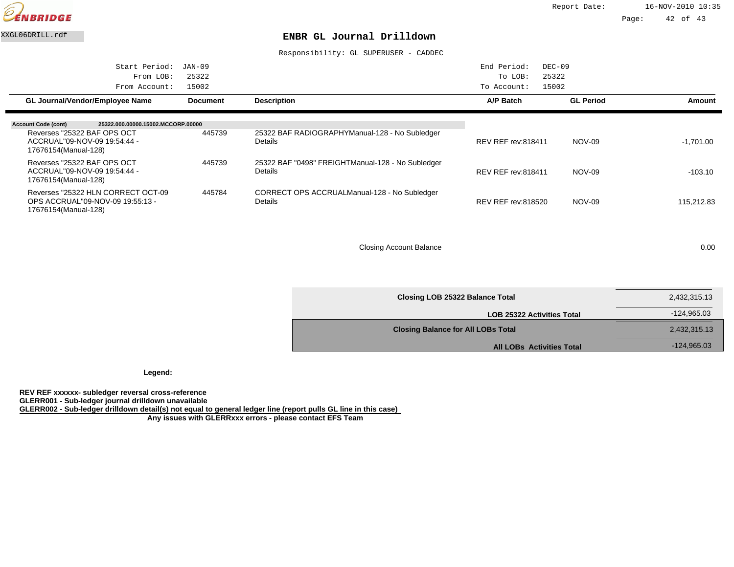

#### XXGL06DRILL.rdf **ENBR GL Journal Drilldown**

Responsibility: GL SUPERUSER - CADDEC

| Start Period:<br>From LOB:<br>From Account:                                                    | JAN-09<br>25322<br>15002 |                                                                      | End Period:<br>$DEC-09$<br>25322<br>To LOB:<br>15002<br>To Account: |                  |             |
|------------------------------------------------------------------------------------------------|--------------------------|----------------------------------------------------------------------|---------------------------------------------------------------------|------------------|-------------|
| <b>GL Journal/Vendor/Employee Name</b>                                                         | <b>Document</b>          | <b>Description</b>                                                   | A/P Batch                                                           | <b>GL Period</b> | Amount      |
| <b>Account Code (cont)</b><br>25322.000.00000.15002.MCCORP.00000                               |                          |                                                                      |                                                                     |                  |             |
| Reverses "25322 BAF OPS OCT<br>ACCRUAL"09-NOV-09 19:54:44 -<br>17676154(Manual-128)            | 445739                   | 25322 BAF RADIOGRAPHY Manual-128 - No Subledger<br><b>Details</b>    | <b>REV REF rev:818411</b>                                           | NOV-09           | $-1.701.00$ |
| Reverses "25322 BAF OPS OCT<br>ACCRUAL"09-NOV-09 19:54:44 -<br>17676154(Manual-128)            | 445739                   | 25322 BAF "0498" FREIGHT Manual-128 - No Subledger<br><b>Details</b> | <b>REV REF rev:818411</b>                                           | NOV-09           | $-103.10$   |
| Reverses "25322 HLN CORRECT OCT-09<br>OPS ACCRUAL"09-NOV-09 19:55:13 -<br>17676154(Manual-128) | 445784                   | CORRECT OPS ACCRUAL Manual-128 - No Subledger<br><b>Details</b>      | <b>REV REF rev:818520</b>                                           | <b>NOV-09</b>    | 115,212.83  |

Closing Account Balance 0.000 0.000 0.000 0.000 0.000 0.000 0.000 0.000 0.000 0.000 0.000 0.000 0.000 0.000 0.000 0.000 0.000 0.000 0.000 0.000 0.000 0.000 0.000 0.000 0.000 0.000 0.000 0.000 0.000 0.000 0.000 0.000 0.000

| Closing LOB 25322 Balance Total           | 2,432,315.13  |
|-------------------------------------------|---------------|
| <b>LOB 25322 Activities Total</b>         | -124,965.03   |
| <b>Closing Balance for All LOBs Total</b> | 2,432,315.13  |
| <b>All LOBs Activities Total</b>          | $-124,965.03$ |

**Legend:**

**REV REF xxxxxx- subledger reversal cross-reference GLERR001 - Sub-ledger journal drilldown unavailable GLERR002 - Sub-ledger drilldown detail(s) not equal to general ledger line (report pulls GL line in this case) Any issues with GLERRxxx errors - please contact EFS Team**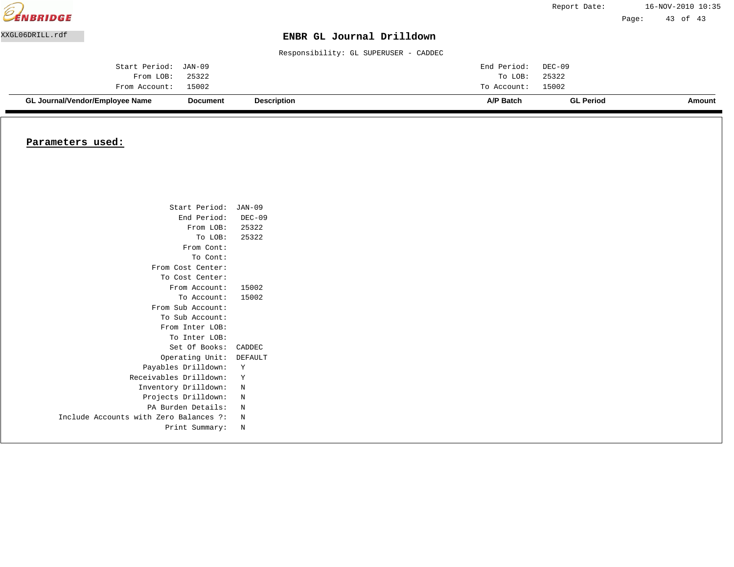| <b>EENBRIDGE</b> |                                 |                 |                                       |             | Report Date:     |       | 16-NOV-2010 10:35 |  |
|------------------|---------------------------------|-----------------|---------------------------------------|-------------|------------------|-------|-------------------|--|
|                  |                                 |                 |                                       |             |                  | Page: | 43 of 43          |  |
| XXGL06DRILL.rdf  |                                 |                 | ENBR GL Journal Drilldown             |             |                  |       |                   |  |
|                  |                                 |                 | Responsibility: GL SUPERUSER - CADDEC |             |                  |       |                   |  |
|                  | Start Period:                   | JAN-09          |                                       | End Period: | DEC-09           |       |                   |  |
|                  | From LOB:                       | 25322           |                                       | To LOB:     | 25322            |       |                   |  |
|                  | From Account:                   | 15002           |                                       | To Account: | 15002            |       |                   |  |
|                  | GL Journal/Vendor/Employee Name | <b>Document</b> | <b>Description</b>                    | A/P Batch   | <b>GL Period</b> |       | Amount            |  |

#### **Parameters used:**

| Start Period: JAN-09                   |          |
|----------------------------------------|----------|
| End Period:                            | $DEC-09$ |
| From LOB: 25322                        |          |
| To LOB:                                | 25322    |
| From Cont:                             |          |
| To Cont:                               |          |
| From Cost Center:                      |          |
| To Cost Center:                        |          |
| From Account:                          | 15002    |
| To Account:                            | 15002    |
| From Sub Account:                      |          |
| To Sub Account:                        |          |
| From Inter LOB:                        |          |
| To Inter LOB:                          |          |
| Set Of Books:                          | CADDEC   |
| Operating Unit:                        | DEFAULT  |
| Payables Drilldown:                    | Υ        |
| Receivables Drilldown:                 | Y        |
| Inventory Drilldown:                   | N        |
| Projects Drilldown:                    | N        |
| PA Burden Details:                     | N        |
| Include Accounts with Zero Balances ?: | N        |
| Print Summary:                         | N        |
|                                        |          |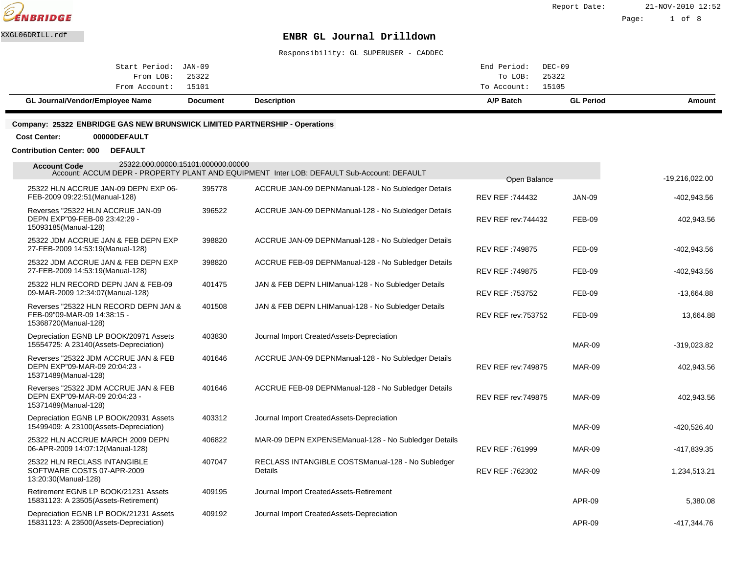

Responsibility: GL SUPERUSER - CADDEC

| Amount |  |
|--------|--|
|        |  |
|        |  |
|        |  |
|        |  |

#### **Company: 25322 ENBRIDGE GAS NEW BRUNSWICK LIMITED PARTNERSHIP - Operations**

**Cost Center: 00000DEFAULT**

**Contribution Center: 000 DEFAULT**

| 25322.000.00000.15101.000000.00000<br><b>Account Code</b>                                     |        | Account: ACCUM DEPR - PROPERTY PLANT AND EQUIPMENT Inter LOB: DEFAULT Sub-Account: DEFAULT | Open Balance               |               | $-19,216,022.00$ |
|-----------------------------------------------------------------------------------------------|--------|--------------------------------------------------------------------------------------------|----------------------------|---------------|------------------|
| 25322 HLN ACCRUE JAN-09 DEPN EXP 06-<br>FEB-2009 09:22:51 (Manual-128)                        | 395778 | ACCRUE JAN-09 DEPN Manual-128 - No Subledger Details                                       | REV REF: 744432            | <b>JAN-09</b> | $-402,943.56$    |
| Reverses "25322 HLN ACCRUE JAN-09<br>DEPN EXP"09-FEB-09 23:42:29 -<br>15093185(Manual-128)    | 396522 | ACCRUE JAN-09 DEPN Manual-128 - No Subledger Details                                       | <b>REV REF rev: 744432</b> | FEB-09        | 402,943.56       |
| 25322 JDM ACCRUE JAN & FEB DEPN EXP<br>27-FEB-2009 14:53:19(Manual-128)                       | 398820 | ACCRUE JAN-09 DEPN Manual-128 - No Subledger Details                                       | <b>REV REF: 749875</b>     | FEB-09        | $-402,943.56$    |
| 25322 JDM ACCRUE JAN & FEB DEPN EXP<br>27-FEB-2009 14:53:19(Manual-128)                       | 398820 | ACCRUE FEB-09 DEPN Manual-128 - No Subledger Details                                       | <b>REV REF: 749875</b>     | <b>FEB-09</b> | $-402,943.56$    |
| 25322 HLN RECORD DEPN JAN & FEB-09<br>09-MAR-2009 12:34:07 (Manual-128)                       | 401475 | JAN & FEB DEPN LHI Manual-128 - No Subledger Details                                       | REV REF: 753752            | <b>FEB-09</b> | $-13,664.88$     |
| Reverses "25322 HLN RECORD DEPN JAN &<br>FEB-09"09-MAR-09 14:38:15 -<br>15368720(Manual-128)  | 401508 | JAN & FEB DEPN LHI Manual-128 - No Subledger Details                                       | REV REF rev: 753752        | <b>FEB-09</b> | 13,664.88        |
| Depreciation EGNB LP BOOK/20971 Assets<br>15554725: A 23140(Assets-Depreciation)              | 403830 | Journal Import Created Assets-Depreciation                                                 |                            | <b>MAR-09</b> | $-319,023.82$    |
| Reverses "25322 JDM ACCRUE JAN & FEB<br>DEPN EXP"09-MAR-09 20:04:23 -<br>15371489(Manual-128) | 401646 | ACCRUE JAN-09 DEPN Manual-128 - No Subledger Details                                       | <b>REV REF rev: 749875</b> | <b>MAR-09</b> | 402,943.56       |
| Reverses "25322 JDM ACCRUE JAN & FEB<br>DEPN EXP"09-MAR-09 20:04:23 -<br>15371489(Manual-128) | 401646 | ACCRUE FEB-09 DEPN Manual-128 - No Subledger Details                                       | <b>REV REF rev: 749875</b> | <b>MAR-09</b> | 402,943.56       |
| Depreciation EGNB LP BOOK/20931 Assets<br>15499409: A 23100(Assets-Depreciation)              | 403312 | Journal Import Created Assets-Depreciation                                                 |                            | <b>MAR-09</b> | $-420,526.40$    |
| 25322 HLN ACCRUE MARCH 2009 DEPN<br>06-APR-2009 14:07:12(Manual-128)                          | 406822 | MAR-09 DEPN EXPENSE Manual-128 - No Subledger Details                                      | REV REF: 761999            | MAR-09        | -417,839.35      |
| 25322 HLN RECLASS INTANGIBLE<br>SOFTWARE COSTS 07-APR-2009<br>13:20:30(Manual-128)            | 407047 | RECLASS INTANGIBLE COSTS Manual-128 - No Subledger<br>Details                              | REV REF: 762302            | <b>MAR-09</b> | 1,234,513.21     |
| Retirement EGNB LP BOOK/21231 Assets<br>15831123: A 23505(Assets-Retirement)                  | 409195 | Journal Import Created Assets-Retirement                                                   |                            | APR-09        | 5,380.08         |
| Depreciation EGNB LP BOOK/21231 Assets<br>15831123: A 23500(Assets-Depreciation)              | 409192 | Journal Import Created Assets-Depreciation                                                 |                            | APR-09        | $-417.344.76$    |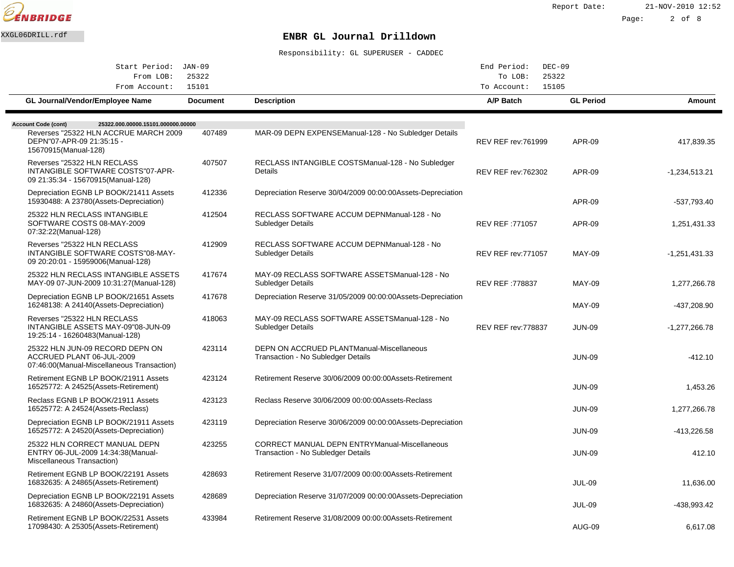

| Start Period: JAN-09                                                                                                                                           |                 |                                                                                             | End Period:<br>$DEC-09$    |                  |                 |
|----------------------------------------------------------------------------------------------------------------------------------------------------------------|-----------------|---------------------------------------------------------------------------------------------|----------------------------|------------------|-----------------|
| From LOB:<br>From Account:                                                                                                                                     | 25322<br>15101  |                                                                                             | To LOB:<br>To Account:     | 25322<br>15105   |                 |
| <b>GL Journal/Vendor/Employee Name</b>                                                                                                                         | <b>Document</b> | <b>Description</b>                                                                          | A/P Batch                  | <b>GL Period</b> | Amount          |
|                                                                                                                                                                |                 |                                                                                             |                            |                  |                 |
| <b>Account Code (cont)</b><br>25322.000.00000.15101.000000.00000<br>Reverses "25322 HLN ACCRUE MARCH 2009<br>DEPN"07-APR-09 21:35:15 -<br>15670915(Manual-128) | 407489          | MAR-09 DEPN EXPENSE Manual-128 - No Subledger Details                                       | <b>REV REF rev: 761999</b> | <b>APR-09</b>    | 417.839.35      |
| Reverses "25322 HLN RECLASS<br>INTANGIBLE SOFTWARE COSTS"07-APR-<br>09 21:35:34 - 15670915(Manual-128)                                                         | 407507          | RECLASS INTANGIBLE COSTS Manual-128 - No Subledger<br>Details                               | <b>REV REF rev: 762302</b> | <b>APR-09</b>    | $-1,234,513.21$ |
| Depreciation EGNB LP BOOK/21411 Assets<br>15930488: A 23780(Assets-Depreciation)                                                                               | 412336          | Depreciation Reserve 30/04/2009 00:00:00 Assets-Depreciation                                |                            | <b>APR-09</b>    | -537,793.40     |
| 25322 HLN RECLASS INTANGIBLE<br>SOFTWARE COSTS 08-MAY-2009<br>07:32:22(Manual-128)                                                                             | 412504          | RECLASS SOFTWARE ACCUM DEPN Manual-128 - No<br>Subledger Details                            | REV REF: 771057            | <b>APR-09</b>    | 1,251,431.33    |
| Reverses "25322 HLN RECLASS<br>INTANGIBLE SOFTWARE COSTS"08-MAY-<br>09 20:20:01 - 15959006(Manual-128)                                                         | 412909          | RECLASS SOFTWARE ACCUM DEPN Manual-128 - No<br>Subledger Details                            | <b>REV REF rev: 771057</b> | <b>MAY-09</b>    | $-1,251,431.33$ |
| 25322 HLN RECLASS INTANGIBLE ASSETS<br>MAY-09 07-JUN-2009 10:31:27 (Manual-128)                                                                                | 417674          | MAY-09 RECLASS SOFTWARE ASSETS Manual-128 - No<br>Subledger Details                         | <b>REV REF: 778837</b>     | <b>MAY-09</b>    | 1,277,266.78    |
| Depreciation EGNB LP BOOK/21651 Assets<br>16248138: A 24140(Assets-Depreciation)                                                                               | 417678          | Depreciation Reserve 31/05/2009 00:00:00 Assets-Depreciation                                |                            | <b>MAY-09</b>    | -437,208.90     |
| Reverses "25322 HLN RECLASS<br>INTANGIBLE ASSETS MAY-09"08-JUN-09<br>19:25:14 - 16260483(Manual-128)                                                           | 418063          | MAY-09 RECLASS SOFTWARE ASSETS Manual-128 - No<br>Subledger Details                         | <b>REV REF rev: 778837</b> | <b>JUN-09</b>    | -1,277,266.78   |
| 25322 HLN JUN-09 RECORD DEPN ON<br>ACCRUED PLANT 06-JUL-2009<br>07:46:00(Manual-Miscellaneous Transaction)                                                     | 423114          | DEPN ON ACCRUED PLANT Manual-Miscellaneous<br>Transaction - No Subledger Details            |                            | <b>JUN-09</b>    | $-412.10$       |
| Retirement EGNB LP BOOK/21911 Assets<br>16525772: A 24525(Assets-Retirement)                                                                                   | 423124          | Retirement Reserve 30/06/2009 00:00:00 Assets-Retirement                                    |                            | <b>JUN-09</b>    | 1,453.26        |
| Reclass EGNB LP BOOK/21911 Assets<br>16525772: A 24524 (Assets-Reclass)                                                                                        | 423123          | Reclass Reserve 30/06/2009 00:00:00 Assets-Reclass                                          |                            | <b>JUN-09</b>    | 1,277,266.78    |
| Depreciation EGNB LP BOOK/21911 Assets<br>16525772: A 24520(Assets-Depreciation)                                                                               | 423119          | Depreciation Reserve 30/06/2009 00:00:00 Assets-Depreciation                                |                            | <b>JUN-09</b>    | -413,226.58     |
| 25322 HLN CORRECT MANUAL DEPN<br>ENTRY 06-JUL-2009 14:34:38(Manual-<br>Miscellaneous Transaction)                                                              | 423255          | <b>CORRECT MANUAL DEPN ENTRY Manual-Miscellaneous</b><br>Transaction - No Subledger Details |                            | <b>JUN-09</b>    | 412.10          |
| Retirement EGNB LP BOOK/22191 Assets<br>16832635: A 24865(Assets-Retirement)                                                                                   | 428693          | Retirement Reserve 31/07/2009 00:00:00 Assets-Retirement                                    |                            | <b>JUL-09</b>    | 11,636.00       |
| Depreciation EGNB LP BOOK/22191 Assets<br>16832635: A 24860(Assets-Depreciation)                                                                               | 428689          | Depreciation Reserve 31/07/2009 00:00:00 Assets-Depreciation                                |                            | <b>JUL-09</b>    | -438,993.42     |
| Retirement EGNB LP BOOK/22531 Assets<br>17098430: A 25305(Assets-Retirement)                                                                                   | 433984          | Retirement Reserve 31/08/2009 00:00:00 Assets-Retirement                                    |                            | <b>AUG-09</b>    | 6,617.08        |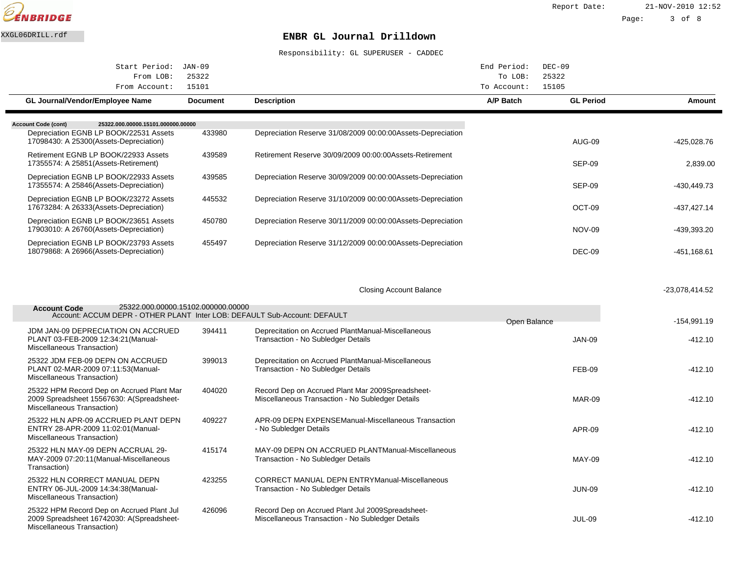

| Start Period: JAN-09                                                                                                                                 |                 |                                                                                                       | End Period:<br>$DEC-09$                  |                  |                |
|------------------------------------------------------------------------------------------------------------------------------------------------------|-----------------|-------------------------------------------------------------------------------------------------------|------------------------------------------|------------------|----------------|
| From LOB:<br>From Account:                                                                                                                           | 25322<br>15101  |                                                                                                       | 25322<br>To LOB:<br>15105<br>To Account: |                  |                |
| GL Journal/Vendor/Employee Name                                                                                                                      | <b>Document</b> | <b>Description</b>                                                                                    | A/P Batch                                | <b>GL Period</b> | <b>Amount</b>  |
|                                                                                                                                                      |                 |                                                                                                       |                                          |                  |                |
| 25322.000.00000.15101.000000.00000<br><b>Account Code (cont)</b><br>Depreciation EGNB LP BOOK/22531 Assets<br>17098430: A 25300(Assets-Depreciation) | 433980          | Depreciation Reserve 31/08/2009 00:00:00 Assets-Depreciation                                          |                                          | <b>AUG-09</b>    | -425,028.76    |
| Retirement EGNB LP BOOK/22933 Assets<br>17355574: A 25851 (Assets-Retirement)                                                                        | 439589          | Retirement Reserve 30/09/2009 00:00:00 Assets-Retirement                                              |                                          | <b>SEP-09</b>    | 2,839.00       |
| Depreciation EGNB LP BOOK/22933 Assets<br>17355574: A 25846(Assets-Depreciation)                                                                     | 439585          | Depreciation Reserve 30/09/2009 00:00:00 Assets-Depreciation                                          |                                          | <b>SEP-09</b>    | -430,449.73    |
| Depreciation EGNB LP BOOK/23272 Assets<br>17673284: A 26333(Assets-Depreciation)                                                                     | 445532          | Depreciation Reserve 31/10/2009 00:00:00 Assets-Depreciation                                          |                                          | OCT-09           | $-437,427.14$  |
| Depreciation EGNB LP BOOK/23651 Assets<br>17903010: A 26760(Assets-Depreciation)                                                                     | 450780          | Depreciation Reserve 30/11/2009 00:00:00 Assets-Depreciation                                          |                                          | <b>NOV-09</b>    | -439,393.20    |
| Depreciation EGNB LP BOOK/23793 Assets<br>18079868: A 26966(Assets-Depreciation)                                                                     | 455497          | Depreciation Reserve 31/12/2009 00:00:00 Assets-Depreciation                                          |                                          | <b>DEC-09</b>    | $-451,168.61$  |
|                                                                                                                                                      |                 |                                                                                                       |                                          |                  |                |
|                                                                                                                                                      |                 | <b>Closing Account Balance</b>                                                                        |                                          |                  | -23,078,414.52 |
| 25322.000.00000.15102.000000.00000<br><b>Account Code</b><br>Account: ACCUM DEPR - OTHER PLANT Inter LOB: DEFAULT Sub-Account: DEFAULT               |                 |                                                                                                       | Open Balance                             |                  | $-154,991.19$  |
| JDM JAN-09 DEPRECIATION ON ACCRUED<br>PLANT 03-FEB-2009 12:34:21 (Manual-<br>Miscellaneous Transaction)                                              | 394411          | Deprecitation on Accrued Plant Manual-Miscellaneous<br>Transaction - No Subledger Details             |                                          | <b>JAN-09</b>    | $-412.10$      |
| 25322 JDM FEB-09 DEPN ON ACCRUED<br>PLANT 02-MAR-2009 07:11:53(Manual-<br>Miscellaneous Transaction)                                                 | 399013          | Deprecitation on Accrued Plant Manual-Miscellaneous<br>Transaction - No Subledger Details             |                                          | <b>FEB-09</b>    | $-412.10$      |
| 25322 HPM Record Dep on Accrued Plant Mar<br>2009 Spreadsheet 15567630: A(Spreadsheet-<br>Miscellaneous Transaction)                                 | 404020          | Record Dep on Accrued Plant Mar 2009 Spreadsheet-<br>Miscellaneous Transaction - No Subledger Details |                                          | <b>MAR-09</b>    | $-412.10$      |
| 25322 HLN APR-09 ACCRUED PLANT DEPN<br>ENTRY 28-APR-2009 11:02:01 (Manual-<br>Miscellaneous Transaction)                                             | 409227          | APR-09 DEPN EXPENSE Manual-Miscellaneous Transaction<br>- No Subledger Details                        |                                          | <b>APR-09</b>    | $-412.10$      |
| 25322 HLN MAY-09 DEPN ACCRUAL 29-<br>MAY-2009 07:20:11 (Manual-Miscellaneous<br>Transaction)                                                         | 415174          | MAY-09 DEPN ON ACCRUED PLANT Manual-Miscellaneous<br>Transaction - No Subledger Details               |                                          | <b>MAY-09</b>    | $-412.10$      |
| 25322 HLN CORRECT MANUAL DEPN<br>ENTRY 06-JUL-2009 14:34:38(Manual-<br>Miscellaneous Transaction)                                                    | 423255          | <b>CORRECT MANUAL DEPN ENTRY Manual-Miscellaneous</b><br>Transaction - No Subledger Details           |                                          | <b>JUN-09</b>    | $-412.10$      |
| 25322 HPM Record Dep on Accrued Plant Jul<br>2009 Spreadsheet 16742030: A(Spreadsheet-<br>Miscellaneous Transaction)                                 | 426096          | Record Dep on Accrued Plant Jul 2009 Spreadsheet-<br>Miscellaneous Transaction - No Subledger Details |                                          | <b>JUL-09</b>    | $-412.10$      |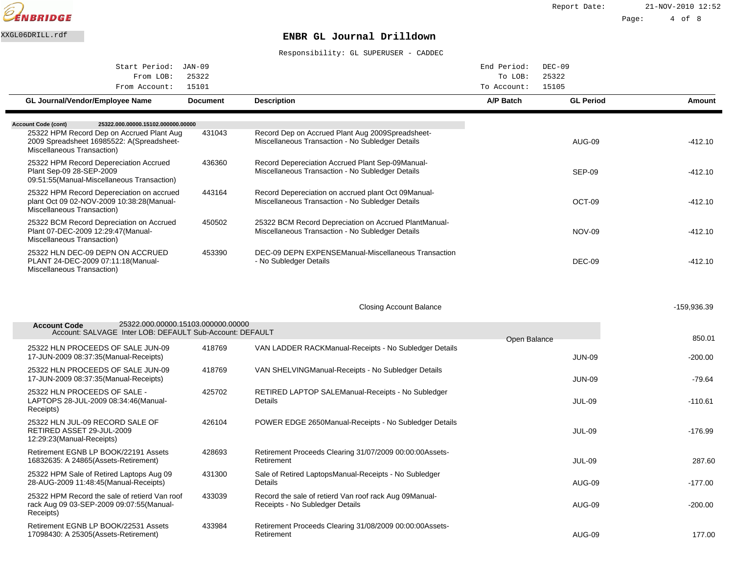

| Start Period: JAN-09                                                                                                 |                 |                                                                                                            | End Period:<br>$DEC-09$ |                  |             |
|----------------------------------------------------------------------------------------------------------------------|-----------------|------------------------------------------------------------------------------------------------------------|-------------------------|------------------|-------------|
| 25322<br>From LOB:                                                                                                   |                 |                                                                                                            | 25322<br>To LOB:        |                  |             |
| From Account:                                                                                                        | 15101           |                                                                                                            | 15105<br>To Account:    |                  |             |
| GL Journal/Vendor/Employee Name                                                                                      | <b>Document</b> | <b>Description</b>                                                                                         | A/P Batch               | <b>GL Period</b> | Amount      |
| 25322.000.00000.15102.000000.00000<br><b>Account Code (cont)</b>                                                     |                 |                                                                                                            |                         |                  |             |
| 25322 HPM Record Dep on Accrued Plant Aug<br>2009 Spreadsheet 16985522: A(Spreadsheet-<br>Miscellaneous Transaction) | 431043          | Record Dep on Accrued Plant Aug 2009 Spreadsheet-<br>Miscellaneous Transaction - No Subledger Details      |                         | <b>AUG-09</b>    | $-412.10$   |
| 25322 HPM Record Depereciation Accrued<br>Plant Sep-09 28-SEP-2009<br>09:51:55(Manual-Miscellaneous Transaction)     | 436360          | Record Depereciation Accrued Plant Sep-09 Manual-<br>Miscellaneous Transaction - No Subledger Details      |                         | SEP-09           | $-412.10$   |
| 25322 HPM Record Depereciation on accrued<br>plant Oct 09 02-NOV-2009 10:38:28(Manual-<br>Miscellaneous Transaction) | 443164          | Record Depereciation on accrued plant Oct 09 Manual-<br>Miscellaneous Transaction - No Subledger Details   |                         | OCT-09           | -412.10     |
| 25322 BCM Record Depreciation on Accrued<br>Plant 07-DEC-2009 12:29:47(Manual-<br>Miscellaneous Transaction)         | 450502          | 25322 BCM Record Depreciation on Accrued Plant Manual-<br>Miscellaneous Transaction - No Subledger Details |                         | <b>NOV-09</b>    | $-412.10$   |
| 25322 HLN DEC-09 DEPN ON ACCRUED<br>PLANT 24-DEC-2009 07:11:18(Manual-<br>Miscellaneous Transaction)                 | 453390          | DEC-09 DEPN EXPENSE Manual-Miscellaneous Transaction<br>- No Subledger Details                             |                         | DEC-09           | -412.10     |
| 25322.000.00000.15103.000000.00000<br><b>Account Code</b>                                                            |                 | <b>Closing Account Balance</b>                                                                             |                         |                  | -159,936.39 |
| Account: SALVAGE Inter LOB: DEFAULT Sub-Account: DEFAULT                                                             |                 |                                                                                                            | Open Balance            |                  | 850.01      |
| 25322 HLN PROCEEDS OF SALE JUN-09<br>17-JUN-2009 08:37:35 (Manual-Receipts)                                          | 418769          | VAN LADDER RACK Manual-Receipts - No Subledger Details                                                     |                         | <b>JUN-09</b>    | -200.00     |
| 25322 HLN PROCEEDS OF SALE JUN-09<br>17-JUN-2009 08:37:35 (Manual-Receipts)                                          | 418769          | VAN SHELVING Manual-Receipts - No Subledger Details                                                        |                         | <b>JUN-09</b>    | $-79.64$    |
| 25322 HLN PROCEEDS OF SALE -<br>LAPTOPS 28-JUL-2009 08:34:46(Manual-<br>Receipts)                                    | 425702          | RETIRED LAPTOP SALE Manual-Receipts - No Subledger<br>Details                                              |                         | <b>JUL-09</b>    | $-110.61$   |
| 25322 HLN JUL-09 RECORD SALE OF<br>RETIRED ASSET 29-JUL-2009<br>12:29:23(Manual-Receipts)                            | 426104          | POWER EDGE 2650 Manual-Receipts - No Subledger Details                                                     |                         | <b>JUL-09</b>    | $-176.99$   |
| Retirement EGNB LP BOOK/22191 Assets<br>16832635: A 24865(Assets-Retirement)                                         | 428693          | Retirement Proceeds Clearing 31/07/2009 00:00:00 Assets-<br>Retirement                                     |                         | <b>JUL-09</b>    | 287.60      |
| 25322 HPM Sale of Retired Laptops Aug 09<br>28-AUG-2009 11:48:45(Manual-Receipts)                                    | 431300          | Sale of Retired Laptops Manual-Receipts - No Subledger<br>Details                                          |                         | <b>AUG-09</b>    | $-177.00$   |
| 25322 HPM Record the sale of retierd Van roof<br>rack Aug 09 03-SEP-2009 09:07:55(Manual-<br>Receipts)               | 433039          | Record the sale of retierd Van roof rack Aug 09 Manual-<br>Receipts - No Subledger Details                 |                         | AUG-09           | $-200.00$   |
| Retirement EGNB LP BOOK/22531 Assets<br>17098430: A 25305(Assets-Retirement)                                         | 433984          | Retirement Proceeds Clearing 31/08/2009 00:00:00 Assets-<br>Retirement                                     |                         | <b>AUG-09</b>    | 177.00      |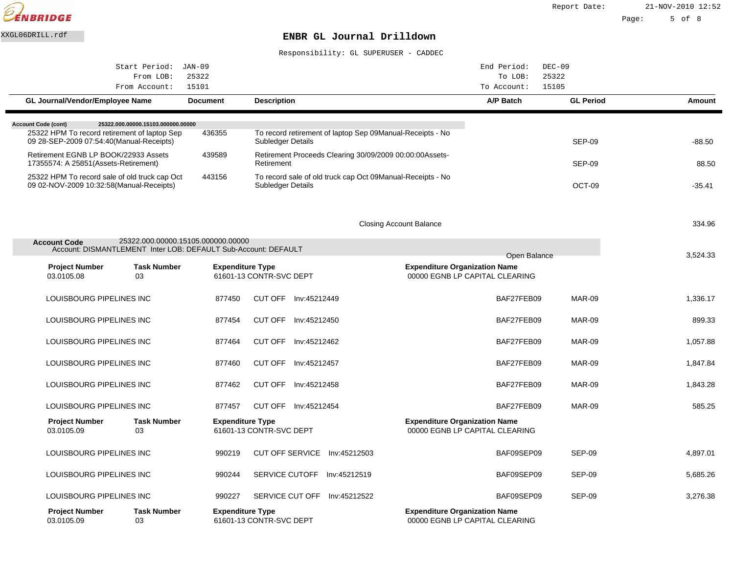

| Start Period:                                                                             | $JAN-09$                           |                                                    |                                                             | $DEC-09$<br>End Period:                                                |                  |          |
|-------------------------------------------------------------------------------------------|------------------------------------|----------------------------------------------------|-------------------------------------------------------------|------------------------------------------------------------------------|------------------|----------|
| From Account:                                                                             | 25322<br>From LOB:<br>15101        |                                                    |                                                             | To LOB:<br>15105<br>To Account:                                        | 25322            |          |
| GL Journal/Vendor/Employee Name                                                           | <b>Document</b>                    | <b>Description</b>                                 |                                                             | A/P Batch                                                              | <b>GL Period</b> | Amount   |
|                                                                                           |                                    |                                                    |                                                             |                                                                        |                  |          |
| 25322.000.00000.15103.000000.00000<br><b>Account Code (cont)</b>                          |                                    |                                                    |                                                             |                                                                        |                  |          |
| 25322 HPM To record retirement of laptop Sep<br>09 28-SEP-2009 07:54:40(Manual-Receipts)  | 436355                             | Subledger Details                                  | To record retirement of laptop Sep 09 Manual-Receipts - No  |                                                                        | <b>SEP-09</b>    | $-88.50$ |
| Retirement EGNB LP BOOK/22933 Assets<br>17355574: A 25851 (Assets-Retirement)             | 439589                             | Retirement                                         | Retirement Proceeds Clearing 30/09/2009 00:00:00 Assets-    |                                                                        | <b>SEP-09</b>    | 88.50    |
| 25322 HPM To record sale of old truck cap Oct<br>09 02-NOV-2009 10:32:58(Manual-Receipts) | 443156                             | Subledger Details                                  | To record sale of old truck cap Oct 09 Manual-Receipts - No |                                                                        | OCT-09           | $-35.41$ |
|                                                                                           |                                    |                                                    |                                                             |                                                                        |                  |          |
|                                                                                           |                                    |                                                    | <b>Closing Account Balance</b>                              |                                                                        |                  | 334.96   |
|                                                                                           |                                    |                                                    |                                                             |                                                                        |                  |          |
| <b>Account Code</b><br>Account: DISMANTLEMENT Inter LOB: DEFAULT Sub-Account: DEFAULT     | 25322.000.00000.15105.000000.00000 |                                                    |                                                             |                                                                        |                  |          |
|                                                                                           |                                    |                                                    |                                                             | Open Balance                                                           |                  | 3.524.33 |
| <b>Project Number</b><br>03.0105.08<br>03                                                 | <b>Task Number</b>                 | <b>Expenditure Type</b><br>61601-13 CONTR-SVC DEPT |                                                             | <b>Expenditure Organization Name</b><br>00000 EGNB LP CAPITAL CLEARING |                  |          |
| LOUISBOURG PIPELINES INC                                                                  | 877450                             | CUT OFF Inv:45212449                               |                                                             | BAF27FEB09                                                             | MAR-09           | 1.336.17 |
| LOUISBOURG PIPELINES INC                                                                  | 877454                             | CUT OFF Inv:45212450                               |                                                             | BAF27FEB09                                                             | MAR-09           | 899.33   |
| LOUISBOURG PIPELINES INC                                                                  | 877464                             | CUT OFF Inv:45212462                               |                                                             | BAF27FEB09                                                             | MAR-09           | 1,057.88 |
| LOUISBOURG PIPELINES INC                                                                  | 877460                             | CUT OFF Inv:45212457                               |                                                             | BAF27FEB09                                                             | MAR-09           | 1,847.84 |
| LOUISBOURG PIPELINES INC                                                                  | 877462                             | CUT OFF Inv:45212458                               |                                                             | BAF27FEB09                                                             | MAR-09           | 1,843.28 |
| LOUISBOURG PIPELINES INC                                                                  | 877457                             | CUT OFF Inv:45212454                               |                                                             | BAF27FEB09                                                             | MAR-09           | 585.25   |
| <b>Project Number</b><br>03<br>03.0105.09                                                 | <b>Task Number</b>                 | <b>Expenditure Type</b><br>61601-13 CONTR-SVC DEPT |                                                             | <b>Expenditure Organization Name</b><br>00000 EGNB LP CAPITAL CLEARING |                  |          |
| LOUISBOURG PIPELINES INC                                                                  | 990219                             | CUT OFF SERVICE Inv:45212503                       |                                                             | BAF09SEP09                                                             | SEP-09           | 4,897.01 |
| LOUISBOURG PIPELINES INC                                                                  | 990244                             | SERVICE CUTOFF Inv:45212519                        |                                                             | BAF09SEP09                                                             | <b>SEP-09</b>    | 5,685.26 |
| LOUISBOURG PIPELINES INC                                                                  | 990227                             | SERVICE CUT OFF Inv:45212522                       |                                                             | BAF09SEP09                                                             | SEP-09           | 3,276.38 |
| <b>Project Number</b><br>03.0105.09<br>03                                                 | <b>Task Number</b>                 | <b>Expenditure Type</b><br>61601-13 CONTR-SVC DEPT |                                                             | <b>Expenditure Organization Name</b><br>00000 EGNB LP CAPITAL CLEARING |                  |          |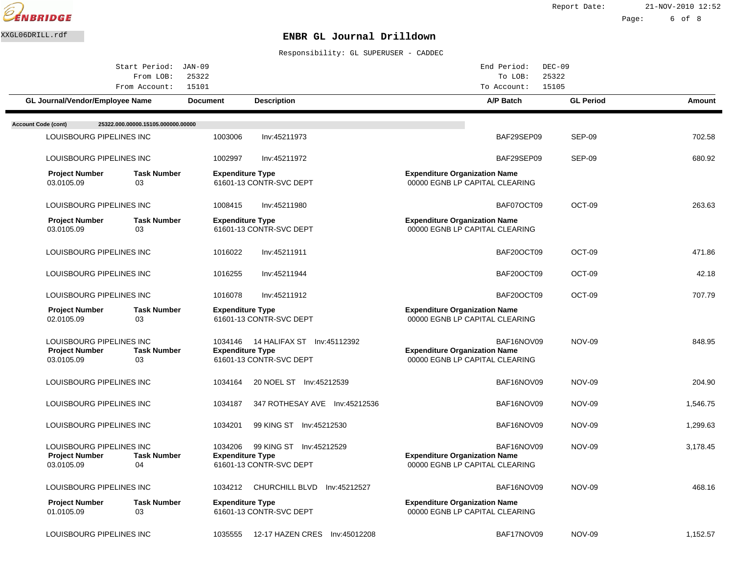

Report Date: 21-NOV-2010 12:52

Page: 6 of 8

## XXGL06DRILL.rdf **ENBR GL Journal Drilldown**

|                                     | Start Period:                                        | $JAN-09$                           |                                                                   | End Period:                                                                          | $DEC-09$         |               |
|-------------------------------------|------------------------------------------------------|------------------------------------|-------------------------------------------------------------------|--------------------------------------------------------------------------------------|------------------|---------------|
|                                     | From LOB:                                            | 25322                              |                                                                   | To LOB:                                                                              | 25322            |               |
|                                     | From Account:                                        | 15101                              |                                                                   | To Account:                                                                          | 15105            |               |
|                                     | GL Journal/Vendor/Employee Name                      | <b>Document</b>                    | <b>Description</b>                                                | A/P Batch                                                                            | <b>GL Period</b> | <b>Amount</b> |
| <b>Account Code (cont)</b>          | 25322.000.00000.15105.000000.00000                   |                                    |                                                                   |                                                                                      |                  |               |
|                                     | LOUISBOURG PIPELINES INC                             | 1003006                            | Inv:45211973                                                      | BAF29SEP09                                                                           | SEP-09           | 702.58        |
|                                     |                                                      |                                    |                                                                   |                                                                                      |                  |               |
|                                     | LOUISBOURG PIPELINES INC                             | 1002997                            | Inv:45211972                                                      | BAF29SEP09                                                                           | SEP-09           | 680.92        |
| <b>Project Number</b><br>03.0105.09 | <b>Task Number</b><br>03                             | <b>Expenditure Type</b>            | 61601-13 CONTR-SVC DEPT                                           | <b>Expenditure Organization Name</b><br>00000 EGNB LP CAPITAL CLEARING               |                  |               |
|                                     | LOUISBOURG PIPELINES INC                             | 1008415                            | Inv:45211980                                                      | BAF07OCT09                                                                           | OCT-09           | 263.63        |
| <b>Project Number</b><br>03.0105.09 | <b>Task Number</b><br>03                             | <b>Expenditure Type</b>            | 61601-13 CONTR-SVC DEPT                                           | <b>Expenditure Organization Name</b><br>00000 EGNB LP CAPITAL CLEARING               |                  |               |
|                                     | LOUISBOURG PIPELINES INC                             | 1016022                            | Inv:45211911                                                      | BAF20OCT09                                                                           | OCT-09           | 471.86        |
|                                     | LOUISBOURG PIPELINES INC                             | 1016255                            | Inv:45211944                                                      | BAF20OCT09                                                                           | OCT-09           | 42.18         |
|                                     | LOUISBOURG PIPELINES INC                             | 1016078                            | Inv:45211912                                                      | BAF20OCT09                                                                           | OCT-09           | 707.79        |
| <b>Project Number</b><br>02.0105.09 | <b>Task Number</b><br>03                             | <b>Expenditure Type</b>            | 61601-13 CONTR-SVC DEPT                                           | <b>Expenditure Organization Name</b><br>00000 EGNB LP CAPITAL CLEARING               |                  |               |
| <b>Project Number</b><br>03.0105.09 | LOUISBOURG PIPELINES INC<br><b>Task Number</b><br>03 | <b>Expenditure Type</b>            | 1034146  14 HALIFAX ST    Inv:45112392<br>61601-13 CONTR-SVC DEPT | BAF16NOV09<br><b>Expenditure Organization Name</b><br>00000 EGNB LP CAPITAL CLEARING | <b>NOV-09</b>    | 848.95        |
|                                     | LOUISBOURG PIPELINES INC                             | 1034164                            | 20 NOEL ST Inv:45212539                                           | BAF16NOV09                                                                           | <b>NOV-09</b>    | 204.90        |
|                                     | LOUISBOURG PIPELINES INC                             | 1034187                            | 347 ROTHESAY AVE Inv:45212536                                     | BAF16NOV09                                                                           | <b>NOV-09</b>    | 1,546.75      |
|                                     | LOUISBOURG PIPELINES INC                             | 1034201                            | 99 KING ST Inv:45212530                                           | BAF16NOV09                                                                           | <b>NOV-09</b>    | 1,299.63      |
| <b>Project Number</b><br>03.0105.09 | LOUISBOURG PIPELINES INC<br><b>Task Number</b><br>04 | 1034206<br><b>Expenditure Type</b> | 99 KING ST Inv:45212529<br>61601-13 CONTR-SVC DEPT                | BAF16NOV09<br><b>Expenditure Organization Name</b><br>00000 EGNB LP CAPITAL CLEARING | <b>NOV-09</b>    | 3,178.45      |
|                                     | LOUISBOURG PIPELINES INC                             | 1034212                            | CHURCHILL BLVD Inv:45212527                                       | BAF16NOV09                                                                           | <b>NOV-09</b>    | 468.16        |
| <b>Project Number</b><br>01.0105.09 | <b>Task Number</b><br>03                             | <b>Expenditure Type</b>            | 61601-13 CONTR-SVC DEPT                                           | <b>Expenditure Organization Name</b><br>00000 EGNB LP CAPITAL CLEARING               |                  |               |
|                                     | LOUISBOURG PIPELINES INC                             | 1035555                            | 12-17 HAZEN CRES Inv: 45012208                                    | BAF17NOV09                                                                           | <b>NOV-09</b>    | 1,152.57      |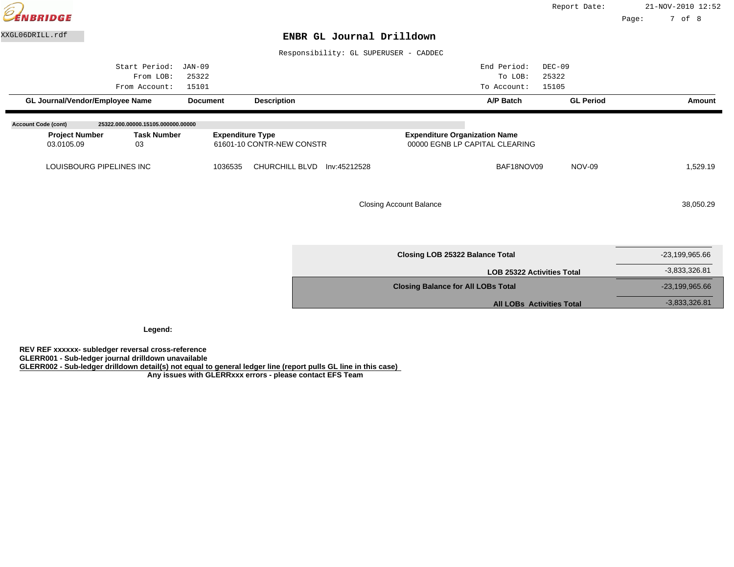| $\widehat{\varrho}$<br>VBRIDGE      |                                             |                                             |                                       |                                           |                                                                        | Report Date:                                   | Page: | 21-NOV-2010 12:52<br>7 of 8 |
|-------------------------------------|---------------------------------------------|---------------------------------------------|---------------------------------------|-------------------------------------------|------------------------------------------------------------------------|------------------------------------------------|-------|-----------------------------|
| XXGL06DRILL.rdf                     |                                             |                                             | ENBR GL Journal Drilldown             |                                           |                                                                        |                                                |       |                             |
|                                     |                                             |                                             | Responsibility: GL SUPERUSER - CADDEC |                                           |                                                                        |                                                |       |                             |
| GL Journal/Vendor/Employee Name     | Start Period:<br>From LOB:<br>From Account: | JAN-09<br>25322<br>15101<br><b>Document</b> | <b>Description</b>                    |                                           | End Period:<br>To LOB:<br>To Account:<br>A/P Batch                     | $DEC-09$<br>25322<br>15105<br><b>GL Period</b> |       | Amount                      |
| <b>Account Code (cont)</b>          | 25322.000.00000.15105.000000.00000          |                                             |                                       |                                           |                                                                        |                                                |       |                             |
| <b>Project Number</b><br>03.0105.09 | <b>Task Number</b><br>03                    | <b>Expenditure Type</b>                     | 61601-10 CONTR-NEW CONSTR             |                                           | <b>Expenditure Organization Name</b><br>00000 EGNB LP CAPITAL CLEARING |                                                |       |                             |
| LOUISBOURG PIPELINES INC            |                                             | 1036535                                     | CHURCHILL BLVD<br>Inv:45212528        |                                           | BAF18NOV09                                                             | <b>NOV-09</b>                                  |       | 1,529.19                    |
|                                     |                                             |                                             |                                       | <b>Closing Account Balance</b>            |                                                                        |                                                |       | 38,050.29                   |
|                                     |                                             |                                             |                                       |                                           | <b>Closing LOB 25322 Balance Total</b>                                 |                                                |       | $-23,199,965.66$            |
|                                     |                                             |                                             |                                       |                                           | <b>LOB 25322 Activities Total</b>                                      |                                                |       | $-3,833,326.81$             |
|                                     |                                             |                                             |                                       | <b>Closing Balance for All LOBs Total</b> |                                                                        |                                                |       | $-23,199,965.66$            |
|                                     |                                             |                                             |                                       |                                           | <b>All LOBs Activities Total</b>                                       |                                                |       | $-3,833,326.81$             |

**Legend:**

**REV REF xxxxxx- subledger reversal cross-reference**

**GLERR001 - Sub-ledger journal drilldown unavailable**

**GLERR002 - Sub-ledger drilldown detail(s) not equal to general ledger line (report pulls GL line in this case)**

 **Any issues with GLERRxxx errors - please contact EFS Team**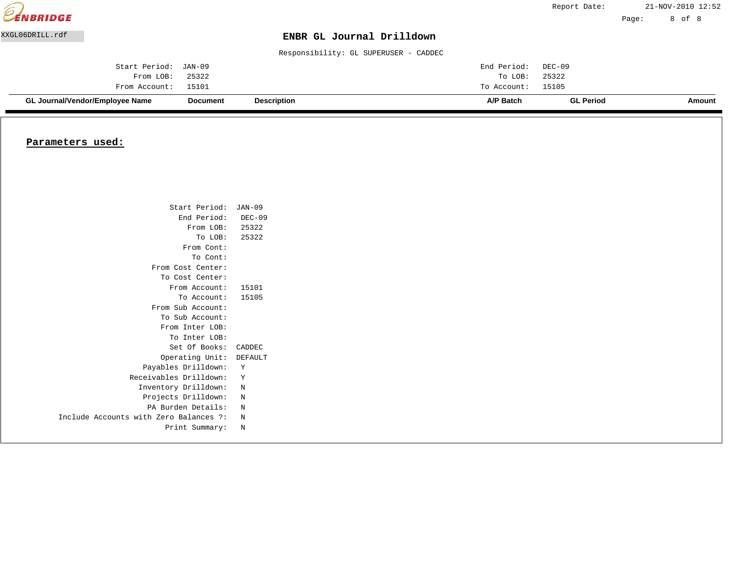| <b>EENBRIDGE</b> |                                 |                 |                                       |             | Report Date:     |       | 21-NOV-2010 12:52 |
|------------------|---------------------------------|-----------------|---------------------------------------|-------------|------------------|-------|-------------------|
|                  |                                 |                 |                                       |             |                  | Page: | 8 of 8            |
| XXGL06DRILL.rdf  |                                 |                 | ENBR GL Journal Drilldown             |             |                  |       |                   |
|                  |                                 |                 | Responsibility: GL SUPERUSER - CADDEC |             |                  |       |                   |
|                  | Start Period:                   | JAN-09          |                                       | End Period: | DEC-09           |       |                   |
|                  | From LOB:                       | 25322           |                                       | To LOB:     | 25322            |       |                   |
|                  | From Account:                   | 15101           |                                       | To Account: | 15105            |       |                   |
|                  | GL Journal/Vendor/Employee Name | <b>Document</b> | <b>Description</b>                    | A/P Batch   | <b>GL Period</b> |       | Amount            |

#### **Parameters used:**

| Start Period: JAN-09                   |          |
|----------------------------------------|----------|
| End Period:                            | $DEC-09$ |
| From LOB: 25322                        |          |
| To LOB:                                | 25322    |
| From Cont:                             |          |
| To Cont:                               |          |
| From Cost Center:                      |          |
| To Cost Center:                        |          |
| From Account:                          | 15101    |
| To Account:                            | 15105    |
| From Sub Account:                      |          |
| To Sub Account:                        |          |
| From Inter LOB:                        |          |
| To Inter LOB:                          |          |
| Set Of Books:                          | CADDEC   |
| Operating Unit:                        | DEFAULT  |
| Payables Drilldown:                    | Υ        |
| Receivables Drilldown:                 | Y        |
| Inventory Drilldown:                   | N        |
| Projects Drilldown:                    | N        |
| PA Burden Details:                     | N        |
| Include Accounts with Zero Balances ?: | N        |
| Print Summary:                         | N        |
|                                        |          |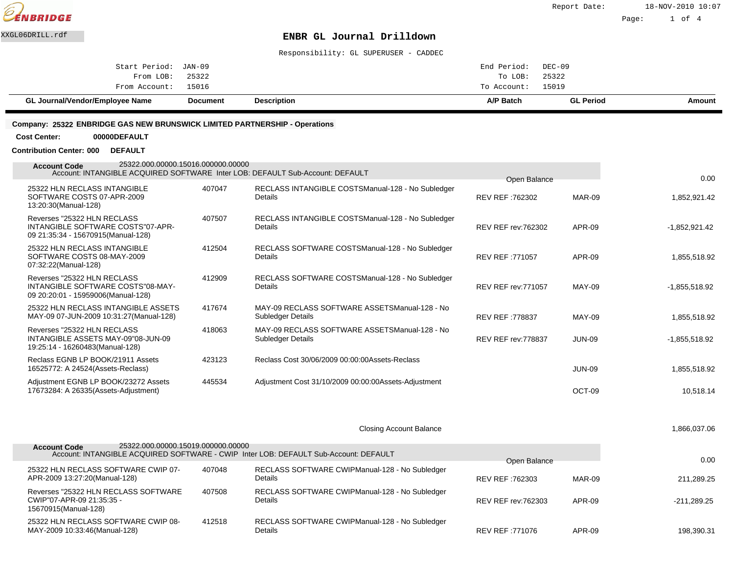

Page: 1 of 4

## XXGL06DRILL.rdf **ENBR GL Journal Drilldown**

Responsibility: GL SUPERUSER - CADDEC

#### **Company: 25322 ENBRIDGE GAS NEW BRUNSWICK LIMITED PARTNERSHIP - Operations**

**Cost Center: 00000DEFAULT**

**Contribution Center: 000 DEFAULT**

| 25322.000.00000.15016.000000.00000<br><b>Account Code</b><br>Account: INTANGIBLE ACQUIRED SOFTWARE Inter LOB: DEFAULT Sub-Account: DEFAULT |        |                                                                      |                            |               |                 |
|--------------------------------------------------------------------------------------------------------------------------------------------|--------|----------------------------------------------------------------------|----------------------------|---------------|-----------------|
|                                                                                                                                            |        |                                                                      | Open Balance               |               | 0.00            |
| 25322 HLN RECLASS INTANGIBLE<br>SOFTWARE COSTS 07-APR-2009<br>13:20:30(Manual-128)                                                         | 407047 | RECLASS INTANGIBLE COSTS Manual-128 - No Subledger<br>Details        | REV REF: 762302            | MAR-09        | 1,852,921.42    |
| Reverses "25322 HLN RECLASS<br>INTANGIBLE SOFTWARE COSTS"07-APR-<br>09 21:35:34 - 15670915(Manual-128)                                     | 407507 | RECLASS INTANGIBLE COSTS Manual-128 - No Subledger<br><b>Details</b> | <b>REV REF rev: 762302</b> | APR-09        | $-1,852,921.42$ |
| 25322 HLN RECLASS INTANGIBLE<br>SOFTWARE COSTS 08-MAY-2009<br>07:32:22(Manual-128)                                                         | 412504 | RECLASS SOFTWARE COSTS Manual-128 - No Subledger<br><b>Details</b>   | REV REF: 771057            | <b>APR-09</b> | 1,855,518.92    |
| Reverses "25322 HLN RECLASS<br>INTANGIBLE SOFTWARE COSTS"08-MAY-<br>09 20:20:01 - 15959006(Manual-128)                                     | 412909 | RECLASS SOFTWARE COSTS Manual-128 - No Subledger<br>Details          | <b>REV REF rev: 771057</b> | MAY-09        | $-1,855,518.92$ |
| 25322 HLN RECLASS INTANGIBLE ASSETS<br>MAY-09 07-JUN-2009 10:31:27(Manual-128)                                                             | 417674 | MAY-09 RECLASS SOFTWARE ASSETS Manual-128 - No<br>Subledger Details  | REV REF: 778837            | MAY-09        | 1,855,518.92    |
| Reverses "25322 HLN RECLASS<br>INTANGIBLE ASSETS MAY-09"08-JUN-09<br>19:25:14 - 16260483(Manual-128)                                       | 418063 | MAY-09 RECLASS SOFTWARE ASSETS Manual-128 - No<br>Subledger Details  | <b>REV REF rev: 778837</b> | JUN-09        | $-1,855,518.92$ |
| Reclass EGNB LP BOOK/21911 Assets<br>16525772: A 24524(Assets-Reclass)                                                                     | 423123 | Reclass Cost 30/06/2009 00:00:00 Assets-Reclass                      |                            | JUN-09        | 1,855,518.92    |
| Adjustment EGNB LP BOOK/23272 Assets<br>17673284: A 26335(Assets-Adjustment)                                                               | 445534 | Adjustment Cost 31/10/2009 00:00:00 Assets-Adjustment                |                            | OCT-09        | 10,518.14       |

Closing Account Balance 1,866,037.06

| 25322.000.00000.15019.000000.00000<br><b>Account Code</b>                                 |        | Account: INTANGIBLE ACQUIRED SOFTWARE - CWIP Inter LOB: DEFAULT Sub-Account: DEFAULT |                            |        | 0.00          |
|-------------------------------------------------------------------------------------------|--------|--------------------------------------------------------------------------------------|----------------------------|--------|---------------|
| 25322 HLN RECLASS SOFTWARE CWIP 07-                                                       | 407048 | RECLASS SOFTWARE CWIP Manual-128 - No Subledger                                      | Open Balance               |        |               |
| APR-2009 13:27:20(Manual-128)                                                             |        | <b>Details</b>                                                                       | REV REF: 762303            | MAR-09 | 211.289.25    |
| Reverses "25322 HLN RECLASS SOFTWARE<br>CWIP"07-APR-09 21:35:35 -<br>15670915(Manual-128) | 407508 | RECLASS SOFTWARE CWIP Manual-128 - No Subledger<br><b>Details</b>                    | <b>REV REF rev: 762303</b> | APR-09 | $-211.289.25$ |
| 25322 HLN RECLASS SOFTWARE CWIP 08-<br>MAY-2009 10:33:46(Manual-128)                      | 412518 | RECLASS SOFTWARE CWIP Manual-128 - No Subledger<br>Details                           | REV REF: 771076            | APR-09 | 198.390.31    |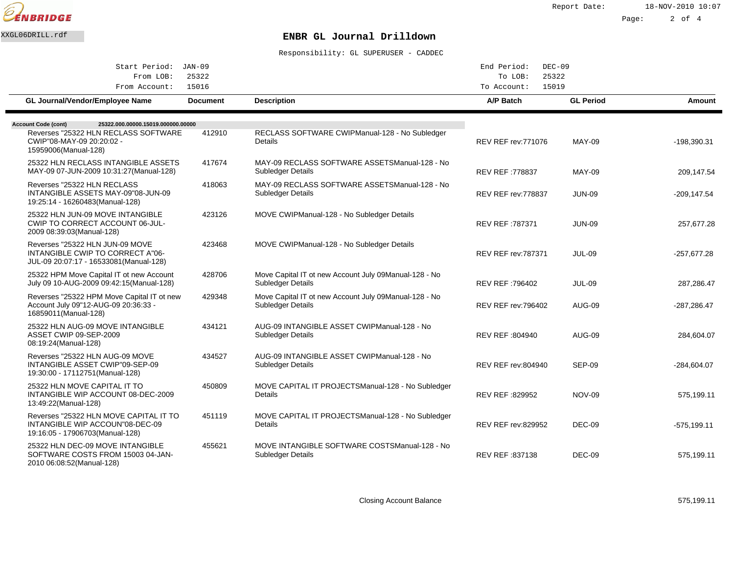

Report Date: 18-NOV-2010 10:07

Page: 2 of 4

# XXGL06DRILL.rdf **ENBR GL Journal Drilldown**

Responsibility: GL SUPERUSER - CADDEC

| Start Period:                                                                                                  | JAN-09          |                                                                                    | End Period:<br>$DEC-09$    |                  |                |
|----------------------------------------------------------------------------------------------------------------|-----------------|------------------------------------------------------------------------------------|----------------------------|------------------|----------------|
| 25322<br>From LOB:                                                                                             |                 | 25322<br>To LOB:<br>15019                                                          |                            |                  |                |
| From Account:                                                                                                  | 15016           |                                                                                    | To Account:                |                  |                |
| GL Journal/Vendor/Employee Name                                                                                | <b>Document</b> | <b>Description</b>                                                                 | A/P Batch                  | <b>GL Period</b> | Amount         |
| <b>Account Code (cont)</b><br>25322.000.00000.15019.000000.00000                                               |                 |                                                                                    |                            |                  |                |
| Reverses "25322 HLN RECLASS SOFTWARE<br>CWIP"08-MAY-09 20:20:02 -<br>15959006(Manual-128)                      | 412910          | RECLASS SOFTWARE CWIP Manual-128 - No Subledger<br>Details                         | <b>REV REF rev: 771076</b> | <b>MAY-09</b>    | $-198,390.31$  |
| 25322 HLN RECLASS INTANGIBLE ASSETS<br>MAY-09 07-JUN-2009 10:31:27(Manual-128)                                 | 417674          | MAY-09 RECLASS SOFTWARE ASSETS Manual-128 - No<br>Subledger Details                | <b>REV REF: 778837</b>     | <b>MAY-09</b>    | 209,147.54     |
| Reverses "25322 HLN RECLASS<br>INTANGIBLE ASSETS MAY-09"08-JUN-09<br>19:25:14 - 16260483(Manual-128)           | 418063          | MAY-09 RECLASS SOFTWARE ASSETS Manual-128 - No<br>Subledger Details                | REV REF rev: 778837        | <b>JUN-09</b>    | $-209, 147.54$ |
| 25322 HLN JUN-09 MOVE INTANGIBLE<br>CWIP TO CORRECT ACCOUNT 06-JUL-<br>2009 08:39:03(Manual-128)               | 423126          | MOVE CWIP Manual-128 - No Subledger Details                                        | REV REF :787371            | <b>JUN-09</b>    | 257,677.28     |
| Reverses "25322 HLN JUN-09 MOVE<br>INTANGIBLE CWIP TO CORRECT A"06-<br>JUL-09 20:07:17 - 16533081 (Manual-128) | 423468          | MOVE CWIP Manual-128 - No Subledger Details                                        | <b>REV REF rev: 787371</b> | <b>JUL-09</b>    | $-257,677.28$  |
| 25322 HPM Move Capital IT ot new Account<br>July 09 10-AUG-2009 09:42:15(Manual-128)                           | 428706          | Move Capital IT ot new Account July 09 Manual-128 - No<br>Subledger Details        | REV REF :796402            | <b>JUL-09</b>    | 287,286.47     |
| Reverses "25322 HPM Move Capital IT ot new<br>Account July 09"12-AUG-09 20:36:33 -<br>16859011(Manual-128)     | 429348          | Move Capital IT ot new Account July 09 Manual-128 - No<br><b>Subledger Details</b> | <b>REV REF rev: 796402</b> | <b>AUG-09</b>    | $-287,286.47$  |
| 25322 HLN AUG-09 MOVE INTANGIBLE<br>ASSET CWIP 09-SEP-2009<br>08:19:24(Manual-128)                             | 434121          | AUG-09 INTANGIBLE ASSET CWIP Manual-128 - No<br>Subledger Details                  | REV REF: 804940            | <b>AUG-09</b>    | 284,604.07     |
| Reverses "25322 HLN AUG-09 MOVE<br>INTANGIBLE ASSET CWIP"09-SEP-09<br>19:30:00 - 17112751 (Manual-128)         | 434527          | AUG-09 INTANGIBLE ASSET CWIP Manual-128 - No<br>Subledger Details                  | <b>REV REF rev:804940</b>  | SEP-09           | $-284,604.07$  |
| 25322 HLN MOVE CAPITAL IT TO<br>INTANGIBLE WIP ACCOUNT 08-DEC-2009<br>13:49:22(Manual-128)                     | 450809          | MOVE CAPITAL IT PROJECTS Manual-128 - No Subledger<br>Details                      | REV REF: 829952            | <b>NOV-09</b>    | 575,199.11     |
| Reverses "25322 HLN MOVE CAPITAL IT TO<br>INTANGIBLE WIP ACCOUN"08-DEC-09<br>19:16:05 - 17906703(Manual-128)   | 451119          | MOVE CAPITAL IT PROJECTS Manual-128 - No Subledger<br>Details                      | <b>REV REF rev:829952</b>  | DEC-09           | $-575,199.11$  |
| 25322 HLN DEC-09 MOVE INTANGIBLE<br>SOFTWARE COSTS FROM 15003 04-JAN-<br>2010 06:08:52(Manual-128)             | 455621          | MOVE INTANGIBLE SOFTWARE COSTS Manual-128 - No<br>Subledger Details                | REV REF: 837138            | DEC-09           | 575,199.11     |

Closing Account Balance 575,199.11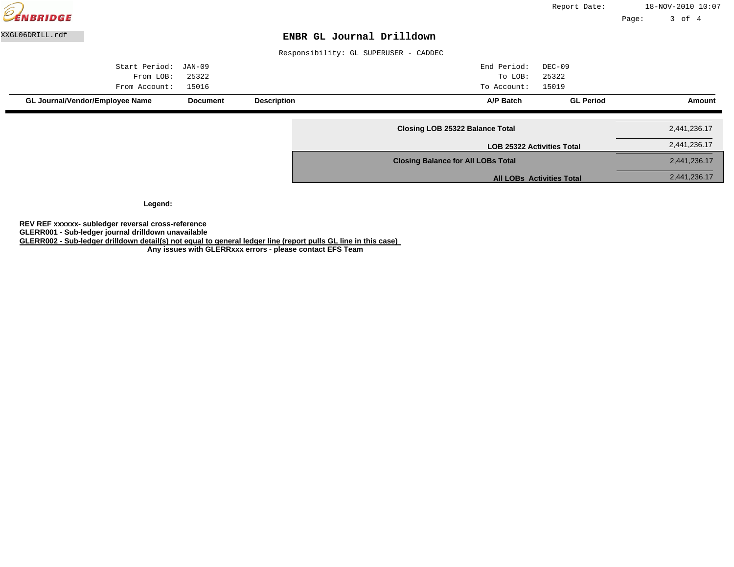

**Legend:**

**REV REF xxxxxx- subledger reversal cross-reference**

**GLERR001 - Sub-ledger journal drilldown unavailable**

**GLERR002 - Sub-ledger drilldown detail(s) not equal to general ledger line (report pulls GL line in this case)**

 **Any issues with GLERRxxx errors - please contact EFS Team**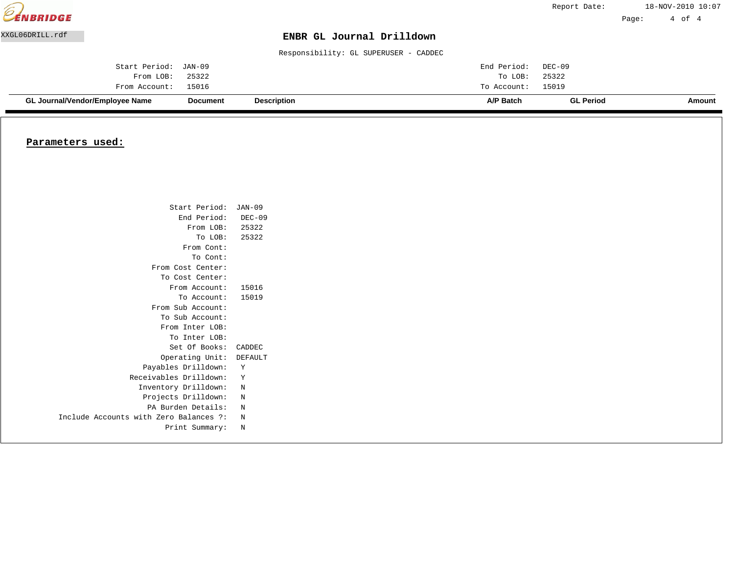| <b>EENBRIDGE</b> |                                 |                 |                                       |             | Report Date:     |       | 18-NOV-2010 10:07 |  |
|------------------|---------------------------------|-----------------|---------------------------------------|-------------|------------------|-------|-------------------|--|
|                  |                                 |                 |                                       |             |                  | Page: | 4 of 4            |  |
| XXGL06DRILL.rdf  |                                 |                 | ENBR GL Journal Drilldown             |             |                  |       |                   |  |
|                  |                                 |                 | Responsibility: GL SUPERUSER - CADDEC |             |                  |       |                   |  |
|                  | Start Period:                   | JAN-09          |                                       | End Period: | DEC-09           |       |                   |  |
|                  | From LOB:                       | 25322           |                                       | To LOB:     | 25322            |       |                   |  |
|                  | From Account:                   | 15016           |                                       | To Account: | 15019            |       |                   |  |
|                  | GL Journal/Vendor/Employee Name | <b>Document</b> | <b>Description</b>                    | A/P Batch   | <b>GL Period</b> |       | Amount            |  |

#### **Parameters used:**

| Start Period: JAN-09                   |          |
|----------------------------------------|----------|
| End Period:                            | $DEC-09$ |
| From LOB: 25322                        |          |
| To LOB:                                | 25322    |
| From Cont:                             |          |
| To Cont:                               |          |
| From Cost Center:                      |          |
| To Cost Center:                        |          |
| From Account:                          | 15016    |
| To Account:                            | 15019    |
| From Sub Account:                      |          |
| To Sub Account:                        |          |
| From Inter LOB:                        |          |
| To Inter LOB:                          |          |
| Set Of Books:                          | CADDEC   |
| Operating Unit:                        | DEFAULT  |
| Payables Drilldown:                    | Y        |
| Receivables Drilldown:                 | Y        |
| Inventory Drilldown:                   | N        |
| Projects Drilldown:                    | N        |
| PA Burden Details:                     | N        |
| Include Accounts with Zero Balances ?: | N        |
| Print Summary:                         | N        |
|                                        |          |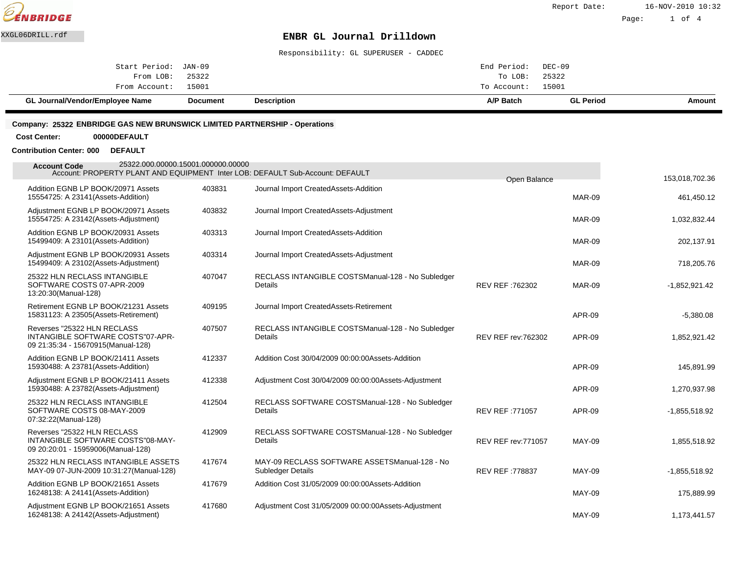

Responsibility: GL SUPERUSER - CADDEC

| <b>Description</b><br>A/P Batch<br><b>GL Period</b><br>GL Journal/Vendor/Employee Name<br><b>Document</b> | Amount |
|-----------------------------------------------------------------------------------------------------------|--------|
| From Account: 15001<br>To Account: 15001                                                                  |        |
| To LOB: 25322<br>From LOB: 25322                                                                          |        |
| Start Period: JAN-09<br>End Period: DEC-09                                                                |        |
|                                                                                                           |        |

#### **Company: 25322 ENBRIDGE GAS NEW BRUNSWICK LIMITED PARTNERSHIP - Operations**

**Cost Center: 00000DEFAULT**

#### **Contribution Center: 000 DEFAULT**

| 153,018,702.36  |               | Open Balance               |                                                                      |        | 25322.000.00000.15001.000000.00000<br><b>Account Code</b><br>Account: PROPERTY PLANT AND EQUIPMENT Inter LOB: DEFAULT Sub-Account: DEFAULT |
|-----------------|---------------|----------------------------|----------------------------------------------------------------------|--------|--------------------------------------------------------------------------------------------------------------------------------------------|
| 461,450.12      | <b>MAR-09</b> |                            | Journal Import Created Assets-Addition                               | 403831 | Addition EGNB LP BOOK/20971 Assets<br>15554725: A 23141 (Assets-Addition)                                                                  |
| 1,032,832.44    | <b>MAR-09</b> |                            | Journal Import Created Assets-Adjustment                             | 403832 | Adjustment EGNB LP BOOK/20971 Assets<br>15554725: A 23142(Assets-Adjustment)                                                               |
| 202,137.91      | <b>MAR-09</b> |                            | Journal Import Created Assets-Addition                               | 403313 | Addition EGNB LP BOOK/20931 Assets<br>15499409: A 23101 (Assets-Addition)                                                                  |
| 718,205.76      | <b>MAR-09</b> |                            | Journal Import Created Assets-Adjustment                             | 403314 | Adjustment EGNB LP BOOK/20931 Assets<br>15499409: A 23102(Assets-Adjustment)                                                               |
| $-1,852,921.42$ | <b>MAR-09</b> | REV REF: 762302            | RECLASS INTANGIBLE COSTS Manual-128 - No Subledger<br><b>Details</b> | 407047 | 25322 HLN RECLASS INTANGIBLE<br>SOFTWARE COSTS 07-APR-2009<br>13:20:30(Manual-128)                                                         |
| $-5,380.08$     | <b>APR-09</b> |                            | Journal Import Created Assets-Retirement                             | 409195 | Retirement EGNB LP BOOK/21231 Assets<br>15831123: A 23505(Assets-Retirement)                                                               |
| 1,852,921.42    | <b>APR-09</b> | <b>REV REF rev: 762302</b> | RECLASS INTANGIBLE COSTS Manual-128 - No Subledger<br>Details        | 407507 | Reverses "25322 HLN RECLASS<br>INTANGIBLE SOFTWARE COSTS"07-APR-<br>09 21:35:34 - 15670915(Manual-128)                                     |
| 145,891.99      | <b>APR-09</b> |                            | Addition Cost 30/04/2009 00:00:00 Assets-Addition                    | 412337 | Addition EGNB LP BOOK/21411 Assets<br>15930488: A 23781 (Assets-Addition)                                                                  |
| 1,270,937.98    | <b>APR-09</b> |                            | Adjustment Cost 30/04/2009 00:00:00 Assets-Adjustment                | 412338 | Adjustment EGNB LP BOOK/21411 Assets<br>15930488: A 23782(Assets-Adjustment)                                                               |
| $-1,855,518.92$ | <b>APR-09</b> | REV REF: 771057            | RECLASS SOFTWARE COSTS Manual-128 - No Subledger<br>Details          | 412504 | 25322 HLN RECLASS INTANGIBLE<br>SOFTWARE COSTS 08-MAY-2009<br>07:32:22(Manual-128)                                                         |
| 1,855,518.92    | <b>MAY-09</b> | <b>REV REF rev: 771057</b> | RECLASS SOFTWARE COSTS Manual-128 - No Subledger<br>Details          | 412909 | Reverses "25322 HLN RECLASS<br>INTANGIBLE SOFTWARE COSTS"08-MAY-<br>09 20:20:01 - 15959006(Manual-128)                                     |
| $-1,855,518.92$ | <b>MAY-09</b> | <b>REV REF: 778837</b>     | MAY-09 RECLASS SOFTWARE ASSETS Manual-128 - No<br>Subledger Details  | 417674 | 25322 HLN RECLASS INTANGIBLE ASSETS<br>MAY-09 07-JUN-2009 10:31:27 (Manual-128)                                                            |
| 175,889.99      | <b>MAY-09</b> |                            | Addition Cost 31/05/2009 00:00:00 Assets-Addition                    | 417679 | Addition EGNB LP BOOK/21651 Assets<br>16248138: A 24141 (Assets-Addition)                                                                  |
| 1,173,441.57    | <b>MAY-09</b> |                            | Adjustment Cost 31/05/2009 00:00:00 Assets-Adjustment                | 417680 | Adjustment EGNB LP BOOK/21651 Assets<br>16248138: A 24142(Assets-Adjustment)                                                               |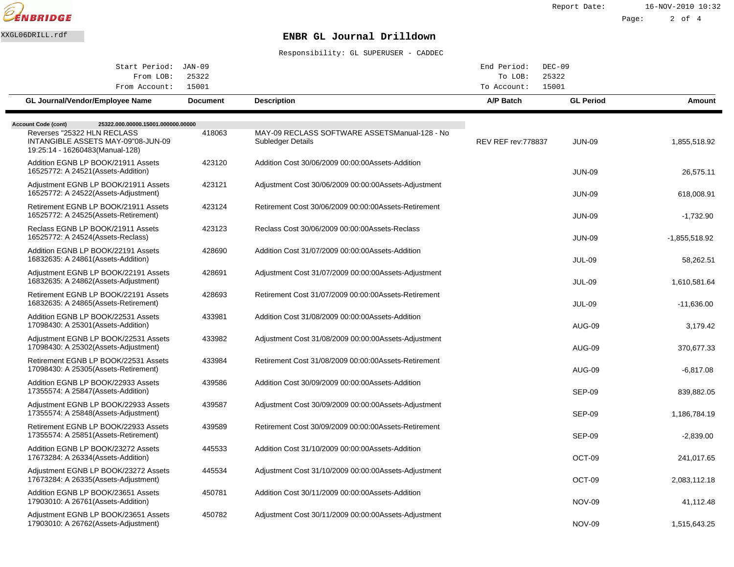

Report Date: 16-NOV-2010 10:32

Page: 2 of 4

# XXGL06DRILL.rdf **ENBR GL Journal Drilldown**

| Start Period: JAN-09                                                                                 |                 |                                                                            | End Period:<br>$DEC-09$    |                  |                 |
|------------------------------------------------------------------------------------------------------|-----------------|----------------------------------------------------------------------------|----------------------------|------------------|-----------------|
| From LOB:                                                                                            | 25322           |                                                                            | To LOB:<br>25322<br>15001  |                  |                 |
| From Account:                                                                                        | 15001           |                                                                            | To Account:                |                  |                 |
| <b>GL Journal/Vendor/Employee Name</b>                                                               | <b>Document</b> | <b>Description</b>                                                         | A/P Batch                  | <b>GL Period</b> | Amount          |
| 25322.000.00000.15001.000000.00000<br><b>Account Code (cont)</b>                                     |                 |                                                                            |                            |                  |                 |
| Reverses "25322 HLN RECLASS<br>INTANGIBLE ASSETS MAY-09"08-JUN-09<br>19:25:14 - 16260483(Manual-128) | 418063          | MAY-09 RECLASS SOFTWARE ASSETS Manual-128 - No<br><b>Subledger Details</b> | <b>REV REF rev: 778837</b> | <b>JUN-09</b>    | 1,855,518.92    |
| Addition EGNB LP BOOK/21911 Assets<br>16525772: A 24521 (Assets-Addition)                            | 423120          | Addition Cost 30/06/2009 00:00:00 Assets-Addition                          |                            | <b>JUN-09</b>    | 26,575.11       |
| Adjustment EGNB LP BOOK/21911 Assets<br>16525772: A 24522(Assets-Adjustment)                         | 423121          | Adjustment Cost 30/06/2009 00:00:00 Assets-Adjustment                      |                            | <b>JUN-09</b>    | 618.008.91      |
| Retirement EGNB LP BOOK/21911 Assets<br>16525772: A 24525(Assets-Retirement)                         | 423124          | Retirement Cost 30/06/2009 00:00:00 Assets-Retirement                      |                            | <b>JUN-09</b>    | $-1,732.90$     |
| Reclass EGNB LP BOOK/21911 Assets<br>16525772: A 24524 (Assets-Reclass)                              | 423123          | Reclass Cost 30/06/2009 00:00:00 Assets-Reclass                            |                            | <b>JUN-09</b>    | $-1,855,518.92$ |
| Addition EGNB LP BOOK/22191 Assets<br>16832635: A 24861 (Assets-Addition)                            | 428690          | Addition Cost 31/07/2009 00:00:00 Assets-Addition                          |                            | <b>JUL-09</b>    | 58,262.51       |
| Adjustment EGNB LP BOOK/22191 Assets<br>16832635: A 24862(Assets-Adjustment)                         | 428691          | Adjustment Cost 31/07/2009 00:00:00 Assets-Adjustment                      |                            | JUL-09           | 1,610,581.64    |
| Retirement EGNB LP BOOK/22191 Assets<br>16832635: A 24865(Assets-Retirement)                         | 428693          | Retirement Cost 31/07/2009 00:00:00 Assets-Retirement                      |                            | <b>JUL-09</b>    | $-11,636.00$    |
| Addition EGNB LP BOOK/22531 Assets<br>17098430: A 25301 (Assets-Addition)                            | 433981          | Addition Cost 31/08/2009 00:00:00 Assets-Addition                          |                            | <b>AUG-09</b>    | 3,179.42        |
| Adjustment EGNB LP BOOK/22531 Assets<br>17098430: A 25302(Assets-Adjustment)                         | 433982          | Adjustment Cost 31/08/2009 00:00:00 Assets-Adjustment                      |                            | AUG-09           | 370,677.33      |
| Retirement EGNB LP BOOK/22531 Assets<br>17098430: A 25305(Assets-Retirement)                         | 433984          | Retirement Cost 31/08/2009 00:00:00 Assets-Retirement                      |                            | AUG-09           | $-6,817.08$     |
| Addition EGNB LP BOOK/22933 Assets<br>17355574: A 25847(Assets-Addition)                             | 439586          | Addition Cost 30/09/2009 00:00:00 Assets-Addition                          |                            | <b>SEP-09</b>    | 839,882.05      |
| Adjustment EGNB LP BOOK/22933 Assets<br>17355574: A 25848(Assets-Adjustment)                         | 439587          | Adjustment Cost 30/09/2009 00:00:00 Assets-Adjustment                      |                            | <b>SEP-09</b>    | 1,186,784.19    |
| Retirement EGNB LP BOOK/22933 Assets<br>17355574: A 25851 (Assets-Retirement)                        | 439589          | Retirement Cost 30/09/2009 00:00:00 Assets-Retirement                      |                            | SEP-09           | $-2,839.00$     |
| Addition EGNB LP BOOK/23272 Assets<br>17673284: A 26334 (Assets-Addition)                            | 445533          | Addition Cost 31/10/2009 00:00:00 Assets-Addition                          |                            | OCT-09           | 241,017.65      |
| Adjustment EGNB LP BOOK/23272 Assets<br>17673284: A 26335(Assets-Adjustment)                         | 445534          | Adjustment Cost 31/10/2009 00:00:00 Assets-Adjustment                      |                            | OCT-09           | 2,083,112.18    |
| Addition EGNB LP BOOK/23651 Assets<br>17903010: A 26761 (Assets-Addition)                            | 450781          | Addition Cost 30/11/2009 00:00:00 Assets-Addition                          |                            | <b>NOV-09</b>    | 41,112.48       |
| Adjustment EGNB LP BOOK/23651 Assets<br>17903010: A 26762(Assets-Adjustment)                         | 450782          | Adjustment Cost 30/11/2009 00:00:00 Assets-Adjustment                      |                            | <b>NOV-09</b>    | 1,515,643.25    |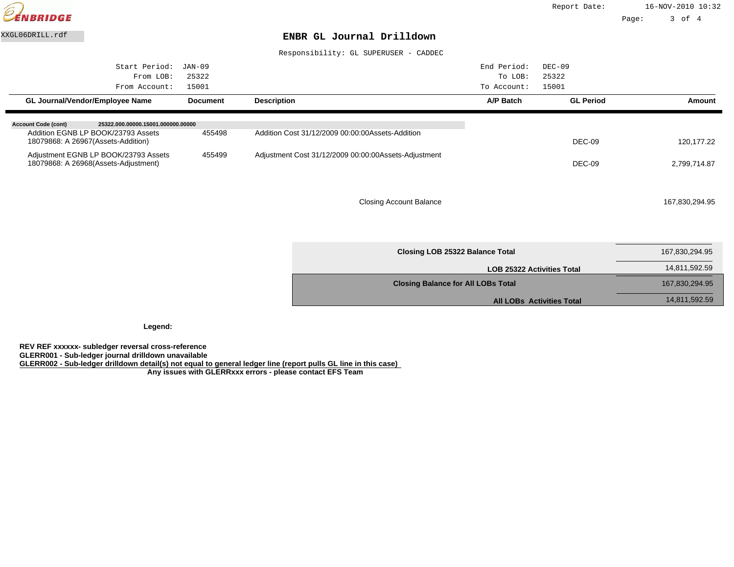

Responsibility: GL SUPERUSER - CADDEC

| Start Period:                                                    | JAN-09          |                                                       | End Period: | $DEC-09$         |                |
|------------------------------------------------------------------|-----------------|-------------------------------------------------------|-------------|------------------|----------------|
| From LOB:                                                        | 25322           |                                                       | To LOB:     | 25322            |                |
| From Account:                                                    | 15001           |                                                       | To Account: | 15001            |                |
| <b>GL Journal/Vendor/Employee Name</b>                           | <b>Document</b> | <b>Description</b>                                    | A/P Batch   | <b>GL Period</b> | Amount         |
| <b>Account Code (cont)</b><br>25322.000.00000.15001.000000.00000 |                 |                                                       |             |                  |                |
| Addition EGNB LP BOOK/23793 Assets                               | 455498          | Addition Cost 31/12/2009 00:00:00 Assets-Addition     |             |                  |                |
| 18079868: A 26967(Assets-Addition)                               |                 |                                                       |             | DEC-09           | 120, 177. 22   |
| Adjustment EGNB LP BOOK/23793 Assets                             | 455499          | Adjustment Cost 31/12/2009 00:00:00 Assets-Adjustment |             |                  |                |
| 18079868: A 26968(Assets-Adjustment)                             |                 |                                                       |             | DEC-09           | 2,799,714.87   |
|                                                                  |                 |                                                       |             |                  |                |
|                                                                  |                 |                                                       |             |                  |                |
|                                                                  |                 | <b>Closing Account Balance</b>                        |             |                  | 167,830,294.95 |
|                                                                  |                 |                                                       |             |                  |                |

| Closing LOB 25322 Balance Total           | 167,830,294.95 |
|-------------------------------------------|----------------|
| <b>LOB 25322 Activities Total</b>         | 14,811,592.59  |
| <b>Closing Balance for All LOBs Total</b> | 167,830,294.95 |
| <b>All LOBs Activities Total</b>          | 14,811,592.59  |
|                                           |                |

**Legend:**

**REV REF xxxxxx- subledger reversal cross-reference GLERR001 - Sub-ledger journal drilldown unavailable GLERR002 - Sub-ledger drilldown detail(s) not equal to general ledger line (report pulls GL line in this case) Any issues with GLERRxxx errors - please contact EFS Team**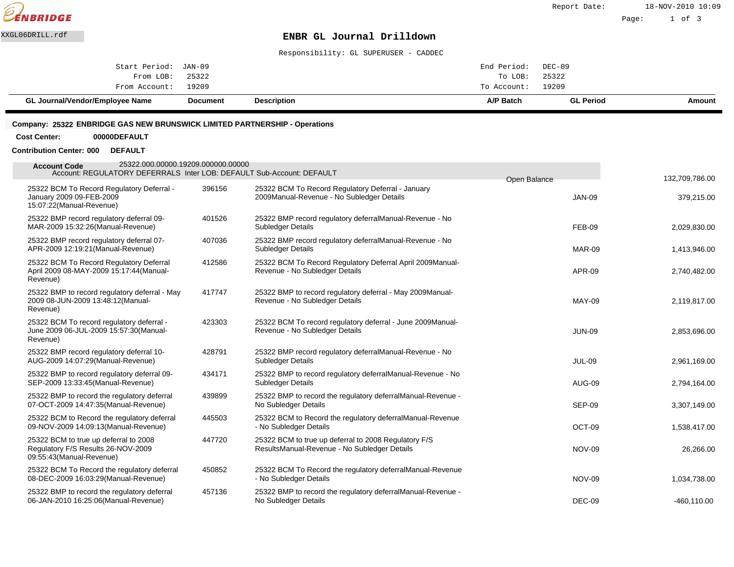

Page: 1 of 3

# XXGL06DRILL.rdf **ENBR GL Journal Drilldown**

Responsibility: GL SUPERUSER - CADDEC

| GL Journal/Vendor/Employee Name | <b>Document</b> | <b>Description</b> | A/P Batch         | <b>GL Period</b> | Amount |
|---------------------------------|-----------------|--------------------|-------------------|------------------|--------|
| From Account: 19209             |                 |                    | To Account: 19209 |                  |        |
| From LOB: 25322                 |                 |                    | To LOB:           | 25322            |        |
| Start Period: JAN-09            |                 |                    | End Period:       | DEC-09           |        |
|                                 |                 |                    |                   |                  |        |

#### **Company: 25322 ENBRIDGE GAS NEW BRUNSWICK LIMITED PARTNERSHIP - Operations**

#### **Cost Center: 00000DEFAULT**

### **Contribution Center: 000 DEFAULT**

| 25322.000.00000.19209.000000.00000<br><b>Account Code</b><br>Account: REGULATORY DEFERRALS Inter LOB: DEFAULT Sub-Account: DEFAULT |        |                                                                                                       | Open Balance  | 132,709,786.00 |
|------------------------------------------------------------------------------------------------------------------------------------|--------|-------------------------------------------------------------------------------------------------------|---------------|----------------|
| 25322 BCM To Record Regulatory Deferral -<br>January 2009 09-FEB-2009<br>15:07:22(Manual-Revenue)                                  | 396156 | 25322 BCM To Record Regulatory Deferral - January<br>2009 Manual-Revenue - No Subledger Details       | <b>JAN-09</b> | 379,215.00     |
| 25322 BMP record regulatory deferral 09-<br>MAR-2009 15:32:26(Manual-Revenue)                                                      | 401526 | 25322 BMP record regulatory deferral Manual-Revenue - No<br><b>Subledger Details</b>                  | <b>FEB-09</b> | 2,029,830.00   |
| 25322 BMP record regulatory deferral 07-<br>APR-2009 12:19:21 (Manual-Revenue)                                                     | 407036 | 25322 BMP record regulatory deferral Manual-Revenue - No<br>Subledger Details                         | <b>MAR-09</b> | 1,413,946.00   |
| 25322 BCM To Record Regulatory Deferral<br>April 2009 08-MAY-2009 15:17:44(Manual-<br>Revenue)                                     | 412586 | 25322 BCM To Record Regulatory Deferral April 2009 Manual-<br>Revenue - No Subledger Details          | APR-09        | 2,740,482.00   |
| 25322 BMP to record regulatory deferral - May<br>2009 08-JUN-2009 13:48:12(Manual-<br>Revenue)                                     | 417747 | 25322 BMP to record regulatory deferral - May 2009 Manual-<br>Revenue - No Subledger Details          | <b>MAY-09</b> | 2,119,817.00   |
| 25322 BCM To record regulatory deferral -<br>June 2009 06-JUL-2009 15:57:30(Manual-<br>Revenue)                                    | 423303 | 25322 BCM To record regulatory deferral - June 2009 Manual-<br>Revenue - No Subledger Details         | <b>JUN-09</b> | 2,853,696.00   |
| 25322 BMP record regulatory deferral 10-<br>AUG-2009 14:07:29(Manual-Revenue)                                                      | 428791 | 25322 BMP record regulatory deferral Manual-Revenue - No<br>Subledger Details                         | <b>JUL-09</b> | 2,961,169.00   |
| 25322 BMP to record regulatory deferral 09-<br>SEP-2009 13:33:45 (Manual-Revenue)                                                  | 434171 | 25322 BMP to record regulatory deferral Manual-Revenue - No<br>Subledger Details                      | AUG-09        | 2,794,164.00   |
| 25322 BMP to record the regulatory deferral<br>07-OCT-2009 14:47:35(Manual-Revenue)                                                | 439899 | 25322 BMP to record the regulatory deferral Manual-Revenue -<br>No Subledger Details                  | SEP-09        | 3,307,149.00   |
| 25322 BCM to Record the regulatory deferral<br>09-NOV-2009 14:09:13 (Manual-Revenue)                                               | 445503 | 25322 BCM to Record the regulatory deferral Manual-Revenue<br>- No Subledger Details                  | OCT-09        | 1,538,417.00   |
| 25322 BCM to true up deferral to 2008<br>Regulatory F/S Results 26-NOV-2009<br>09:55:43(Manual-Revenue)                            | 447720 | 25322 BCM to true up deferral to 2008 Regulatory F/S<br>Results Manual-Revenue - No Subledger Details | <b>NOV-09</b> | 26,266.00      |
| 25322 BCM To Record the regulatory deferral<br>08-DEC-2009 16:03:29(Manual-Revenue)                                                | 450852 | 25322 BCM To Record the regulatory deferral Manual-Revenue<br>- No Subledger Details                  | <b>NOV-09</b> | 1,034,738.00   |
| 25322 BMP to record the regulatory deferral<br>06-JAN-2010 16:25:06(Manual-Revenue)                                                | 457136 | 25322 BMP to record the regulatory deferral Manual-Revenue -<br>No Subledger Details                  | DEC-09        | $-460, 110.00$ |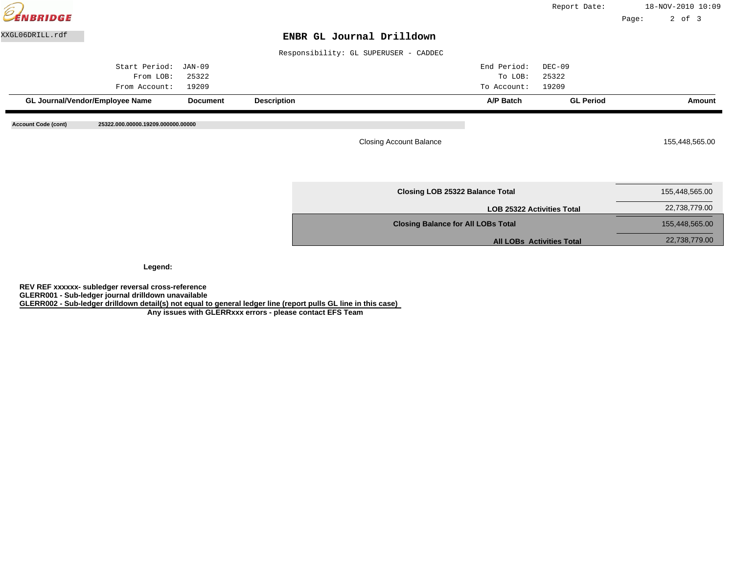| EENBRIDGE       |                                 |                 |                    |                                           | Report Date:                      | Page: | 18-NOV-2010 10:09<br>$2$ of $3$ |        |
|-----------------|---------------------------------|-----------------|--------------------|-------------------------------------------|-----------------------------------|-------|---------------------------------|--------|
| XXGL06DRILL.rdf |                                 |                 |                    | ENBR GL Journal Drilldown                 |                                   |       |                                 |        |
|                 |                                 |                 |                    | Responsibility: GL SUPERUSER - CADDEC     |                                   |       |                                 |        |
|                 | Start Period:                   | JAN-09          |                    | End Period:                               | $DEC-09$                          |       |                                 |        |
|                 | From LOB:                       | 25322           |                    | To LOB:                                   | 25322                             |       |                                 |        |
|                 | From Account:                   | 19209           |                    | To Account:                               | 19209                             |       |                                 |        |
|                 | GL Journal/Vendor/Employee Name | <b>Document</b> | <b>Description</b> | A/P Batch                                 | <b>GL Period</b>                  |       |                                 | Amount |
|                 |                                 |                 |                    | <b>Closing Account Balance</b>            |                                   |       | 155,448,565.00                  |        |
|                 |                                 |                 |                    | Closing LOB 25322 Balance Total           |                                   |       | 155,448,565.00                  |        |
|                 |                                 |                 |                    |                                           |                                   |       |                                 |        |
|                 |                                 |                 |                    |                                           | <b>LOB 25322 Activities Total</b> |       | 22,738,779.00                   |        |
|                 |                                 |                 |                    | <b>Closing Balance for All LOBs Total</b> |                                   |       | 155,448,565.00                  |        |

**Legend:**

**REV REF xxxxxx- subledger reversal cross-reference GLERR001 - Sub-ledger journal drilldown unavailable GLERR002 - Sub-ledger drilldown detail(s) not equal to general ledger line (report pulls GL line in this case)**

 **Any issues with GLERRxxx errors - please contact EFS Team**